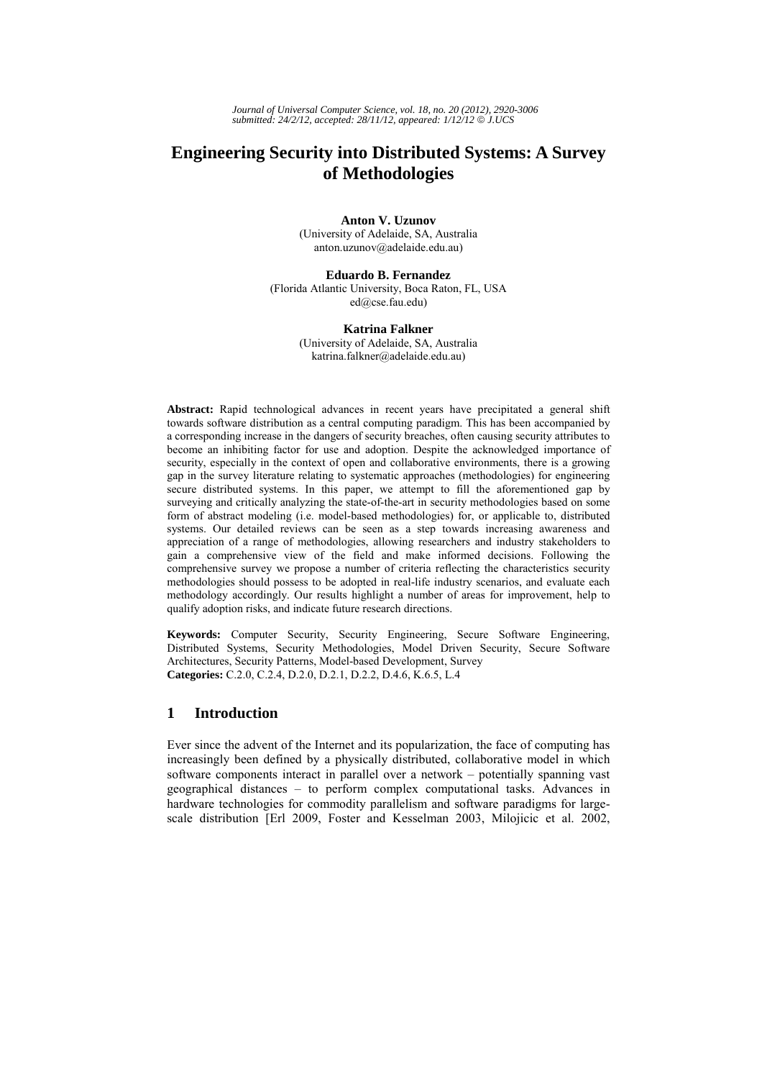# **Engineering Security into Distributed Systems: A Survey of Methodologies**

**Anton V. Uzunov**  (University of Adelaide, SA, Australia anton.uzunov@adelaide.edu.au)

## **Eduardo B. Fernandez**

(Florida Atlantic University, Boca Raton, FL, USA ed@cse.fau.edu)

## **Katrina Falkner**

(University of Adelaide, SA, Australia katrina.falkner@adelaide.edu.au)

**Abstract:** Rapid technological advances in recent years have precipitated a general shift towards software distribution as a central computing paradigm. This has been accompanied by a corresponding increase in the dangers of security breaches, often causing security attributes to become an inhibiting factor for use and adoption. Despite the acknowledged importance of security, especially in the context of open and collaborative environments, there is a growing gap in the survey literature relating to systematic approaches (methodologies) for engineering secure distributed systems. In this paper, we attempt to fill the aforementioned gap by surveying and critically analyzing the state-of-the-art in security methodologies based on some form of abstract modeling (i.e. model-based methodologies) for, or applicable to, distributed systems. Our detailed reviews can be seen as a step towards increasing awareness and appreciation of a range of methodologies, allowing researchers and industry stakeholders to gain a comprehensive view of the field and make informed decisions. Following the comprehensive survey we propose a number of criteria reflecting the characteristics security methodologies should possess to be adopted in real-life industry scenarios, and evaluate each methodology accordingly. Our results highlight a number of areas for improvement, help to qualify adoption risks, and indicate future research directions.

**Keywords:** Computer Security, Security Engineering, Secure Software Engineering, Distributed Systems, Security Methodologies, Model Driven Security, Secure Software Architectures, Security Patterns, Model-based Development, Survey **Categories:** C.2.0, C.2.4, D.2.0, D.2.1, D.2.2, D.4.6, K.6.5, L.4

## **1 Introduction**

Ever since the advent of the Internet and its popularization, the face of computing has increasingly been defined by a physically distributed, collaborative model in which software components interact in parallel over a network – potentially spanning vast geographical distances – to perform complex computational tasks. Advances in hardware technologies for commodity parallelism and software paradigms for largescale distribution [Erl 2009, Foster and Kesselman 2003, Milojicic et al. 2002,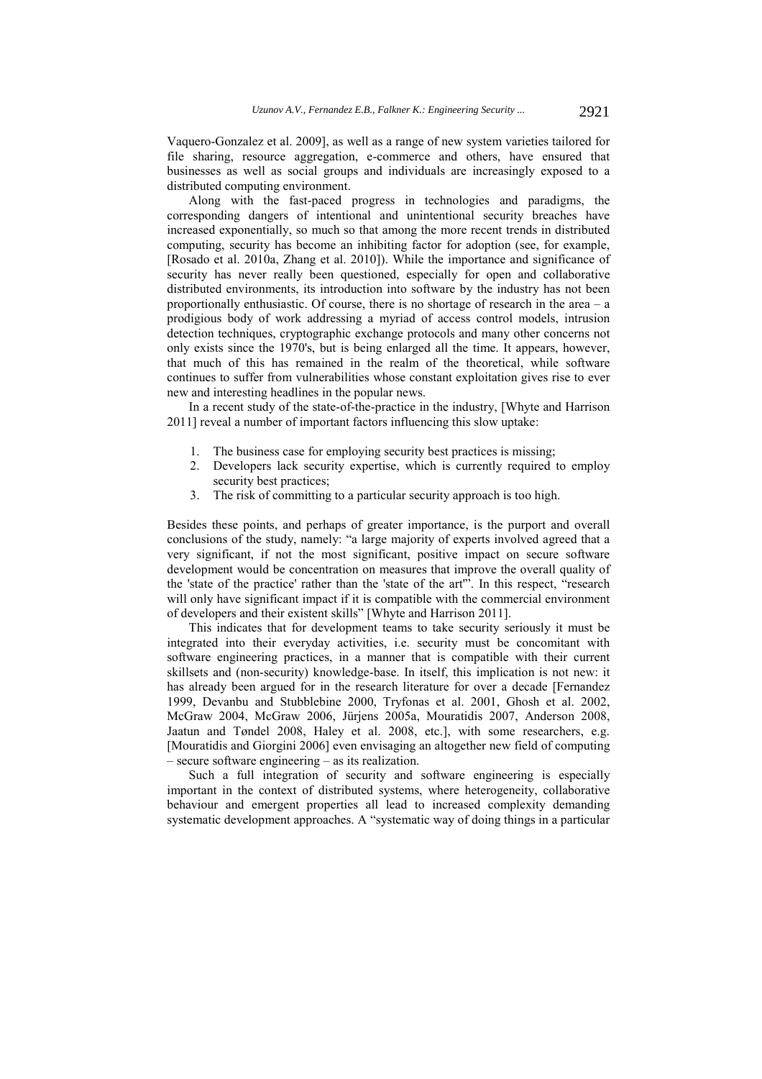Vaquero-Gonzalez et al. 2009], as well as a range of new system varieties tailored for file sharing, resource aggregation, e-commerce and others, have ensured that businesses as well as social groups and individuals are increasingly exposed to a distributed computing environment.

Along with the fast-paced progress in technologies and paradigms, the corresponding dangers of intentional and unintentional security breaches have increased exponentially, so much so that among the more recent trends in distributed computing, security has become an inhibiting factor for adoption (see, for example, [Rosado et al. 2010a, Zhang et al. 2010]). While the importance and significance of security has never really been questioned, especially for open and collaborative distributed environments, its introduction into software by the industry has not been proportionally enthusiastic. Of course, there is no shortage of research in the area – a prodigious body of work addressing a myriad of access control models, intrusion detection techniques, cryptographic exchange protocols and many other concerns not only exists since the 1970's, but is being enlarged all the time. It appears, however, that much of this has remained in the realm of the theoretical, while software continues to suffer from vulnerabilities whose constant exploitation gives rise to ever new and interesting headlines in the popular news.

In a recent study of the state-of-the-practice in the industry, [Whyte and Harrison 2011] reveal a number of important factors influencing this slow uptake:

- 1. The business case for employing security best practices is missing;
- 2. Developers lack security expertise, which is currently required to employ security best practices;
- 3. The risk of committing to a particular security approach is too high.

Besides these points, and perhaps of greater importance, is the purport and overall conclusions of the study, namely: "a large majority of experts involved agreed that a very significant, if not the most significant, positive impact on secure software development would be concentration on measures that improve the overall quality of the 'state of the practice' rather than the 'state of the art'". In this respect, "research will only have significant impact if it is compatible with the commercial environment of developers and their existent skills" [Whyte and Harrison 2011].

This indicates that for development teams to take security seriously it must be integrated into their everyday activities, i.e. security must be concomitant with software engineering practices, in a manner that is compatible with their current skillsets and (non-security) knowledge-base. In itself, this implication is not new: it has already been argued for in the research literature for over a decade [Fernandez 1999, Devanbu and Stubblebine 2000, Tryfonas et al. 2001, Ghosh et al. 2002, McGraw 2004, McGraw 2006, Jürjens 2005a, Mouratidis 2007, Anderson 2008, Jaatun and Tøndel 2008, Haley et al. 2008, etc.], with some researchers, e.g. [Mouratidis and Giorgini 2006] even envisaging an altogether new field of computing – secure software engineering – as its realization.

Such a full integration of security and software engineering is especially important in the context of distributed systems, where heterogeneity, collaborative behaviour and emergent properties all lead to increased complexity demanding systematic development approaches. A "systematic way of doing things in a particular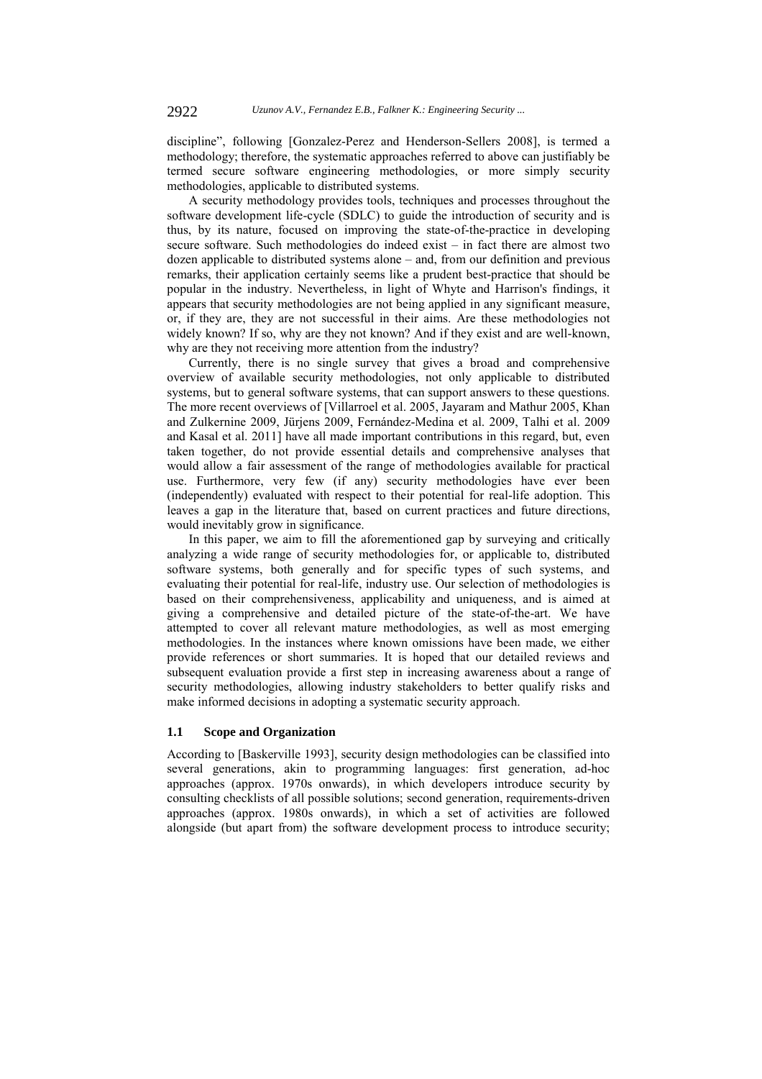discipline", following [Gonzalez-Perez and Henderson-Sellers 2008], is termed a methodology; therefore, the systematic approaches referred to above can justifiably be termed secure software engineering methodologies, or more simply security methodologies, applicable to distributed systems.

A security methodology provides tools, techniques and processes throughout the software development life-cycle (SDLC) to guide the introduction of security and is thus, by its nature, focused on improving the state-of-the-practice in developing secure software. Such methodologies do indeed exist – in fact there are almost two dozen applicable to distributed systems alone – and, from our definition and previous remarks, their application certainly seems like a prudent best-practice that should be popular in the industry. Nevertheless, in light of Whyte and Harrison's findings, it appears that security methodologies are not being applied in any significant measure, or, if they are, they are not successful in their aims. Are these methodologies not widely known? If so, why are they not known? And if they exist and are well-known, why are they not receiving more attention from the industry?

Currently, there is no single survey that gives a broad and comprehensive overview of available security methodologies, not only applicable to distributed systems, but to general software systems, that can support answers to these questions. The more recent overviews of [Villarroel et al. 2005, Jayaram and Mathur 2005, Khan and Zulkernine 2009, Jürjens 2009, Fernández-Medina et al. 2009, Talhi et al. 2009 and Kasal et al. 2011] have all made important contributions in this regard, but, even taken together, do not provide essential details and comprehensive analyses that would allow a fair assessment of the range of methodologies available for practical use. Furthermore, very few (if any) security methodologies have ever been (independently) evaluated with respect to their potential for real-life adoption. This leaves a gap in the literature that, based on current practices and future directions, would inevitably grow in significance.

In this paper, we aim to fill the aforementioned gap by surveying and critically analyzing a wide range of security methodologies for, or applicable to, distributed software systems, both generally and for specific types of such systems, and evaluating their potential for real-life, industry use. Our selection of methodologies is based on their comprehensiveness, applicability and uniqueness, and is aimed at giving a comprehensive and detailed picture of the state-of-the-art. We have attempted to cover all relevant mature methodologies, as well as most emerging methodologies. In the instances where known omissions have been made, we either provide references or short summaries. It is hoped that our detailed reviews and subsequent evaluation provide a first step in increasing awareness about a range of security methodologies, allowing industry stakeholders to better qualify risks and make informed decisions in adopting a systematic security approach.

## **1.1 Scope and Organization**

According to [Baskerville 1993], security design methodologies can be classified into several generations, akin to programming languages: first generation, ad-hoc approaches (approx. 1970s onwards), in which developers introduce security by consulting checklists of all possible solutions; second generation, requirements-driven approaches (approx. 1980s onwards), in which a set of activities are followed alongside (but apart from) the software development process to introduce security;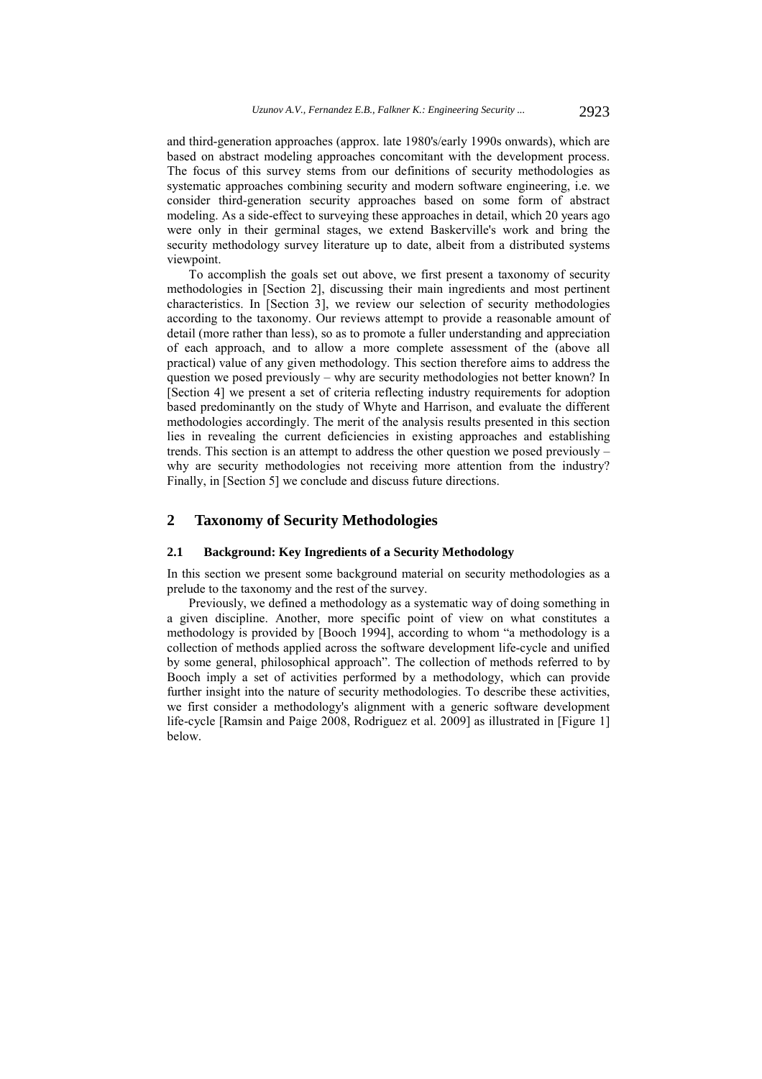and third-generation approaches (approx. late 1980's/early 1990s onwards), which are based on abstract modeling approaches concomitant with the development process. The focus of this survey stems from our definitions of security methodologies as systematic approaches combining security and modern software engineering, i.e. we consider third-generation security approaches based on some form of abstract modeling. As a side-effect to surveying these approaches in detail, which 20 years ago were only in their germinal stages, we extend Baskerville's work and bring the security methodology survey literature up to date, albeit from a distributed systems viewpoint.

To accomplish the goals set out above, we first present a taxonomy of security methodologies in [Section 2], discussing their main ingredients and most pertinent characteristics. In [Section 3], we review our selection of security methodologies according to the taxonomy. Our reviews attempt to provide a reasonable amount of detail (more rather than less), so as to promote a fuller understanding and appreciation of each approach, and to allow a more complete assessment of the (above all practical) value of any given methodology. This section therefore aims to address the question we posed previously – why are security methodologies not better known? In [Section 4] we present a set of criteria reflecting industry requirements for adoption based predominantly on the study of Whyte and Harrison, and evaluate the different methodologies accordingly. The merit of the analysis results presented in this section lies in revealing the current deficiencies in existing approaches and establishing trends. This section is an attempt to address the other question we posed previously – why are security methodologies not receiving more attention from the industry? Finally, in [Section 5] we conclude and discuss future directions.

## **2 Taxonomy of Security Methodologies**

## **2.1 Background: Key Ingredients of a Security Methodology**

In this section we present some background material on security methodologies as a prelude to the taxonomy and the rest of the survey.

Previously, we defined a methodology as a systematic way of doing something in a given discipline. Another, more specific point of view on what constitutes a methodology is provided by [Booch 1994], according to whom "a methodology is a collection of methods applied across the software development life-cycle and unified by some general, philosophical approach". The collection of methods referred to by Booch imply a set of activities performed by a methodology, which can provide further insight into the nature of security methodologies. To describe these activities, we first consider a methodology's alignment with a generic software development life-cycle [Ramsin and Paige 2008, Rodriguez et al. 2009] as illustrated in [Figure 1] below.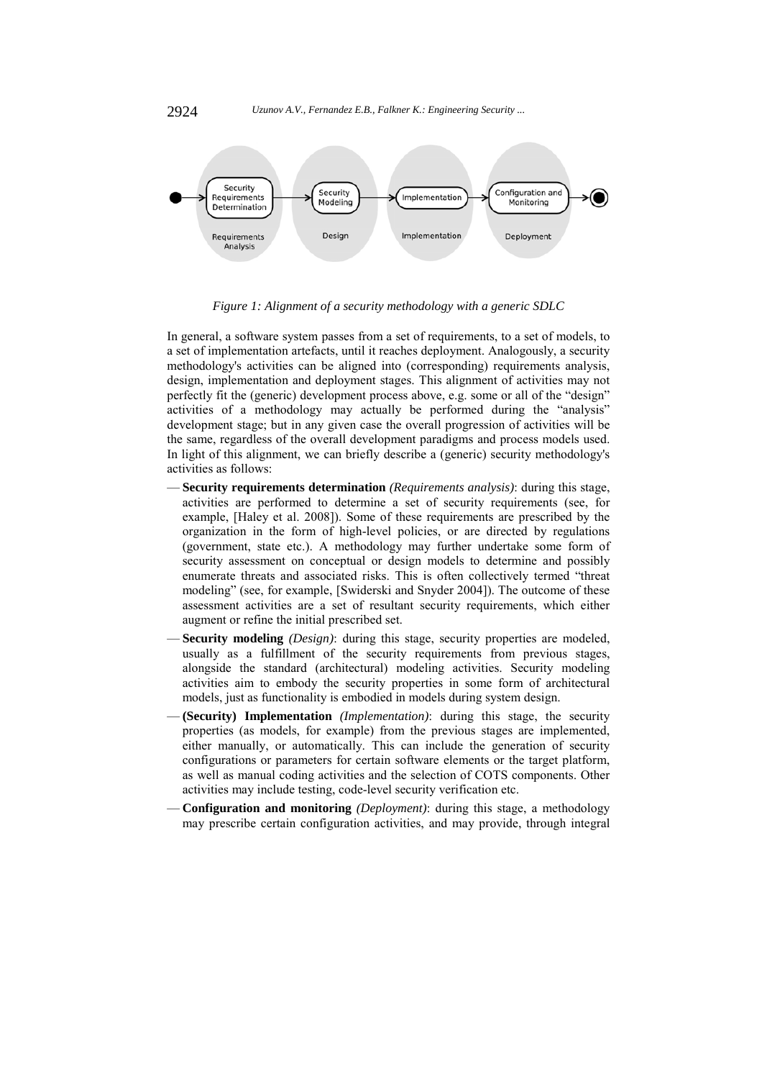

*Figure 1: Alignment of a security methodology with a generic SDLC* 

In general, a software system passes from a set of requirements, to a set of models, to a set of implementation artefacts, until it reaches deployment. Analogously, a security methodology's activities can be aligned into (corresponding) requirements analysis, design, implementation and deployment stages. This alignment of activities may not perfectly fit the (generic) development process above, e.g. some or all of the "design" activities of a methodology may actually be performed during the "analysis" development stage; but in any given case the overall progression of activities will be the same, regardless of the overall development paradigms and process models used. In light of this alignment, we can briefly describe a (generic) security methodology's activities as follows:

- **Security requirements determination** *(Requirements analysis)*: during this stage, activities are performed to determine a set of security requirements (see, for example, [Haley et al. 2008]). Some of these requirements are prescribed by the organization in the form of high-level policies, or are directed by regulations (government, state etc.). A methodology may further undertake some form of security assessment on conceptual or design models to determine and possibly enumerate threats and associated risks. This is often collectively termed "threat modeling" (see, for example, [Swiderski and Snyder 2004]). The outcome of these assessment activities are a set of resultant security requirements, which either augment or refine the initial prescribed set.
- **Security modeling** *(Design)*: during this stage, security properties are modeled, usually as a fulfillment of the security requirements from previous stages, alongside the standard (architectural) modeling activities. Security modeling activities aim to embody the security properties in some form of architectural models, just as functionality is embodied in models during system design.
- **(Security) Implementation** *(Implementation)*: during this stage, the security properties (as models, for example) from the previous stages are implemented, either manually, or automatically. This can include the generation of security configurations or parameters for certain software elements or the target platform, as well as manual coding activities and the selection of COTS components. Other activities may include testing, code-level security verification etc.
- **Configuration and monitoring** *(Deployment)*: during this stage, a methodology may prescribe certain configuration activities, and may provide, through integral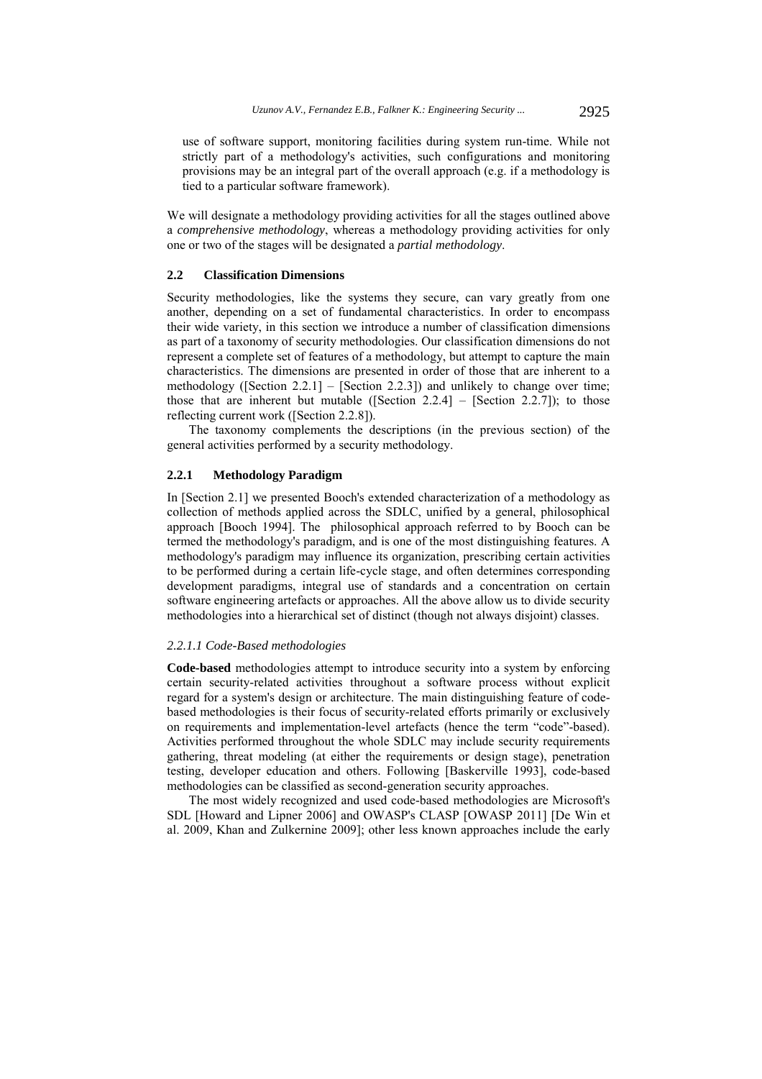use of software support, monitoring facilities during system run-time. While not strictly part of a methodology's activities, such configurations and monitoring provisions may be an integral part of the overall approach (e.g. if a methodology is tied to a particular software framework).

We will designate a methodology providing activities for all the stages outlined above a *comprehensive methodology*, whereas a methodology providing activities for only one or two of the stages will be designated a *partial methodology*.

## **2.2 Classification Dimensions**

Security methodologies, like the systems they secure, can vary greatly from one another, depending on a set of fundamental characteristics. In order to encompass their wide variety, in this section we introduce a number of classification dimensions as part of a taxonomy of security methodologies. Our classification dimensions do not represent a complete set of features of a methodology, but attempt to capture the main characteristics. The dimensions are presented in order of those that are inherent to a methodology ([Section 2.2.1] – [Section 2.2.3]) and unlikely to change over time; those that are inherent but mutable ([Section 2.2.4] – [Section 2.2.7]); to those reflecting current work ([Section 2.2.8]).

The taxonomy complements the descriptions (in the previous section) of the general activities performed by a security methodology.

## **2.2.1 Methodology Paradigm**

In [Section 2.1] we presented Booch's extended characterization of a methodology as collection of methods applied across the SDLC, unified by a general, philosophical approach [Booch 1994]. The philosophical approach referred to by Booch can be termed the methodology's paradigm, and is one of the most distinguishing features. A methodology's paradigm may influence its organization, prescribing certain activities to be performed during a certain life-cycle stage, and often determines corresponding development paradigms, integral use of standards and a concentration on certain software engineering artefacts or approaches. All the above allow us to divide security methodologies into a hierarchical set of distinct (though not always disjoint) classes.

#### *2.2.1.1 Code-Based methodologies*

**Code-based** methodologies attempt to introduce security into a system by enforcing certain security-related activities throughout a software process without explicit regard for a system's design or architecture. The main distinguishing feature of codebased methodologies is their focus of security-related efforts primarily or exclusively on requirements and implementation-level artefacts (hence the term "code"-based). Activities performed throughout the whole SDLC may include security requirements gathering, threat modeling (at either the requirements or design stage), penetration testing, developer education and others. Following [Baskerville 1993], code-based methodologies can be classified as second-generation security approaches.

The most widely recognized and used code-based methodologies are Microsoft's SDL [Howard and Lipner 2006] and OWASP's CLASP [OWASP 2011] [De Win et al. 2009, Khan and Zulkernine 2009]; other less known approaches include the early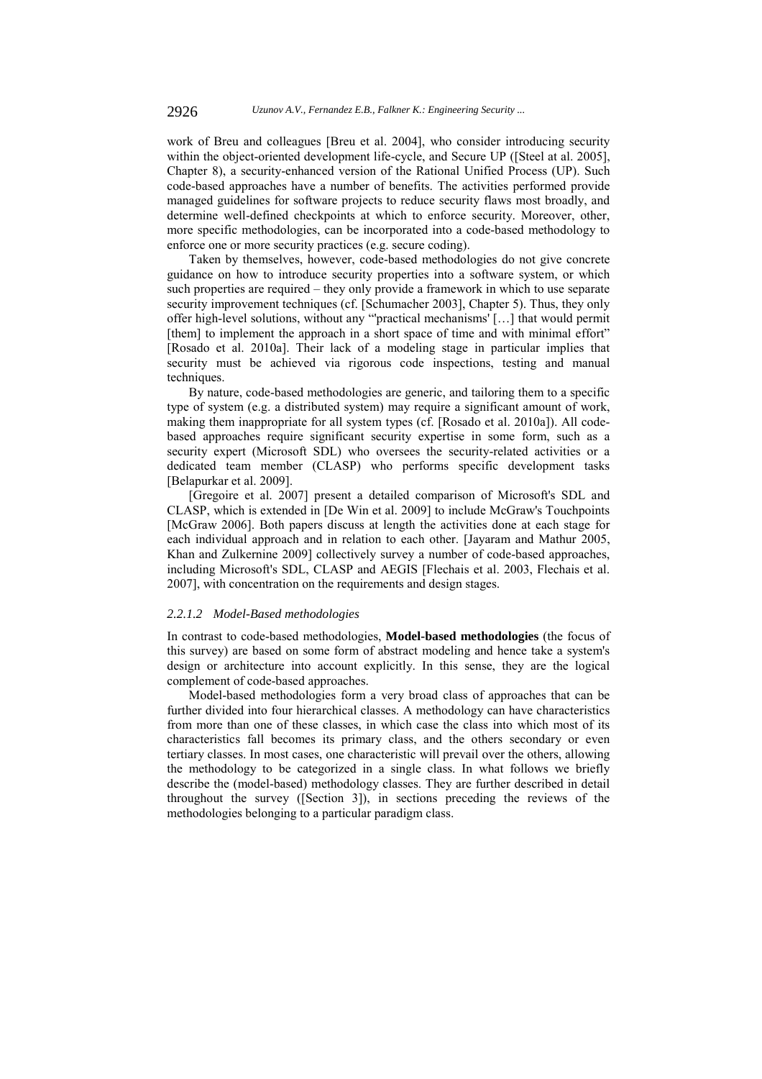work of Breu and colleagues [Breu et al. 2004], who consider introducing security within the object-oriented development life-cycle, and Secure UP ([Steel at al. 2005], Chapter 8), a security-enhanced version of the Rational Unified Process (UP). Such code-based approaches have a number of benefits. The activities performed provide managed guidelines for software projects to reduce security flaws most broadly, and determine well-defined checkpoints at which to enforce security. Moreover, other, more specific methodologies, can be incorporated into a code-based methodology to enforce one or more security practices (e.g. secure coding).

Taken by themselves, however, code-based methodologies do not give concrete guidance on how to introduce security properties into a software system, or which such properties are required – they only provide a framework in which to use separate security improvement techniques (cf. [Schumacher 2003], Chapter 5). Thus, they only offer high-level solutions, without any "'practical mechanisms' […] that would permit [them] to implement the approach in a short space of time and with minimal effort" [Rosado et al. 2010a]. Their lack of a modeling stage in particular implies that security must be achieved via rigorous code inspections, testing and manual techniques.

By nature, code-based methodologies are generic, and tailoring them to a specific type of system (e.g. a distributed system) may require a significant amount of work, making them inappropriate for all system types (cf. [Rosado et al. 2010a]). All codebased approaches require significant security expertise in some form, such as a security expert (Microsoft SDL) who oversees the security-related activities or a dedicated team member (CLASP) who performs specific development tasks [Belapurkar et al. 2009].

[Gregoire et al. 2007] present a detailed comparison of Microsoft's SDL and CLASP, which is extended in [De Win et al. 2009] to include McGraw's Touchpoints [McGraw 2006]. Both papers discuss at length the activities done at each stage for each individual approach and in relation to each other. [Jayaram and Mathur 2005, Khan and Zulkernine 2009] collectively survey a number of code-based approaches, including Microsoft's SDL, CLASP and AEGIS [Flechais et al. 2003, Flechais et al. 2007], with concentration on the requirements and design stages.

### *2.2.1.2 Model-Based methodologies*

In contrast to code-based methodologies, **Model-based methodologies** (the focus of this survey) are based on some form of abstract modeling and hence take a system's design or architecture into account explicitly. In this sense, they are the logical complement of code-based approaches.

Model-based methodologies form a very broad class of approaches that can be further divided into four hierarchical classes. A methodology can have characteristics from more than one of these classes, in which case the class into which most of its characteristics fall becomes its primary class, and the others secondary or even tertiary classes. In most cases, one characteristic will prevail over the others, allowing the methodology to be categorized in a single class. In what follows we briefly describe the (model-based) methodology classes. They are further described in detail throughout the survey ([Section 3]), in sections preceding the reviews of the methodologies belonging to a particular paradigm class.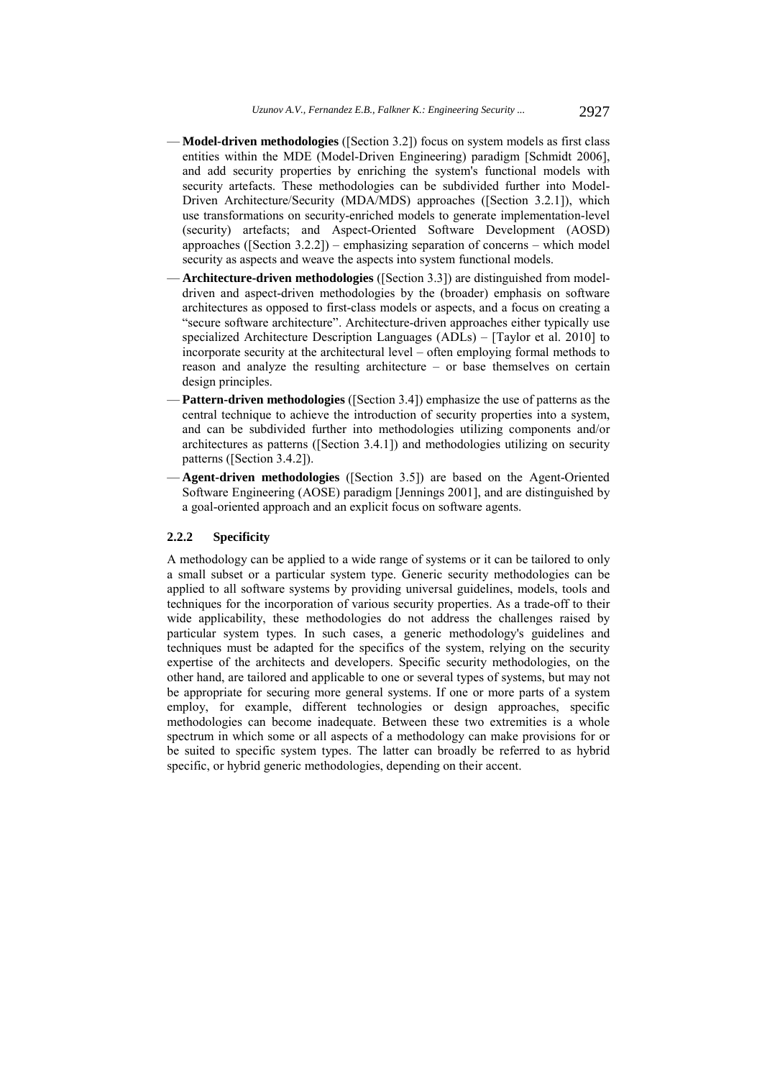- **Model-driven methodologies** ([Section 3.2]) focus on system models as first class entities within the MDE (Model-Driven Engineering) paradigm [Schmidt 2006], and add security properties by enriching the system's functional models with security artefacts. These methodologies can be subdivided further into Model-Driven Architecture/Security (MDA/MDS) approaches ([Section 3.2.1]), which use transformations on security-enriched models to generate implementation-level (security) artefacts; and Aspect-Oriented Software Development (AOSD) approaches ([Section 3.2.2]) – emphasizing separation of concerns – which model security as aspects and weave the aspects into system functional models.
- **Architecture-driven methodologies** ([Section 3.3]) are distinguished from modeldriven and aspect-driven methodologies by the (broader) emphasis on software architectures as opposed to first-class models or aspects, and a focus on creating a "secure software architecture". Architecture-driven approaches either typically use specialized Architecture Description Languages (ADLs) – [Taylor et al. 2010] to incorporate security at the architectural level – often employing formal methods to reason and analyze the resulting architecture – or base themselves on certain design principles.
- **Pattern-driven methodologies** ([Section 3.4]) emphasize the use of patterns as the central technique to achieve the introduction of security properties into a system, and can be subdivided further into methodologies utilizing components and/or architectures as patterns ([Section 3.4.1]) and methodologies utilizing on security patterns ([Section 3.4.2]).
- **Agent-driven methodologies** ([Section 3.5]) are based on the Agent-Oriented Software Engineering (AOSE) paradigm [Jennings 2001], and are distinguished by a goal-oriented approach and an explicit focus on software agents.

#### **2.2.2 Specificity**

A methodology can be applied to a wide range of systems or it can be tailored to only a small subset or a particular system type. Generic security methodologies can be applied to all software systems by providing universal guidelines, models, tools and techniques for the incorporation of various security properties. As a trade-off to their wide applicability, these methodologies do not address the challenges raised by particular system types. In such cases, a generic methodology's guidelines and techniques must be adapted for the specifics of the system, relying on the security expertise of the architects and developers. Specific security methodologies, on the other hand, are tailored and applicable to one or several types of systems, but may not be appropriate for securing more general systems. If one or more parts of a system employ, for example, different technologies or design approaches, specific methodologies can become inadequate. Between these two extremities is a whole spectrum in which some or all aspects of a methodology can make provisions for or be suited to specific system types. The latter can broadly be referred to as hybrid specific, or hybrid generic methodologies, depending on their accent.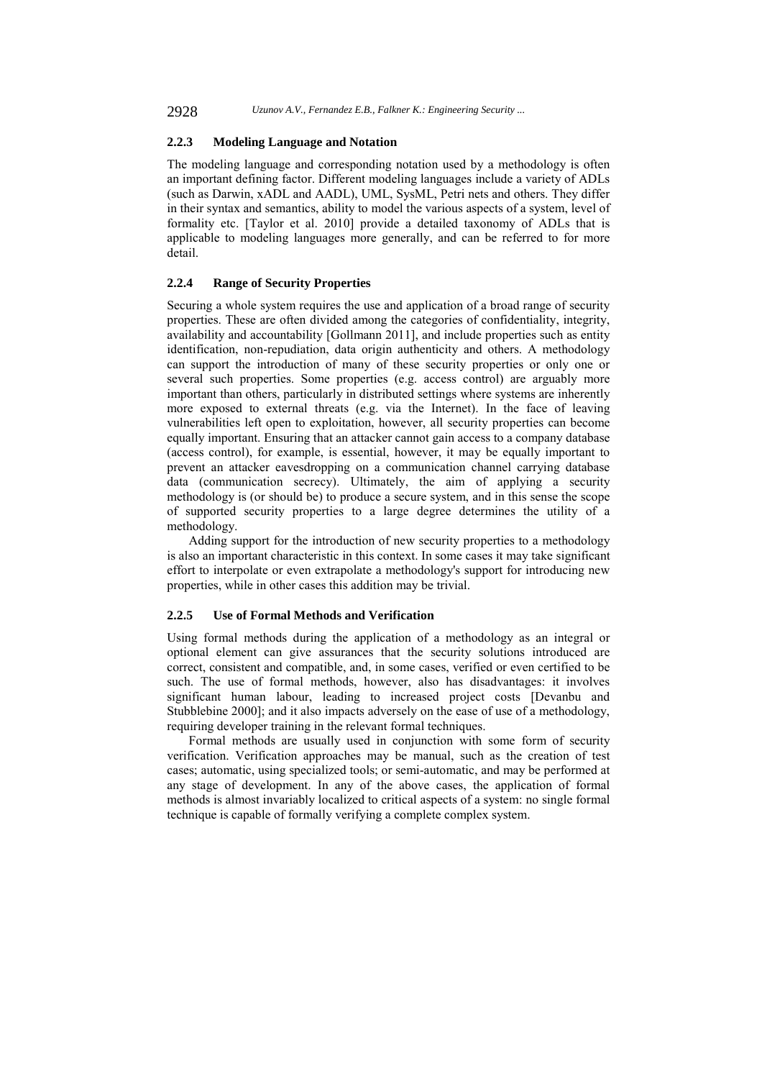2928 *Uzunov A.V., Fernandez E.B., Falkner K.: Engineering Security ...*

## **2.2.3 Modeling Language and Notation**

The modeling language and corresponding notation used by a methodology is often an important defining factor. Different modeling languages include a variety of ADLs (such as Darwin, xADL and AADL), UML, SysML, Petri nets and others. They differ in their syntax and semantics, ability to model the various aspects of a system, level of formality etc. [Taylor et al. 2010] provide a detailed taxonomy of ADLs that is applicable to modeling languages more generally, and can be referred to for more detail.

## **2.2.4 Range of Security Properties**

Securing a whole system requires the use and application of a broad range of security properties. These are often divided among the categories of confidentiality, integrity, availability and accountability [Gollmann 2011], and include properties such as entity identification, non-repudiation, data origin authenticity and others. A methodology can support the introduction of many of these security properties or only one or several such properties. Some properties (e.g. access control) are arguably more important than others, particularly in distributed settings where systems are inherently more exposed to external threats (e.g. via the Internet). In the face of leaving vulnerabilities left open to exploitation, however, all security properties can become equally important. Ensuring that an attacker cannot gain access to a company database (access control), for example, is essential, however, it may be equally important to prevent an attacker eavesdropping on a communication channel carrying database data (communication secrecy). Ultimately, the aim of applying a security methodology is (or should be) to produce a secure system, and in this sense the scope of supported security properties to a large degree determines the utility of a methodology.

Adding support for the introduction of new security properties to a methodology is also an important characteristic in this context. In some cases it may take significant effort to interpolate or even extrapolate a methodology's support for introducing new properties, while in other cases this addition may be trivial.

## **2.2.5 Use of Formal Methods and Verification**

Using formal methods during the application of a methodology as an integral or optional element can give assurances that the security solutions introduced are correct, consistent and compatible, and, in some cases, verified or even certified to be such. The use of formal methods, however, also has disadvantages: it involves significant human labour, leading to increased project costs [Devanbu and Stubblebine 2000]; and it also impacts adversely on the ease of use of a methodology, requiring developer training in the relevant formal techniques.

Formal methods are usually used in conjunction with some form of security verification. Verification approaches may be manual, such as the creation of test cases; automatic, using specialized tools; or semi-automatic, and may be performed at any stage of development. In any of the above cases, the application of formal methods is almost invariably localized to critical aspects of a system: no single formal technique is capable of formally verifying a complete complex system.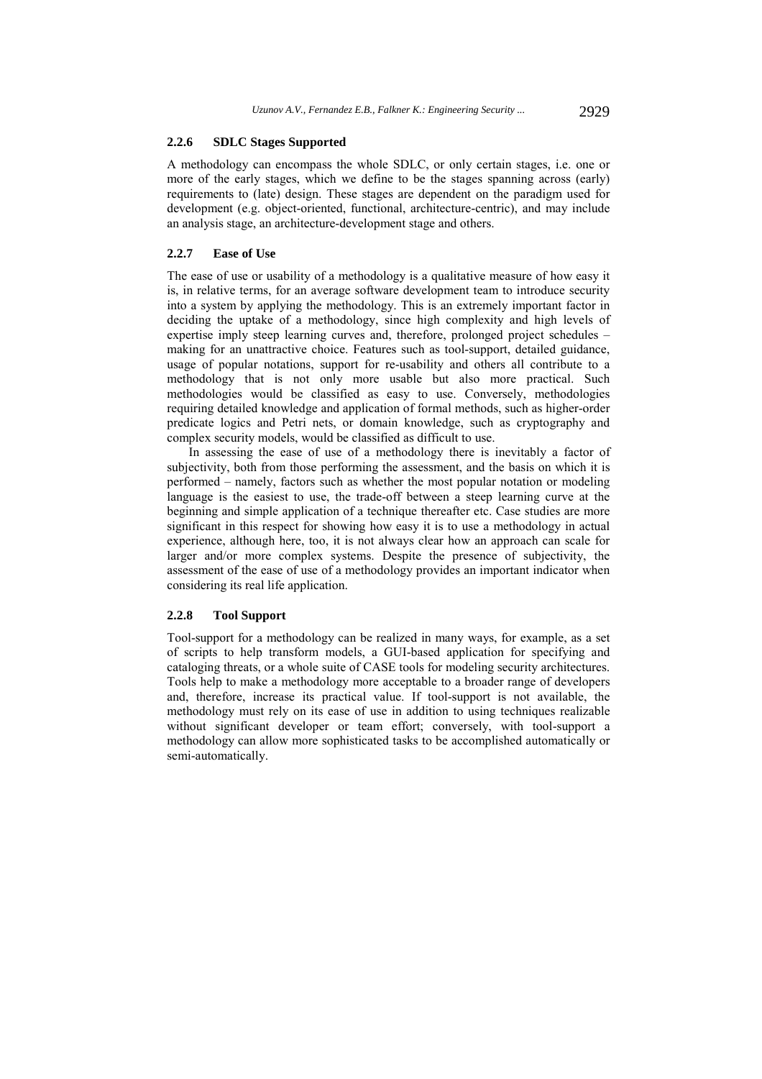## **2.2.6 SDLC Stages Supported**

A methodology can encompass the whole SDLC, or only certain stages, i.e. one or more of the early stages, which we define to be the stages spanning across (early) requirements to (late) design. These stages are dependent on the paradigm used for development (e.g. object-oriented, functional, architecture-centric), and may include an analysis stage, an architecture-development stage and others.

## **2.2.7 Ease of Use**

The ease of use or usability of a methodology is a qualitative measure of how easy it is, in relative terms, for an average software development team to introduce security into a system by applying the methodology. This is an extremely important factor in deciding the uptake of a methodology, since high complexity and high levels of expertise imply steep learning curves and, therefore, prolonged project schedules – making for an unattractive choice. Features such as tool-support, detailed guidance, usage of popular notations, support for re-usability and others all contribute to a methodology that is not only more usable but also more practical. Such methodologies would be classified as easy to use. Conversely, methodologies requiring detailed knowledge and application of formal methods, such as higher-order predicate logics and Petri nets, or domain knowledge, such as cryptography and complex security models, would be classified as difficult to use.

In assessing the ease of use of a methodology there is inevitably a factor of subjectivity, both from those performing the assessment, and the basis on which it is performed – namely, factors such as whether the most popular notation or modeling language is the easiest to use, the trade-off between a steep learning curve at the beginning and simple application of a technique thereafter etc. Case studies are more significant in this respect for showing how easy it is to use a methodology in actual experience, although here, too, it is not always clear how an approach can scale for larger and/or more complex systems. Despite the presence of subjectivity, the assessment of the ease of use of a methodology provides an important indicator when considering its real life application.

## **2.2.8 Tool Support**

Tool-support for a methodology can be realized in many ways, for example, as a set of scripts to help transform models, a GUI-based application for specifying and cataloging threats, or a whole suite of CASE tools for modeling security architectures. Tools help to make a methodology more acceptable to a broader range of developers and, therefore, increase its practical value. If tool-support is not available, the methodology must rely on its ease of use in addition to using techniques realizable without significant developer or team effort; conversely, with tool-support a methodology can allow more sophisticated tasks to be accomplished automatically or semi-automatically.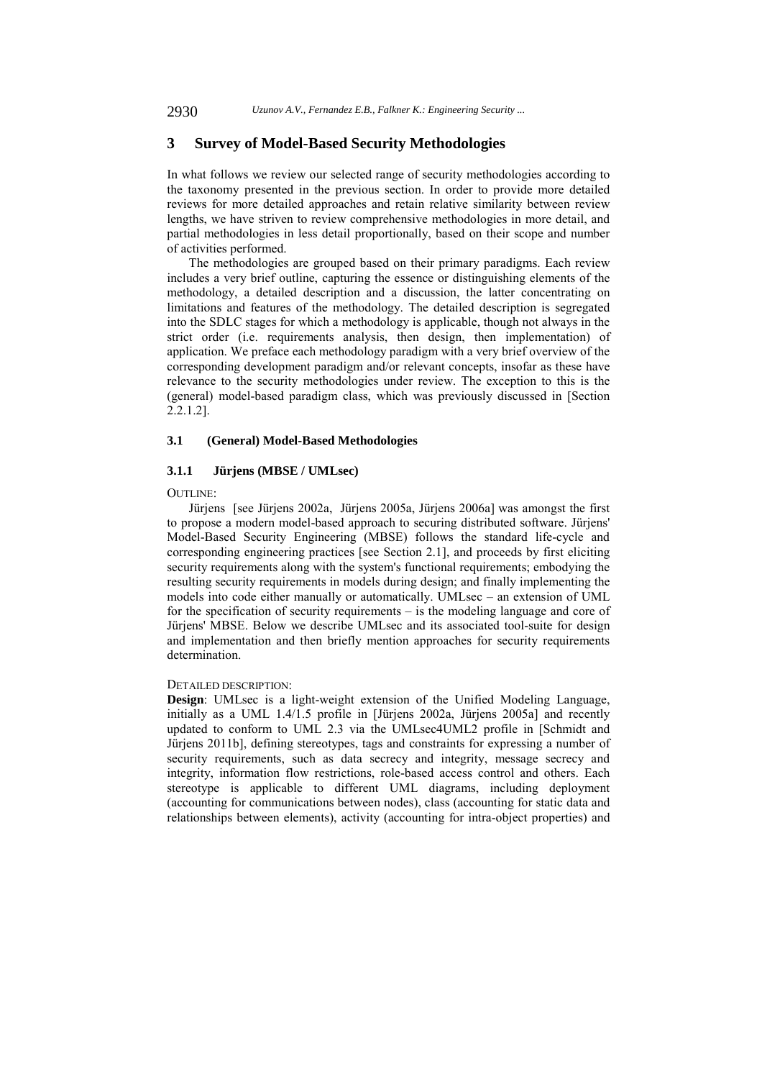## **3 Survey of Model-Based Security Methodologies**

In what follows we review our selected range of security methodologies according to the taxonomy presented in the previous section. In order to provide more detailed reviews for more detailed approaches and retain relative similarity between review lengths, we have striven to review comprehensive methodologies in more detail, and partial methodologies in less detail proportionally, based on their scope and number of activities performed.

The methodologies are grouped based on their primary paradigms. Each review includes a very brief outline, capturing the essence or distinguishing elements of the methodology, a detailed description and a discussion, the latter concentrating on limitations and features of the methodology. The detailed description is segregated into the SDLC stages for which a methodology is applicable, though not always in the strict order (i.e. requirements analysis, then design, then implementation) of application. We preface each methodology paradigm with a very brief overview of the corresponding development paradigm and/or relevant concepts, insofar as these have relevance to the security methodologies under review. The exception to this is the (general) model-based paradigm class, which was previously discussed in [Section 2.2.1.2].

## **3.1 (General) Model-Based Methodologies**

## **3.1.1 Jürjens (MBSE / UMLsec)**

#### OUTLINE:

Jürjens [see Jürjens 2002a, Jürjens 2005a, Jürjens 2006a] was amongst the first to propose a modern model-based approach to securing distributed software. Jürjens' Model-Based Security Engineering (MBSE) follows the standard life-cycle and corresponding engineering practices [see Section 2.1], and proceeds by first eliciting security requirements along with the system's functional requirements; embodying the resulting security requirements in models during design; and finally implementing the models into code either manually or automatically. UMLsec – an extension of UML for the specification of security requirements – is the modeling language and core of Jürjens' MBSE. Below we describe UMLsec and its associated tool-suite for design and implementation and then briefly mention approaches for security requirements determination.

## DETAILED DESCRIPTION:

**Design**: UMLsec is a light-weight extension of the Unified Modeling Language, initially as a UML 1.4/1.5 profile in [Jürjens 2002a, Jürjens 2005a] and recently updated to conform to UML 2.3 via the UMLsec4UML2 profile in [Schmidt and Jürjens 2011b], defining stereotypes, tags and constraints for expressing a number of security requirements, such as data secrecy and integrity, message secrecy and integrity, information flow restrictions, role-based access control and others. Each stereotype is applicable to different UML diagrams, including deployment (accounting for communications between nodes), class (accounting for static data and relationships between elements), activity (accounting for intra-object properties) and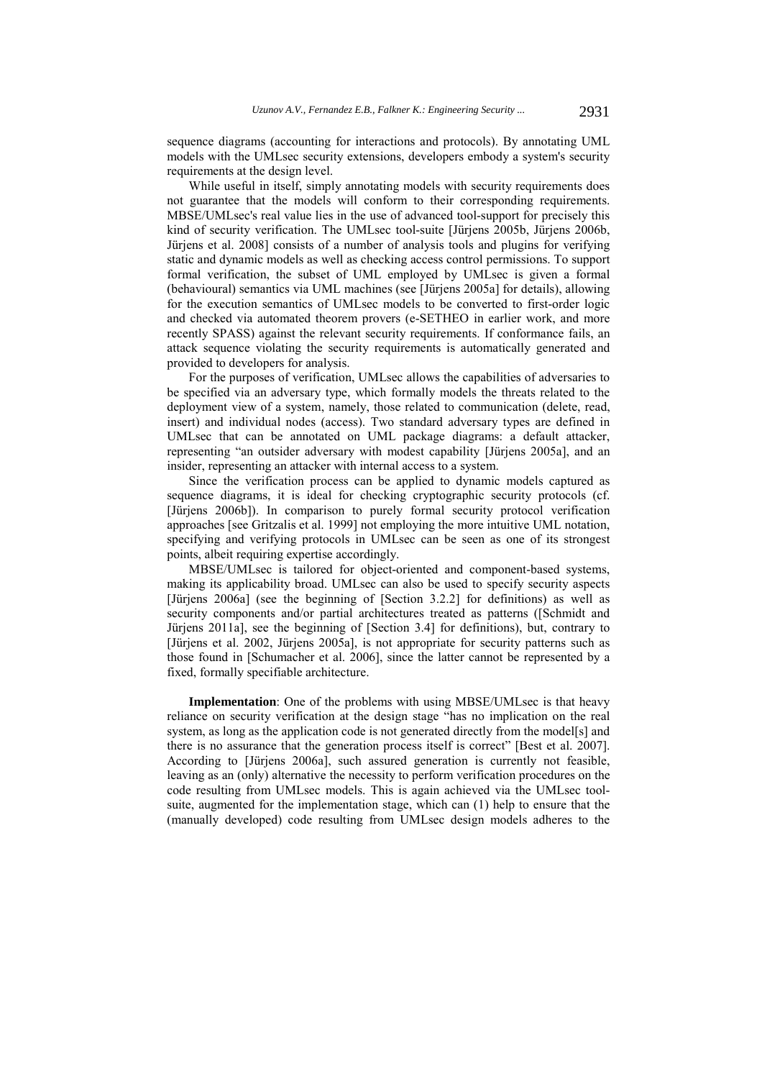sequence diagrams (accounting for interactions and protocols). By annotating UML models with the UMLsec security extensions, developers embody a system's security requirements at the design level.

While useful in itself, simply annotating models with security requirements does not guarantee that the models will conform to their corresponding requirements. MBSE/UMLsec's real value lies in the use of advanced tool-support for precisely this kind of security verification. The UMLsec tool-suite [Jürjens 2005b, Jürjens 2006b, Jürjens et al. 2008] consists of a number of analysis tools and plugins for verifying static and dynamic models as well as checking access control permissions. To support formal verification, the subset of UML employed by UMLsec is given a formal (behavioural) semantics via UML machines (see [Jürjens 2005a] for details), allowing for the execution semantics of UMLsec models to be converted to first-order logic and checked via automated theorem provers (e-SETHEO in earlier work, and more recently SPASS) against the relevant security requirements. If conformance fails, an attack sequence violating the security requirements is automatically generated and provided to developers for analysis.

For the purposes of verification, UMLsec allows the capabilities of adversaries to be specified via an adversary type, which formally models the threats related to the deployment view of a system, namely, those related to communication (delete, read, insert) and individual nodes (access). Two standard adversary types are defined in UMLsec that can be annotated on UML package diagrams: a default attacker, representing "an outsider adversary with modest capability [Jürjens 2005a], and an insider, representing an attacker with internal access to a system.

Since the verification process can be applied to dynamic models captured as sequence diagrams, it is ideal for checking cryptographic security protocols (cf. [Jürjens 2006b]). In comparison to purely formal security protocol verification approaches [see Gritzalis et al. 1999] not employing the more intuitive UML notation, specifying and verifying protocols in UMLsec can be seen as one of its strongest points, albeit requiring expertise accordingly.

MBSE/UMLsec is tailored for object-oriented and component-based systems, making its applicability broad. UMLsec can also be used to specify security aspects [Jürjens 2006a] (see the beginning of [Section 3.2.2] for definitions) as well as security components and/or partial architectures treated as patterns ([Schmidt and Jürjens 2011a], see the beginning of [Section 3.4] for definitions), but, contrary to [Jürjens et al. 2002, Jürjens 2005a], is not appropriate for security patterns such as those found in [Schumacher et al. 2006], since the latter cannot be represented by a fixed, formally specifiable architecture.

**Implementation**: One of the problems with using MBSE/UMLsec is that heavy reliance on security verification at the design stage "has no implication on the real system, as long as the application code is not generated directly from the model[s] and there is no assurance that the generation process itself is correct" [Best et al. 2007]. According to [Jürjens 2006a], such assured generation is currently not feasible, leaving as an (only) alternative the necessity to perform verification procedures on the code resulting from UMLsec models. This is again achieved via the UMLsec toolsuite, augmented for the implementation stage, which can (1) help to ensure that the (manually developed) code resulting from UMLsec design models adheres to the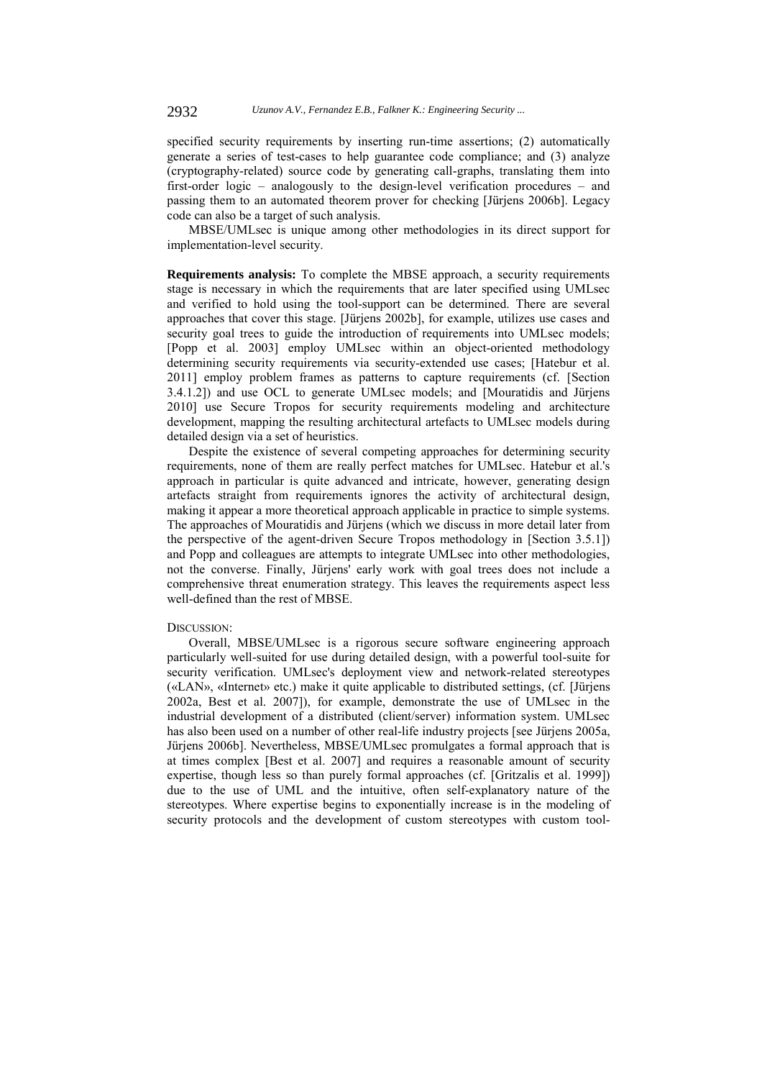specified security requirements by inserting run-time assertions; (2) automatically generate a series of test-cases to help guarantee code compliance; and (3) analyze (cryptography-related) source code by generating call-graphs, translating them into first-order logic – analogously to the design-level verification procedures – and passing them to an automated theorem prover for checking [Jürjens 2006b]. Legacy code can also be a target of such analysis.

MBSE/UMLsec is unique among other methodologies in its direct support for implementation-level security.

**Requirements analysis:** To complete the MBSE approach, a security requirements stage is necessary in which the requirements that are later specified using UMLsec and verified to hold using the tool-support can be determined. There are several approaches that cover this stage. [Jürjens 2002b], for example, utilizes use cases and security goal trees to guide the introduction of requirements into UMLsec models; [Popp et al. 2003] employ UMLsec within an object-oriented methodology determining security requirements via security-extended use cases; [Hatebur et al. 2011] employ problem frames as patterns to capture requirements (cf. [Section 3.4.1.2]) and use OCL to generate UMLsec models; and [Mouratidis and Jürjens 2010] use Secure Tropos for security requirements modeling and architecture development, mapping the resulting architectural artefacts to UMLsec models during detailed design via a set of heuristics.

Despite the existence of several competing approaches for determining security requirements, none of them are really perfect matches for UMLsec. Hatebur et al.'s approach in particular is quite advanced and intricate, however, generating design artefacts straight from requirements ignores the activity of architectural design, making it appear a more theoretical approach applicable in practice to simple systems. The approaches of Mouratidis and Jürjens (which we discuss in more detail later from the perspective of the agent-driven Secure Tropos methodology in [Section 3.5.1]) and Popp and colleagues are attempts to integrate UMLsec into other methodologies, not the converse. Finally, Jürjens' early work with goal trees does not include a comprehensive threat enumeration strategy. This leaves the requirements aspect less well-defined than the rest of MBSE.

#### DISCUSSION:

Overall, MBSE/UMLsec is a rigorous secure software engineering approach particularly well-suited for use during detailed design, with a powerful tool-suite for security verification. UMLsec's deployment view and network-related stereotypes («LAN», «Internet» etc.) make it quite applicable to distributed settings, (cf. [Jürjens 2002a, Best et al. 2007]), for example, demonstrate the use of UMLsec in the industrial development of a distributed (client/server) information system. UMLsec has also been used on a number of other real-life industry projects [see Jürjens 2005a, Jürjens 2006b]. Nevertheless, MBSE/UMLsec promulgates a formal approach that is at times complex [Best et al. 2007] and requires a reasonable amount of security expertise, though less so than purely formal approaches (cf. [Gritzalis et al. 1999]) due to the use of UML and the intuitive, often self-explanatory nature of the stereotypes. Where expertise begins to exponentially increase is in the modeling of security protocols and the development of custom stereotypes with custom tool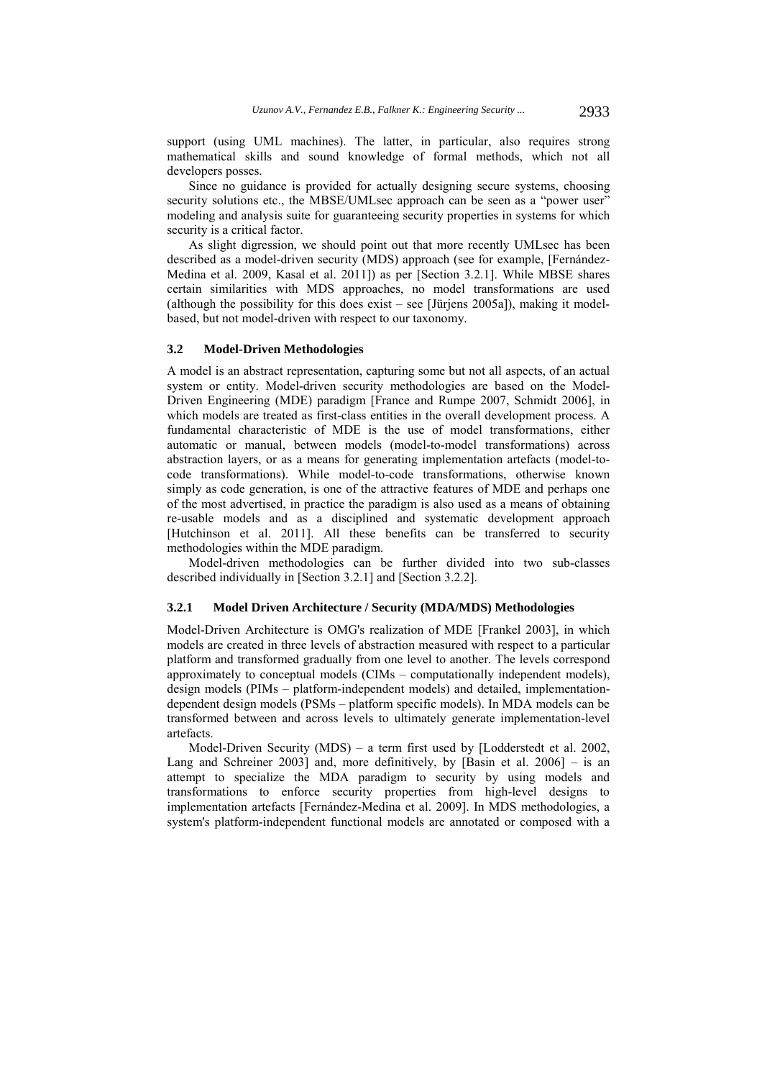support (using UML machines). The latter, in particular, also requires strong mathematical skills and sound knowledge of formal methods, which not all developers posses.

Since no guidance is provided for actually designing secure systems, choosing security solutions etc., the MBSE/UMLsec approach can be seen as a "power user" modeling and analysis suite for guaranteeing security properties in systems for which security is a critical factor.

As slight digression, we should point out that more recently UMLsec has been described as a model-driven security (MDS) approach (see for example, [Fernández-Medina et al. 2009, Kasal et al. 2011]) as per [Section 3.2.1]. While MBSE shares certain similarities with MDS approaches, no model transformations are used (although the possibility for this does exist – see [Jürjens 2005a]), making it modelbased, but not model-driven with respect to our taxonomy.

#### **3.2 Model-Driven Methodologies**

A model is an abstract representation, capturing some but not all aspects, of an actual system or entity. Model-driven security methodologies are based on the Model-Driven Engineering (MDE) paradigm [France and Rumpe 2007, Schmidt 2006], in which models are treated as first-class entities in the overall development process. A fundamental characteristic of MDE is the use of model transformations, either automatic or manual, between models (model-to-model transformations) across abstraction layers, or as a means for generating implementation artefacts (model-tocode transformations). While model-to-code transformations, otherwise known simply as code generation, is one of the attractive features of MDE and perhaps one of the most advertised, in practice the paradigm is also used as a means of obtaining re-usable models and as a disciplined and systematic development approach [Hutchinson et al. 2011]. All these benefits can be transferred to security methodologies within the MDE paradigm.

Model-driven methodologies can be further divided into two sub-classes described individually in [Section 3.2.1] and [Section 3.2.2].

### **3.2.1 Model Driven Architecture / Security (MDA/MDS) Methodologies**

Model-Driven Architecture is OMG's realization of MDE [Frankel 2003], in which models are created in three levels of abstraction measured with respect to a particular platform and transformed gradually from one level to another. The levels correspond approximately to conceptual models (CIMs – computationally independent models), design models (PIMs – platform-independent models) and detailed, implementationdependent design models (PSMs – platform specific models). In MDA models can be transformed between and across levels to ultimately generate implementation-level artefacts.

Model-Driven Security (MDS) – a term first used by [Lodderstedt et al. 2002, Lang and Schreiner 2003] and, more definitively, by [Basin et al. 2006] – is an attempt to specialize the MDA paradigm to security by using models and transformations to enforce security properties from high-level designs to implementation artefacts [Fernández-Medina et al. 2009]. In MDS methodologies, a system's platform-independent functional models are annotated or composed with a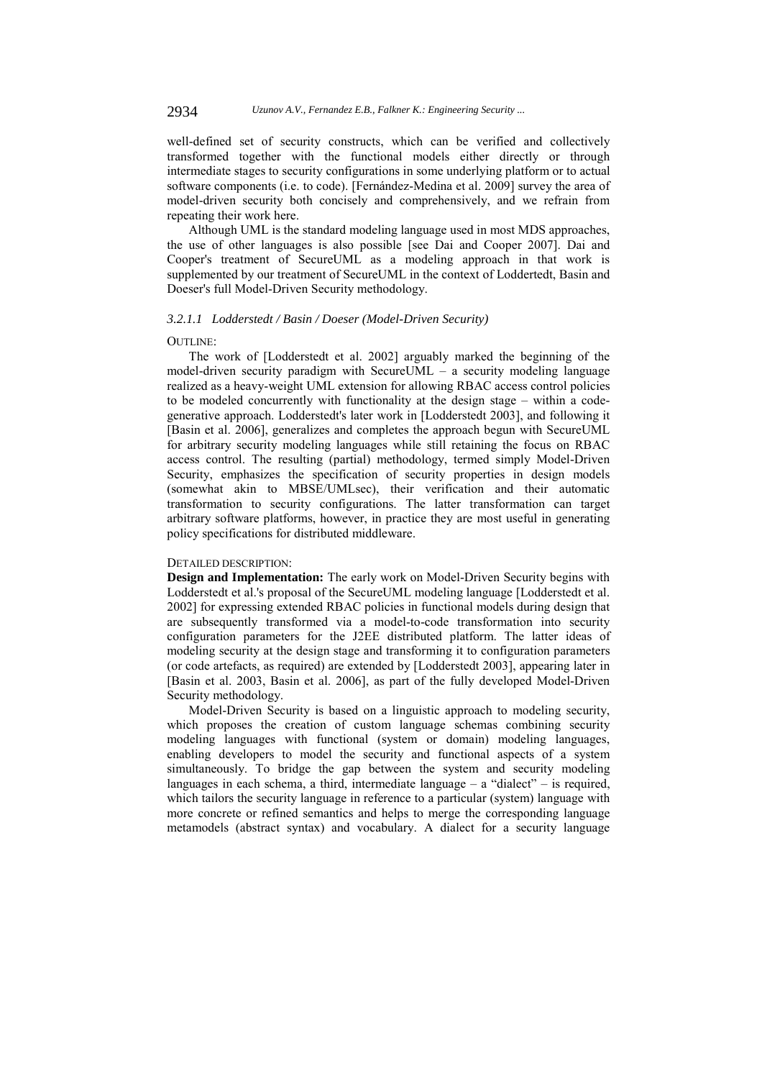well-defined set of security constructs, which can be verified and collectively transformed together with the functional models either directly or through intermediate stages to security configurations in some underlying platform or to actual software components (i.e. to code). [Fernández-Medina et al. 2009] survey the area of model-driven security both concisely and comprehensively, and we refrain from repeating their work here.

Although UML is the standard modeling language used in most MDS approaches, the use of other languages is also possible [see Dai and Cooper 2007]. Dai and Cooper's treatment of SecureUML as a modeling approach in that work is supplemented by our treatment of SecureUML in the context of Loddertedt, Basin and Doeser's full Model-Driven Security methodology.

### *3.2.1.1 Lodderstedt / Basin / Doeser (Model-Driven Security)*

#### OUTLINE:

The work of [Lodderstedt et al. 2002] arguably marked the beginning of the model-driven security paradigm with SecureUML – a security modeling language realized as a heavy-weight UML extension for allowing RBAC access control policies to be modeled concurrently with functionality at the design stage – within a codegenerative approach. Lodderstedt's later work in [Lodderstedt 2003], and following it [Basin et al. 2006], generalizes and completes the approach begun with SecureUML for arbitrary security modeling languages while still retaining the focus on RBAC access control. The resulting (partial) methodology, termed simply Model-Driven Security, emphasizes the specification of security properties in design models (somewhat akin to MBSE/UMLsec), their verification and their automatic transformation to security configurations. The latter transformation can target arbitrary software platforms, however, in practice they are most useful in generating policy specifications for distributed middleware.

## DETAILED DESCRIPTION:

**Design and Implementation:** The early work on Model-Driven Security begins with Lodderstedt et al.'s proposal of the SecureUML modeling language [Lodderstedt et al. 2002] for expressing extended RBAC policies in functional models during design that are subsequently transformed via a model-to-code transformation into security configuration parameters for the J2EE distributed platform. The latter ideas of modeling security at the design stage and transforming it to configuration parameters (or code artefacts, as required) are extended by [Lodderstedt 2003], appearing later in [Basin et al. 2003, Basin et al. 2006], as part of the fully developed Model-Driven Security methodology.

Model-Driven Security is based on a linguistic approach to modeling security, which proposes the creation of custom language schemas combining security modeling languages with functional (system or domain) modeling languages, enabling developers to model the security and functional aspects of a system simultaneously. To bridge the gap between the system and security modeling languages in each schema, a third, intermediate language – a "dialect" – is required, which tailors the security language in reference to a particular (system) language with more concrete or refined semantics and helps to merge the corresponding language metamodels (abstract syntax) and vocabulary. A dialect for a security language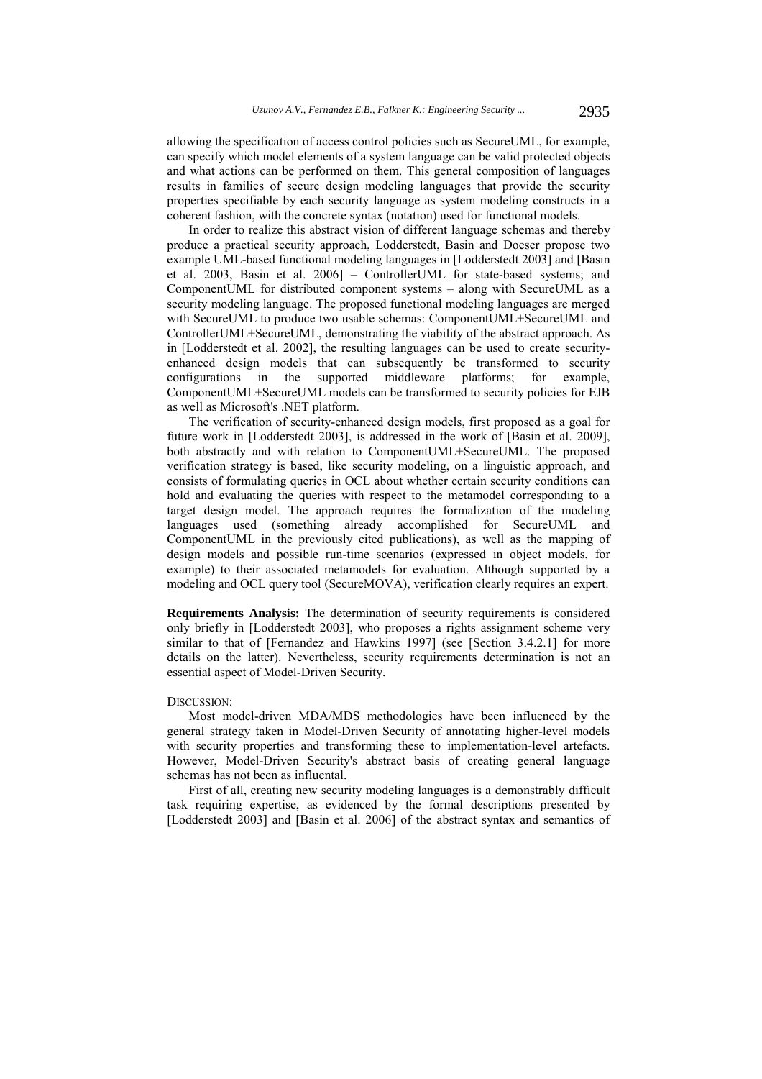allowing the specification of access control policies such as SecureUML, for example, can specify which model elements of a system language can be valid protected objects and what actions can be performed on them. This general composition of languages results in families of secure design modeling languages that provide the security properties specifiable by each security language as system modeling constructs in a coherent fashion, with the concrete syntax (notation) used for functional models.

In order to realize this abstract vision of different language schemas and thereby produce a practical security approach, Lodderstedt, Basin and Doeser propose two example UML-based functional modeling languages in [Lodderstedt 2003] and [Basin et al. 2003, Basin et al. 2006] – ControllerUML for state-based systems; and ComponentUML for distributed component systems – along with SecureUML as a security modeling language. The proposed functional modeling languages are merged with SecureUML to produce two usable schemas: ComponentUML+SecureUML and ControllerUML+SecureUML, demonstrating the viability of the abstract approach. As in [Lodderstedt et al. 2002], the resulting languages can be used to create securityenhanced design models that can subsequently be transformed to security configurations in the supported middleware platforms; for example, ComponentUML+SecureUML models can be transformed to security policies for EJB as well as Microsoft's .NET platform.

The verification of security-enhanced design models, first proposed as a goal for future work in [Lodderstedt 2003], is addressed in the work of [Basin et al. 2009], both abstractly and with relation to ComponentUML+SecureUML. The proposed verification strategy is based, like security modeling, on a linguistic approach, and consists of formulating queries in OCL about whether certain security conditions can hold and evaluating the queries with respect to the metamodel corresponding to a target design model. The approach requires the formalization of the modeling languages used (something already accomplished for SecureUML and ComponentUML in the previously cited publications), as well as the mapping of design models and possible run-time scenarios (expressed in object models, for example) to their associated metamodels for evaluation. Although supported by a modeling and OCL query tool (SecureMOVA), verification clearly requires an expert.

**Requirements Analysis:** The determination of security requirements is considered only briefly in [Lodderstedt 2003], who proposes a rights assignment scheme very similar to that of [Fernandez and Hawkins 1997] (see [Section 3.4.2.1] for more details on the latter). Nevertheless, security requirements determination is not an essential aspect of Model-Driven Security.

#### DISCUSSION:

Most model-driven MDA/MDS methodologies have been influenced by the general strategy taken in Model-Driven Security of annotating higher-level models with security properties and transforming these to implementation-level artefacts. However, Model-Driven Security's abstract basis of creating general language schemas has not been as influental.

First of all, creating new security modeling languages is a demonstrably difficult task requiring expertise, as evidenced by the formal descriptions presented by [Lodderstedt 2003] and [Basin et al. 2006] of the abstract syntax and semantics of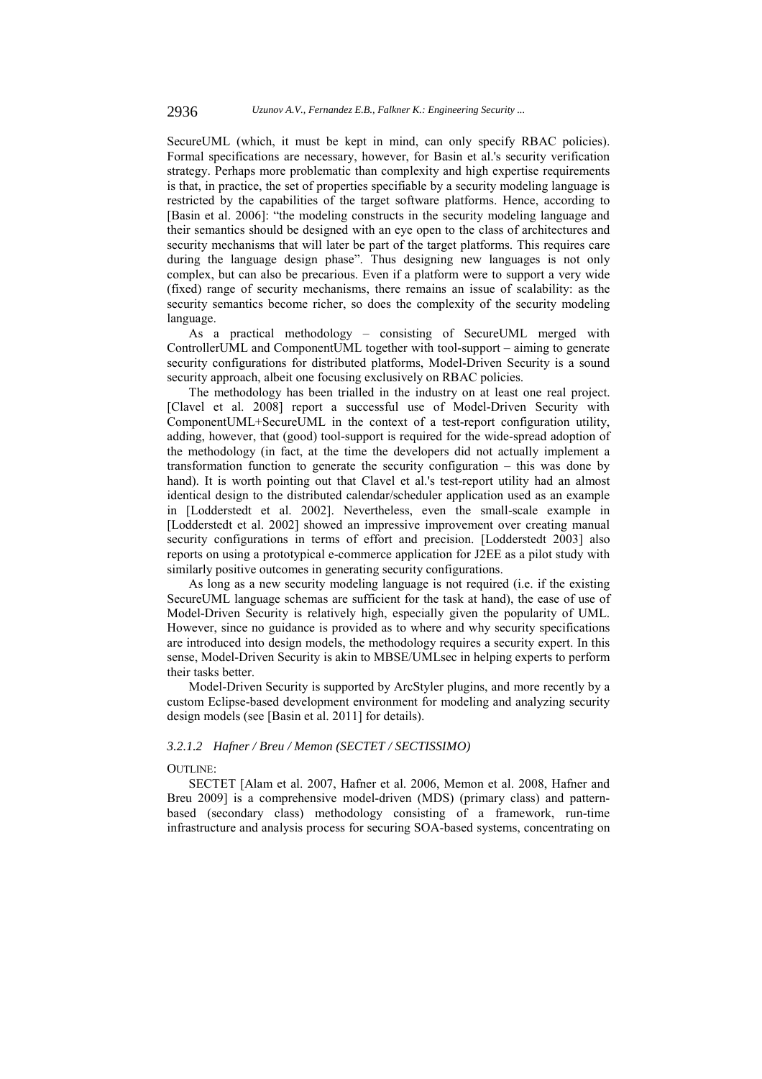SecureUML (which, it must be kept in mind, can only specify RBAC policies). Formal specifications are necessary, however, for Basin et al.'s security verification strategy. Perhaps more problematic than complexity and high expertise requirements is that, in practice, the set of properties specifiable by a security modeling language is restricted by the capabilities of the target software platforms. Hence, according to [Basin et al. 2006]: "the modeling constructs in the security modeling language and their semantics should be designed with an eye open to the class of architectures and security mechanisms that will later be part of the target platforms. This requires care during the language design phase". Thus designing new languages is not only complex, but can also be precarious. Even if a platform were to support a very wide (fixed) range of security mechanisms, there remains an issue of scalability: as the security semantics become richer, so does the complexity of the security modeling language.

As a practical methodology – consisting of SecureUML merged with ControllerUML and ComponentUML together with tool-support – aiming to generate security configurations for distributed platforms, Model-Driven Security is a sound security approach, albeit one focusing exclusively on RBAC policies.

The methodology has been trialled in the industry on at least one real project. [Clavel et al. 2008] report a successful use of Model-Driven Security with ComponentUML+SecureUML in the context of a test-report configuration utility, adding, however, that (good) tool-support is required for the wide-spread adoption of the methodology (in fact, at the time the developers did not actually implement a transformation function to generate the security configuration – this was done by hand). It is worth pointing out that Clavel et al.'s test-report utility had an almost identical design to the distributed calendar/scheduler application used as an example in [Lodderstedt et al. 2002]. Nevertheless, even the small-scale example in [Lodderstedt et al. 2002] showed an impressive improvement over creating manual security configurations in terms of effort and precision. [Lodderstedt 2003] also reports on using a prototypical e-commerce application for J2EE as a pilot study with similarly positive outcomes in generating security configurations.

As long as a new security modeling language is not required (i.e. if the existing SecureUML language schemas are sufficient for the task at hand), the ease of use of Model-Driven Security is relatively high, especially given the popularity of UML. However, since no guidance is provided as to where and why security specifications are introduced into design models, the methodology requires a security expert. In this sense, Model-Driven Security is akin to MBSE/UMLsec in helping experts to perform their tasks better.

Model-Driven Security is supported by ArcStyler plugins, and more recently by a custom Eclipse-based development environment for modeling and analyzing security design models (see [Basin et al. 2011] for details).

### *3.2.1.2 Hafner / Breu / Memon (SECTET / SECTISSIMO)*

## OUTLINE:

SECTET [Alam et al. 2007, Hafner et al. 2006, Memon et al. 2008, Hafner and Breu 2009] is a comprehensive model-driven (MDS) (primary class) and patternbased (secondary class) methodology consisting of a framework, run-time infrastructure and analysis process for securing SOA-based systems, concentrating on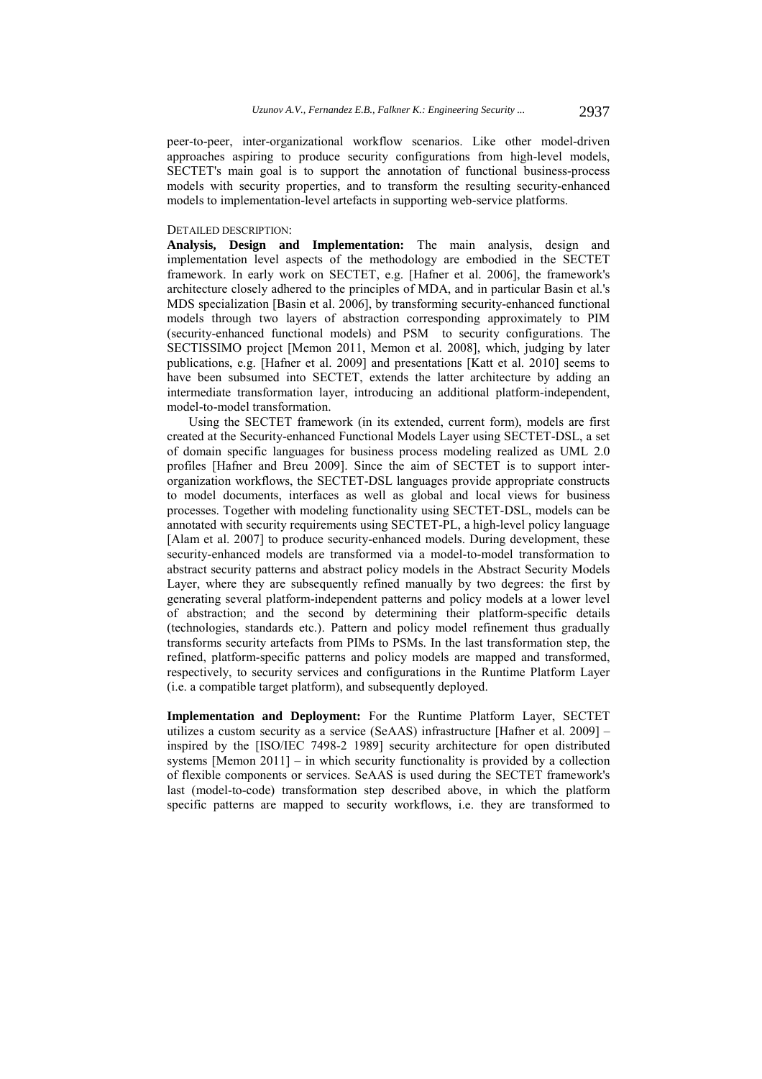peer-to-peer, inter-organizational workflow scenarios. Like other model-driven approaches aspiring to produce security configurations from high-level models, SECTET's main goal is to support the annotation of functional business-process models with security properties, and to transform the resulting security-enhanced models to implementation-level artefacts in supporting web-service platforms.

### DETAILED DESCRIPTION:

**Analysis, Design and Implementation:** The main analysis, design and implementation level aspects of the methodology are embodied in the SECTET framework. In early work on SECTET, e.g. [Hafner et al. 2006], the framework's architecture closely adhered to the principles of MDA, and in particular Basin et al.'s MDS specialization [Basin et al. 2006], by transforming security-enhanced functional models through two layers of abstraction corresponding approximately to PIM (security-enhanced functional models) and PSM to security configurations. The SECTISSIMO project [Memon 2011, Memon et al. 2008], which, judging by later publications, e.g. [Hafner et al. 2009] and presentations [Katt et al. 2010] seems to have been subsumed into SECTET, extends the latter architecture by adding an intermediate transformation layer, introducing an additional platform-independent, model-to-model transformation.

Using the SECTET framework (in its extended, current form), models are first created at the Security-enhanced Functional Models Layer using SECTET-DSL, a set of domain specific languages for business process modeling realized as UML 2.0 profiles [Hafner and Breu 2009]. Since the aim of SECTET is to support interorganization workflows, the SECTET-DSL languages provide appropriate constructs to model documents, interfaces as well as global and local views for business processes. Together with modeling functionality using SECTET-DSL, models can be annotated with security requirements using SECTET-PL, a high-level policy language [Alam et al. 2007] to produce security-enhanced models. During development, these security-enhanced models are transformed via a model-to-model transformation to abstract security patterns and abstract policy models in the Abstract Security Models Layer, where they are subsequently refined manually by two degrees: the first by generating several platform-independent patterns and policy models at a lower level of abstraction; and the second by determining their platform-specific details (technologies, standards etc.). Pattern and policy model refinement thus gradually transforms security artefacts from PIMs to PSMs. In the last transformation step, the refined, platform-specific patterns and policy models are mapped and transformed, respectively, to security services and configurations in the Runtime Platform Layer (i.e. a compatible target platform), and subsequently deployed.

**Implementation and Deployment:** For the Runtime Platform Layer, SECTET utilizes a custom security as a service (SeAAS) infrastructure [Hafner et al. 2009] – inspired by the [ISO/IEC 7498-2 1989] security architecture for open distributed systems [Memon 2011] – in which security functionality is provided by a collection of flexible components or services. SeAAS is used during the SECTET framework's last (model-to-code) transformation step described above, in which the platform specific patterns are mapped to security workflows, i.e. they are transformed to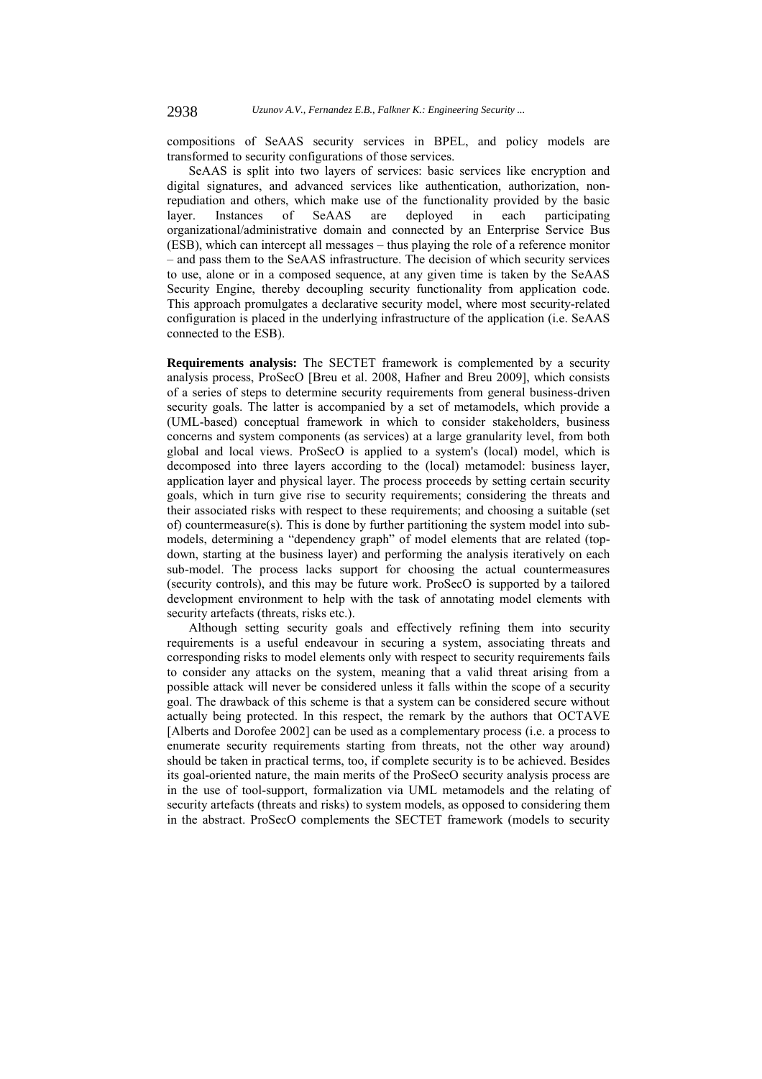compositions of SeAAS security services in BPEL, and policy models are transformed to security configurations of those services.

SeAAS is split into two layers of services: basic services like encryption and digital signatures, and advanced services like authentication, authorization, nonrepudiation and others, which make use of the functionality provided by the basic layer. Instances of SeAAS are deployed in each participating organizational/administrative domain and connected by an Enterprise Service Bus (ESB), which can intercept all messages – thus playing the role of a reference monitor – and pass them to the SeAAS infrastructure. The decision of which security services to use, alone or in a composed sequence, at any given time is taken by the SeAAS Security Engine, thereby decoupling security functionality from application code. This approach promulgates a declarative security model, where most security-related configuration is placed in the underlying infrastructure of the application (i.e. SeAAS connected to the ESB).

**Requirements analysis:** The SECTET framework is complemented by a security analysis process, ProSecO [Breu et al. 2008, Hafner and Breu 2009], which consists of a series of steps to determine security requirements from general business-driven security goals. The latter is accompanied by a set of metamodels, which provide a (UML-based) conceptual framework in which to consider stakeholders, business concerns and system components (as services) at a large granularity level, from both global and local views. ProSecO is applied to a system's (local) model, which is decomposed into three layers according to the (local) metamodel: business layer, application layer and physical layer. The process proceeds by setting certain security goals, which in turn give rise to security requirements; considering the threats and their associated risks with respect to these requirements; and choosing a suitable (set of) countermeasure(s). This is done by further partitioning the system model into submodels, determining a "dependency graph" of model elements that are related (topdown, starting at the business layer) and performing the analysis iteratively on each sub-model. The process lacks support for choosing the actual countermeasures (security controls), and this may be future work. ProSecO is supported by a tailored development environment to help with the task of annotating model elements with security artefacts (threats, risks etc.).

Although setting security goals and effectively refining them into security requirements is a useful endeavour in securing a system, associating threats and corresponding risks to model elements only with respect to security requirements fails to consider any attacks on the system, meaning that a valid threat arising from a possible attack will never be considered unless it falls within the scope of a security goal. The drawback of this scheme is that a system can be considered secure without actually being protected. In this respect, the remark by the authors that OCTAVE [Alberts and Dorofee 2002] can be used as a complementary process (i.e. a process to enumerate security requirements starting from threats, not the other way around) should be taken in practical terms, too, if complete security is to be achieved. Besides its goal-oriented nature, the main merits of the ProSecO security analysis process are in the use of tool-support, formalization via UML metamodels and the relating of security artefacts (threats and risks) to system models, as opposed to considering them in the abstract. ProSecO complements the SECTET framework (models to security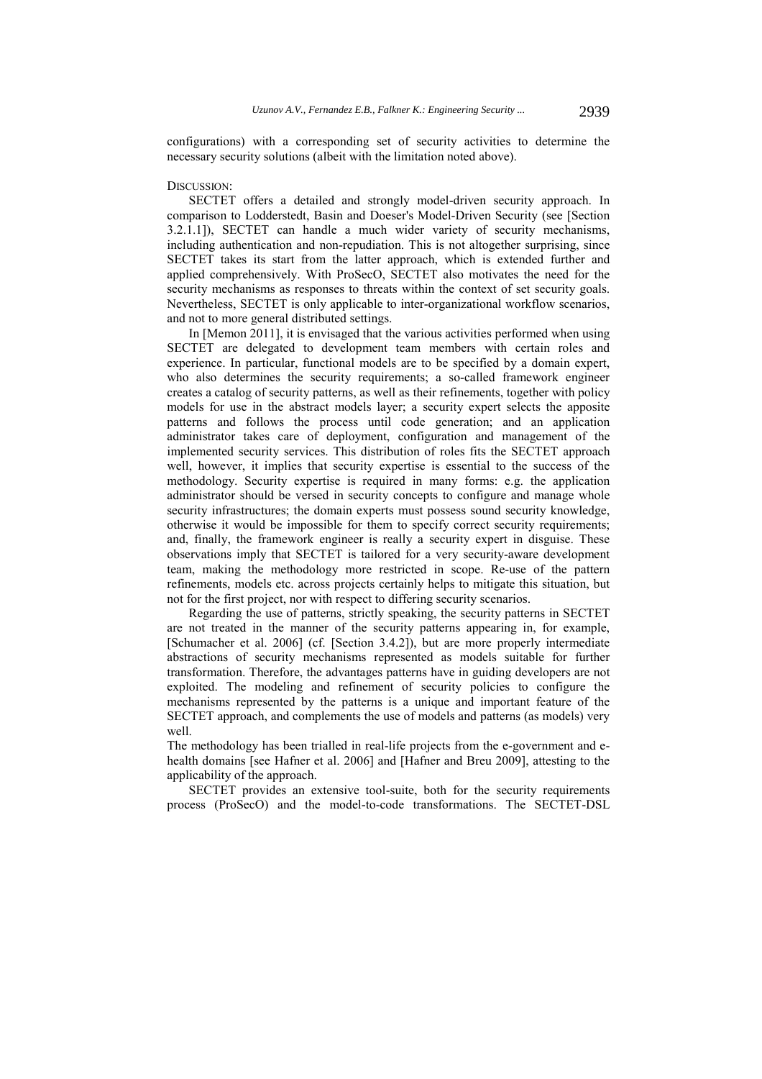configurations) with a corresponding set of security activities to determine the necessary security solutions (albeit with the limitation noted above).

#### DISCUSSION:

SECTET offers a detailed and strongly model-driven security approach. In comparison to Lodderstedt, Basin and Doeser's Model-Driven Security (see [Section 3.2.1.1]), SECTET can handle a much wider variety of security mechanisms, including authentication and non-repudiation. This is not altogether surprising, since SECTET takes its start from the latter approach, which is extended further and applied comprehensively. With ProSecO, SECTET also motivates the need for the security mechanisms as responses to threats within the context of set security goals. Nevertheless, SECTET is only applicable to inter-organizational workflow scenarios, and not to more general distributed settings.

In [Memon 2011], it is envisaged that the various activities performed when using SECTET are delegated to development team members with certain roles and experience. In particular, functional models are to be specified by a domain expert, who also determines the security requirements; a so-called framework engineer creates a catalog of security patterns, as well as their refinements, together with policy models for use in the abstract models layer; a security expert selects the apposite patterns and follows the process until code generation; and an application administrator takes care of deployment, configuration and management of the implemented security services. This distribution of roles fits the SECTET approach well, however, it implies that security expertise is essential to the success of the methodology. Security expertise is required in many forms: e.g. the application administrator should be versed in security concepts to configure and manage whole security infrastructures; the domain experts must possess sound security knowledge, otherwise it would be impossible for them to specify correct security requirements; and, finally, the framework engineer is really a security expert in disguise. These observations imply that SECTET is tailored for a very security-aware development team, making the methodology more restricted in scope. Re-use of the pattern refinements, models etc. across projects certainly helps to mitigate this situation, but not for the first project, nor with respect to differing security scenarios.

Regarding the use of patterns, strictly speaking, the security patterns in SECTET are not treated in the manner of the security patterns appearing in, for example, [Schumacher et al. 2006] (cf. [Section 3.4.2]), but are more properly intermediate abstractions of security mechanisms represented as models suitable for further transformation. Therefore, the advantages patterns have in guiding developers are not exploited. The modeling and refinement of security policies to configure the mechanisms represented by the patterns is a unique and important feature of the SECTET approach, and complements the use of models and patterns (as models) very well.

The methodology has been trialled in real-life projects from the e-government and ehealth domains [see Hafner et al. 2006] and [Hafner and Breu 2009], attesting to the applicability of the approach.

SECTET provides an extensive tool-suite, both for the security requirements process (ProSecO) and the model-to-code transformations. The SECTET-DSL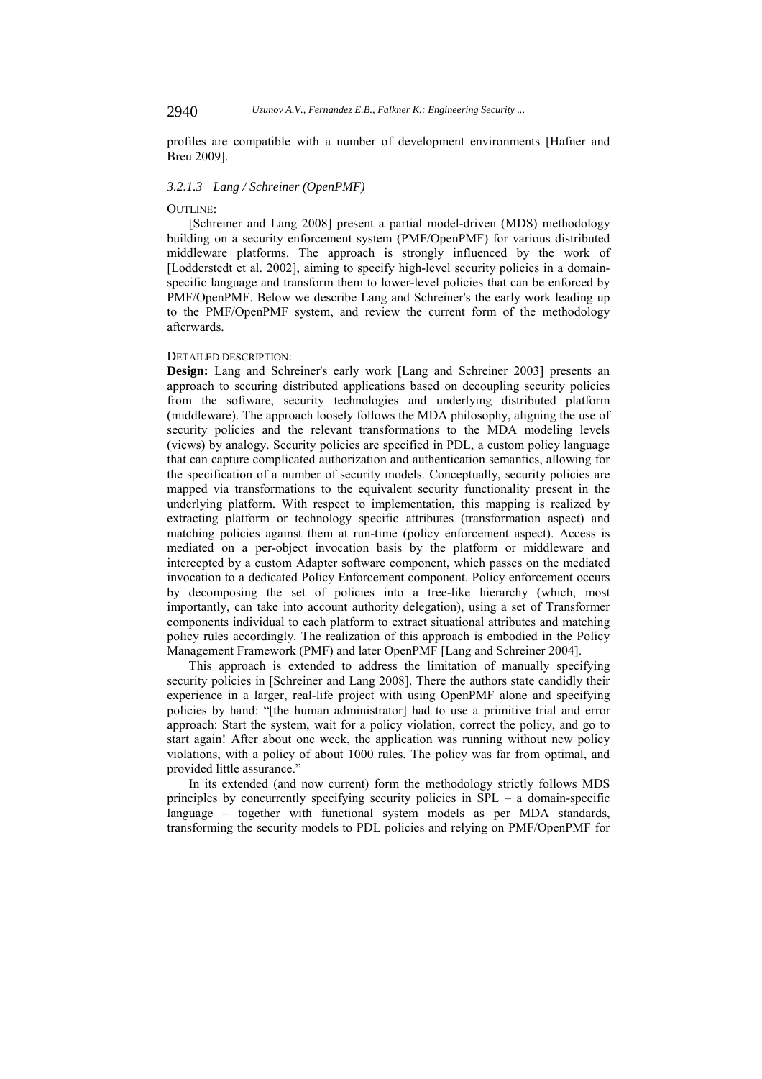profiles are compatible with a number of development environments [Hafner and Breu 2009].

#### *3.2.1.3 Lang / Schreiner (OpenPMF)*

## OUTLINE:

[Schreiner and Lang 2008] present a partial model-driven (MDS) methodology building on a security enforcement system (PMF/OpenPMF) for various distributed middleware platforms. The approach is strongly influenced by the work of [Lodderstedt et al. 2002], aiming to specify high-level security policies in a domainspecific language and transform them to lower-level policies that can be enforced by PMF/OpenPMF. Below we describe Lang and Schreiner's the early work leading up to the PMF/OpenPMF system, and review the current form of the methodology afterwards.

## DETAILED DESCRIPTION:

**Design:** Lang and Schreiner's early work [Lang and Schreiner 2003] presents an approach to securing distributed applications based on decoupling security policies from the software, security technologies and underlying distributed platform (middleware). The approach loosely follows the MDA philosophy, aligning the use of security policies and the relevant transformations to the MDA modeling levels (views) by analogy. Security policies are specified in PDL, a custom policy language that can capture complicated authorization and authentication semantics, allowing for the specification of a number of security models. Conceptually, security policies are mapped via transformations to the equivalent security functionality present in the underlying platform. With respect to implementation, this mapping is realized by extracting platform or technology specific attributes (transformation aspect) and matching policies against them at run-time (policy enforcement aspect). Access is mediated on a per-object invocation basis by the platform or middleware and intercepted by a custom Adapter software component, which passes on the mediated invocation to a dedicated Policy Enforcement component. Policy enforcement occurs by decomposing the set of policies into a tree-like hierarchy (which, most importantly, can take into account authority delegation), using a set of Transformer components individual to each platform to extract situational attributes and matching policy rules accordingly. The realization of this approach is embodied in the Policy Management Framework (PMF) and later OpenPMF [Lang and Schreiner 2004].

This approach is extended to address the limitation of manually specifying security policies in [Schreiner and Lang 2008]. There the authors state candidly their experience in a larger, real-life project with using OpenPMF alone and specifying policies by hand: "[the human administrator] had to use a primitive trial and error approach: Start the system, wait for a policy violation, correct the policy, and go to start again! After about one week, the application was running without new policy violations, with a policy of about 1000 rules. The policy was far from optimal, and provided little assurance."

In its extended (and now current) form the methodology strictly follows MDS principles by concurrently specifying security policies in SPL – a domain-specific language – together with functional system models as per MDA standards, transforming the security models to PDL policies and relying on PMF/OpenPMF for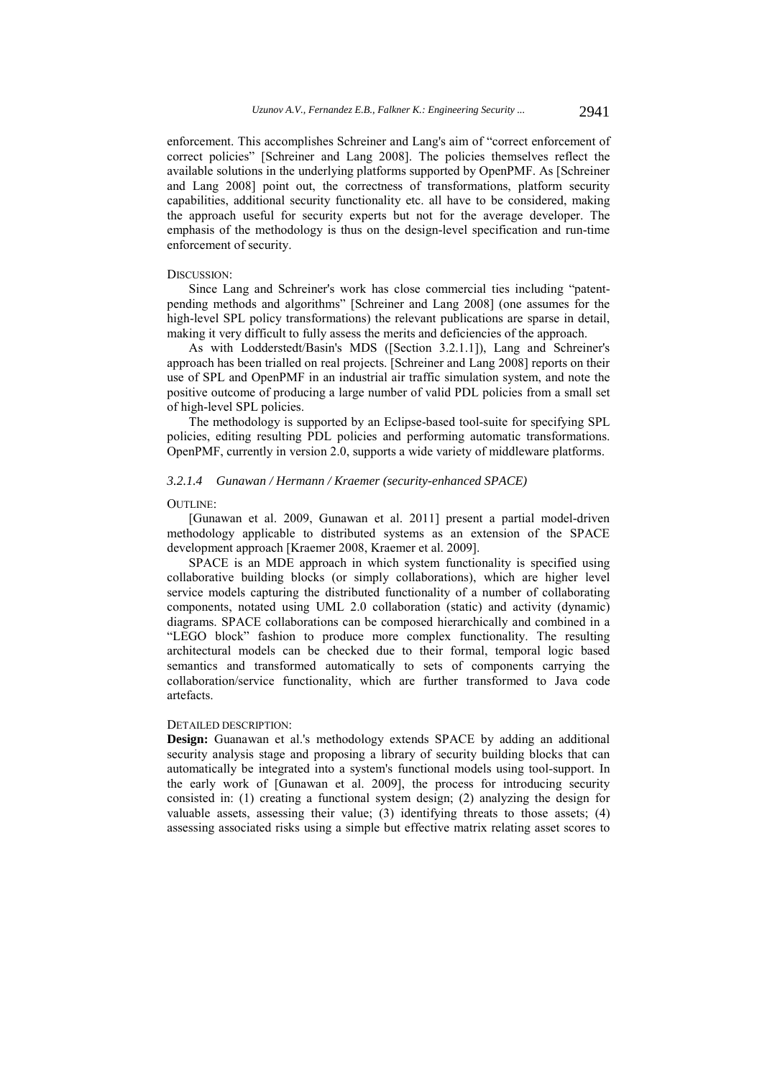enforcement. This accomplishes Schreiner and Lang's aim of "correct enforcement of correct policies" [Schreiner and Lang 2008]. The policies themselves reflect the available solutions in the underlying platforms supported by OpenPMF. As [Schreiner and Lang 2008] point out, the correctness of transformations, platform security capabilities, additional security functionality etc. all have to be considered, making the approach useful for security experts but not for the average developer. The emphasis of the methodology is thus on the design-level specification and run-time enforcement of security.

### DISCUSSION:

Since Lang and Schreiner's work has close commercial ties including "patentpending methods and algorithms" [Schreiner and Lang 2008] (one assumes for the high-level SPL policy transformations) the relevant publications are sparse in detail, making it very difficult to fully assess the merits and deficiencies of the approach.

As with Lodderstedt/Basin's MDS ([Section 3.2.1.1]), Lang and Schreiner's approach has been trialled on real projects. [Schreiner and Lang 2008] reports on their use of SPL and OpenPMF in an industrial air traffic simulation system, and note the positive outcome of producing a large number of valid PDL policies from a small set of high-level SPL policies.

The methodology is supported by an Eclipse-based tool-suite for specifying SPL policies, editing resulting PDL policies and performing automatic transformations. OpenPMF, currently in version 2.0, supports a wide variety of middleware platforms.

### *3.2.1.4 Gunawan / Hermann / Kraemer (security-enhanced SPACE)*

#### OUTLINE:

[Gunawan et al. 2009, Gunawan et al. 2011] present a partial model-driven methodology applicable to distributed systems as an extension of the SPACE development approach [Kraemer 2008, Kraemer et al. 2009].

SPACE is an MDE approach in which system functionality is specified using collaborative building blocks (or simply collaborations), which are higher level service models capturing the distributed functionality of a number of collaborating components, notated using UML 2.0 collaboration (static) and activity (dynamic) diagrams. SPACE collaborations can be composed hierarchically and combined in a "LEGO block" fashion to produce more complex functionality. The resulting architectural models can be checked due to their formal, temporal logic based semantics and transformed automatically to sets of components carrying the collaboration/service functionality, which are further transformed to Java code artefacts.

#### DETAILED DESCRIPTION:

**Design:** Guanawan et al.'s methodology extends SPACE by adding an additional security analysis stage and proposing a library of security building blocks that can automatically be integrated into a system's functional models using tool-support. In the early work of [Gunawan et al. 2009], the process for introducing security consisted in: (1) creating a functional system design; (2) analyzing the design for valuable assets, assessing their value; (3) identifying threats to those assets; (4) assessing associated risks using a simple but effective matrix relating asset scores to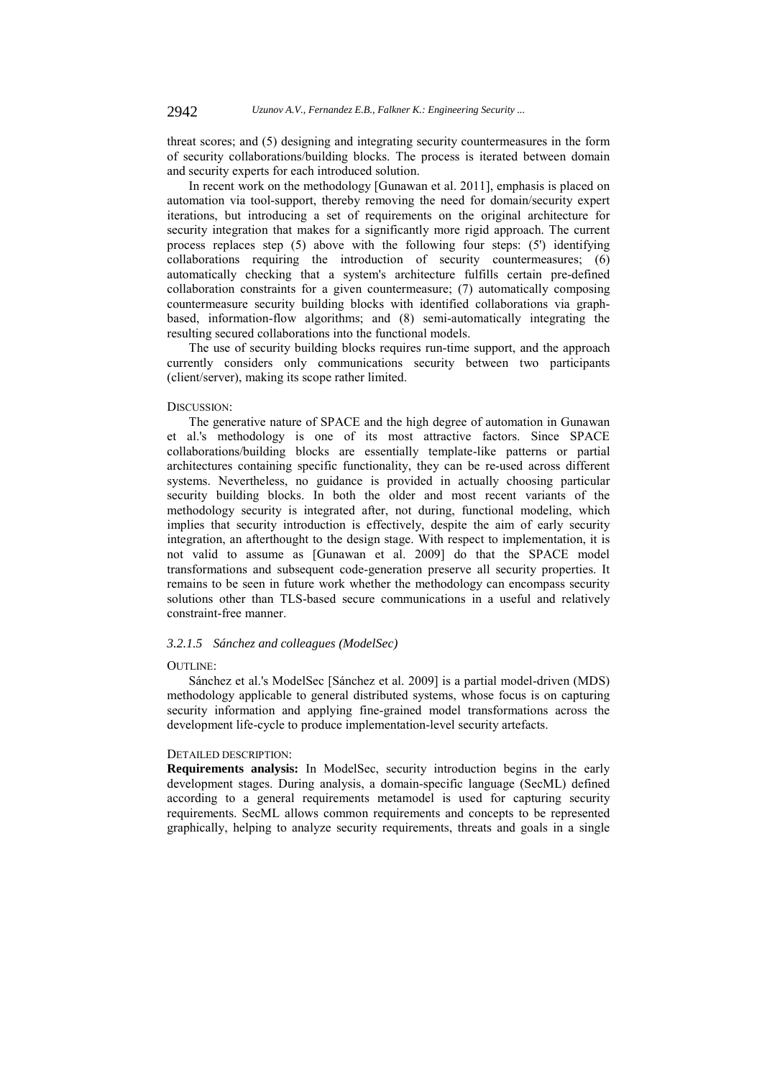threat scores; and (5) designing and integrating security countermeasures in the form of security collaborations/building blocks. The process is iterated between domain and security experts for each introduced solution.

In recent work on the methodology [Gunawan et al. 2011], emphasis is placed on automation via tool-support, thereby removing the need for domain/security expert iterations, but introducing a set of requirements on the original architecture for security integration that makes for a significantly more rigid approach. The current process replaces step (5) above with the following four steps: (5') identifying collaborations requiring the introduction of security countermeasures; (6) automatically checking that a system's architecture fulfills certain pre-defined collaboration constraints for a given countermeasure; (7) automatically composing countermeasure security building blocks with identified collaborations via graphbased, information-flow algorithms; and (8) semi-automatically integrating the resulting secured collaborations into the functional models.

The use of security building blocks requires run-time support, and the approach currently considers only communications security between two participants (client/server), making its scope rather limited.

### DISCUSSION:

The generative nature of SPACE and the high degree of automation in Gunawan et al.'s methodology is one of its most attractive factors. Since SPACE collaborations/building blocks are essentially template-like patterns or partial architectures containing specific functionality, they can be re-used across different systems. Nevertheless, no guidance is provided in actually choosing particular security building blocks. In both the older and most recent variants of the methodology security is integrated after, not during, functional modeling, which implies that security introduction is effectively, despite the aim of early security integration, an afterthought to the design stage. With respect to implementation, it is not valid to assume as [Gunawan et al. 2009] do that the SPACE model transformations and subsequent code-generation preserve all security properties. It remains to be seen in future work whether the methodology can encompass security solutions other than TLS-based secure communications in a useful and relatively constraint-free manner.

## *3.2.1.5 Sánchez and colleagues (ModelSec)*

### OUTLINE:

Sánchez et al.'s ModelSec [Sánchez et al. 2009] is a partial model-driven (MDS) methodology applicable to general distributed systems, whose focus is on capturing security information and applying fine-grained model transformations across the development life-cycle to produce implementation-level security artefacts.

#### DETAILED DESCRIPTION:

**Requirements analysis:** In ModelSec, security introduction begins in the early development stages. During analysis, a domain-specific language (SecML) defined according to a general requirements metamodel is used for capturing security requirements. SecML allows common requirements and concepts to be represented graphically, helping to analyze security requirements, threats and goals in a single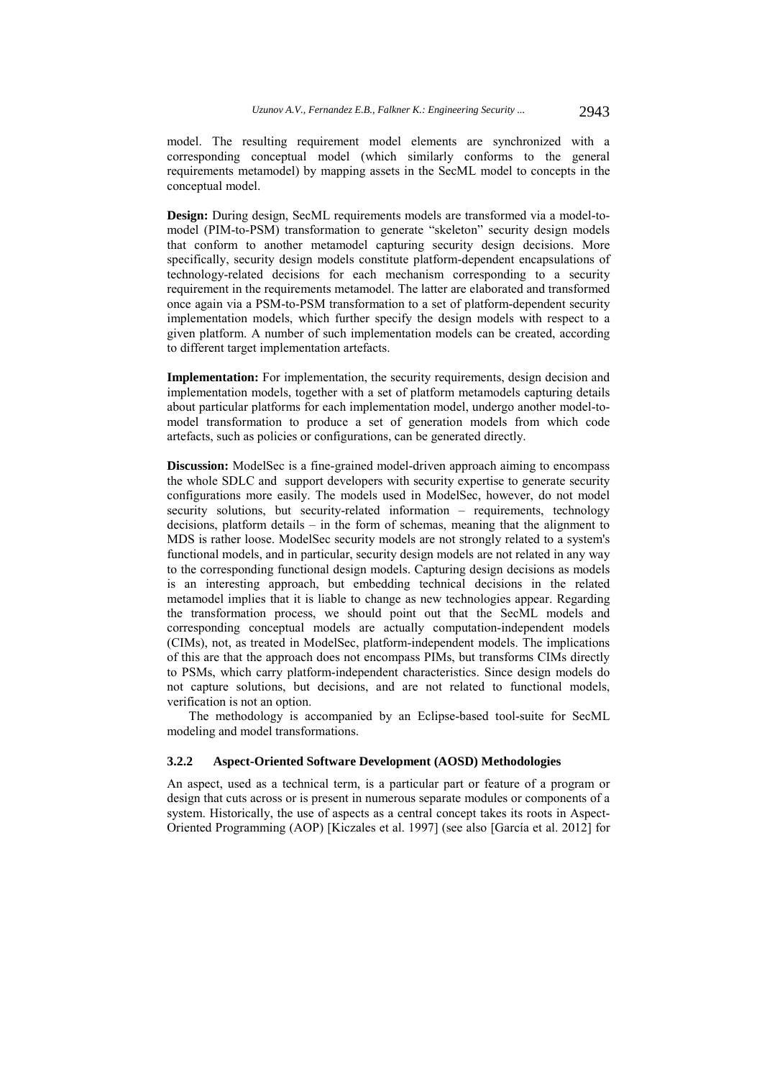model. The resulting requirement model elements are synchronized with a corresponding conceptual model (which similarly conforms to the general requirements metamodel) by mapping assets in the SecML model to concepts in the conceptual model.

**Design:** During design, SecML requirements models are transformed via a model-tomodel (PIM-to-PSM) transformation to generate "skeleton" security design models that conform to another metamodel capturing security design decisions. More specifically, security design models constitute platform-dependent encapsulations of technology-related decisions for each mechanism corresponding to a security requirement in the requirements metamodel. The latter are elaborated and transformed once again via a PSM-to-PSM transformation to a set of platform-dependent security implementation models, which further specify the design models with respect to a given platform. A number of such implementation models can be created, according to different target implementation artefacts.

**Implementation:** For implementation, the security requirements, design decision and implementation models, together with a set of platform metamodels capturing details about particular platforms for each implementation model, undergo another model-tomodel transformation to produce a set of generation models from which code artefacts, such as policies or configurations, can be generated directly.

**Discussion:** ModelSec is a fine-grained model-driven approach aiming to encompass the whole SDLC and support developers with security expertise to generate security configurations more easily. The models used in ModelSec, however, do not model security solutions, but security-related information – requirements, technology decisions, platform details – in the form of schemas, meaning that the alignment to MDS is rather loose. ModelSec security models are not strongly related to a system's functional models, and in particular, security design models are not related in any way to the corresponding functional design models. Capturing design decisions as models is an interesting approach, but embedding technical decisions in the related metamodel implies that it is liable to change as new technologies appear. Regarding the transformation process, we should point out that the SecML models and corresponding conceptual models are actually computation-independent models (CIMs), not, as treated in ModelSec, platform-independent models. The implications of this are that the approach does not encompass PIMs, but transforms CIMs directly to PSMs, which carry platform-independent characteristics. Since design models do not capture solutions, but decisions, and are not related to functional models, verification is not an option.

The methodology is accompanied by an Eclipse-based tool-suite for SecML modeling and model transformations.

#### **3.2.2 Aspect-Oriented Software Development (AOSD) Methodologies**

An aspect, used as a technical term, is a particular part or feature of a program or design that cuts across or is present in numerous separate modules or components of a system. Historically, the use of aspects as a central concept takes its roots in Aspect-Oriented Programming (AOP) [Kiczales et al. 1997] (see also [García et al. 2012] for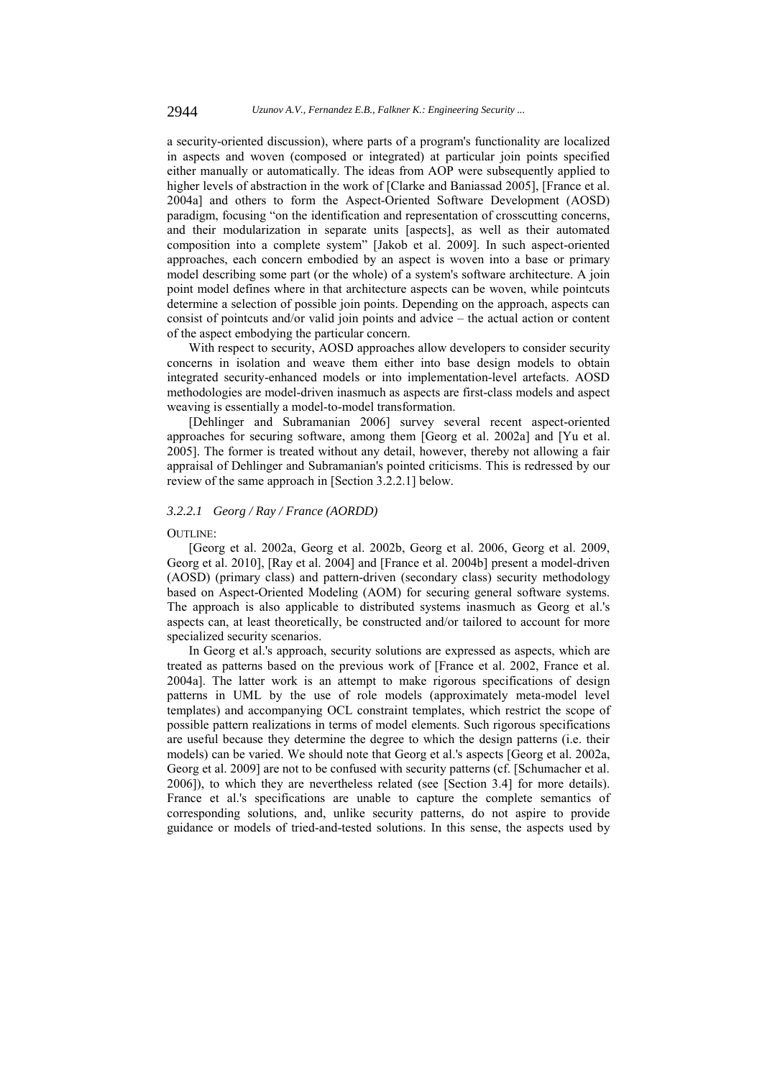a security-oriented discussion), where parts of a program's functionality are localized in aspects and woven (composed or integrated) at particular join points specified either manually or automatically. The ideas from AOP were subsequently applied to higher levels of abstraction in the work of [Clarke and Baniassad 2005], [France et al. 2004a] and others to form the Aspect-Oriented Software Development (AOSD) paradigm, focusing "on the identification and representation of crosscutting concerns, and their modularization in separate units [aspects], as well as their automated composition into a complete system" [Jakob et al. 2009]. In such aspect-oriented approaches, each concern embodied by an aspect is woven into a base or primary model describing some part (or the whole) of a system's software architecture. A join point model defines where in that architecture aspects can be woven, while pointcuts determine a selection of possible join points. Depending on the approach, aspects can consist of pointcuts and/or valid join points and advice – the actual action or content of the aspect embodying the particular concern.

With respect to security, AOSD approaches allow developers to consider security concerns in isolation and weave them either into base design models to obtain integrated security-enhanced models or into implementation-level artefacts. AOSD methodologies are model-driven inasmuch as aspects are first-class models and aspect weaving is essentially a model-to-model transformation.

[Dehlinger and Subramanian 2006] survey several recent aspect-oriented approaches for securing software, among them [Georg et al. 2002a] and [Yu et al. 2005]. The former is treated without any detail, however, thereby not allowing a fair appraisal of Dehlinger and Subramanian's pointed criticisms. This is redressed by our review of the same approach in [Section 3.2.2.1] below.

## *3.2.2.1 Georg / Ray / France (AORDD)*

#### OUTLINE:

[Georg et al. 2002a, Georg et al. 2002b, Georg et al. 2006, Georg et al. 2009, Georg et al. 2010], [Ray et al. 2004] and [France et al. 2004b] present a model-driven (AOSD) (primary class) and pattern-driven (secondary class) security methodology based on Aspect-Oriented Modeling (AOM) for securing general software systems. The approach is also applicable to distributed systems inasmuch as Georg et al.'s aspects can, at least theoretically, be constructed and/or tailored to account for more specialized security scenarios.

In Georg et al.'s approach, security solutions are expressed as aspects, which are treated as patterns based on the previous work of [France et al. 2002, France et al. 2004a]. The latter work is an attempt to make rigorous specifications of design patterns in UML by the use of role models (approximately meta-model level templates) and accompanying OCL constraint templates, which restrict the scope of possible pattern realizations in terms of model elements. Such rigorous specifications are useful because they determine the degree to which the design patterns (i.e. their models) can be varied. We should note that Georg et al.'s aspects [Georg et al. 2002a, Georg et al. 2009] are not to be confused with security patterns (cf. [Schumacher et al. 2006]), to which they are nevertheless related (see [Section 3.4] for more details). France et al.'s specifications are unable to capture the complete semantics of corresponding solutions, and, unlike security patterns, do not aspire to provide guidance or models of tried-and-tested solutions. In this sense, the aspects used by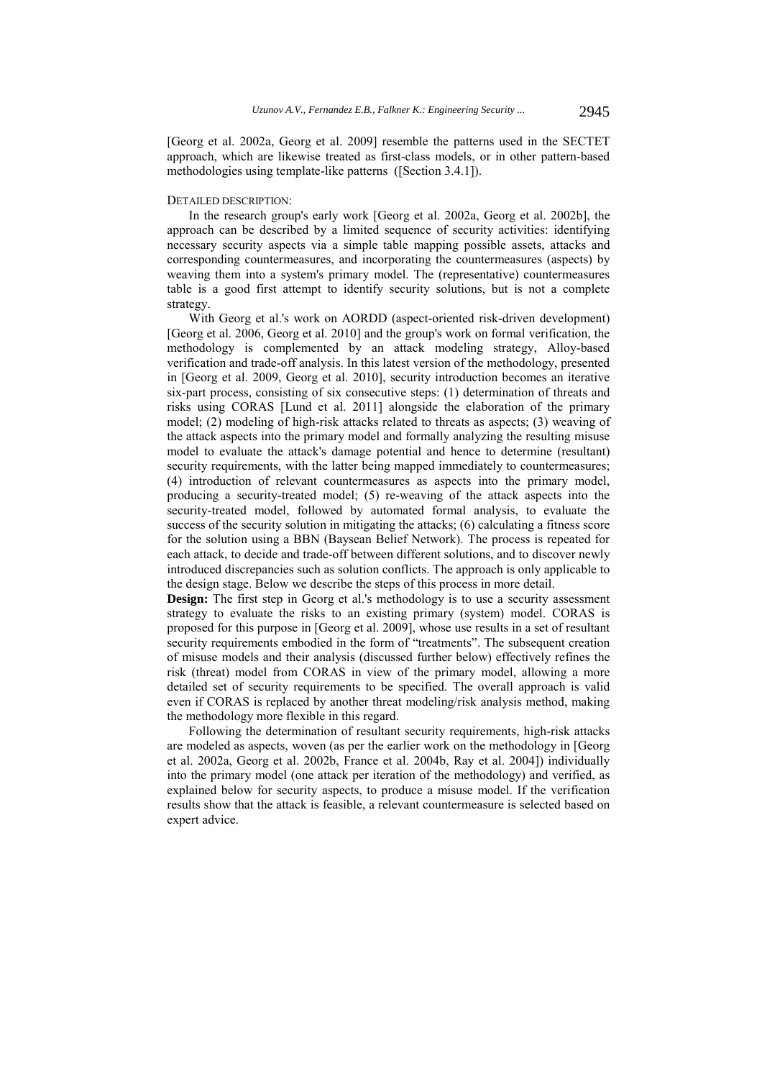[Georg et al. 2002a, Georg et al. 2009] resemble the patterns used in the SECTET approach, which are likewise treated as first-class models, or in other pattern-based methodologies using template-like patterns ([Section 3.4.1]).

#### DETAILED DESCRIPTION:

In the research group's early work [Georg et al. 2002a, Georg et al. 2002b], the approach can be described by a limited sequence of security activities: identifying necessary security aspects via a simple table mapping possible assets, attacks and corresponding countermeasures, and incorporating the countermeasures (aspects) by weaving them into a system's primary model. The (representative) countermeasures table is a good first attempt to identify security solutions, but is not a complete strategy.

With Georg et al.'s work on AORDD (aspect-oriented risk-driven development) [Georg et al. 2006, Georg et al. 2010] and the group's work on formal verification, the methodology is complemented by an attack modeling strategy, Alloy-based verification and trade-off analysis. In this latest version of the methodology, presented in [Georg et al. 2009, Georg et al. 2010], security introduction becomes an iterative six-part process, consisting of six consecutive steps: (1) determination of threats and risks using CORAS [Lund et al. 2011] alongside the elaboration of the primary model; (2) modeling of high-risk attacks related to threats as aspects; (3) weaving of the attack aspects into the primary model and formally analyzing the resulting misuse model to evaluate the attack's damage potential and hence to determine (resultant) security requirements, with the latter being mapped immediately to countermeasures; (4) introduction of relevant countermeasures as aspects into the primary model, producing a security-treated model; (5) re-weaving of the attack aspects into the security-treated model, followed by automated formal analysis, to evaluate the success of the security solution in mitigating the attacks; (6) calculating a fitness score for the solution using a BBN (Baysean Belief Network). The process is repeated for each attack, to decide and trade-off between different solutions, and to discover newly introduced discrepancies such as solution conflicts. The approach is only applicable to the design stage. Below we describe the steps of this process in more detail.

**Design:** The first step in Georg et al.'s methodology is to use a security assessment strategy to evaluate the risks to an existing primary (system) model. CORAS is proposed for this purpose in [Georg et al. 2009], whose use results in a set of resultant security requirements embodied in the form of "treatments". The subsequent creation of misuse models and their analysis (discussed further below) effectively refines the risk (threat) model from CORAS in view of the primary model, allowing a more detailed set of security requirements to be specified. The overall approach is valid even if CORAS is replaced by another threat modeling/risk analysis method, making the methodology more flexible in this regard.

Following the determination of resultant security requirements, high-risk attacks are modeled as aspects, woven (as per the earlier work on the methodology in [Georg et al. 2002a, Georg et al. 2002b, France et al. 2004b, Ray et al. 2004]) individually into the primary model (one attack per iteration of the methodology) and verified, as explained below for security aspects, to produce a misuse model. If the verification results show that the attack is feasible, a relevant countermeasure is selected based on expert advice.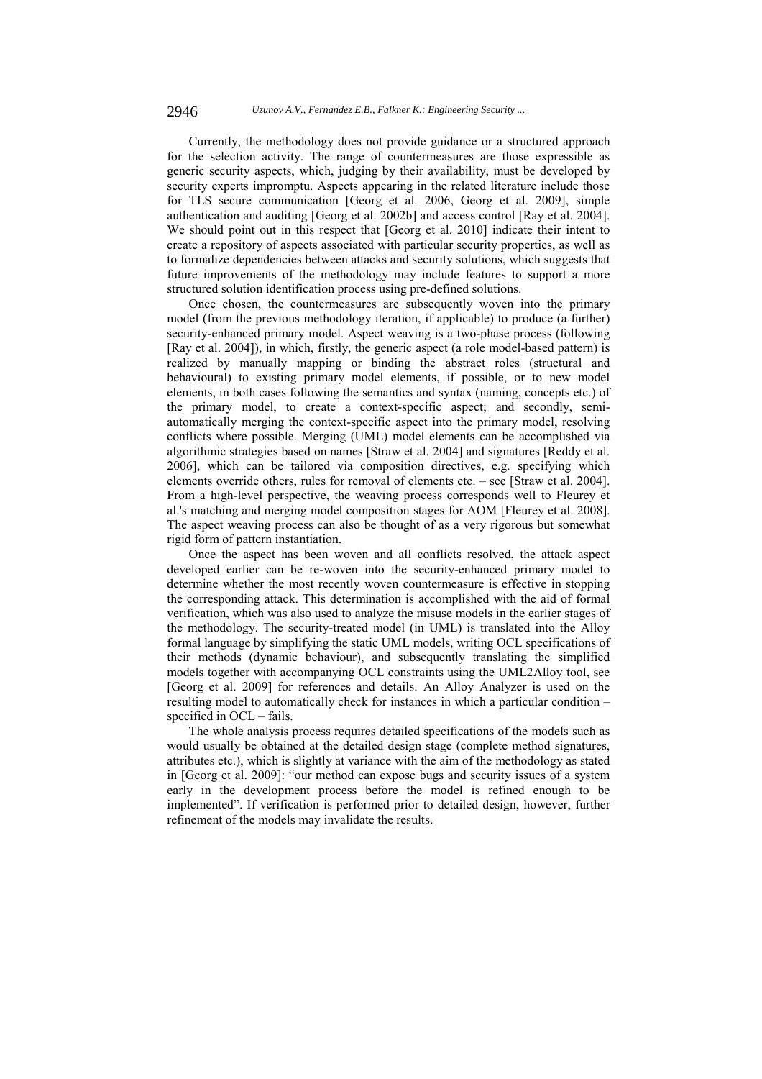Currently, the methodology does not provide guidance or a structured approach for the selection activity. The range of countermeasures are those expressible as generic security aspects, which, judging by their availability, must be developed by security experts impromptu. Aspects appearing in the related literature include those for TLS secure communication [Georg et al. 2006, Georg et al. 2009], simple authentication and auditing [Georg et al. 2002b] and access control [Ray et al. 2004]. We should point out in this respect that [Georg et al. 2010] indicate their intent to create a repository of aspects associated with particular security properties, as well as to formalize dependencies between attacks and security solutions, which suggests that future improvements of the methodology may include features to support a more structured solution identification process using pre-defined solutions.

Once chosen, the countermeasures are subsequently woven into the primary model (from the previous methodology iteration, if applicable) to produce (a further) security-enhanced primary model. Aspect weaving is a two-phase process (following [Ray et al. 2004]), in which, firstly, the generic aspect (a role model-based pattern) is realized by manually mapping or binding the abstract roles (structural and behavioural) to existing primary model elements, if possible, or to new model elements, in both cases following the semantics and syntax (naming, concepts etc.) of the primary model, to create a context-specific aspect; and secondly, semiautomatically merging the context-specific aspect into the primary model, resolving conflicts where possible. Merging (UML) model elements can be accomplished via algorithmic strategies based on names [Straw et al. 2004] and signatures [Reddy et al. 2006], which can be tailored via composition directives, e.g. specifying which elements override others, rules for removal of elements etc. – see [Straw et al. 2004]. From a high-level perspective, the weaving process corresponds well to Fleurey et al.'s matching and merging model composition stages for AOM [Fleurey et al. 2008]. The aspect weaving process can also be thought of as a very rigorous but somewhat rigid form of pattern instantiation.

Once the aspect has been woven and all conflicts resolved, the attack aspect developed earlier can be re-woven into the security-enhanced primary model to determine whether the most recently woven countermeasure is effective in stopping the corresponding attack. This determination is accomplished with the aid of formal verification, which was also used to analyze the misuse models in the earlier stages of the methodology. The security-treated model (in UML) is translated into the Alloy formal language by simplifying the static UML models, writing OCL specifications of their methods (dynamic behaviour), and subsequently translating the simplified models together with accompanying OCL constraints using the UML2Alloy tool, see [Georg et al. 2009] for references and details. An Alloy Analyzer is used on the resulting model to automatically check for instances in which a particular condition – specified in OCL – fails.

The whole analysis process requires detailed specifications of the models such as would usually be obtained at the detailed design stage (complete method signatures, attributes etc.), which is slightly at variance with the aim of the methodology as stated in [Georg et al. 2009]: "our method can expose bugs and security issues of a system early in the development process before the model is refined enough to be implemented". If verification is performed prior to detailed design, however, further refinement of the models may invalidate the results.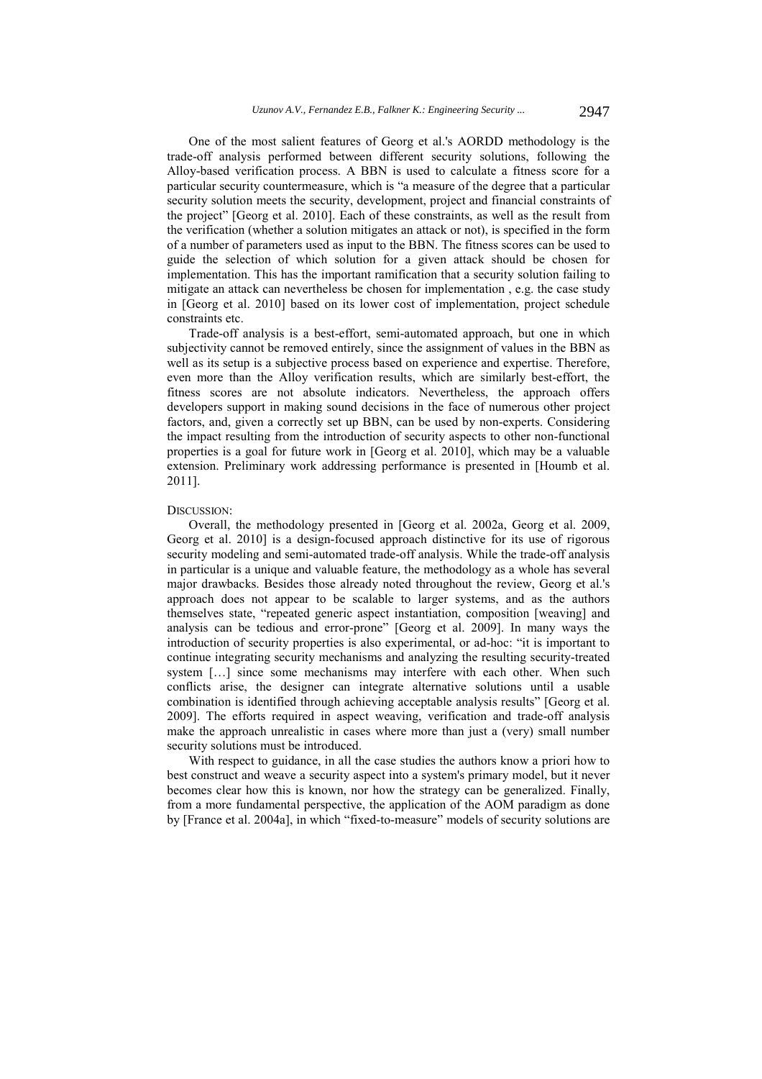One of the most salient features of Georg et al.'s AORDD methodology is the trade-off analysis performed between different security solutions, following the Alloy-based verification process. A BBN is used to calculate a fitness score for a particular security countermeasure, which is "a measure of the degree that a particular security solution meets the security, development, project and financial constraints of the project" [Georg et al. 2010]. Each of these constraints, as well as the result from the verification (whether a solution mitigates an attack or not), is specified in the form of a number of parameters used as input to the BBN. The fitness scores can be used to guide the selection of which solution for a given attack should be chosen for implementation. This has the important ramification that a security solution failing to mitigate an attack can nevertheless be chosen for implementation , e.g. the case study in [Georg et al. 2010] based on its lower cost of implementation, project schedule constraints etc.

Trade-off analysis is a best-effort, semi-automated approach, but one in which subjectivity cannot be removed entirely, since the assignment of values in the BBN as well as its setup is a subjective process based on experience and expertise. Therefore, even more than the Alloy verification results, which are similarly best-effort, the fitness scores are not absolute indicators. Nevertheless, the approach offers developers support in making sound decisions in the face of numerous other project factors, and, given a correctly set up BBN, can be used by non-experts. Considering the impact resulting from the introduction of security aspects to other non-functional properties is a goal for future work in [Georg et al. 2010], which may be a valuable extension. Preliminary work addressing performance is presented in [Houmb et al. 2011].

#### DISCUSSION:

Overall, the methodology presented in [Georg et al. 2002a, Georg et al. 2009, Georg et al. 2010] is a design-focused approach distinctive for its use of rigorous security modeling and semi-automated trade-off analysis. While the trade-off analysis in particular is a unique and valuable feature, the methodology as a whole has several major drawbacks. Besides those already noted throughout the review, Georg et al.'s approach does not appear to be scalable to larger systems, and as the authors themselves state, "repeated generic aspect instantiation, composition [weaving] and analysis can be tedious and error-prone" [Georg et al. 2009]. In many ways the introduction of security properties is also experimental, or ad-hoc: "it is important to continue integrating security mechanisms and analyzing the resulting security-treated system [...] since some mechanisms may interfere with each other. When such conflicts arise, the designer can integrate alternative solutions until a usable combination is identified through achieving acceptable analysis results" [Georg et al. 2009]. The efforts required in aspect weaving, verification and trade-off analysis make the approach unrealistic in cases where more than just a (very) small number security solutions must be introduced.

With respect to guidance, in all the case studies the authors know a priori how to best construct and weave a security aspect into a system's primary model, but it never becomes clear how this is known, nor how the strategy can be generalized. Finally, from a more fundamental perspective, the application of the AOM paradigm as done by [France et al. 2004a], in which "fixed-to-measure" models of security solutions are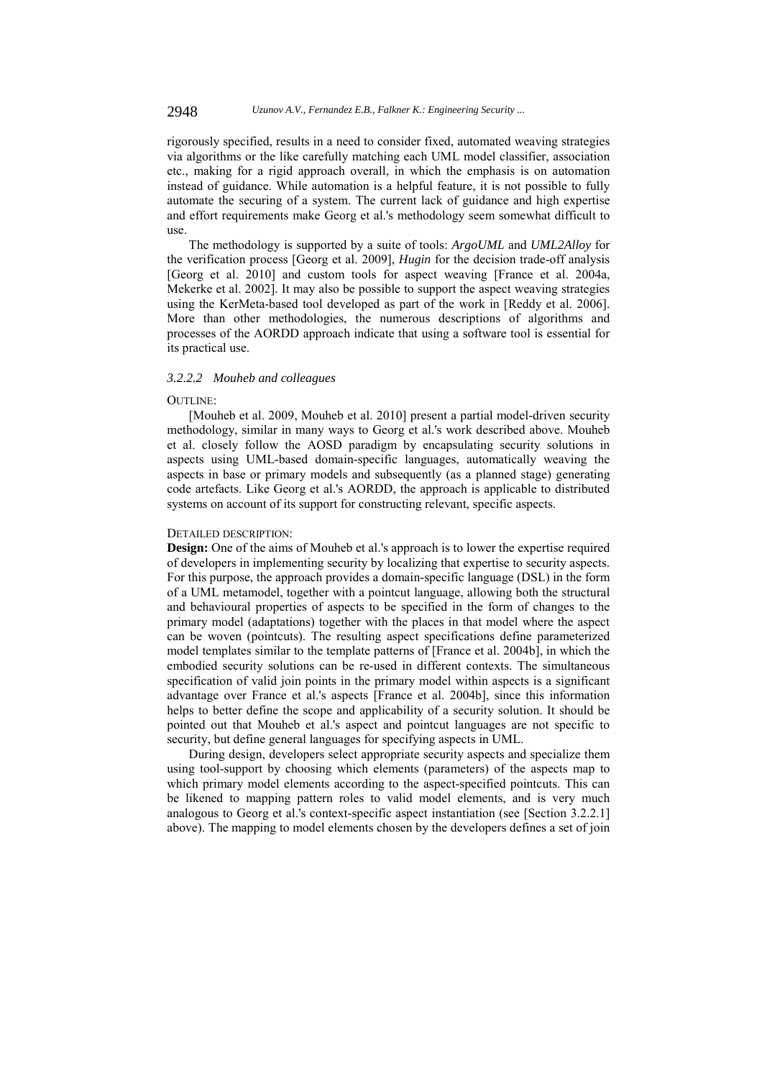rigorously specified, results in a need to consider fixed, automated weaving strategies via algorithms or the like carefully matching each UML model classifier, association etc., making for a rigid approach overall, in which the emphasis is on automation instead of guidance. While automation is a helpful feature, it is not possible to fully automate the securing of a system. The current lack of guidance and high expertise and effort requirements make Georg et al.'s methodology seem somewhat difficult to use.

The methodology is supported by a suite of tools: *ArgoUML* and *UML2Alloy* for the verification process [Georg et al. 2009], *Hugin* for the decision trade-off analysis [Georg et al. 2010] and custom tools for aspect weaving [France et al. 2004a, Mekerke et al. 2002]. It may also be possible to support the aspect weaving strategies using the KerMeta-based tool developed as part of the work in [Reddy et al. 2006]. More than other methodologies, the numerous descriptions of algorithms and processes of the AORDD approach indicate that using a software tool is essential for its practical use.

### *3.2.2.2 Mouheb and colleagues*

#### $O$ UTI INE:

[Mouheb et al. 2009, Mouheb et al. 2010] present a partial model-driven security methodology, similar in many ways to Georg et al.'s work described above. Mouheb et al. closely follow the AOSD paradigm by encapsulating security solutions in aspects using UML-based domain-specific languages, automatically weaving the aspects in base or primary models and subsequently (as a planned stage) generating code artefacts. Like Georg et al.'s AORDD, the approach is applicable to distributed systems on account of its support for constructing relevant, specific aspects.

#### DETAILED DESCRIPTION:

**Design:** One of the aims of Mouheb et al.'s approach is to lower the expertise required of developers in implementing security by localizing that expertise to security aspects. For this purpose, the approach provides a domain-specific language (DSL) in the form of a UML metamodel, together with a pointcut language, allowing both the structural and behavioural properties of aspects to be specified in the form of changes to the primary model (adaptations) together with the places in that model where the aspect can be woven (pointcuts). The resulting aspect specifications define parameterized model templates similar to the template patterns of [France et al. 2004b], in which the embodied security solutions can be re-used in different contexts. The simultaneous specification of valid join points in the primary model within aspects is a significant advantage over France et al.'s aspects [France et al. 2004b], since this information helps to better define the scope and applicability of a security solution. It should be pointed out that Mouheb et al.'s aspect and pointcut languages are not specific to security, but define general languages for specifying aspects in UML.

During design, developers select appropriate security aspects and specialize them using tool-support by choosing which elements (parameters) of the aspects map to which primary model elements according to the aspect-specified pointcuts. This can be likened to mapping pattern roles to valid model elements, and is very much analogous to Georg et al.'s context-specific aspect instantiation (see [Section 3.2.2.1] above). The mapping to model elements chosen by the developers defines a set of join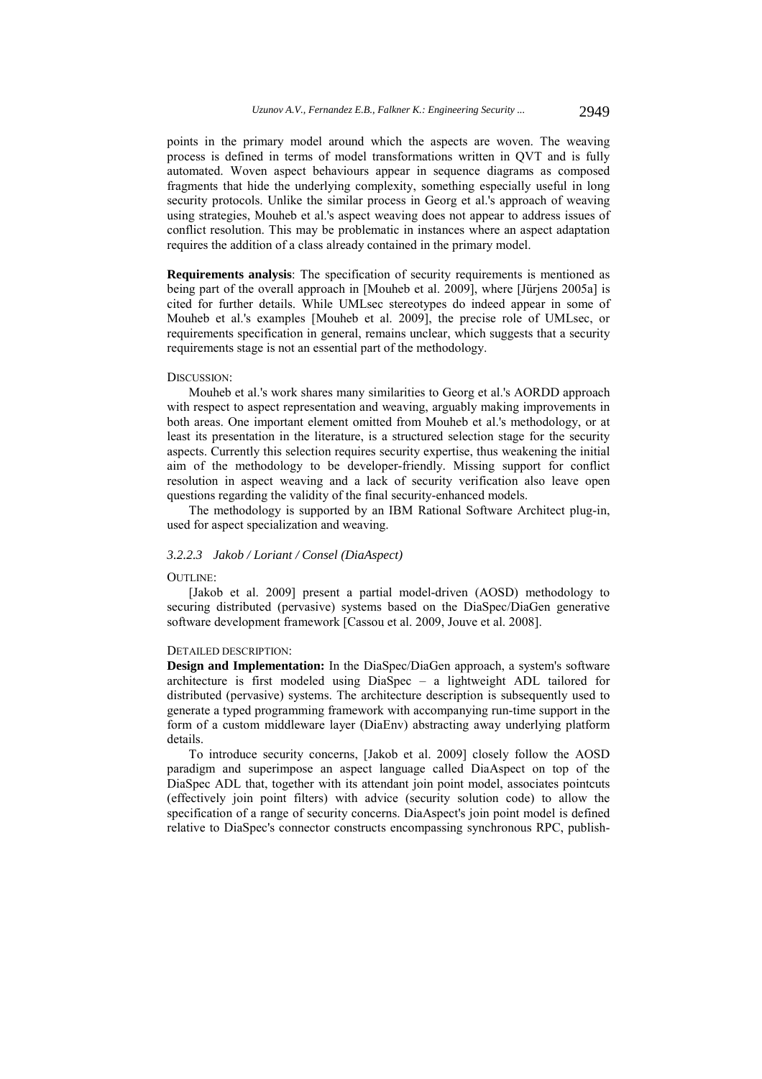points in the primary model around which the aspects are woven. The weaving process is defined in terms of model transformations written in QVT and is fully automated. Woven aspect behaviours appear in sequence diagrams as composed fragments that hide the underlying complexity, something especially useful in long security protocols. Unlike the similar process in Georg et al.'s approach of weaving using strategies, Mouheb et al.'s aspect weaving does not appear to address issues of conflict resolution. This may be problematic in instances where an aspect adaptation requires the addition of a class already contained in the primary model.

**Requirements analysis**: The specification of security requirements is mentioned as being part of the overall approach in [Mouheb et al. 2009], where [Jürjens 2005a] is cited for further details. While UMLsec stereotypes do indeed appear in some of Mouheb et al.'s examples [Mouheb et al. 2009], the precise role of UMLsec, or requirements specification in general, remains unclear, which suggests that a security requirements stage is not an essential part of the methodology.

#### DISCUSSION:

Mouheb et al.'s work shares many similarities to Georg et al.'s AORDD approach with respect to aspect representation and weaving, arguably making improvements in both areas. One important element omitted from Mouheb et al.'s methodology, or at least its presentation in the literature, is a structured selection stage for the security aspects. Currently this selection requires security expertise, thus weakening the initial aim of the methodology to be developer-friendly. Missing support for conflict resolution in aspect weaving and a lack of security verification also leave open questions regarding the validity of the final security-enhanced models.

The methodology is supported by an IBM Rational Software Architect plug-in, used for aspect specialization and weaving.

## *3.2.2.3 Jakob / Loriant / Consel (DiaAspect)*

#### OUTLINE:

[Jakob et al. 2009] present a partial model-driven (AOSD) methodology to securing distributed (pervasive) systems based on the DiaSpec/DiaGen generative software development framework [Cassou et al. 2009, Jouve et al. 2008].

## DETAILED DESCRIPTION:

**Design and Implementation:** In the DiaSpec/DiaGen approach, a system's software architecture is first modeled using DiaSpec – a lightweight ADL tailored for distributed (pervasive) systems. The architecture description is subsequently used to generate a typed programming framework with accompanying run-time support in the form of a custom middleware layer (DiaEnv) abstracting away underlying platform details.

To introduce security concerns, [Jakob et al. 2009] closely follow the AOSD paradigm and superimpose an aspect language called DiaAspect on top of the DiaSpec ADL that, together with its attendant join point model, associates pointcuts (effectively join point filters) with advice (security solution code) to allow the specification of a range of security concerns. DiaAspect's join point model is defined relative to DiaSpec's connector constructs encompassing synchronous RPC, publish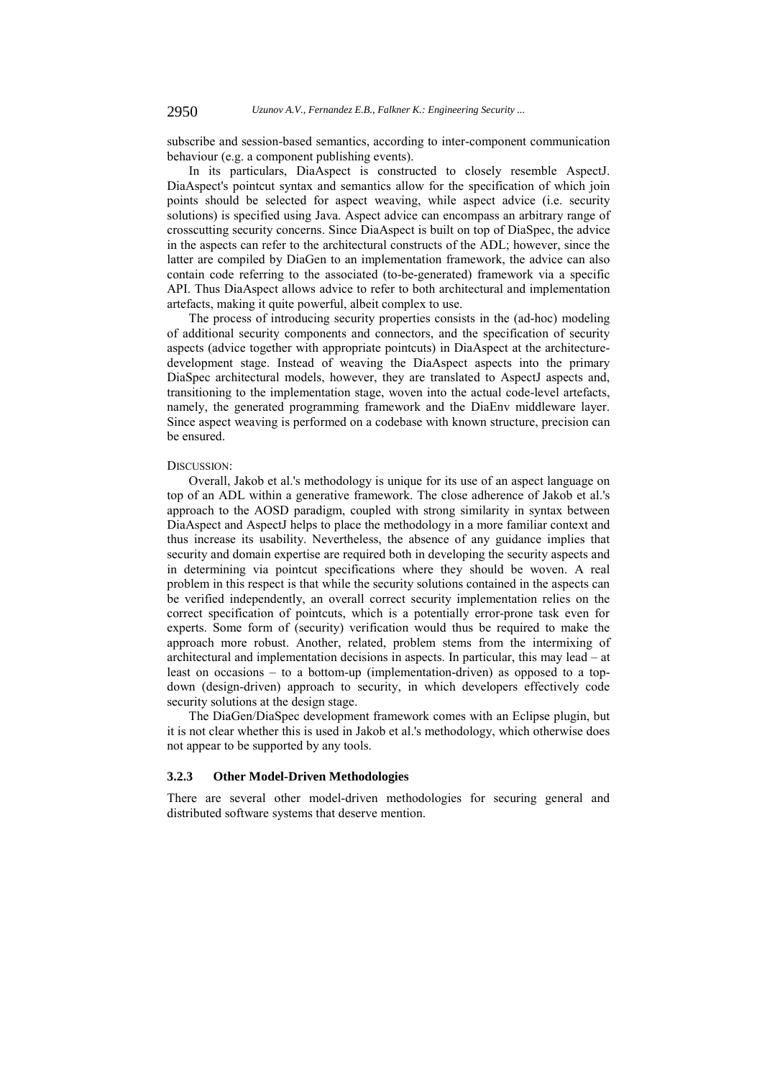subscribe and session-based semantics, according to inter-component communication behaviour (e.g. a component publishing events).

In its particulars, DiaAspect is constructed to closely resemble AspectJ. DiaAspect's pointcut syntax and semantics allow for the specification of which join points should be selected for aspect weaving, while aspect advice (i.e. security solutions) is specified using Java. Aspect advice can encompass an arbitrary range of crosscutting security concerns. Since DiaAspect is built on top of DiaSpec, the advice in the aspects can refer to the architectural constructs of the ADL; however, since the latter are compiled by DiaGen to an implementation framework, the advice can also contain code referring to the associated (to-be-generated) framework via a specific API. Thus DiaAspect allows advice to refer to both architectural and implementation artefacts, making it quite powerful, albeit complex to use.

The process of introducing security properties consists in the (ad-hoc) modeling of additional security components and connectors, and the specification of security aspects (advice together with appropriate pointcuts) in DiaAspect at the architecturedevelopment stage. Instead of weaving the DiaAspect aspects into the primary DiaSpec architectural models, however, they are translated to AspectJ aspects and, transitioning to the implementation stage, woven into the actual code-level artefacts, namely, the generated programming framework and the DiaEnv middleware layer. Since aspect weaving is performed on a codebase with known structure, precision can be ensured.

#### DISCUSSION:

Overall, Jakob et al.'s methodology is unique for its use of an aspect language on top of an ADL within a generative framework. The close adherence of Jakob et al.'s approach to the AOSD paradigm, coupled with strong similarity in syntax between DiaAspect and AspectJ helps to place the methodology in a more familiar context and thus increase its usability. Nevertheless, the absence of any guidance implies that security and domain expertise are required both in developing the security aspects and in determining via pointcut specifications where they should be woven. A real problem in this respect is that while the security solutions contained in the aspects can be verified independently, an overall correct security implementation relies on the correct specification of pointcuts, which is a potentially error-prone task even for experts. Some form of (security) verification would thus be required to make the approach more robust. Another, related, problem stems from the intermixing of architectural and implementation decisions in aspects. In particular, this may lead – at least on occasions – to a bottom-up (implementation-driven) as opposed to a topdown (design-driven) approach to security, in which developers effectively code security solutions at the design stage.

The DiaGen/DiaSpec development framework comes with an Eclipse plugin, but it is not clear whether this is used in Jakob et al.'s methodology, which otherwise does not appear to be supported by any tools.

### **3.2.3 Other Model-Driven Methodologies**

There are several other model-driven methodologies for securing general and distributed software systems that deserve mention.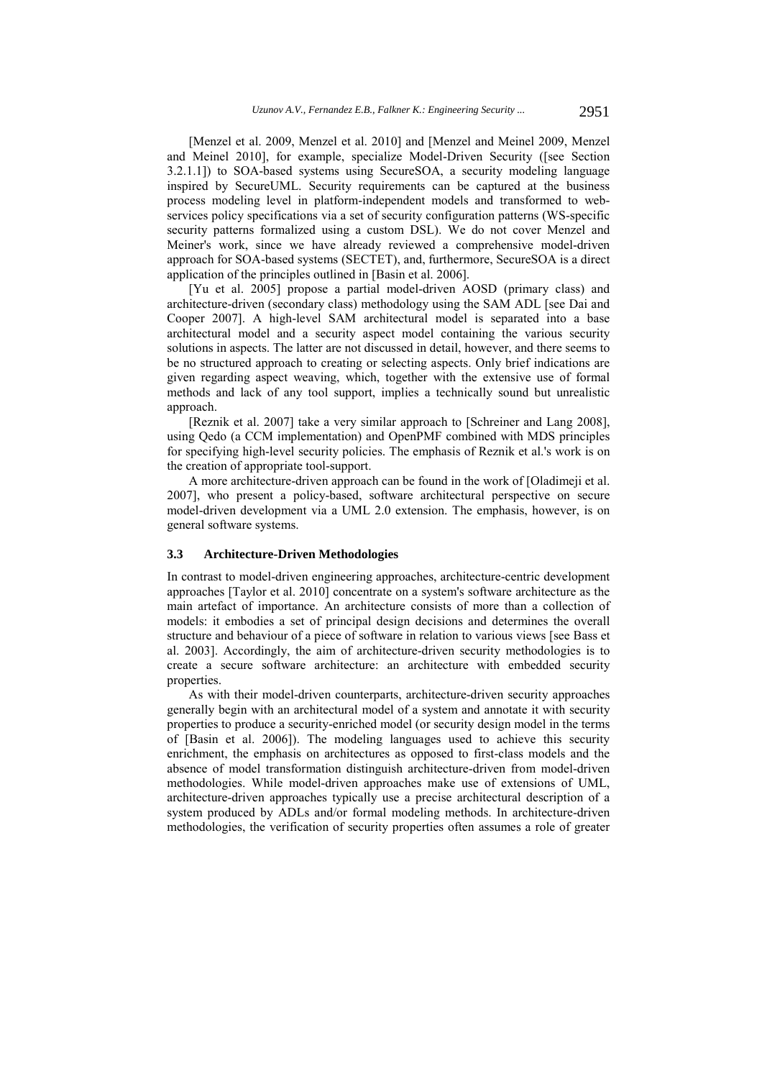[Menzel et al. 2009, Menzel et al. 2010] and [Menzel and Meinel 2009, Menzel and Meinel 2010], for example, specialize Model-Driven Security ([see Section 3.2.1.1]) to SOA-based systems using SecureSOA, a security modeling language inspired by SecureUML. Security requirements can be captured at the business process modeling level in platform-independent models and transformed to webservices policy specifications via a set of security configuration patterns (WS-specific security patterns formalized using a custom DSL). We do not cover Menzel and Meiner's work, since we have already reviewed a comprehensive model-driven approach for SOA-based systems (SECTET), and, furthermore, SecureSOA is a direct application of the principles outlined in [Basin et al. 2006].

[Yu et al. 2005] propose a partial model-driven AOSD (primary class) and architecture-driven (secondary class) methodology using the SAM ADL [see Dai and Cooper 2007]. A high-level SAM architectural model is separated into a base architectural model and a security aspect model containing the various security solutions in aspects. The latter are not discussed in detail, however, and there seems to be no structured approach to creating or selecting aspects. Only brief indications are given regarding aspect weaving, which, together with the extensive use of formal methods and lack of any tool support, implies a technically sound but unrealistic approach.

[Reznik et al. 2007] take a very similar approach to [Schreiner and Lang 2008], using Qedo (a CCM implementation) and OpenPMF combined with MDS principles for specifying high-level security policies. The emphasis of Reznik et al.'s work is on the creation of appropriate tool-support.

A more architecture-driven approach can be found in the work of [Oladimeji et al. 2007], who present a policy-based, software architectural perspective on secure model-driven development via a UML 2.0 extension. The emphasis, however, is on general software systems.

## **3.3 Architecture-Driven Methodologies**

In contrast to model-driven engineering approaches, architecture-centric development approaches [Taylor et al. 2010] concentrate on a system's software architecture as the main artefact of importance. An architecture consists of more than a collection of models: it embodies a set of principal design decisions and determines the overall structure and behaviour of a piece of software in relation to various views [see Bass et al. 2003]. Accordingly, the aim of architecture-driven security methodologies is to create a secure software architecture: an architecture with embedded security properties.

As with their model-driven counterparts, architecture-driven security approaches generally begin with an architectural model of a system and annotate it with security properties to produce a security-enriched model (or security design model in the terms of [Basin et al. 2006]). The modeling languages used to achieve this security enrichment, the emphasis on architectures as opposed to first-class models and the absence of model transformation distinguish architecture-driven from model-driven methodologies. While model-driven approaches make use of extensions of UML, architecture-driven approaches typically use a precise architectural description of a system produced by ADLs and/or formal modeling methods. In architecture-driven methodologies, the verification of security properties often assumes a role of greater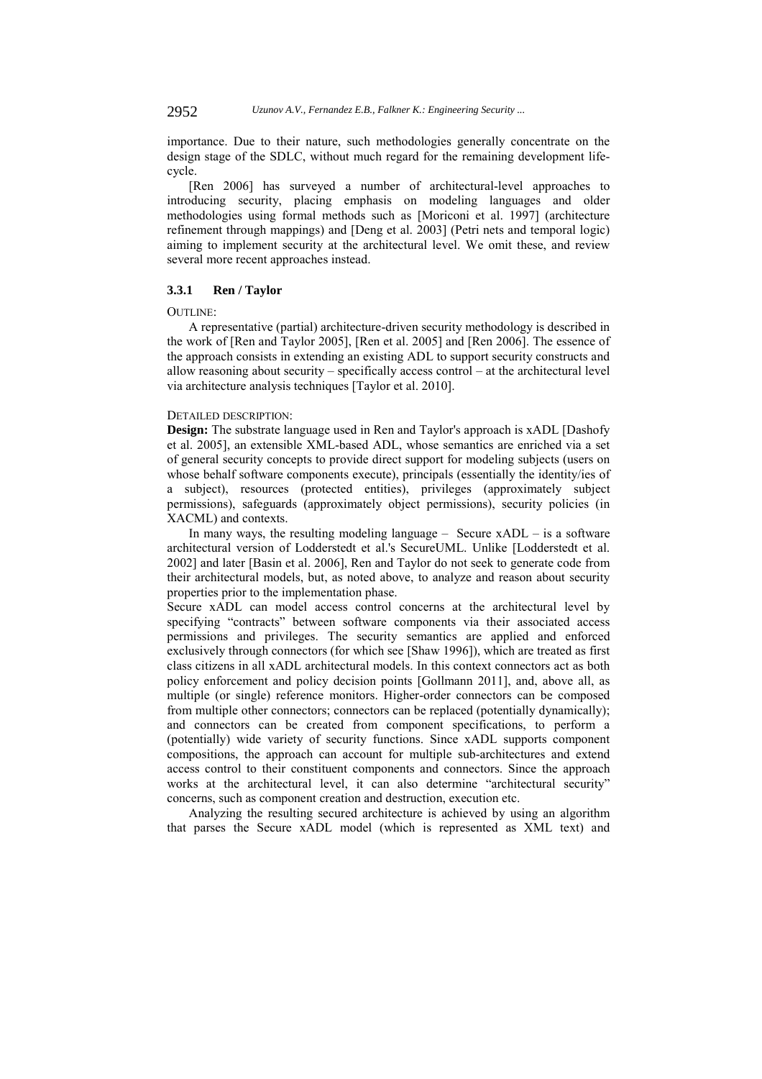importance. Due to their nature, such methodologies generally concentrate on the design stage of the SDLC, without much regard for the remaining development lifecycle.

[Ren 2006] has surveyed a number of architectural-level approaches to introducing security, placing emphasis on modeling languages and older methodologies using formal methods such as [Moriconi et al. 1997] (architecture refinement through mappings) and [Deng et al. 2003] (Petri nets and temporal logic) aiming to implement security at the architectural level. We omit these, and review several more recent approaches instead.

## **3.3.1 Ren / Taylor**

#### $O$ UTI INE:

A representative (partial) architecture-driven security methodology is described in the work of [Ren and Taylor 2005], [Ren et al. 2005] and [Ren 2006]. The essence of the approach consists in extending an existing ADL to support security constructs and allow reasoning about security – specifically access control – at the architectural level via architecture analysis techniques [Taylor et al. 2010].

## DETAILED DESCRIPTION:

**Design:** The substrate language used in Ren and Taylor's approach is xADL [Dashofy et al. 2005], an extensible XML-based ADL, whose semantics are enriched via a set of general security concepts to provide direct support for modeling subjects (users on whose behalf software components execute), principals (essentially the identity/ies of a subject), resources (protected entities), privileges (approximately subject permissions), safeguards (approximately object permissions), security policies (in XACML) and contexts.

In many ways, the resulting modeling language – Secure  $xADL - is a software$ architectural version of Lodderstedt et al.'s SecureUML. Unlike [Lodderstedt et al. 2002] and later [Basin et al. 2006], Ren and Taylor do not seek to generate code from their architectural models, but, as noted above, to analyze and reason about security properties prior to the implementation phase.

Secure xADL can model access control concerns at the architectural level by specifying "contracts" between software components via their associated access permissions and privileges. The security semantics are applied and enforced exclusively through connectors (for which see [Shaw 1996]), which are treated as first class citizens in all xADL architectural models. In this context connectors act as both policy enforcement and policy decision points [Gollmann 2011], and, above all, as multiple (or single) reference monitors. Higher-order connectors can be composed from multiple other connectors; connectors can be replaced (potentially dynamically); and connectors can be created from component specifications, to perform a (potentially) wide variety of security functions. Since xADL supports component compositions, the approach can account for multiple sub-architectures and extend access control to their constituent components and connectors. Since the approach works at the architectural level, it can also determine "architectural security" concerns, such as component creation and destruction, execution etc.

Analyzing the resulting secured architecture is achieved by using an algorithm that parses the Secure xADL model (which is represented as XML text) and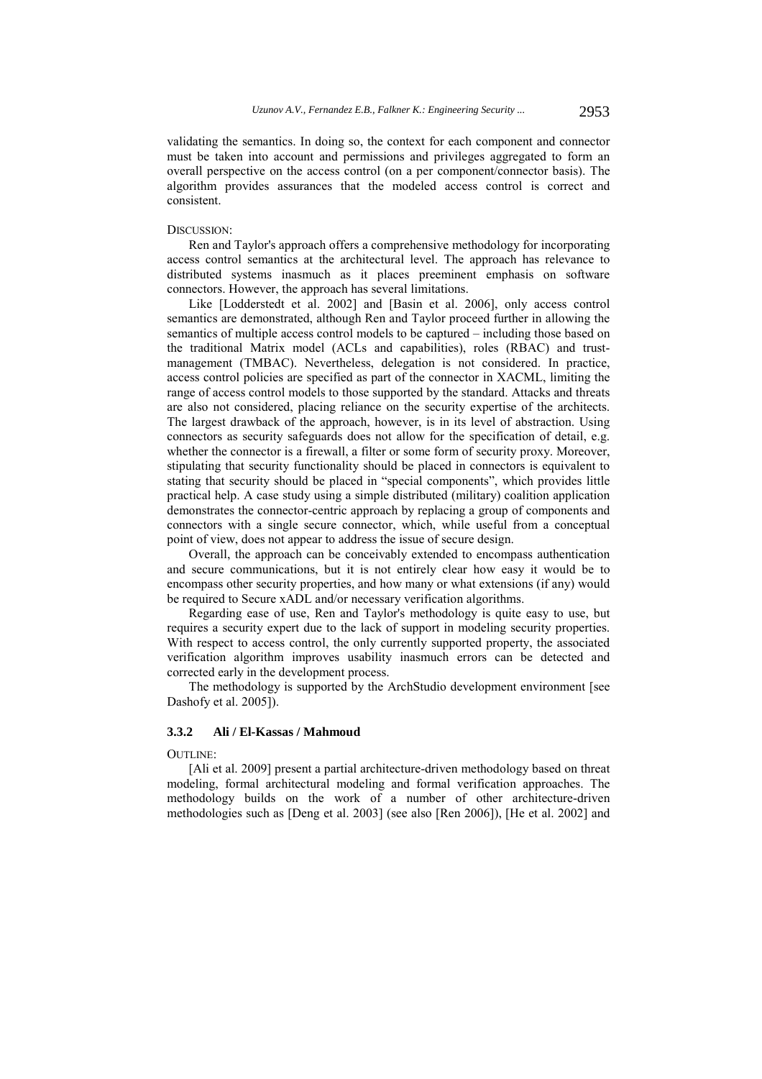validating the semantics. In doing so, the context for each component and connector must be taken into account and permissions and privileges aggregated to form an overall perspective on the access control (on a per component/connector basis). The algorithm provides assurances that the modeled access control is correct and consistent.

#### DISCUSSION:

Ren and Taylor's approach offers a comprehensive methodology for incorporating access control semantics at the architectural level. The approach has relevance to distributed systems inasmuch as it places preeminent emphasis on software connectors. However, the approach has several limitations.

Like [Lodderstedt et al. 2002] and [Basin et al. 2006], only access control semantics are demonstrated, although Ren and Taylor proceed further in allowing the semantics of multiple access control models to be captured – including those based on the traditional Matrix model (ACLs and capabilities), roles (RBAC) and trustmanagement (TMBAC). Nevertheless, delegation is not considered. In practice, access control policies are specified as part of the connector in XACML, limiting the range of access control models to those supported by the standard. Attacks and threats are also not considered, placing reliance on the security expertise of the architects. The largest drawback of the approach, however, is in its level of abstraction. Using connectors as security safeguards does not allow for the specification of detail, e.g. whether the connector is a firewall, a filter or some form of security proxy. Moreover, stipulating that security functionality should be placed in connectors is equivalent to stating that security should be placed in "special components", which provides little practical help. A case study using a simple distributed (military) coalition application demonstrates the connector-centric approach by replacing a group of components and connectors with a single secure connector, which, while useful from a conceptual point of view, does not appear to address the issue of secure design.

Overall, the approach can be conceivably extended to encompass authentication and secure communications, but it is not entirely clear how easy it would be to encompass other security properties, and how many or what extensions (if any) would be required to Secure xADL and/or necessary verification algorithms.

Regarding ease of use, Ren and Taylor's methodology is quite easy to use, but requires a security expert due to the lack of support in modeling security properties. With respect to access control, the only currently supported property, the associated verification algorithm improves usability inasmuch errors can be detected and corrected early in the development process.

The methodology is supported by the ArchStudio development environment [see Dashofy et al. 2005]).

## **3.3.2 Ali / El-Kassas / Mahmoud**

#### OUTLINE<sup>:</sup>

[Ali et al. 2009] present a partial architecture-driven methodology based on threat modeling, formal architectural modeling and formal verification approaches. The methodology builds on the work of a number of other architecture-driven methodologies such as [Deng et al. 2003] (see also [Ren 2006]), [He et al. 2002] and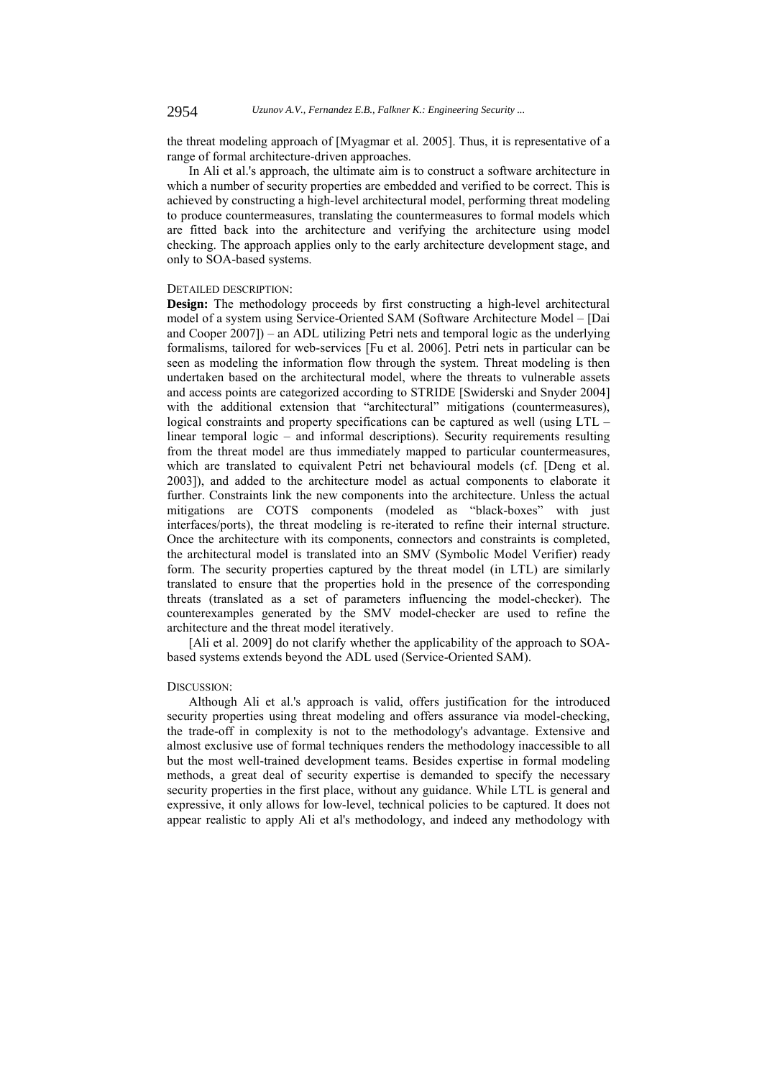the threat modeling approach of [Myagmar et al. 2005]. Thus, it is representative of a range of formal architecture-driven approaches.

In Ali et al.'s approach, the ultimate aim is to construct a software architecture in which a number of security properties are embedded and verified to be correct. This is achieved by constructing a high-level architectural model, performing threat modeling to produce countermeasures, translating the countermeasures to formal models which are fitted back into the architecture and verifying the architecture using model checking. The approach applies only to the early architecture development stage, and only to SOA-based systems.

## DETAILED DESCRIPTION:

**Design:** The methodology proceeds by first constructing a high-level architectural model of a system using Service-Oriented SAM (Software Architecture Model – [Dai and Cooper 2007]) – an ADL utilizing Petri nets and temporal logic as the underlying formalisms, tailored for web-services [Fu et al. 2006]. Petri nets in particular can be seen as modeling the information flow through the system. Threat modeling is then undertaken based on the architectural model, where the threats to vulnerable assets and access points are categorized according to STRIDE [Swiderski and Snyder 2004] with the additional extension that "architectural" mitigations (countermeasures), logical constraints and property specifications can be captured as well (using LTL – linear temporal logic – and informal descriptions). Security requirements resulting from the threat model are thus immediately mapped to particular countermeasures, which are translated to equivalent Petri net behavioural models (cf. [Deng et al. 2003]), and added to the architecture model as actual components to elaborate it further. Constraints link the new components into the architecture. Unless the actual mitigations are COTS components (modeled as "black-boxes" with just interfaces/ports), the threat modeling is re-iterated to refine their internal structure. Once the architecture with its components, connectors and constraints is completed, the architectural model is translated into an SMV (Symbolic Model Verifier) ready form. The security properties captured by the threat model (in LTL) are similarly translated to ensure that the properties hold in the presence of the corresponding threats (translated as a set of parameters influencing the model-checker). The counterexamples generated by the SMV model-checker are used to refine the architecture and the threat model iteratively.

[Ali et al. 2009] do not clarify whether the applicability of the approach to SOAbased systems extends beyond the ADL used (Service-Oriented SAM).

### DISCUSSION:

Although Ali et al.'s approach is valid, offers justification for the introduced security properties using threat modeling and offers assurance via model-checking, the trade-off in complexity is not to the methodology's advantage. Extensive and almost exclusive use of formal techniques renders the methodology inaccessible to all but the most well-trained development teams. Besides expertise in formal modeling methods, a great deal of security expertise is demanded to specify the necessary security properties in the first place, without any guidance. While LTL is general and expressive, it only allows for low-level, technical policies to be captured. It does not appear realistic to apply Ali et al's methodology, and indeed any methodology with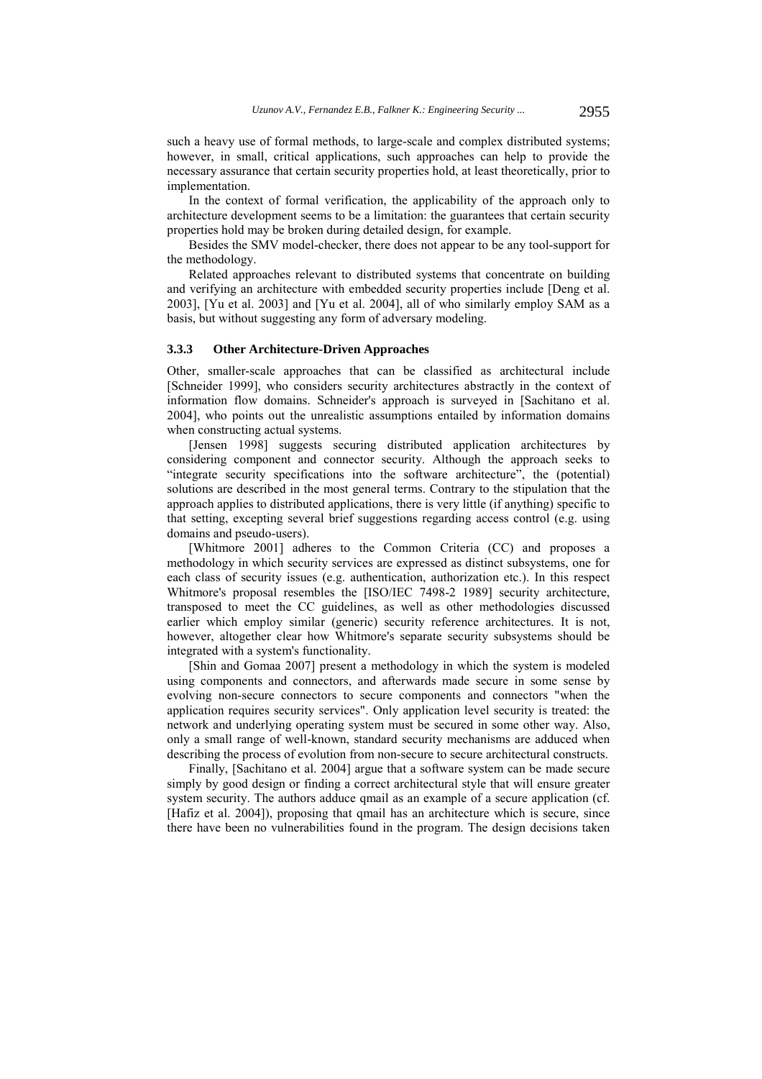such a heavy use of formal methods, to large-scale and complex distributed systems; however, in small, critical applications, such approaches can help to provide the necessary assurance that certain security properties hold, at least theoretically, prior to implementation.

In the context of formal verification, the applicability of the approach only to architecture development seems to be a limitation: the guarantees that certain security properties hold may be broken during detailed design, for example.

Besides the SMV model-checker, there does not appear to be any tool-support for the methodology.

Related approaches relevant to distributed systems that concentrate on building and verifying an architecture with embedded security properties include [Deng et al. 2003], [Yu et al. 2003] and [Yu et al. 2004], all of who similarly employ SAM as a basis, but without suggesting any form of adversary modeling.

### **3.3.3 Other Architecture-Driven Approaches**

Other, smaller-scale approaches that can be classified as architectural include [Schneider 1999], who considers security architectures abstractly in the context of information flow domains. Schneider's approach is surveyed in [Sachitano et al. 2004], who points out the unrealistic assumptions entailed by information domains when constructing actual systems.

[Jensen 1998] suggests securing distributed application architectures by considering component and connector security. Although the approach seeks to "integrate security specifications into the software architecture", the (potential) solutions are described in the most general terms. Contrary to the stipulation that the approach applies to distributed applications, there is very little (if anything) specific to that setting, excepting several brief suggestions regarding access control (e.g. using domains and pseudo-users).

[Whitmore 2001] adheres to the Common Criteria (CC) and proposes a methodology in which security services are expressed as distinct subsystems, one for each class of security issues (e.g. authentication, authorization etc.). In this respect Whitmore's proposal resembles the [ISO/IEC 7498-2 1989] security architecture, transposed to meet the CC guidelines, as well as other methodologies discussed earlier which employ similar (generic) security reference architectures. It is not, however, altogether clear how Whitmore's separate security subsystems should be integrated with a system's functionality.

[Shin and Gomaa 2007] present a methodology in which the system is modeled using components and connectors, and afterwards made secure in some sense by evolving non-secure connectors to secure components and connectors "when the application requires security services". Only application level security is treated: the network and underlying operating system must be secured in some other way. Also, only a small range of well-known, standard security mechanisms are adduced when describing the process of evolution from non-secure to secure architectural constructs.

Finally, [Sachitano et al. 2004] argue that a software system can be made secure simply by good design or finding a correct architectural style that will ensure greater system security. The authors adduce qmail as an example of a secure application (cf. [Hafiz et al. 2004]), proposing that qmail has an architecture which is secure, since there have been no vulnerabilities found in the program. The design decisions taken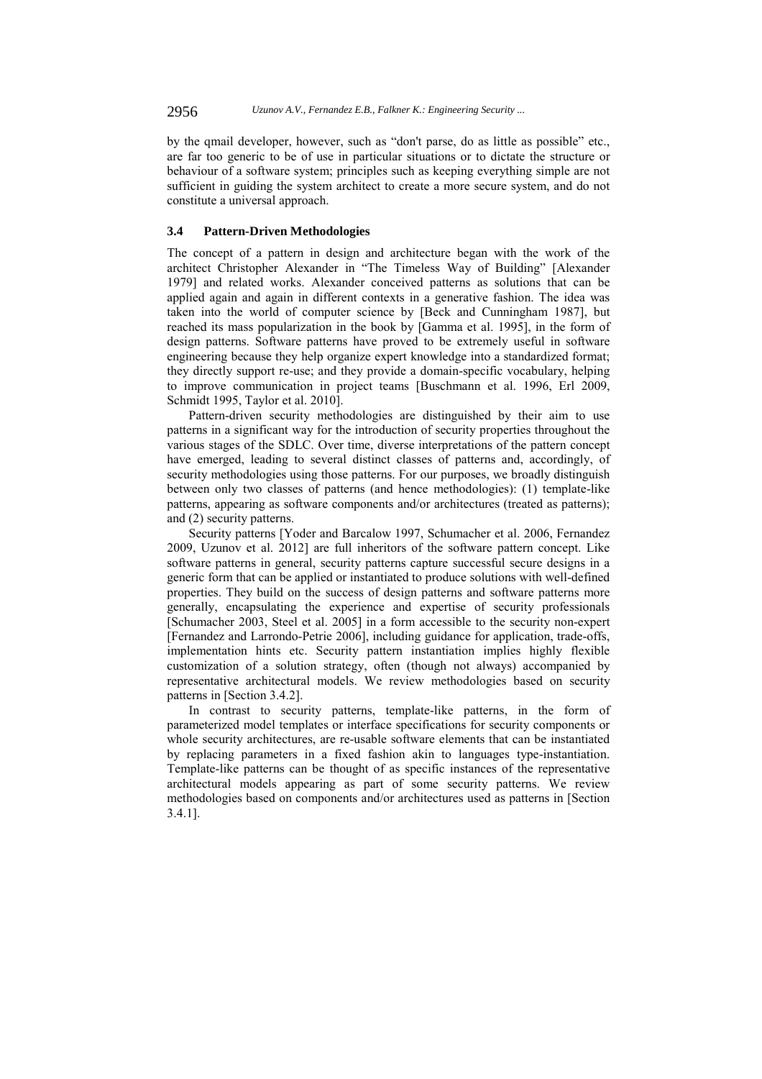by the qmail developer, however, such as "don't parse, do as little as possible" etc., are far too generic to be of use in particular situations or to dictate the structure or behaviour of a software system; principles such as keeping everything simple are not sufficient in guiding the system architect to create a more secure system, and do not constitute a universal approach.

# **3.4 Pattern-Driven Methodologies**

The concept of a pattern in design and architecture began with the work of the architect Christopher Alexander in "The Timeless Way of Building" [Alexander 1979] and related works. Alexander conceived patterns as solutions that can be applied again and again in different contexts in a generative fashion. The idea was taken into the world of computer science by [Beck and Cunningham 1987], but reached its mass popularization in the book by [Gamma et al. 1995], in the form of design patterns. Software patterns have proved to be extremely useful in software engineering because they help organize expert knowledge into a standardized format; they directly support re-use; and they provide a domain-specific vocabulary, helping to improve communication in project teams [Buschmann et al. 1996, Erl 2009, Schmidt 1995, Taylor et al. 2010].

Pattern-driven security methodologies are distinguished by their aim to use patterns in a significant way for the introduction of security properties throughout the various stages of the SDLC. Over time, diverse interpretations of the pattern concept have emerged, leading to several distinct classes of patterns and, accordingly, of security methodologies using those patterns. For our purposes, we broadly distinguish between only two classes of patterns (and hence methodologies): (1) template-like patterns, appearing as software components and/or architectures (treated as patterns); and (2) security patterns.

Security patterns [Yoder and Barcalow 1997, Schumacher et al. 2006, Fernandez 2009, Uzunov et al. 2012] are full inheritors of the software pattern concept. Like software patterns in general, security patterns capture successful secure designs in a generic form that can be applied or instantiated to produce solutions with well-defined properties. They build on the success of design patterns and software patterns more generally, encapsulating the experience and expertise of security professionals [Schumacher 2003, Steel et al. 2005] in a form accessible to the security non-expert [Fernandez and Larrondo-Petrie 2006], including guidance for application, trade-offs, implementation hints etc. Security pattern instantiation implies highly flexible customization of a solution strategy, often (though not always) accompanied by representative architectural models. We review methodologies based on security patterns in [Section 3.4.2].

In contrast to security patterns, template-like patterns, in the form of parameterized model templates or interface specifications for security components or whole security architectures, are re-usable software elements that can be instantiated by replacing parameters in a fixed fashion akin to languages type-instantiation. Template-like patterns can be thought of as specific instances of the representative architectural models appearing as part of some security patterns. We review methodologies based on components and/or architectures used as patterns in [Section 3.4.1].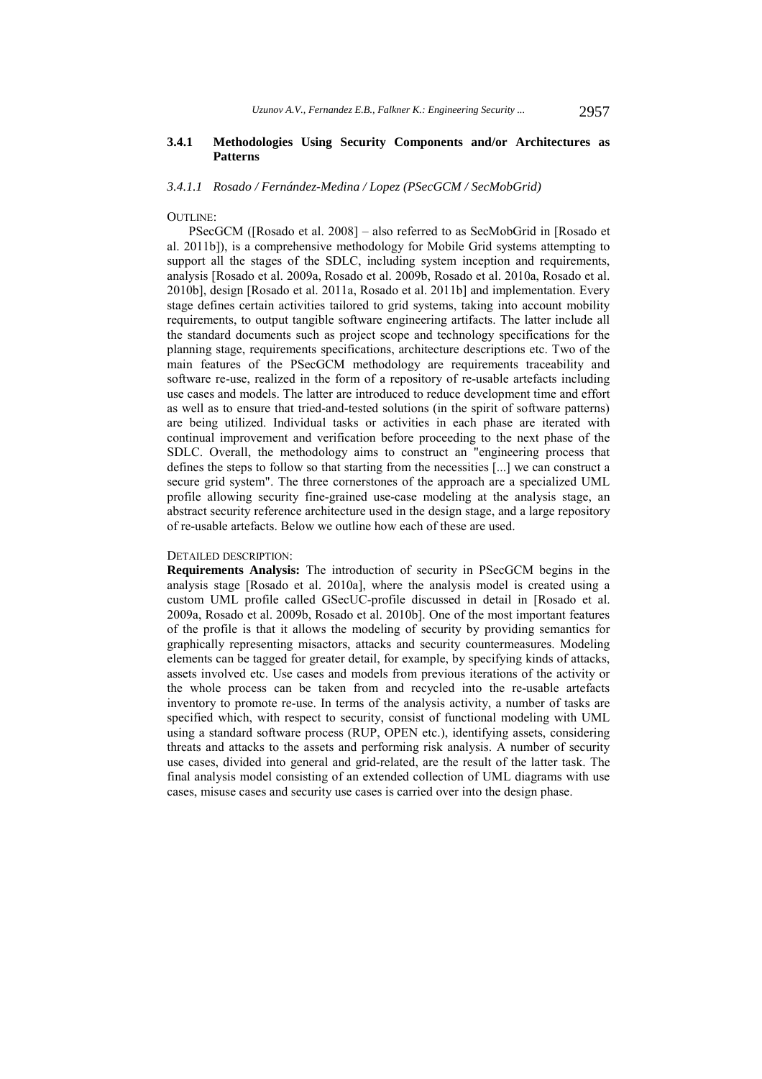# **3.4.1 Methodologies Using Security Components and/or Architectures as Patterns**

#### *3.4.1.1 Rosado / Fernández-Medina / Lopez (PSecGCM / SecMobGrid)*

### OUTLINE:

PSecGCM ([Rosado et al. 2008] – also referred to as SecMobGrid in [Rosado et al. 2011b]), is a comprehensive methodology for Mobile Grid systems attempting to support all the stages of the SDLC, including system inception and requirements, analysis [Rosado et al. 2009a, Rosado et al. 2009b, Rosado et al. 2010a, Rosado et al. 2010b], design [Rosado et al. 2011a, Rosado et al. 2011b] and implementation. Every stage defines certain activities tailored to grid systems, taking into account mobility requirements, to output tangible software engineering artifacts. The latter include all the standard documents such as project scope and technology specifications for the planning stage, requirements specifications, architecture descriptions etc. Two of the main features of the PSecGCM methodology are requirements traceability and software re-use, realized in the form of a repository of re-usable artefacts including use cases and models. The latter are introduced to reduce development time and effort as well as to ensure that tried-and-tested solutions (in the spirit of software patterns) are being utilized. Individual tasks or activities in each phase are iterated with continual improvement and verification before proceeding to the next phase of the SDLC. Overall, the methodology aims to construct an "engineering process that defines the steps to follow so that starting from the necessities [...] we can construct a secure grid system". The three cornerstones of the approach are a specialized UML profile allowing security fine-grained use-case modeling at the analysis stage, an abstract security reference architecture used in the design stage, and a large repository of re-usable artefacts. Below we outline how each of these are used.

### DETAILED DESCRIPTION:

**Requirements Analysis:** The introduction of security in PSecGCM begins in the analysis stage [Rosado et al. 2010a], where the analysis model is created using a custom UML profile called GSecUC-profile discussed in detail in [Rosado et al. 2009a, Rosado et al. 2009b, Rosado et al. 2010b]. One of the most important features of the profile is that it allows the modeling of security by providing semantics for graphically representing misactors, attacks and security countermeasures. Modeling elements can be tagged for greater detail, for example, by specifying kinds of attacks, assets involved etc. Use cases and models from previous iterations of the activity or the whole process can be taken from and recycled into the re-usable artefacts inventory to promote re-use. In terms of the analysis activity, a number of tasks are specified which, with respect to security, consist of functional modeling with UML using a standard software process (RUP, OPEN etc.), identifying assets, considering threats and attacks to the assets and performing risk analysis. A number of security use cases, divided into general and grid-related, are the result of the latter task. The final analysis model consisting of an extended collection of UML diagrams with use cases, misuse cases and security use cases is carried over into the design phase.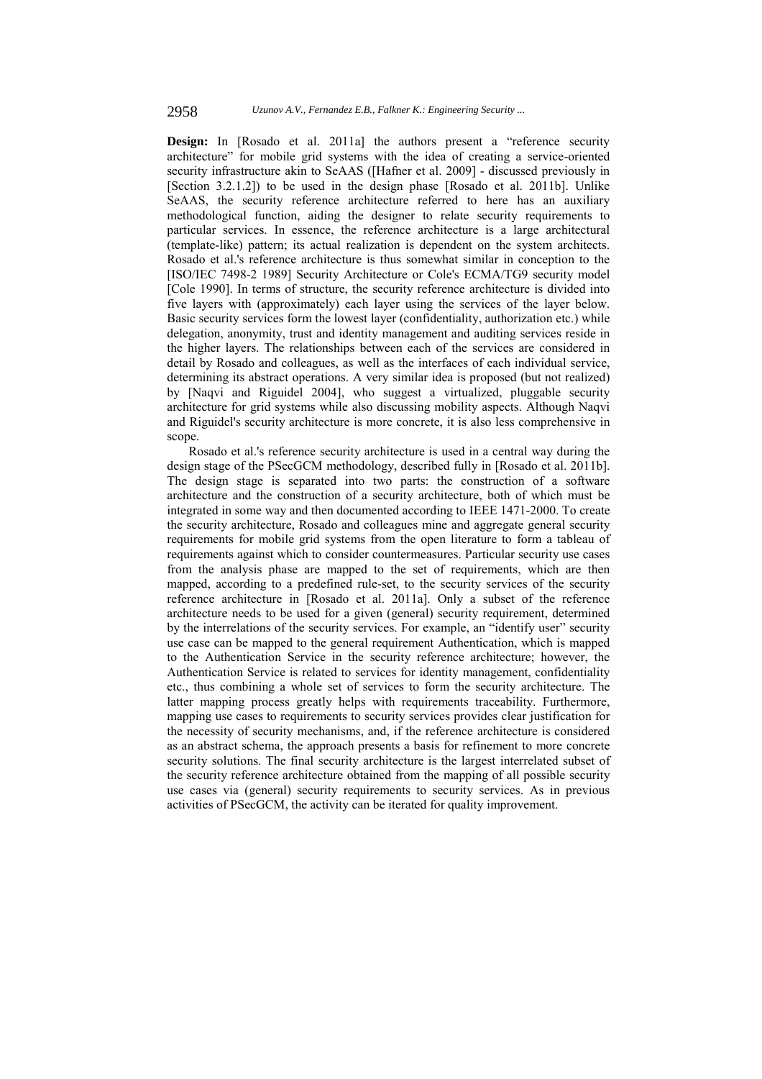Design: In [Rosado et al. 2011a] the authors present a "reference security" architecture" for mobile grid systems with the idea of creating a service-oriented security infrastructure akin to SeAAS ([Hafner et al. 2009] - discussed previously in [Section 3.2.1.2]) to be used in the design phase [Rosado et al. 2011b]. Unlike SeAAS, the security reference architecture referred to here has an auxiliary methodological function, aiding the designer to relate security requirements to particular services. In essence, the reference architecture is a large architectural (template-like) pattern; its actual realization is dependent on the system architects. Rosado et al.'s reference architecture is thus somewhat similar in conception to the [ISO/IEC 7498-2 1989] Security Architecture or Cole's ECMA/TG9 security model [Cole 1990]. In terms of structure, the security reference architecture is divided into five layers with (approximately) each layer using the services of the layer below. Basic security services form the lowest layer (confidentiality, authorization etc.) while delegation, anonymity, trust and identity management and auditing services reside in the higher layers. The relationships between each of the services are considered in detail by Rosado and colleagues, as well as the interfaces of each individual service, determining its abstract operations. A very similar idea is proposed (but not realized) by [Naqvi and Riguidel 2004], who suggest a virtualized, pluggable security architecture for grid systems while also discussing mobility aspects. Although Naqvi and Riguidel's security architecture is more concrete, it is also less comprehensive in scope.

Rosado et al.'s reference security architecture is used in a central way during the design stage of the PSecGCM methodology, described fully in [Rosado et al. 2011b]. The design stage is separated into two parts: the construction of a software architecture and the construction of a security architecture, both of which must be integrated in some way and then documented according to IEEE 1471-2000. To create the security architecture, Rosado and colleagues mine and aggregate general security requirements for mobile grid systems from the open literature to form a tableau of requirements against which to consider countermeasures. Particular security use cases from the analysis phase are mapped to the set of requirements, which are then mapped, according to a predefined rule-set, to the security services of the security reference architecture in [Rosado et al. 2011a]. Only a subset of the reference architecture needs to be used for a given (general) security requirement, determined by the interrelations of the security services. For example, an "identify user" security use case can be mapped to the general requirement Authentication, which is mapped to the Authentication Service in the security reference architecture; however, the Authentication Service is related to services for identity management, confidentiality etc., thus combining a whole set of services to form the security architecture. The latter mapping process greatly helps with requirements traceability. Furthermore, mapping use cases to requirements to security services provides clear justification for the necessity of security mechanisms, and, if the reference architecture is considered as an abstract schema, the approach presents a basis for refinement to more concrete security solutions. The final security architecture is the largest interrelated subset of the security reference architecture obtained from the mapping of all possible security use cases via (general) security requirements to security services. As in previous activities of PSecGCM, the activity can be iterated for quality improvement.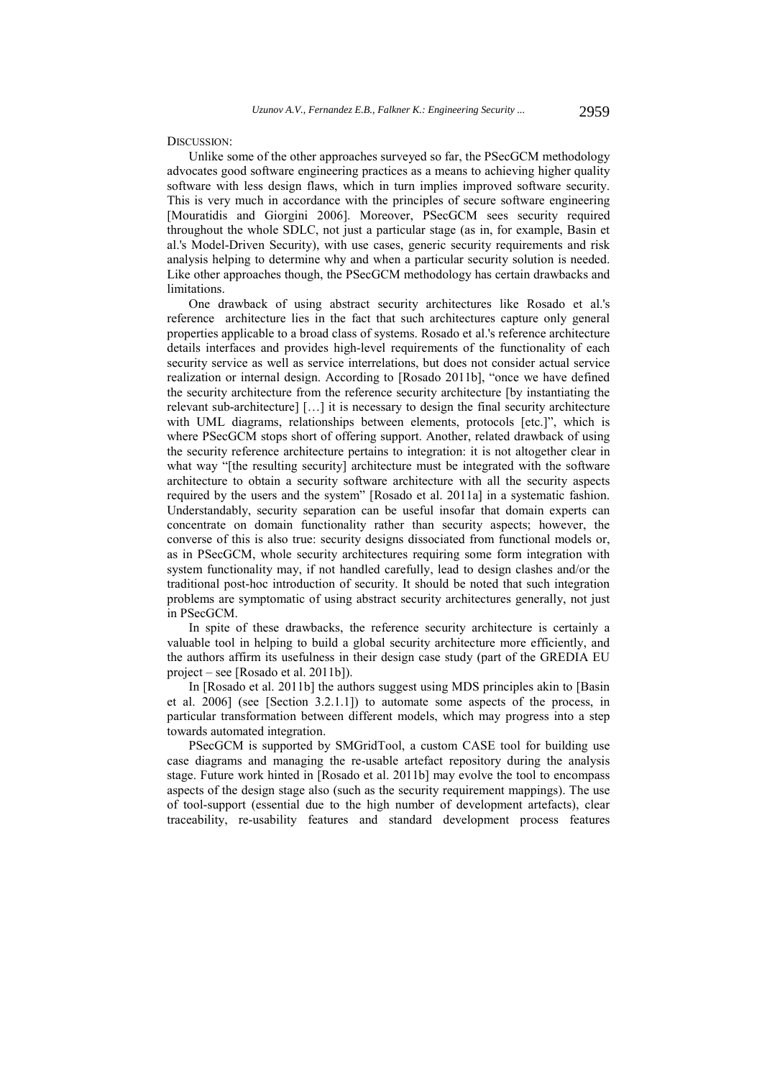DISCUSSION:

Unlike some of the other approaches surveyed so far, the PSecGCM methodology advocates good software engineering practices as a means to achieving higher quality software with less design flaws, which in turn implies improved software security. This is very much in accordance with the principles of secure software engineering [Mouratidis and Giorgini 2006]. Moreover, PSecGCM sees security required throughout the whole SDLC, not just a particular stage (as in, for example, Basin et al.'s Model-Driven Security), with use cases, generic security requirements and risk analysis helping to determine why and when a particular security solution is needed. Like other approaches though, the PSecGCM methodology has certain drawbacks and limitations.

One drawback of using abstract security architectures like Rosado et al.'s reference architecture lies in the fact that such architectures capture only general properties applicable to a broad class of systems. Rosado et al.'s reference architecture details interfaces and provides high-level requirements of the functionality of each security service as well as service interrelations, but does not consider actual service realization or internal design. According to [Rosado 2011b], "once we have defined the security architecture from the reference security architecture [by instantiating the relevant sub-architecture] […] it is necessary to design the final security architecture with UML diagrams, relationships between elements, protocols [etc.]", which is where PSecGCM stops short of offering support. Another, related drawback of using the security reference architecture pertains to integration: it is not altogether clear in what way "[the resulting security] architecture must be integrated with the software architecture to obtain a security software architecture with all the security aspects required by the users and the system" [Rosado et al. 2011a] in a systematic fashion. Understandably, security separation can be useful insofar that domain experts can concentrate on domain functionality rather than security aspects; however, the converse of this is also true: security designs dissociated from functional models or, as in PSecGCM, whole security architectures requiring some form integration with system functionality may, if not handled carefully, lead to design clashes and/or the traditional post-hoc introduction of security. It should be noted that such integration problems are symptomatic of using abstract security architectures generally, not just in PSecGCM.

In spite of these drawbacks, the reference security architecture is certainly a valuable tool in helping to build a global security architecture more efficiently, and the authors affirm its usefulness in their design case study (part of the GREDIA EU project – see [Rosado et al. 2011b]).

In [Rosado et al. 2011b] the authors suggest using MDS principles akin to [Basin et al. 2006] (see [Section 3.2.1.1]) to automate some aspects of the process, in particular transformation between different models, which may progress into a step towards automated integration.

PSecGCM is supported by SMGridTool, a custom CASE tool for building use case diagrams and managing the re-usable artefact repository during the analysis stage. Future work hinted in [Rosado et al. 2011b] may evolve the tool to encompass aspects of the design stage also (such as the security requirement mappings). The use of tool-support (essential due to the high number of development artefacts), clear traceability, re-usability features and standard development process features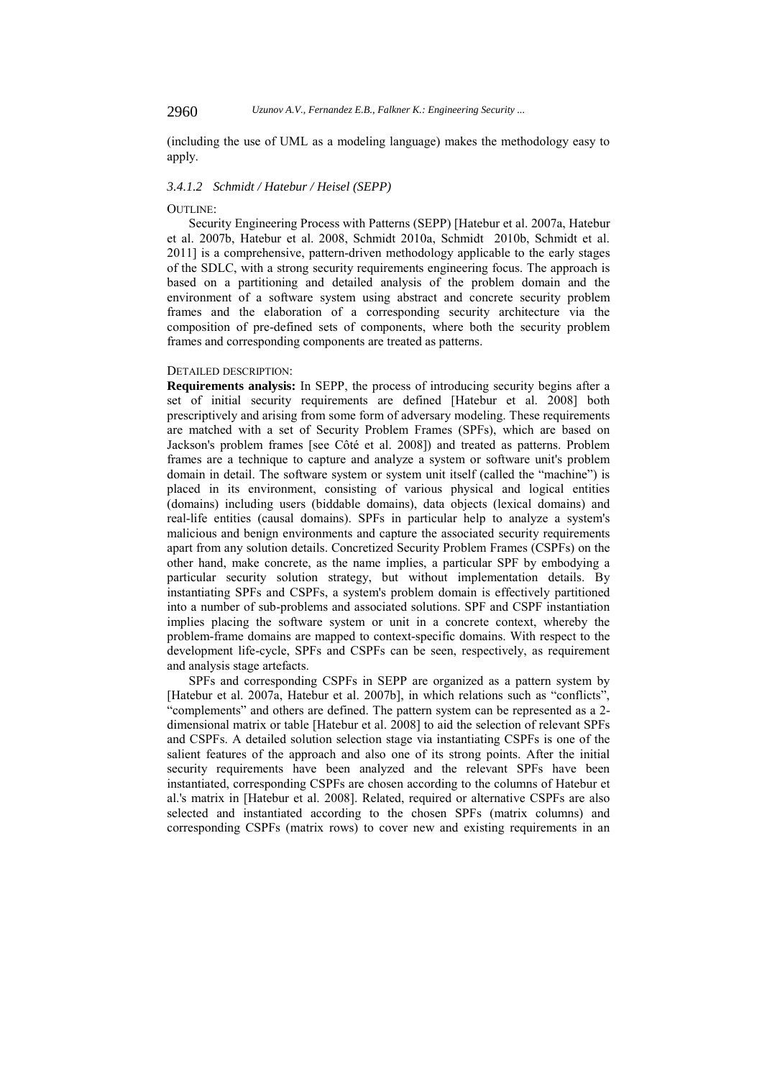(including the use of UML as a modeling language) makes the methodology easy to apply.

#### *3.4.1.2 Schmidt / Hatebur / Heisel (SEPP)*

### OUTLINE:

Security Engineering Process with Patterns (SEPP) [Hatebur et al. 2007a, Hatebur et al. 2007b, Hatebur et al. 2008, Schmidt 2010a, Schmidt 2010b, Schmidt et al. 2011] is a comprehensive, pattern-driven methodology applicable to the early stages of the SDLC, with a strong security requirements engineering focus. The approach is based on a partitioning and detailed analysis of the problem domain and the environment of a software system using abstract and concrete security problem frames and the elaboration of a corresponding security architecture via the composition of pre-defined sets of components, where both the security problem frames and corresponding components are treated as patterns.

### DETAILED DESCRIPTION:

**Requirements analysis:** In SEPP, the process of introducing security begins after a set of initial security requirements are defined [Hatebur et al. 2008] both prescriptively and arising from some form of adversary modeling. These requirements are matched with a set of Security Problem Frames (SPFs), which are based on Jackson's problem frames [see Côté et al. 2008]) and treated as patterns. Problem frames are a technique to capture and analyze a system or software unit's problem domain in detail. The software system or system unit itself (called the "machine") is placed in its environment, consisting of various physical and logical entities (domains) including users (biddable domains), data objects (lexical domains) and real-life entities (causal domains). SPFs in particular help to analyze a system's malicious and benign environments and capture the associated security requirements apart from any solution details. Concretized Security Problem Frames (CSPFs) on the other hand, make concrete, as the name implies, a particular SPF by embodying a particular security solution strategy, but without implementation details. By instantiating SPFs and CSPFs, a system's problem domain is effectively partitioned into a number of sub-problems and associated solutions. SPF and CSPF instantiation implies placing the software system or unit in a concrete context, whereby the problem-frame domains are mapped to context-specific domains. With respect to the development life-cycle, SPFs and CSPFs can be seen, respectively, as requirement and analysis stage artefacts.

SPFs and corresponding CSPFs in SEPP are organized as a pattern system by [Hatebur et al. 2007a, Hatebur et al. 2007b], in which relations such as "conflicts", "complements" and others are defined. The pattern system can be represented as a 2 dimensional matrix or table [Hatebur et al. 2008] to aid the selection of relevant SPFs and CSPFs. A detailed solution selection stage via instantiating CSPFs is one of the salient features of the approach and also one of its strong points. After the initial security requirements have been analyzed and the relevant SPFs have been instantiated, corresponding CSPFs are chosen according to the columns of Hatebur et al.'s matrix in [Hatebur et al. 2008]. Related, required or alternative CSPFs are also selected and instantiated according to the chosen SPFs (matrix columns) and corresponding CSPFs (matrix rows) to cover new and existing requirements in an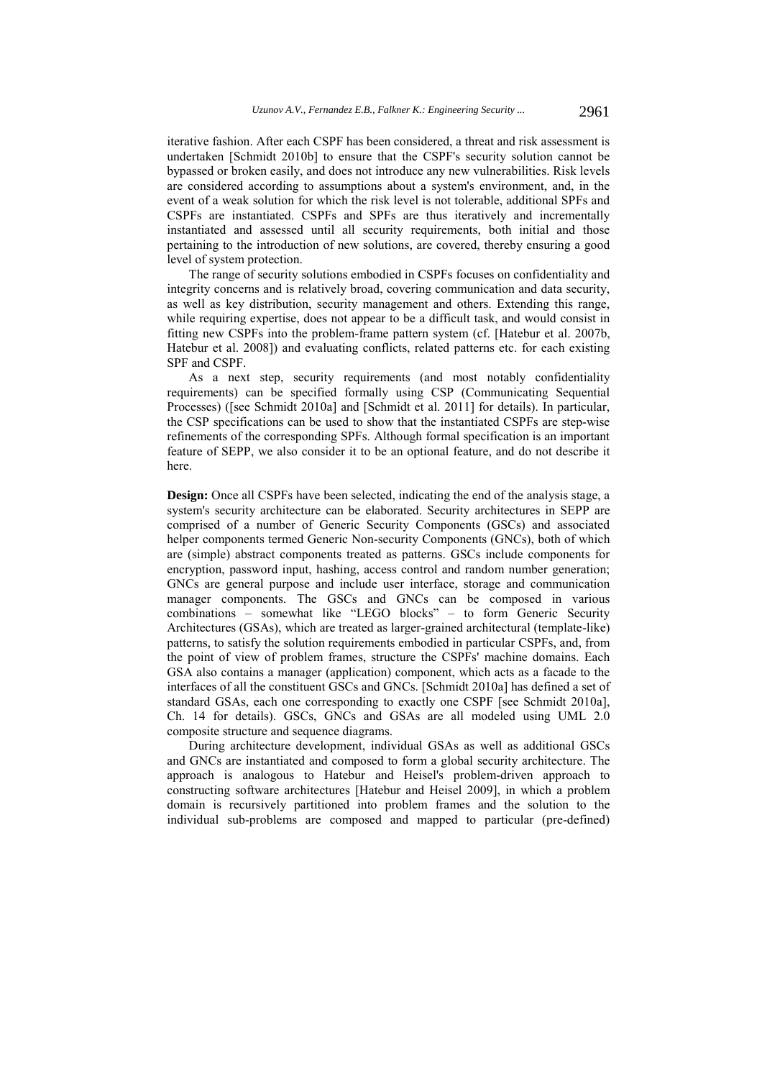iterative fashion. After each CSPF has been considered, a threat and risk assessment is undertaken [Schmidt 2010b] to ensure that the CSPF's security solution cannot be bypassed or broken easily, and does not introduce any new vulnerabilities. Risk levels are considered according to assumptions about a system's environment, and, in the event of a weak solution for which the risk level is not tolerable, additional SPFs and CSPFs are instantiated. CSPFs and SPFs are thus iteratively and incrementally instantiated and assessed until all security requirements, both initial and those pertaining to the introduction of new solutions, are covered, thereby ensuring a good level of system protection.

The range of security solutions embodied in CSPFs focuses on confidentiality and integrity concerns and is relatively broad, covering communication and data security, as well as key distribution, security management and others. Extending this range, while requiring expertise, does not appear to be a difficult task, and would consist in fitting new CSPFs into the problem-frame pattern system (cf. [Hatebur et al. 2007b, Hatebur et al. 2008]) and evaluating conflicts, related patterns etc. for each existing SPF and CSPF.

As a next step, security requirements (and most notably confidentiality requirements) can be specified formally using CSP (Communicating Sequential Processes) ([see Schmidt 2010a] and [Schmidt et al. 2011] for details). In particular, the CSP specifications can be used to show that the instantiated CSPFs are step-wise refinements of the corresponding SPFs. Although formal specification is an important feature of SEPP, we also consider it to be an optional feature, and do not describe it here.

**Design:** Once all CSPFs have been selected, indicating the end of the analysis stage, a system's security architecture can be elaborated. Security architectures in SEPP are comprised of a number of Generic Security Components (GSCs) and associated helper components termed Generic Non-security Components (GNCs), both of which are (simple) abstract components treated as patterns. GSCs include components for encryption, password input, hashing, access control and random number generation; GNCs are general purpose and include user interface, storage and communication manager components. The GSCs and GNCs can be composed in various combinations – somewhat like "LEGO blocks" – to form Generic Security Architectures (GSAs), which are treated as larger-grained architectural (template-like) patterns, to satisfy the solution requirements embodied in particular CSPFs, and, from the point of view of problem frames, structure the CSPFs' machine domains. Each GSA also contains a manager (application) component, which acts as a facade to the interfaces of all the constituent GSCs and GNCs. [Schmidt 2010a] has defined a set of standard GSAs, each one corresponding to exactly one CSPF [see Schmidt 2010a], Ch. 14 for details). GSCs, GNCs and GSAs are all modeled using UML 2.0 composite structure and sequence diagrams.

During architecture development, individual GSAs as well as additional GSCs and GNCs are instantiated and composed to form a global security architecture. The approach is analogous to Hatebur and Heisel's problem-driven approach to constructing software architectures [Hatebur and Heisel 2009], in which a problem domain is recursively partitioned into problem frames and the solution to the individual sub-problems are composed and mapped to particular (pre-defined)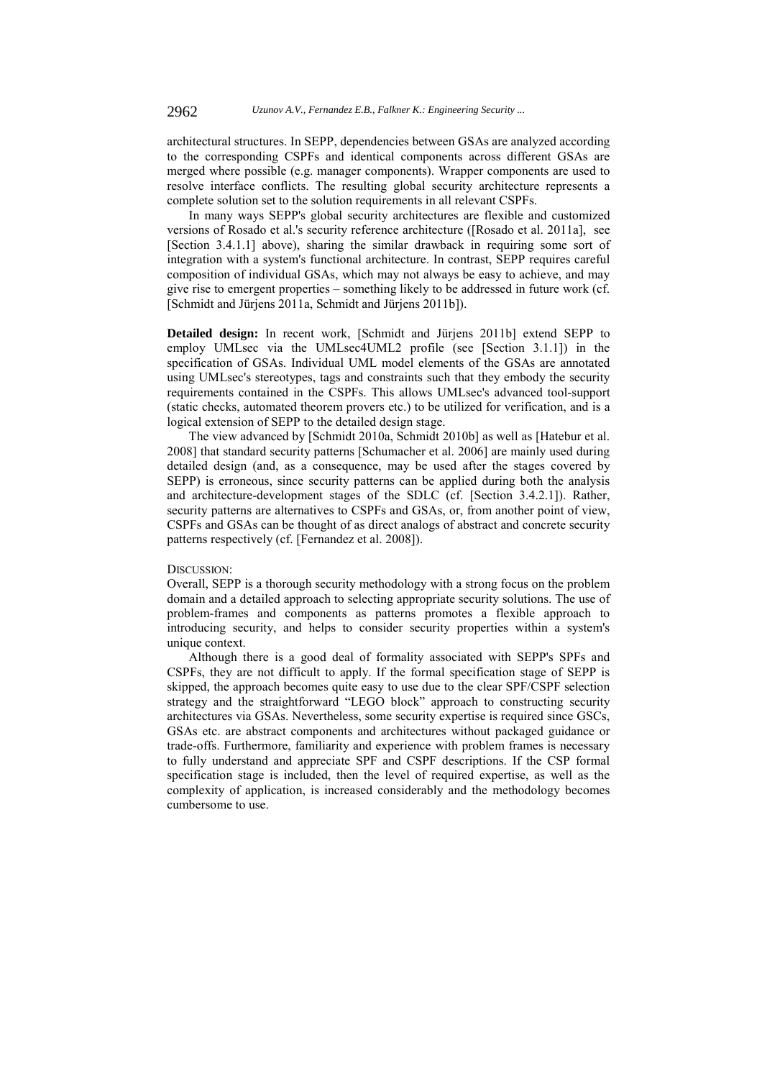architectural structures. In SEPP, dependencies between GSAs are analyzed according to the corresponding CSPFs and identical components across different GSAs are merged where possible (e.g. manager components). Wrapper components are used to resolve interface conflicts. The resulting global security architecture represents a complete solution set to the solution requirements in all relevant CSPFs.

In many ways SEPP's global security architectures are flexible and customized versions of Rosado et al.'s security reference architecture ([Rosado et al. 2011a], see [Section 3.4.1.1] above), sharing the similar drawback in requiring some sort of integration with a system's functional architecture. In contrast, SEPP requires careful composition of individual GSAs, which may not always be easy to achieve, and may give rise to emergent properties – something likely to be addressed in future work (cf. [Schmidt and Jürjens 2011a, Schmidt and Jürjens 2011b]).

**Detailed design:** In recent work, [Schmidt and Jürjens 2011b] extend SEPP to employ UMLsec via the UMLsec4UML2 profile (see [Section 3.1.1]) in the specification of GSAs. Individual UML model elements of the GSAs are annotated using UMLsec's stereotypes, tags and constraints such that they embody the security requirements contained in the CSPFs. This allows UMLsec's advanced tool-support (static checks, automated theorem provers etc.) to be utilized for verification, and is a logical extension of SEPP to the detailed design stage.

The view advanced by [Schmidt 2010a, Schmidt 2010b] as well as [Hatebur et al. 2008] that standard security patterns [Schumacher et al. 2006] are mainly used during detailed design (and, as a consequence, may be used after the stages covered by SEPP) is erroneous, since security patterns can be applied during both the analysis and architecture-development stages of the SDLC (cf. [Section 3.4.2.1]). Rather, security patterns are alternatives to CSPFs and GSAs, or, from another point of view, CSPFs and GSAs can be thought of as direct analogs of abstract and concrete security patterns respectively (cf. [Fernandez et al. 2008]).

### DISCUSSION:

Overall, SEPP is a thorough security methodology with a strong focus on the problem domain and a detailed approach to selecting appropriate security solutions. The use of problem-frames and components as patterns promotes a flexible approach to introducing security, and helps to consider security properties within a system's unique context.

Although there is a good deal of formality associated with SEPP's SPFs and CSPFs, they are not difficult to apply. If the formal specification stage of SEPP is skipped, the approach becomes quite easy to use due to the clear SPF/CSPF selection strategy and the straightforward "LEGO block" approach to constructing security architectures via GSAs. Nevertheless, some security expertise is required since GSCs, GSAs etc. are abstract components and architectures without packaged guidance or trade-offs. Furthermore, familiarity and experience with problem frames is necessary to fully understand and appreciate SPF and CSPF descriptions. If the CSP formal specification stage is included, then the level of required expertise, as well as the complexity of application, is increased considerably and the methodology becomes cumbersome to use.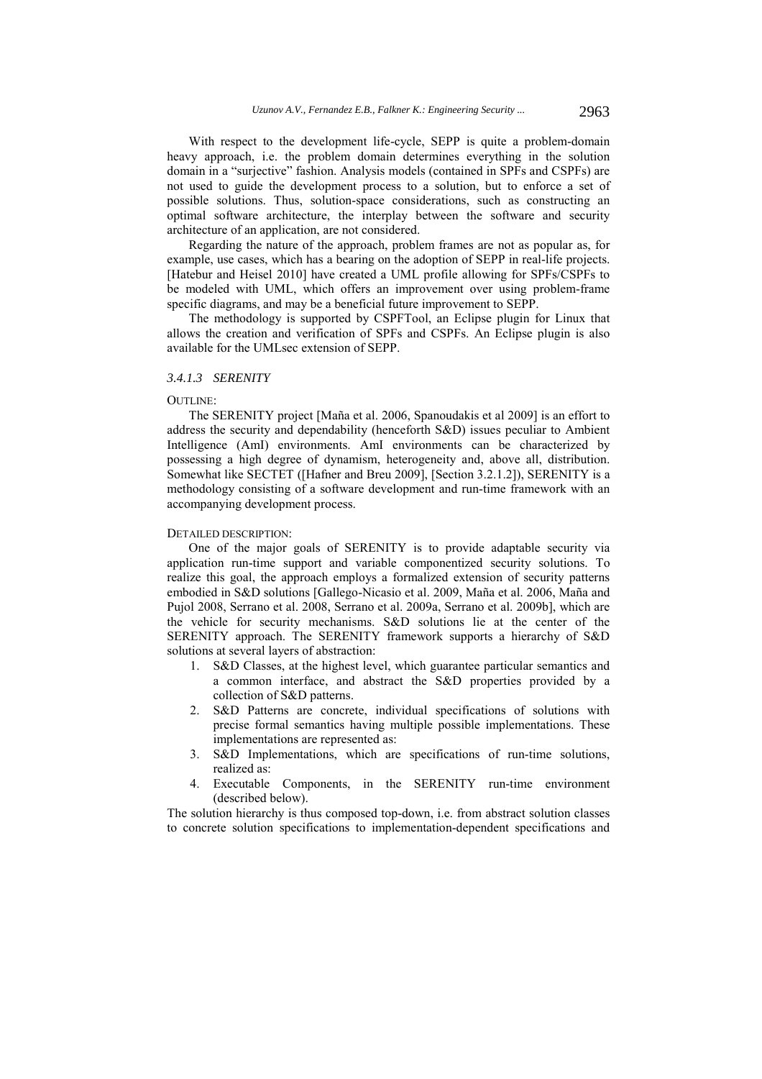With respect to the development life-cycle, SEPP is quite a problem-domain heavy approach, i.e. the problem domain determines everything in the solution domain in a "surjective" fashion. Analysis models (contained in SPFs and CSPFs) are not used to guide the development process to a solution, but to enforce a set of possible solutions. Thus, solution-space considerations, such as constructing an optimal software architecture, the interplay between the software and security architecture of an application, are not considered.

Regarding the nature of the approach, problem frames are not as popular as, for example, use cases, which has a bearing on the adoption of SEPP in real-life projects. [Hatebur and Heisel 2010] have created a UML profile allowing for SPFs/CSPFs to be modeled with UML, which offers an improvement over using problem-frame specific diagrams, and may be a beneficial future improvement to SEPP.

The methodology is supported by CSPFTool, an Eclipse plugin for Linux that allows the creation and verification of SPFs and CSPFs. An Eclipse plugin is also available for the UMLsec extension of SEPP.

#### *3.4.1.3 SERENITY*

#### OUTLINE:

The SERENITY project [Maña et al. 2006, Spanoudakis et al 2009] is an effort to address the security and dependability (henceforth S&D) issues peculiar to Ambient Intelligence (AmI) environments. AmI environments can be characterized by possessing a high degree of dynamism, heterogeneity and, above all, distribution. Somewhat like SECTET ([Hafner and Breu 2009], [Section 3.2.1.2]), SERENITY is a methodology consisting of a software development and run-time framework with an accompanying development process.

#### DETAILED DESCRIPTION:

One of the major goals of SERENITY is to provide adaptable security via application run-time support and variable componentized security solutions. To realize this goal, the approach employs a formalized extension of security patterns embodied in S&D solutions [Gallego-Nicasio et al. 2009, Maña et al. 2006, Maña and Pujol 2008, Serrano et al. 2008, Serrano et al. 2009a, Serrano et al. 2009b], which are the vehicle for security mechanisms. S&D solutions lie at the center of the SERENITY approach. The SERENITY framework supports a hierarchy of S&D solutions at several layers of abstraction:

- 1. S&D Classes, at the highest level, which guarantee particular semantics and a common interface, and abstract the S&D properties provided by a collection of S&D patterns.
- 2. S&D Patterns are concrete, individual specifications of solutions with precise formal semantics having multiple possible implementations. These implementations are represented as:
- 3. S&D Implementations, which are specifications of run-time solutions, realized as:
- 4. Executable Components, in the SERENITY run-time environment (described below).

The solution hierarchy is thus composed top-down, i.e. from abstract solution classes to concrete solution specifications to implementation-dependent specifications and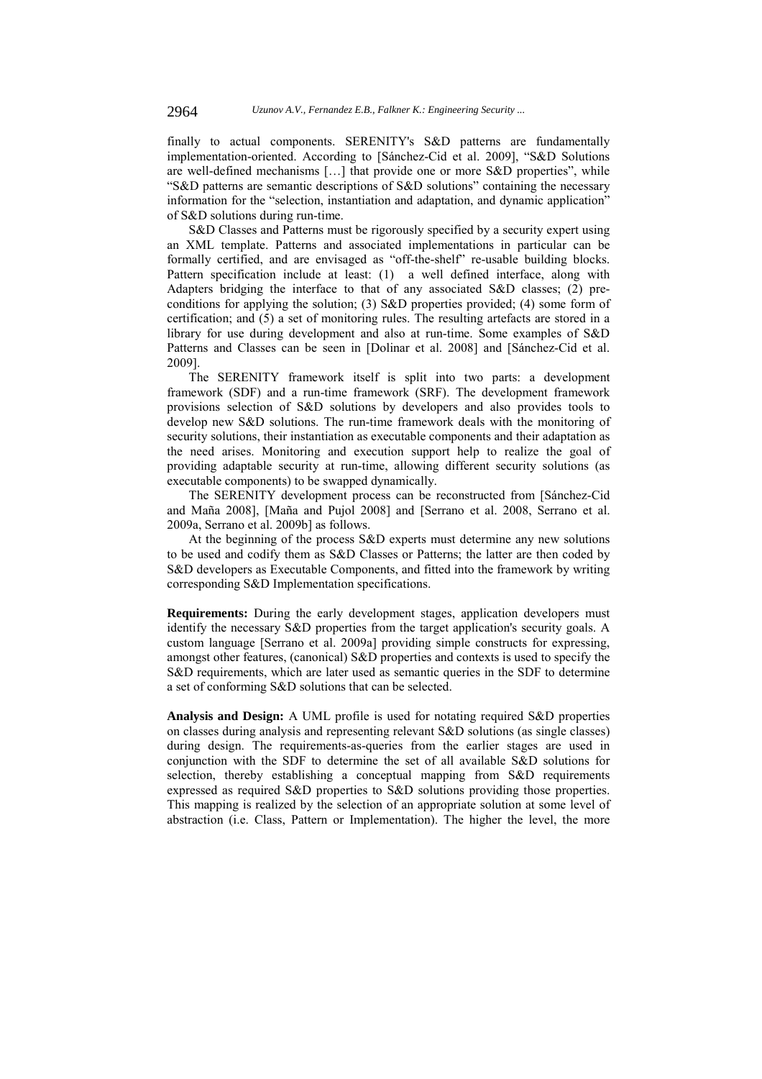finally to actual components. SERENITY's S&D patterns are fundamentally implementation-oriented. According to [Sánchez-Cid et al. 2009], "S&D Solutions are well-defined mechanisms […] that provide one or more S&D properties", while "S&D patterns are semantic descriptions of S&D solutions" containing the necessary information for the "selection, instantiation and adaptation, and dynamic application" of S&D solutions during run-time.

S&D Classes and Patterns must be rigorously specified by a security expert using an XML template. Patterns and associated implementations in particular can be formally certified, and are envisaged as "off-the-shelf" re-usable building blocks. Pattern specification include at least: (1) a well defined interface, along with Adapters bridging the interface to that of any associated S&D classes; (2) preconditions for applying the solution; (3) S&D properties provided; (4) some form of certification; and (5) a set of monitoring rules. The resulting artefacts are stored in a library for use during development and also at run-time. Some examples of S&D Patterns and Classes can be seen in [Dolinar et al. 2008] and [Sánchez-Cid et al. 2009].

The SERENITY framework itself is split into two parts: a development framework (SDF) and a run-time framework (SRF). The development framework provisions selection of S&D solutions by developers and also provides tools to develop new S&D solutions. The run-time framework deals with the monitoring of security solutions, their instantiation as executable components and their adaptation as the need arises. Monitoring and execution support help to realize the goal of providing adaptable security at run-time, allowing different security solutions (as executable components) to be swapped dynamically.

The SERENITY development process can be reconstructed from [Sánchez-Cid and Maña 2008], [Maña and Pujol 2008] and [Serrano et al. 2008, Serrano et al. 2009a, Serrano et al. 2009b] as follows.

At the beginning of the process S&D experts must determine any new solutions to be used and codify them as S&D Classes or Patterns; the latter are then coded by S&D developers as Executable Components, and fitted into the framework by writing corresponding S&D Implementation specifications.

**Requirements:** During the early development stages, application developers must identify the necessary S&D properties from the target application's security goals. A custom language [Serrano et al. 2009a] providing simple constructs for expressing, amongst other features, (canonical) S&D properties and contexts is used to specify the S&D requirements, which are later used as semantic queries in the SDF to determine a set of conforming S&D solutions that can be selected.

**Analysis and Design:** A UML profile is used for notating required S&D properties on classes during analysis and representing relevant S&D solutions (as single classes) during design. The requirements-as-queries from the earlier stages are used in conjunction with the SDF to determine the set of all available S&D solutions for selection, thereby establishing a conceptual mapping from S&D requirements expressed as required S&D properties to S&D solutions providing those properties. This mapping is realized by the selection of an appropriate solution at some level of abstraction (i.e. Class, Pattern or Implementation). The higher the level, the more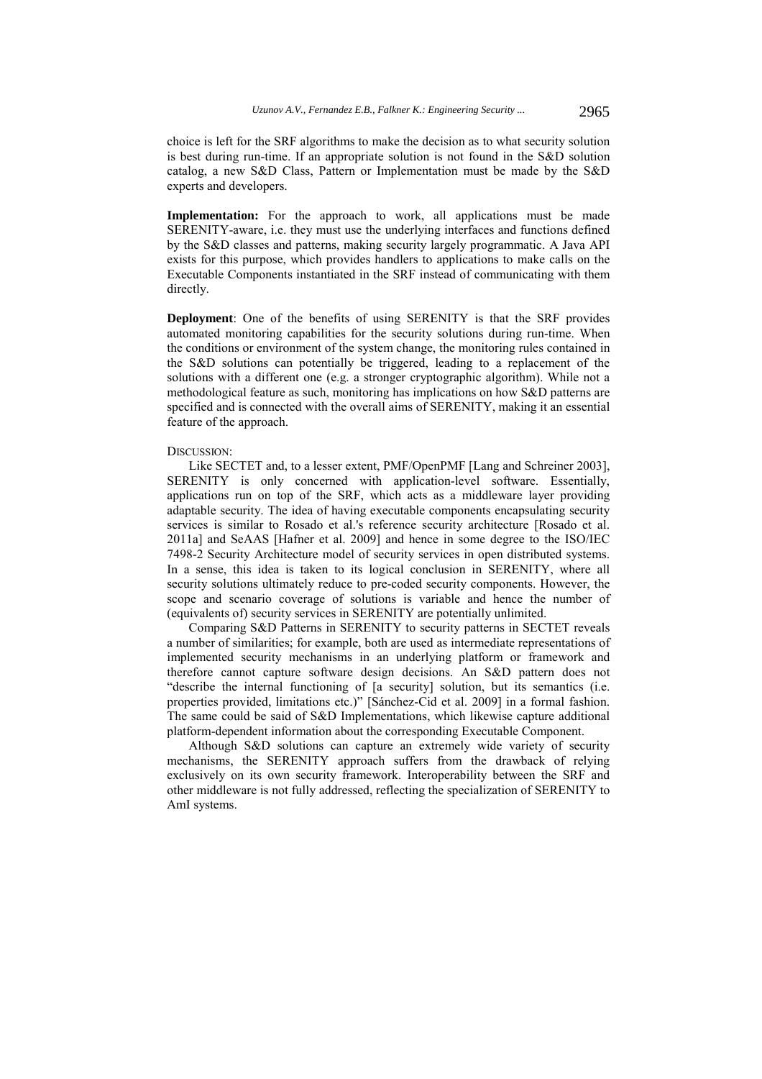**Implementation:** For the approach to work, all applications must be made SERENITY-aware, i.e. they must use the underlying interfaces and functions defined by the S&D classes and patterns, making security largely programmatic. A Java API exists for this purpose, which provides handlers to applications to make calls on the Executable Components instantiated in the SRF instead of communicating with them directly.

**Deployment**: One of the benefits of using SERENITY is that the SRF provides automated monitoring capabilities for the security solutions during run-time. When the conditions or environment of the system change, the monitoring rules contained in the S&D solutions can potentially be triggered, leading to a replacement of the solutions with a different one (e.g. a stronger cryptographic algorithm). While not a methodological feature as such, monitoring has implications on how S&D patterns are specified and is connected with the overall aims of SERENITY, making it an essential feature of the approach.

#### DISCUSSION:

Like SECTET and, to a lesser extent, PMF/OpenPMF [Lang and Schreiner 2003], SERENITY is only concerned with application-level software. Essentially, applications run on top of the SRF, which acts as a middleware layer providing adaptable security. The idea of having executable components encapsulating security services is similar to Rosado et al.'s reference security architecture [Rosado et al. 2011a] and SeAAS [Hafner et al. 2009] and hence in some degree to the ISO/IEC 7498-2 Security Architecture model of security services in open distributed systems. In a sense, this idea is taken to its logical conclusion in SERENITY, where all security solutions ultimately reduce to pre-coded security components. However, the scope and scenario coverage of solutions is variable and hence the number of (equivalents of) security services in SERENITY are potentially unlimited.

Comparing S&D Patterns in SERENITY to security patterns in SECTET reveals a number of similarities; for example, both are used as intermediate representations of implemented security mechanisms in an underlying platform or framework and therefore cannot capture software design decisions. An S&D pattern does not "describe the internal functioning of [a security] solution, but its semantics (i.e. properties provided, limitations etc.)" [Sánchez-Cid et al. 2009] in a formal fashion. The same could be said of S&D Implementations, which likewise capture additional platform-dependent information about the corresponding Executable Component.

Although S&D solutions can capture an extremely wide variety of security mechanisms, the SERENITY approach suffers from the drawback of relying exclusively on its own security framework. Interoperability between the SRF and other middleware is not fully addressed, reflecting the specialization of SERENITY to AmI systems.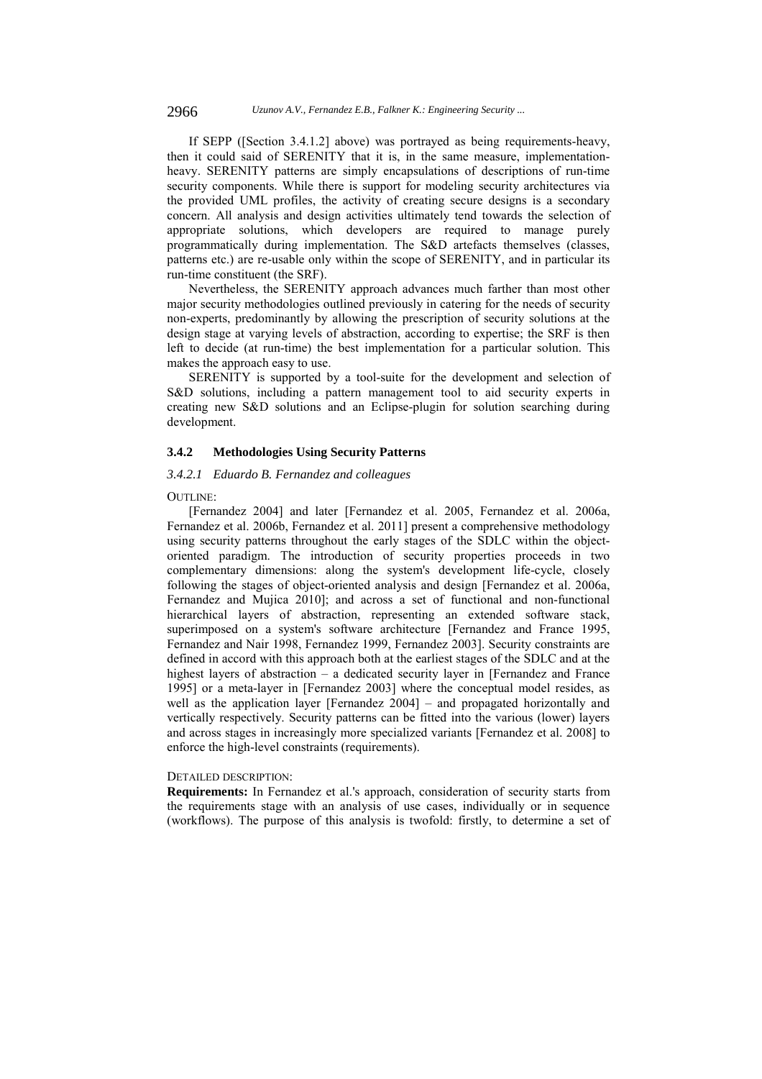If SEPP ([Section 3.4.1.2] above) was portrayed as being requirements-heavy, then it could said of SERENITY that it is, in the same measure, implementationheavy. SERENITY patterns are simply encapsulations of descriptions of run-time security components. While there is support for modeling security architectures via the provided UML profiles, the activity of creating secure designs is a secondary concern. All analysis and design activities ultimately tend towards the selection of appropriate solutions, which developers are required to manage purely programmatically during implementation. The S&D artefacts themselves (classes, patterns etc.) are re-usable only within the scope of SERENITY, and in particular its run-time constituent (the SRF).

Nevertheless, the SERENITY approach advances much farther than most other major security methodologies outlined previously in catering for the needs of security non-experts, predominantly by allowing the prescription of security solutions at the design stage at varying levels of abstraction, according to expertise; the SRF is then left to decide (at run-time) the best implementation for a particular solution. This makes the approach easy to use.

SERENITY is supported by a tool-suite for the development and selection of S&D solutions, including a pattern management tool to aid security experts in creating new S&D solutions and an Eclipse-plugin for solution searching during development.

#### **3.4.2 Methodologies Using Security Patterns**

### *3.4.2.1 Eduardo B. Fernandez and colleagues*

### OUTLINE:

[Fernandez 2004] and later [Fernandez et al. 2005, Fernandez et al. 2006a, Fernandez et al. 2006b, Fernandez et al. 2011] present a comprehensive methodology using security patterns throughout the early stages of the SDLC within the objectoriented paradigm. The introduction of security properties proceeds in two complementary dimensions: along the system's development life-cycle, closely following the stages of object-oriented analysis and design [Fernandez et al. 2006a, Fernandez and Mujica 2010]; and across a set of functional and non-functional hierarchical layers of abstraction, representing an extended software stack, superimposed on a system's software architecture [Fernandez and France 1995, Fernandez and Nair 1998, Fernandez 1999, Fernandez 2003]. Security constraints are defined in accord with this approach both at the earliest stages of the SDLC and at the highest layers of abstraction – a dedicated security layer in [Fernandez and France 1995] or a meta-layer in [Fernandez 2003] where the conceptual model resides, as well as the application layer [Fernandez 2004] – and propagated horizontally and vertically respectively. Security patterns can be fitted into the various (lower) layers and across stages in increasingly more specialized variants [Fernandez et al. 2008] to enforce the high-level constraints (requirements).

## DETAILED DESCRIPTION:

**Requirements:** In Fernandez et al.'s approach, consideration of security starts from the requirements stage with an analysis of use cases, individually or in sequence (workflows). The purpose of this analysis is twofold: firstly, to determine a set of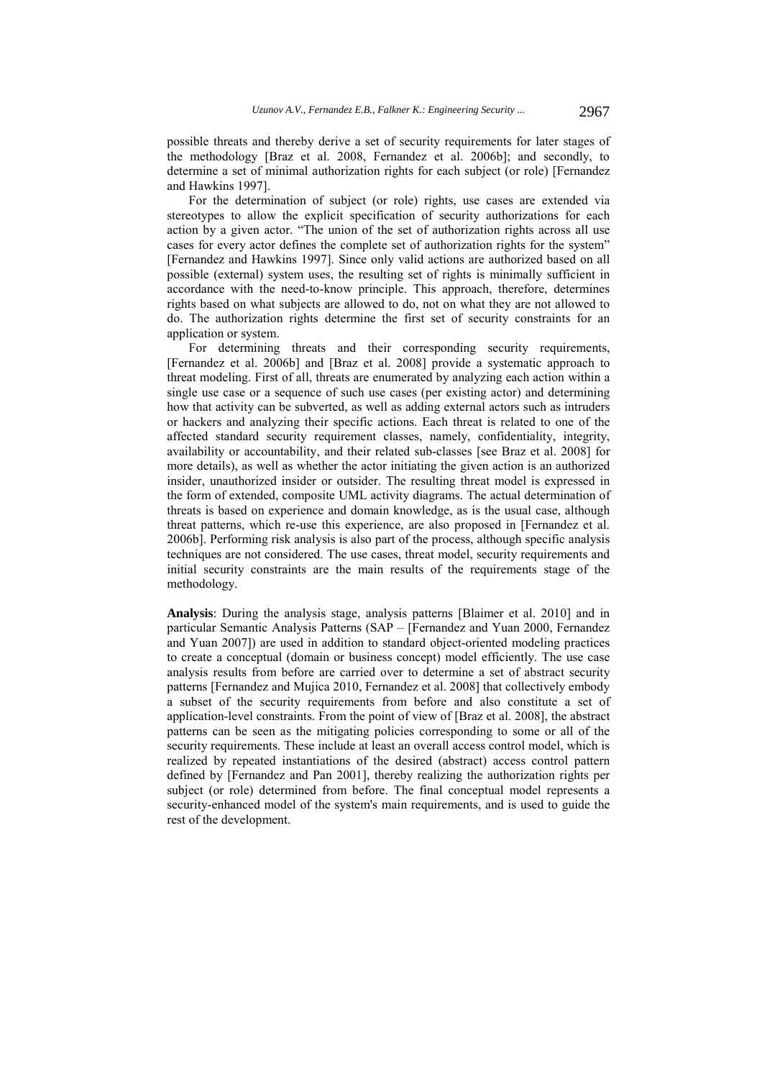possible threats and thereby derive a set of security requirements for later stages of the methodology [Braz et al. 2008, Fernandez et al. 2006b]; and secondly, to determine a set of minimal authorization rights for each subject (or role) [Fernandez and Hawkins 1997].

For the determination of subject (or role) rights, use cases are extended via stereotypes to allow the explicit specification of security authorizations for each action by a given actor. "The union of the set of authorization rights across all use cases for every actor defines the complete set of authorization rights for the system" [Fernandez and Hawkins 1997]. Since only valid actions are authorized based on all possible (external) system uses, the resulting set of rights is minimally sufficient in accordance with the need-to-know principle. This approach, therefore, determines rights based on what subjects are allowed to do, not on what they are not allowed to do. The authorization rights determine the first set of security constraints for an application or system.

For determining threats and their corresponding security requirements, [Fernandez et al. 2006b] and [Braz et al. 2008] provide a systematic approach to threat modeling. First of all, threats are enumerated by analyzing each action within a single use case or a sequence of such use cases (per existing actor) and determining how that activity can be subverted, as well as adding external actors such as intruders or hackers and analyzing their specific actions. Each threat is related to one of the affected standard security requirement classes, namely, confidentiality, integrity, availability or accountability, and their related sub-classes [see Braz et al. 2008] for more details), as well as whether the actor initiating the given action is an authorized insider, unauthorized insider or outsider. The resulting threat model is expressed in the form of extended, composite UML activity diagrams. The actual determination of threats is based on experience and domain knowledge, as is the usual case, although threat patterns, which re-use this experience, are also proposed in [Fernandez et al. 2006b]. Performing risk analysis is also part of the process, although specific analysis techniques are not considered. The use cases, threat model, security requirements and initial security constraints are the main results of the requirements stage of the methodology.

**Analysis**: During the analysis stage, analysis patterns [Blaimer et al. 2010] and in particular Semantic Analysis Patterns (SAP – [Fernandez and Yuan 2000, Fernandez and Yuan 2007]) are used in addition to standard object-oriented modeling practices to create a conceptual (domain or business concept) model efficiently. The use case analysis results from before are carried over to determine a set of abstract security patterns [Fernandez and Mujica 2010, Fernandez et al. 2008] that collectively embody a subset of the security requirements from before and also constitute a set of application-level constraints. From the point of view of [Braz et al. 2008], the abstract patterns can be seen as the mitigating policies corresponding to some or all of the security requirements. These include at least an overall access control model, which is realized by repeated instantiations of the desired (abstract) access control pattern defined by [Fernandez and Pan 2001], thereby realizing the authorization rights per subject (or role) determined from before. The final conceptual model represents a security-enhanced model of the system's main requirements, and is used to guide the rest of the development.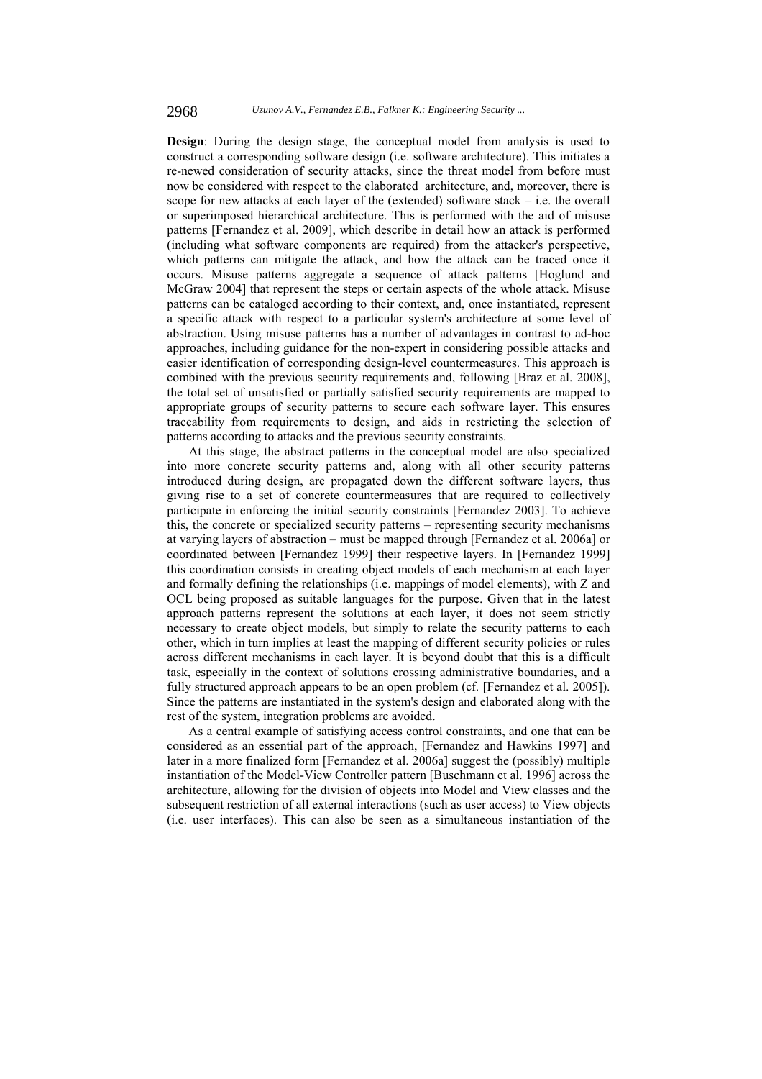**Design**: During the design stage, the conceptual model from analysis is used to construct a corresponding software design (i.e. software architecture). This initiates a re-newed consideration of security attacks, since the threat model from before must now be considered with respect to the elaborated architecture, and, moreover, there is scope for new attacks at each layer of the (extended) software stack – i.e. the overall or superimposed hierarchical architecture. This is performed with the aid of misuse patterns [Fernandez et al. 2009], which describe in detail how an attack is performed (including what software components are required) from the attacker's perspective, which patterns can mitigate the attack, and how the attack can be traced once it occurs. Misuse patterns aggregate a sequence of attack patterns [Hoglund and McGraw 2004] that represent the steps or certain aspects of the whole attack. Misuse patterns can be cataloged according to their context, and, once instantiated, represent a specific attack with respect to a particular system's architecture at some level of abstraction. Using misuse patterns has a number of advantages in contrast to ad-hoc approaches, including guidance for the non-expert in considering possible attacks and easier identification of corresponding design-level countermeasures. This approach is combined with the previous security requirements and, following [Braz et al. 2008], the total set of unsatisfied or partially satisfied security requirements are mapped to appropriate groups of security patterns to secure each software layer. This ensures traceability from requirements to design, and aids in restricting the selection of patterns according to attacks and the previous security constraints.

At this stage, the abstract patterns in the conceptual model are also specialized into more concrete security patterns and, along with all other security patterns introduced during design, are propagated down the different software layers, thus giving rise to a set of concrete countermeasures that are required to collectively participate in enforcing the initial security constraints [Fernandez 2003]. To achieve this, the concrete or specialized security patterns – representing security mechanisms at varying layers of abstraction – must be mapped through [Fernandez et al. 2006a] or coordinated between [Fernandez 1999] their respective layers. In [Fernandez 1999] this coordination consists in creating object models of each mechanism at each layer and formally defining the relationships (i.e. mappings of model elements), with Z and OCL being proposed as suitable languages for the purpose. Given that in the latest approach patterns represent the solutions at each layer, it does not seem strictly necessary to create object models, but simply to relate the security patterns to each other, which in turn implies at least the mapping of different security policies or rules across different mechanisms in each layer. It is beyond doubt that this is a difficult task, especially in the context of solutions crossing administrative boundaries, and a fully structured approach appears to be an open problem (cf. [Fernandez et al. 2005]). Since the patterns are instantiated in the system's design and elaborated along with the rest of the system, integration problems are avoided.

As a central example of satisfying access control constraints, and one that can be considered as an essential part of the approach, [Fernandez and Hawkins 1997] and later in a more finalized form [Fernandez et al. 2006a] suggest the (possibly) multiple instantiation of the Model-View Controller pattern [Buschmann et al. 1996] across the architecture, allowing for the division of objects into Model and View classes and the subsequent restriction of all external interactions (such as user access) to View objects (i.e. user interfaces). This can also be seen as a simultaneous instantiation of the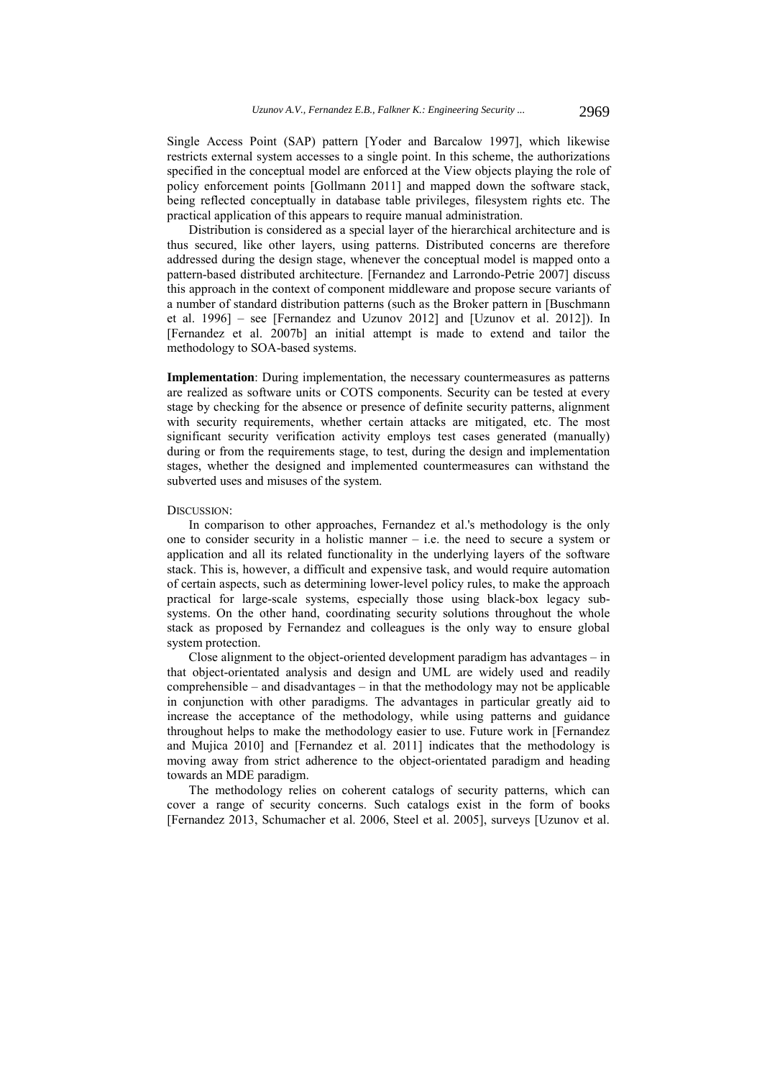Single Access Point (SAP) pattern [Yoder and Barcalow 1997], which likewise restricts external system accesses to a single point. In this scheme, the authorizations specified in the conceptual model are enforced at the View objects playing the role of policy enforcement points [Gollmann 2011] and mapped down the software stack, being reflected conceptually in database table privileges, filesystem rights etc. The practical application of this appears to require manual administration.

Distribution is considered as a special layer of the hierarchical architecture and is thus secured, like other layers, using patterns. Distributed concerns are therefore addressed during the design stage, whenever the conceptual model is mapped onto a pattern-based distributed architecture. [Fernandez and Larrondo-Petrie 2007] discuss this approach in the context of component middleware and propose secure variants of a number of standard distribution patterns (such as the Broker pattern in [Buschmann et al. 1996] – see [Fernandez and Uzunov 2012] and [Uzunov et al. 2012]). In [Fernandez et al. 2007b] an initial attempt is made to extend and tailor the methodology to SOA-based systems.

**Implementation**: During implementation, the necessary countermeasures as patterns are realized as software units or COTS components. Security can be tested at every stage by checking for the absence or presence of definite security patterns, alignment with security requirements, whether certain attacks are mitigated, etc. The most significant security verification activity employs test cases generated (manually) during or from the requirements stage, to test, during the design and implementation stages, whether the designed and implemented countermeasures can withstand the subverted uses and misuses of the system.

#### DISCUSSION:

In comparison to other approaches, Fernandez et al.'s methodology is the only one to consider security in a holistic manner – i.e. the need to secure a system or application and all its related functionality in the underlying layers of the software stack. This is, however, a difficult and expensive task, and would require automation of certain aspects, such as determining lower-level policy rules, to make the approach practical for large-scale systems, especially those using black-box legacy subsystems. On the other hand, coordinating security solutions throughout the whole stack as proposed by Fernandez and colleagues is the only way to ensure global system protection.

Close alignment to the object-oriented development paradigm has advantages – in that object-orientated analysis and design and UML are widely used and readily comprehensible – and disadvantages – in that the methodology may not be applicable in conjunction with other paradigms. The advantages in particular greatly aid to increase the acceptance of the methodology, while using patterns and guidance throughout helps to make the methodology easier to use. Future work in [Fernandez and Mujica 2010] and [Fernandez et al. 2011] indicates that the methodology is moving away from strict adherence to the object-orientated paradigm and heading towards an MDE paradigm.

The methodology relies on coherent catalogs of security patterns, which can cover a range of security concerns. Such catalogs exist in the form of books [Fernandez 2013, Schumacher et al. 2006, Steel et al. 2005], surveys [Uzunov et al.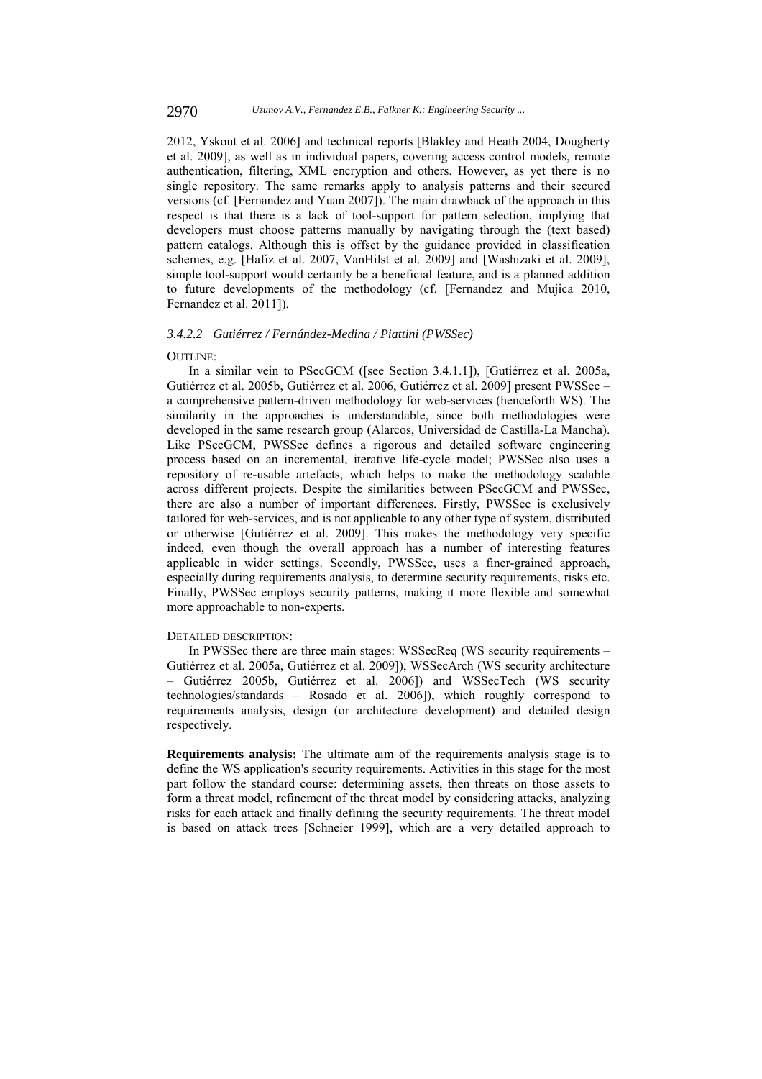2012, Yskout et al. 2006] and technical reports [Blakley and Heath 2004, Dougherty et al. 2009], as well as in individual papers, covering access control models, remote authentication, filtering, XML encryption and others. However, as yet there is no single repository. The same remarks apply to analysis patterns and their secured versions (cf. [Fernandez and Yuan 2007]). The main drawback of the approach in this respect is that there is a lack of tool-support for pattern selection, implying that developers must choose patterns manually by navigating through the (text based) pattern catalogs. Although this is offset by the guidance provided in classification schemes, e.g. [Hafiz et al. 2007, VanHilst et al. 2009] and [Washizaki et al. 2009], simple tool-support would certainly be a beneficial feature, and is a planned addition to future developments of the methodology (cf. [Fernandez and Mujica 2010, Fernandez et al. 2011]).

### *3.4.2.2 Gutiérrez / Fernández-Medina / Piattini (PWSSec)*

### OUTLINE:

In a similar vein to PSecGCM ([see Section 3.4.1.1]), [Gutiérrez et al. 2005a, Gutiérrez et al. 2005b, Gutiérrez et al. 2006, Gutiérrez et al. 2009] present PWSSec – a comprehensive pattern-driven methodology for web-services (henceforth WS). The similarity in the approaches is understandable, since both methodologies were developed in the same research group (Alarcos, Universidad de Castilla-La Mancha). Like PSecGCM, PWSSec defines a rigorous and detailed software engineering process based on an incremental, iterative life-cycle model; PWSSec also uses a repository of re-usable artefacts, which helps to make the methodology scalable across different projects. Despite the similarities between PSecGCM and PWSSec, there are also a number of important differences. Firstly, PWSSec is exclusively tailored for web-services, and is not applicable to any other type of system, distributed or otherwise [Gutiérrez et al. 2009]. This makes the methodology very specific indeed, even though the overall approach has a number of interesting features applicable in wider settings. Secondly, PWSSec, uses a finer-grained approach, especially during requirements analysis, to determine security requirements, risks etc. Finally, PWSSec employs security patterns, making it more flexible and somewhat more approachable to non-experts.

### DETAILED DESCRIPTION:

In PWSSec there are three main stages: WSSecReq (WS security requirements – Gutiérrez et al. 2005a, Gutiérrez et al. 2009]), WSSecArch (WS security architecture – Gutiérrez 2005b, Gutiérrez et al. 2006]) and WSSecTech (WS security technologies/standards – Rosado et al. 2006]), which roughly correspond to requirements analysis, design (or architecture development) and detailed design respectively.

**Requirements analysis:** The ultimate aim of the requirements analysis stage is to define the WS application's security requirements. Activities in this stage for the most part follow the standard course: determining assets, then threats on those assets to form a threat model, refinement of the threat model by considering attacks, analyzing risks for each attack and finally defining the security requirements. The threat model is based on attack trees [Schneier 1999], which are a very detailed approach to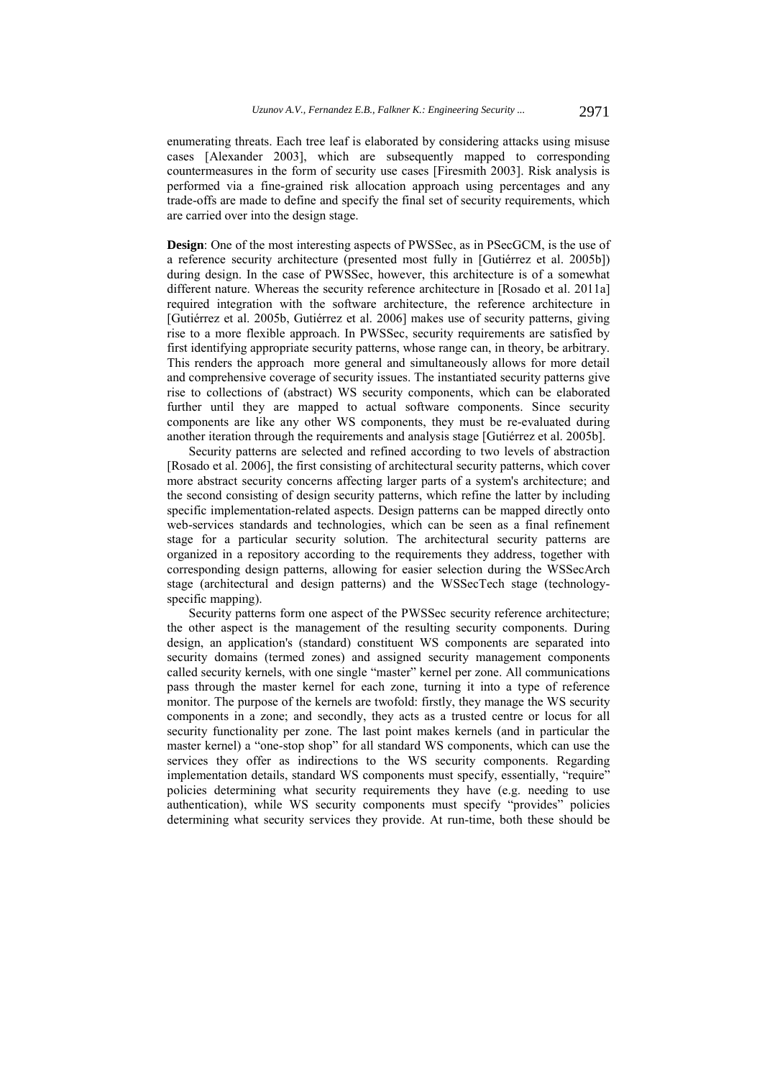enumerating threats. Each tree leaf is elaborated by considering attacks using misuse cases [Alexander 2003], which are subsequently mapped to corresponding countermeasures in the form of security use cases [Firesmith 2003]. Risk analysis is performed via a fine-grained risk allocation approach using percentages and any trade-offs are made to define and specify the final set of security requirements, which are carried over into the design stage.

**Design**: One of the most interesting aspects of PWSSec, as in PSecGCM, is the use of a reference security architecture (presented most fully in [Gutiérrez et al. 2005b]) during design. In the case of PWSSec, however, this architecture is of a somewhat different nature. Whereas the security reference architecture in [Rosado et al. 2011a] required integration with the software architecture, the reference architecture in [Gutiérrez et al. 2005b, Gutiérrez et al. 2006] makes use of security patterns, giving rise to a more flexible approach. In PWSSec, security requirements are satisfied by first identifying appropriate security patterns, whose range can, in theory, be arbitrary. This renders the approach more general and simultaneously allows for more detail and comprehensive coverage of security issues. The instantiated security patterns give rise to collections of (abstract) WS security components, which can be elaborated further until they are mapped to actual software components. Since security components are like any other WS components, they must be re-evaluated during another iteration through the requirements and analysis stage [Gutiérrez et al. 2005b].

Security patterns are selected and refined according to two levels of abstraction [Rosado et al. 2006], the first consisting of architectural security patterns, which cover more abstract security concerns affecting larger parts of a system's architecture; and the second consisting of design security patterns, which refine the latter by including specific implementation-related aspects. Design patterns can be mapped directly onto web-services standards and technologies, which can be seen as a final refinement stage for a particular security solution. The architectural security patterns are organized in a repository according to the requirements they address, together with corresponding design patterns, allowing for easier selection during the WSSecArch stage (architectural and design patterns) and the WSSecTech stage (technologyspecific mapping).

Security patterns form one aspect of the PWSSec security reference architecture; the other aspect is the management of the resulting security components. During design, an application's (standard) constituent WS components are separated into security domains (termed zones) and assigned security management components called security kernels, with one single "master" kernel per zone. All communications pass through the master kernel for each zone, turning it into a type of reference monitor. The purpose of the kernels are twofold: firstly, they manage the WS security components in a zone; and secondly, they acts as a trusted centre or locus for all security functionality per zone. The last point makes kernels (and in particular the master kernel) a "one-stop shop" for all standard WS components, which can use the services they offer as indirections to the WS security components. Regarding implementation details, standard WS components must specify, essentially, "require" policies determining what security requirements they have (e.g. needing to use authentication), while WS security components must specify "provides" policies determining what security services they provide. At run-time, both these should be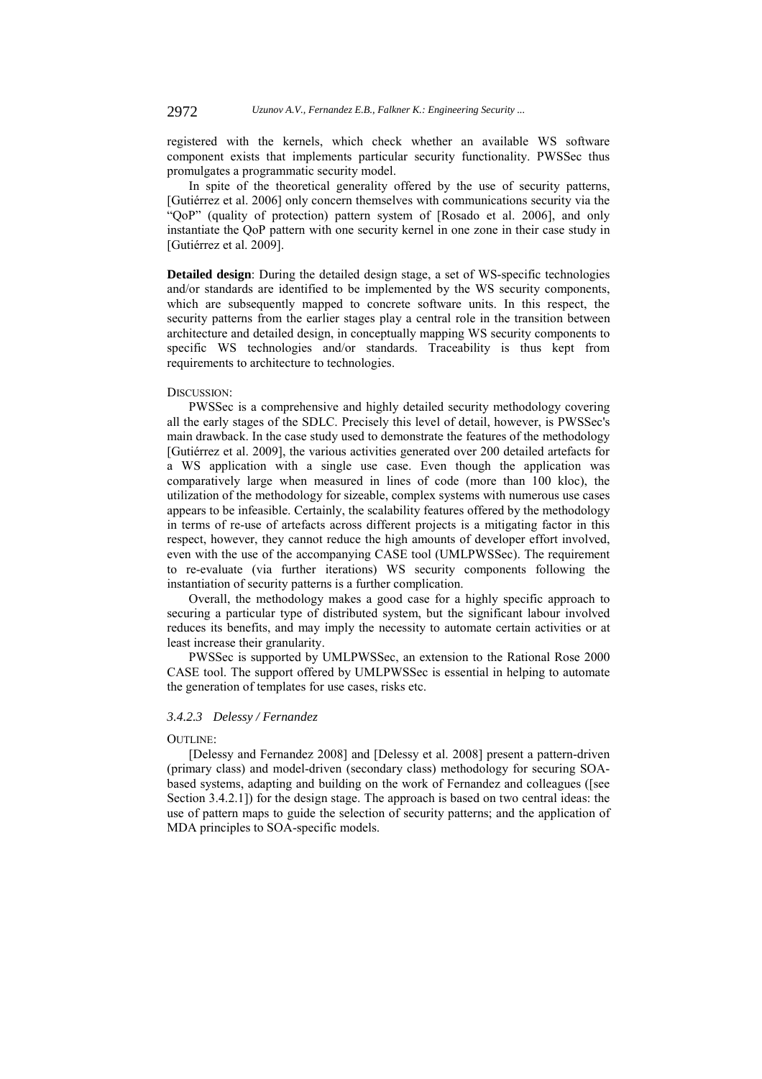registered with the kernels, which check whether an available WS software component exists that implements particular security functionality. PWSSec thus promulgates a programmatic security model.

In spite of the theoretical generality offered by the use of security patterns, [Gutiérrez et al. 2006] only concern themselves with communications security via the "QoP" (quality of protection) pattern system of [Rosado et al. 2006], and only instantiate the QoP pattern with one security kernel in one zone in their case study in [Gutiérrez et al. 2009].

**Detailed design**: During the detailed design stage, a set of WS-specific technologies and/or standards are identified to be implemented by the WS security components, which are subsequently mapped to concrete software units. In this respect, the security patterns from the earlier stages play a central role in the transition between architecture and detailed design, in conceptually mapping WS security components to specific WS technologies and/or standards. Traceability is thus kept from requirements to architecture to technologies.

#### DISCUSSION:

PWSSec is a comprehensive and highly detailed security methodology covering all the early stages of the SDLC. Precisely this level of detail, however, is PWSSec's main drawback. In the case study used to demonstrate the features of the methodology [Gutiérrez et al. 2009], the various activities generated over 200 detailed artefacts for a WS application with a single use case. Even though the application was comparatively large when measured in lines of code (more than 100 kloc), the utilization of the methodology for sizeable, complex systems with numerous use cases appears to be infeasible. Certainly, the scalability features offered by the methodology in terms of re-use of artefacts across different projects is a mitigating factor in this respect, however, they cannot reduce the high amounts of developer effort involved, even with the use of the accompanying CASE tool (UMLPWSSec). The requirement to re-evaluate (via further iterations) WS security components following the instantiation of security patterns is a further complication.

Overall, the methodology makes a good case for a highly specific approach to securing a particular type of distributed system, but the significant labour involved reduces its benefits, and may imply the necessity to automate certain activities or at least increase their granularity.

PWSSec is supported by UMLPWSSec, an extension to the Rational Rose 2000 CASE tool. The support offered by UMLPWSSec is essential in helping to automate the generation of templates for use cases, risks etc.

## *3.4.2.3 Delessy / Fernandez*

#### OUTLINE:

[Delessy and Fernandez 2008] and [Delessy et al. 2008] present a pattern-driven (primary class) and model-driven (secondary class) methodology for securing SOAbased systems, adapting and building on the work of Fernandez and colleagues ([see Section 3.4.2.1]) for the design stage. The approach is based on two central ideas: the use of pattern maps to guide the selection of security patterns; and the application of MDA principles to SOA-specific models.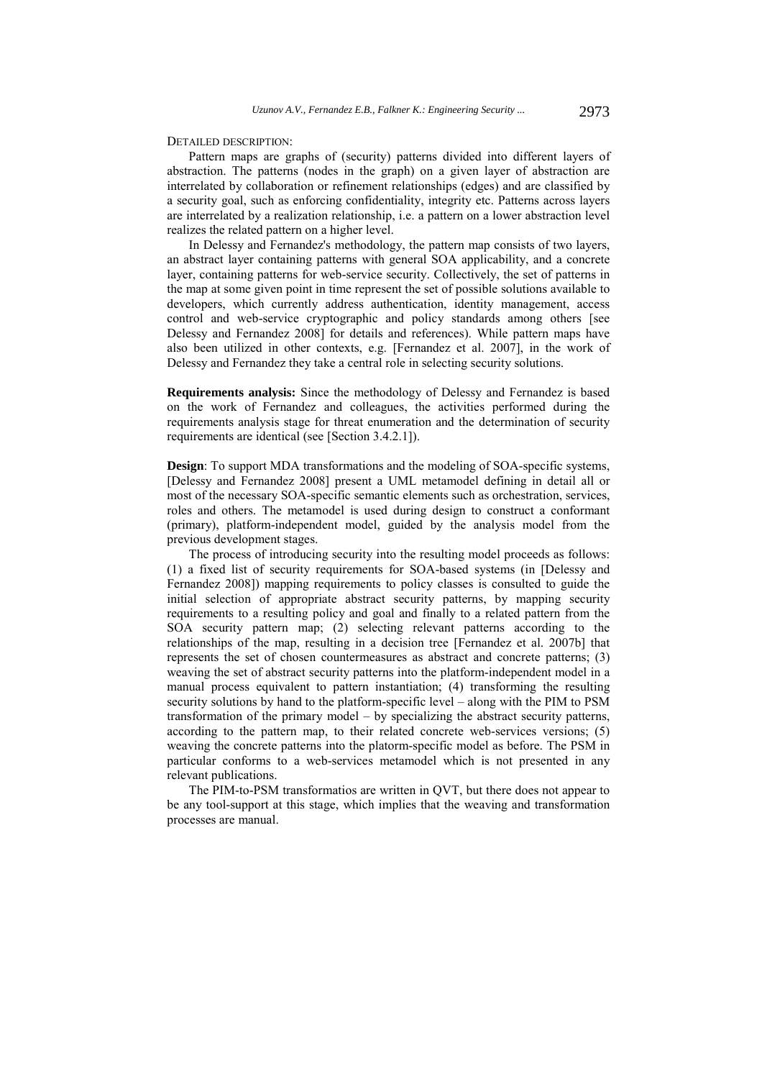DETAILED DESCRIPTION:

Pattern maps are graphs of (security) patterns divided into different layers of abstraction. The patterns (nodes in the graph) on a given layer of abstraction are interrelated by collaboration or refinement relationships (edges) and are classified by a security goal, such as enforcing confidentiality, integrity etc. Patterns across layers are interrelated by a realization relationship, i.e. a pattern on a lower abstraction level realizes the related pattern on a higher level.

In Delessy and Fernandez's methodology, the pattern map consists of two layers, an abstract layer containing patterns with general SOA applicability, and a concrete layer, containing patterns for web-service security. Collectively, the set of patterns in the map at some given point in time represent the set of possible solutions available to developers, which currently address authentication, identity management, access control and web-service cryptographic and policy standards among others [see Delessy and Fernandez 2008] for details and references). While pattern maps have also been utilized in other contexts, e.g. [Fernandez et al. 2007], in the work of Delessy and Fernandez they take a central role in selecting security solutions.

**Requirements analysis:** Since the methodology of Delessy and Fernandez is based on the work of Fernandez and colleagues, the activities performed during the requirements analysis stage for threat enumeration and the determination of security requirements are identical (see [Section 3.4.2.1]).

**Design**: To support MDA transformations and the modeling of SOA-specific systems, [Delessy and Fernandez 2008] present a UML metamodel defining in detail all or most of the necessary SOA-specific semantic elements such as orchestration, services, roles and others. The metamodel is used during design to construct a conformant (primary), platform-independent model, guided by the analysis model from the previous development stages.

The process of introducing security into the resulting model proceeds as follows: (1) a fixed list of security requirements for SOA-based systems (in [Delessy and Fernandez 2008]) mapping requirements to policy classes is consulted to guide the initial selection of appropriate abstract security patterns, by mapping security requirements to a resulting policy and goal and finally to a related pattern from the SOA security pattern map; (2) selecting relevant patterns according to the relationships of the map, resulting in a decision tree [Fernandez et al. 2007b] that represents the set of chosen countermeasures as abstract and concrete patterns; (3) weaving the set of abstract security patterns into the platform-independent model in a manual process equivalent to pattern instantiation; (4) transforming the resulting security solutions by hand to the platform-specific level – along with the PIM to PSM transformation of the primary model – by specializing the abstract security patterns, according to the pattern map, to their related concrete web-services versions; (5) weaving the concrete patterns into the platorm-specific model as before. The PSM in particular conforms to a web-services metamodel which is not presented in any relevant publications.

The PIM-to-PSM transformatios are written in QVT, but there does not appear to be any tool-support at this stage, which implies that the weaving and transformation processes are manual.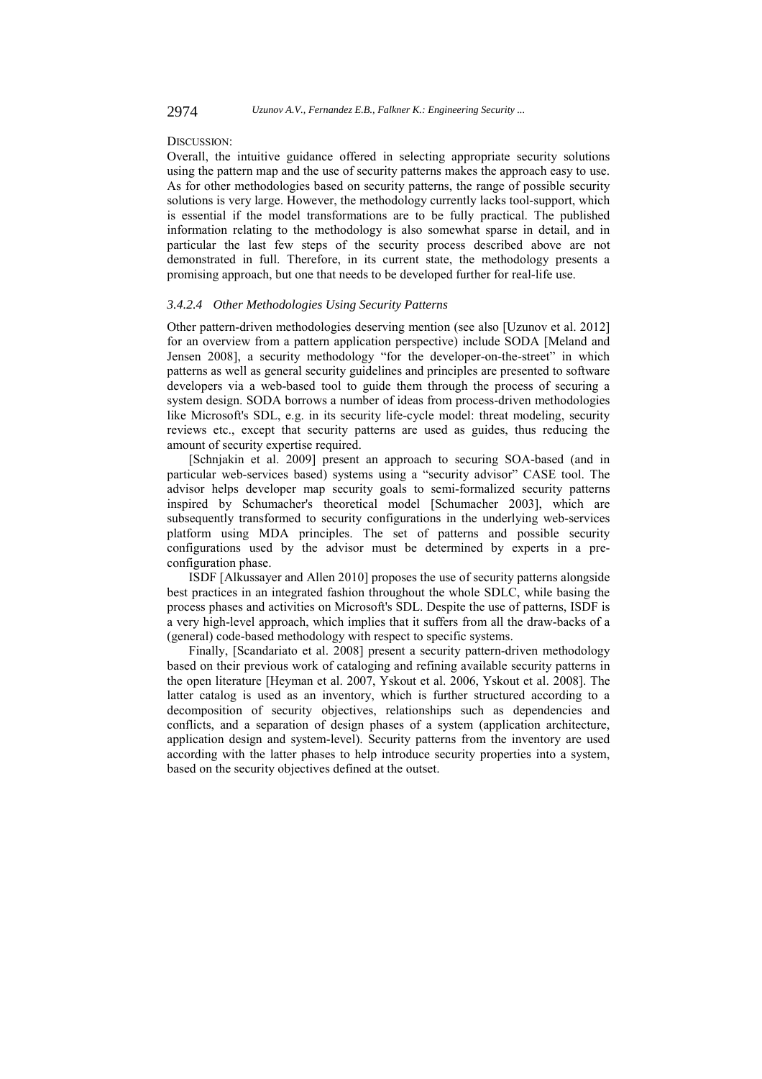### DISCUSSION:

Overall, the intuitive guidance offered in selecting appropriate security solutions using the pattern map and the use of security patterns makes the approach easy to use. As for other methodologies based on security patterns, the range of possible security solutions is very large. However, the methodology currently lacks tool-support, which is essential if the model transformations are to be fully practical. The published information relating to the methodology is also somewhat sparse in detail, and in particular the last few steps of the security process described above are not demonstrated in full. Therefore, in its current state, the methodology presents a promising approach, but one that needs to be developed further for real-life use.

### *3.4.2.4 Other Methodologies Using Security Patterns*

Other pattern-driven methodologies deserving mention (see also [Uzunov et al. 2012] for an overview from a pattern application perspective) include SODA [Meland and Jensen 2008], a security methodology "for the developer-on-the-street" in which patterns as well as general security guidelines and principles are presented to software developers via a web-based tool to guide them through the process of securing a system design. SODA borrows a number of ideas from process-driven methodologies like Microsoft's SDL, e.g. in its security life-cycle model: threat modeling, security reviews etc., except that security patterns are used as guides, thus reducing the amount of security expertise required.

[Schnjakin et al. 2009] present an approach to securing SOA-based (and in particular web-services based) systems using a "security advisor" CASE tool. The advisor helps developer map security goals to semi-formalized security patterns inspired by Schumacher's theoretical model [Schumacher 2003], which are subsequently transformed to security configurations in the underlying web-services platform using MDA principles. The set of patterns and possible security configurations used by the advisor must be determined by experts in a preconfiguration phase.

ISDF [Alkussayer and Allen 2010] proposes the use of security patterns alongside best practices in an integrated fashion throughout the whole SDLC, while basing the process phases and activities on Microsoft's SDL. Despite the use of patterns, ISDF is a very high-level approach, which implies that it suffers from all the draw-backs of a (general) code-based methodology with respect to specific systems.

Finally, [Scandariato et al. 2008] present a security pattern-driven methodology based on their previous work of cataloging and refining available security patterns in the open literature [Heyman et al. 2007, Yskout et al. 2006, Yskout et al. 2008]. The latter catalog is used as an inventory, which is further structured according to a decomposition of security objectives, relationships such as dependencies and conflicts, and a separation of design phases of a system (application architecture, application design and system-level). Security patterns from the inventory are used according with the latter phases to help introduce security properties into a system, based on the security objectives defined at the outset.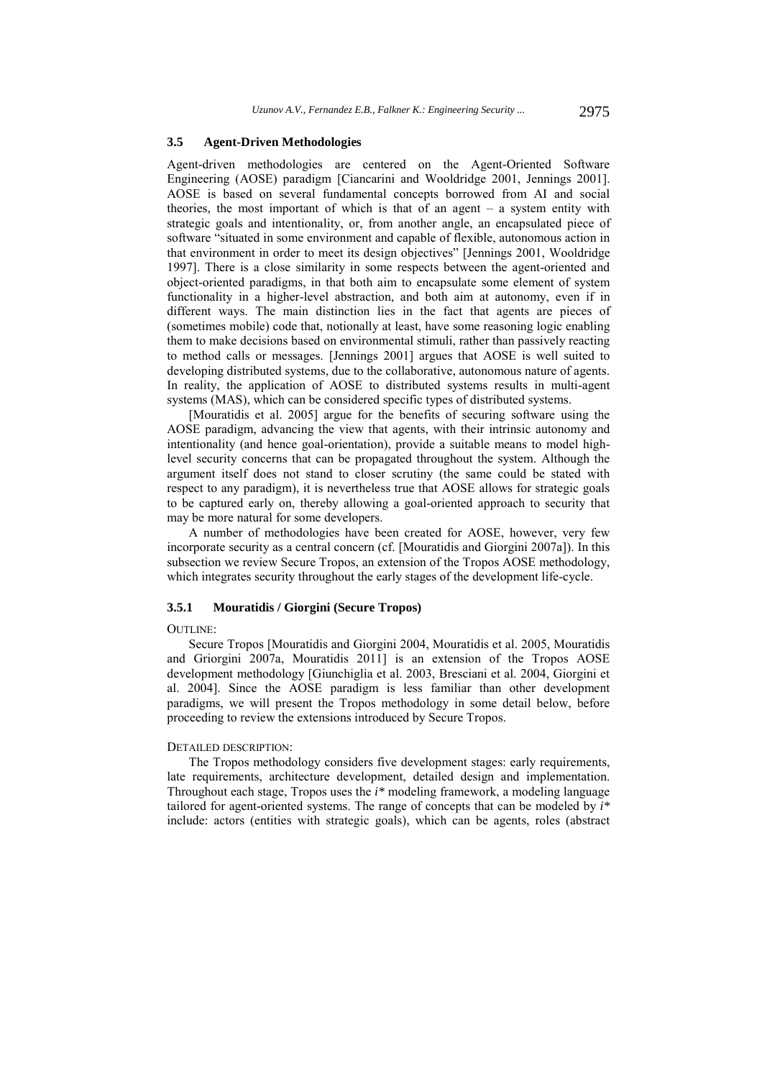#### **3.5 Agent-Driven Methodologies**

Agent-driven methodologies are centered on the Agent-Oriented Software Engineering (AOSE) paradigm [Ciancarini and Wooldridge 2001, Jennings 2001]. AOSE is based on several fundamental concepts borrowed from AI and social theories, the most important of which is that of an agent – a system entity with strategic goals and intentionality, or, from another angle, an encapsulated piece of software "situated in some environment and capable of flexible, autonomous action in that environment in order to meet its design objectives" [Jennings 2001, Wooldridge 1997]. There is a close similarity in some respects between the agent-oriented and object-oriented paradigms, in that both aim to encapsulate some element of system functionality in a higher-level abstraction, and both aim at autonomy, even if in different ways. The main distinction lies in the fact that agents are pieces of (sometimes mobile) code that, notionally at least, have some reasoning logic enabling them to make decisions based on environmental stimuli, rather than passively reacting to method calls or messages. [Jennings 2001] argues that AOSE is well suited to developing distributed systems, due to the collaborative, autonomous nature of agents. In reality, the application of AOSE to distributed systems results in multi-agent systems (MAS), which can be considered specific types of distributed systems.

[Mouratidis et al. 2005] argue for the benefits of securing software using the AOSE paradigm, advancing the view that agents, with their intrinsic autonomy and intentionality (and hence goal-orientation), provide a suitable means to model highlevel security concerns that can be propagated throughout the system. Although the argument itself does not stand to closer scrutiny (the same could be stated with respect to any paradigm), it is nevertheless true that AOSE allows for strategic goals to be captured early on, thereby allowing a goal-oriented approach to security that may be more natural for some developers.

A number of methodologies have been created for AOSE, however, very few incorporate security as a central concern (cf. [Mouratidis and Giorgini 2007a]). In this subsection we review Secure Tropos, an extension of the Tropos AOSE methodology, which integrates security throughout the early stages of the development life-cycle.

### **3.5.1 Mouratidis / Giorgini (Secure Tropos)**

#### OUTLINE:

Secure Tropos [Mouratidis and Giorgini 2004, Mouratidis et al. 2005, Mouratidis and Griorgini 2007a, Mouratidis 2011] is an extension of the Tropos AOSE development methodology [Giunchiglia et al. 2003, Bresciani et al. 2004, Giorgini et al. 2004]. Since the AOSE paradigm is less familiar than other development paradigms, we will present the Tropos methodology in some detail below, before proceeding to review the extensions introduced by Secure Tropos.

#### DETAILED DESCRIPTION:

The Tropos methodology considers five development stages: early requirements, late requirements, architecture development, detailed design and implementation. Throughout each stage, Tropos uses the *i\** modeling framework, a modeling language tailored for agent-oriented systems. The range of concepts that can be modeled by *i\** include: actors (entities with strategic goals), which can be agents, roles (abstract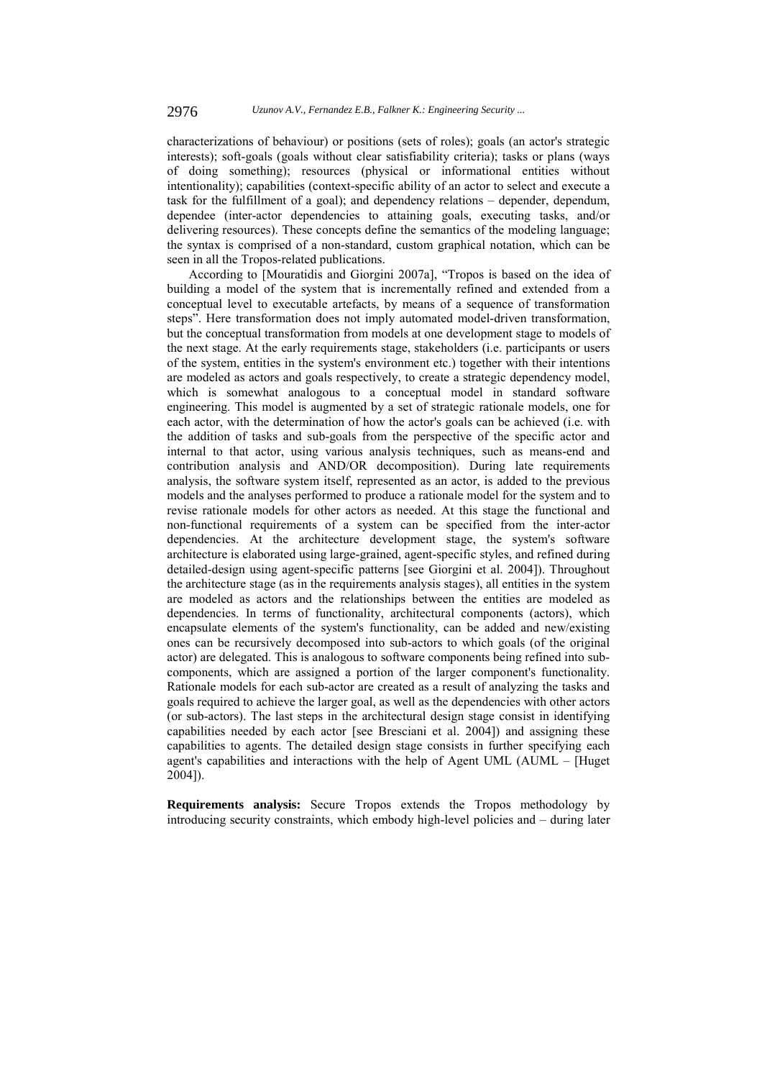characterizations of behaviour) or positions (sets of roles); goals (an actor's strategic interests); soft-goals (goals without clear satisfiability criteria); tasks or plans (ways of doing something); resources (physical or informational entities without intentionality); capabilities (context-specific ability of an actor to select and execute a task for the fulfillment of a goal); and dependency relations – depender, dependum, dependee (inter-actor dependencies to attaining goals, executing tasks, and/or delivering resources). These concepts define the semantics of the modeling language; the syntax is comprised of a non-standard, custom graphical notation, which can be seen in all the Tropos-related publications.

According to [Mouratidis and Giorgini 2007a], "Tropos is based on the idea of building a model of the system that is incrementally refined and extended from a conceptual level to executable artefacts, by means of a sequence of transformation steps". Here transformation does not imply automated model-driven transformation, but the conceptual transformation from models at one development stage to models of the next stage. At the early requirements stage, stakeholders (i.e. participants or users of the system, entities in the system's environment etc.) together with their intentions are modeled as actors and goals respectively, to create a strategic dependency model, which is somewhat analogous to a conceptual model in standard software engineering. This model is augmented by a set of strategic rationale models, one for each actor, with the determination of how the actor's goals can be achieved (i.e. with the addition of tasks and sub-goals from the perspective of the specific actor and internal to that actor, using various analysis techniques, such as means-end and contribution analysis and AND/OR decomposition). During late requirements analysis, the software system itself, represented as an actor, is added to the previous models and the analyses performed to produce a rationale model for the system and to revise rationale models for other actors as needed. At this stage the functional and non-functional requirements of a system can be specified from the inter-actor dependencies. At the architecture development stage, the system's software architecture is elaborated using large-grained, agent-specific styles, and refined during detailed-design using agent-specific patterns [see Giorgini et al. 2004]). Throughout the architecture stage (as in the requirements analysis stages), all entities in the system are modeled as actors and the relationships between the entities are modeled as dependencies. In terms of functionality, architectural components (actors), which encapsulate elements of the system's functionality, can be added and new/existing ones can be recursively decomposed into sub-actors to which goals (of the original actor) are delegated. This is analogous to software components being refined into subcomponents, which are assigned a portion of the larger component's functionality. Rationale models for each sub-actor are created as a result of analyzing the tasks and goals required to achieve the larger goal, as well as the dependencies with other actors (or sub-actors). The last steps in the architectural design stage consist in identifying capabilities needed by each actor [see Bresciani et al. 2004]) and assigning these capabilities to agents. The detailed design stage consists in further specifying each agent's capabilities and interactions with the help of Agent UML (AUML – [Huget 2004]).

**Requirements analysis:** Secure Tropos extends the Tropos methodology by introducing security constraints, which embody high-level policies and – during later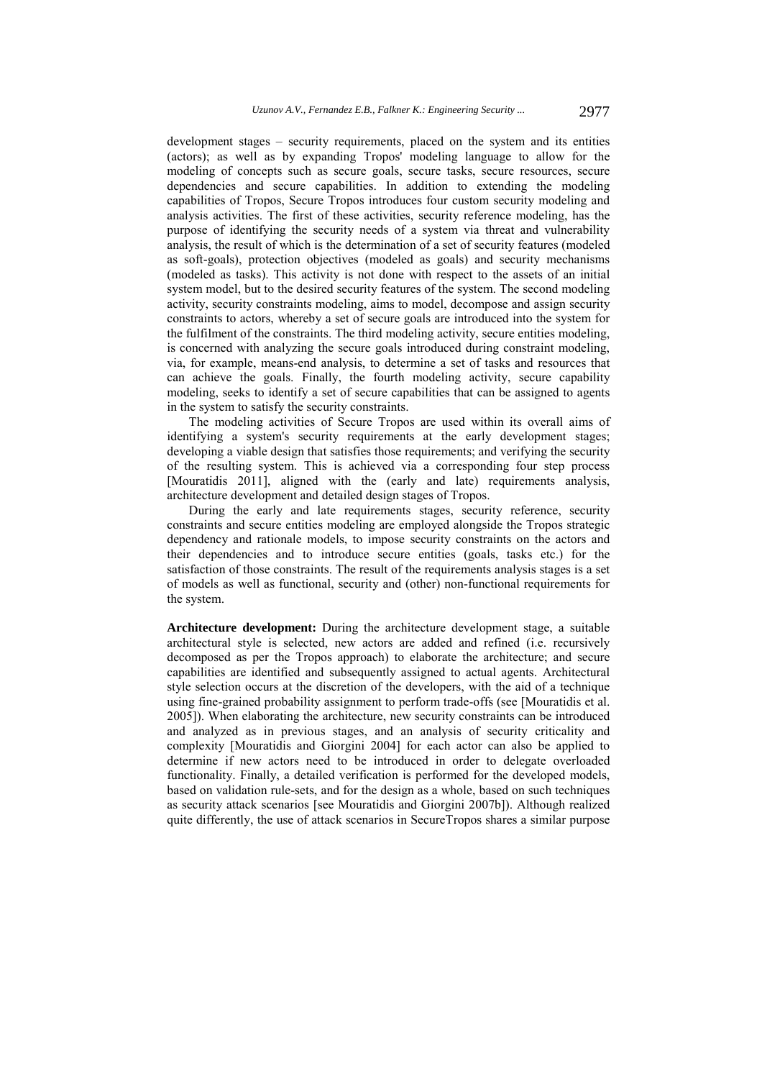development stages – security requirements, placed on the system and its entities (actors); as well as by expanding Tropos' modeling language to allow for the modeling of concepts such as secure goals, secure tasks, secure resources, secure dependencies and secure capabilities. In addition to extending the modeling capabilities of Tropos, Secure Tropos introduces four custom security modeling and analysis activities. The first of these activities, security reference modeling, has the purpose of identifying the security needs of a system via threat and vulnerability analysis, the result of which is the determination of a set of security features (modeled as soft-goals), protection objectives (modeled as goals) and security mechanisms (modeled as tasks). This activity is not done with respect to the assets of an initial system model, but to the desired security features of the system. The second modeling activity, security constraints modeling, aims to model, decompose and assign security constraints to actors, whereby a set of secure goals are introduced into the system for the fulfilment of the constraints. The third modeling activity, secure entities modeling, is concerned with analyzing the secure goals introduced during constraint modeling, via, for example, means-end analysis, to determine a set of tasks and resources that can achieve the goals. Finally, the fourth modeling activity, secure capability modeling, seeks to identify a set of secure capabilities that can be assigned to agents in the system to satisfy the security constraints.

The modeling activities of Secure Tropos are used within its overall aims of identifying a system's security requirements at the early development stages; developing a viable design that satisfies those requirements; and verifying the security of the resulting system. This is achieved via a corresponding four step process [Mouratidis 2011], aligned with the (early and late) requirements analysis, architecture development and detailed design stages of Tropos.

During the early and late requirements stages, security reference, security constraints and secure entities modeling are employed alongside the Tropos strategic dependency and rationale models, to impose security constraints on the actors and their dependencies and to introduce secure entities (goals, tasks etc.) for the satisfaction of those constraints. The result of the requirements analysis stages is a set of models as well as functional, security and (other) non-functional requirements for the system.

**Architecture development:** During the architecture development stage, a suitable architectural style is selected, new actors are added and refined (i.e. recursively decomposed as per the Tropos approach) to elaborate the architecture; and secure capabilities are identified and subsequently assigned to actual agents. Architectural style selection occurs at the discretion of the developers, with the aid of a technique using fine-grained probability assignment to perform trade-offs (see [Mouratidis et al. 2005]). When elaborating the architecture, new security constraints can be introduced and analyzed as in previous stages, and an analysis of security criticality and complexity [Mouratidis and Giorgini 2004] for each actor can also be applied to determine if new actors need to be introduced in order to delegate overloaded functionality. Finally, a detailed verification is performed for the developed models, based on validation rule-sets, and for the design as a whole, based on such techniques as security attack scenarios [see Mouratidis and Giorgini 2007b]). Although realized quite differently, the use of attack scenarios in SecureTropos shares a similar purpose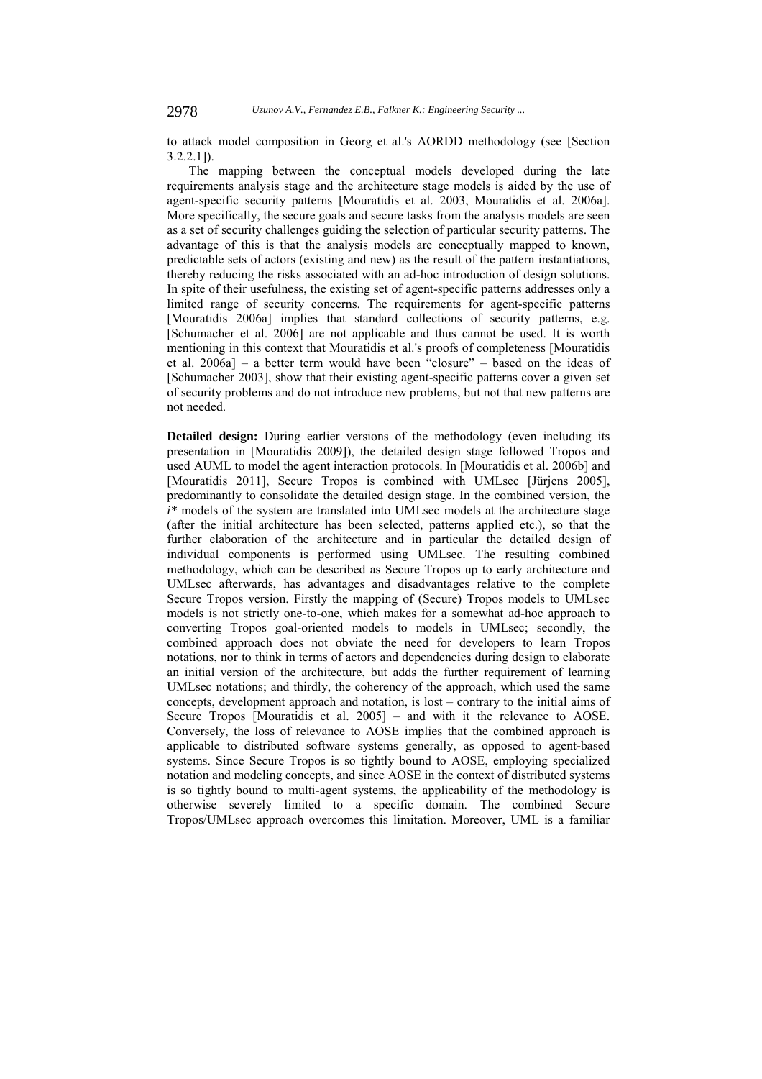to attack model composition in Georg et al.'s AORDD methodology (see [Section 3.2.2.1]).

The mapping between the conceptual models developed during the late requirements analysis stage and the architecture stage models is aided by the use of agent-specific security patterns [Mouratidis et al. 2003, Mouratidis et al. 2006a]. More specifically, the secure goals and secure tasks from the analysis models are seen as a set of security challenges guiding the selection of particular security patterns. The advantage of this is that the analysis models are conceptually mapped to known, predictable sets of actors (existing and new) as the result of the pattern instantiations, thereby reducing the risks associated with an ad-hoc introduction of design solutions. In spite of their usefulness, the existing set of agent-specific patterns addresses only a limited range of security concerns. The requirements for agent-specific patterns [Mouratidis 2006a] implies that standard collections of security patterns, e.g. [Schumacher et al. 2006] are not applicable and thus cannot be used. It is worth mentioning in this context that Mouratidis et al.'s proofs of completeness [Mouratidis et al. 2006a] – a better term would have been "closure" – based on the ideas of [Schumacher 2003], show that their existing agent-specific patterns cover a given set of security problems and do not introduce new problems, but not that new patterns are not needed.

**Detailed design:** During earlier versions of the methodology (even including its presentation in [Mouratidis 2009]), the detailed design stage followed Tropos and used AUML to model the agent interaction protocols. In [Mouratidis et al. 2006b] and [Mouratidis 2011], Secure Tropos is combined with UMLsec [Jürjens 2005], predominantly to consolidate the detailed design stage. In the combined version, the *i\** models of the system are translated into UMLsec models at the architecture stage (after the initial architecture has been selected, patterns applied etc.), so that the further elaboration of the architecture and in particular the detailed design of individual components is performed using UMLsec. The resulting combined methodology, which can be described as Secure Tropos up to early architecture and UMLsec afterwards, has advantages and disadvantages relative to the complete Secure Tropos version. Firstly the mapping of (Secure) Tropos models to UMLsec models is not strictly one-to-one, which makes for a somewhat ad-hoc approach to converting Tropos goal-oriented models to models in UMLsec; secondly, the combined approach does not obviate the need for developers to learn Tropos notations, nor to think in terms of actors and dependencies during design to elaborate an initial version of the architecture, but adds the further requirement of learning UMLsec notations; and thirdly, the coherency of the approach, which used the same concepts, development approach and notation, is lost – contrary to the initial aims of Secure Tropos [Mouratidis et al. 2005] – and with it the relevance to AOSE. Conversely, the loss of relevance to AOSE implies that the combined approach is applicable to distributed software systems generally, as opposed to agent-based systems. Since Secure Tropos is so tightly bound to AOSE, employing specialized notation and modeling concepts, and since AOSE in the context of distributed systems is so tightly bound to multi-agent systems, the applicability of the methodology is otherwise severely limited to a specific domain. The combined Secure Tropos/UMLsec approach overcomes this limitation. Moreover, UML is a familiar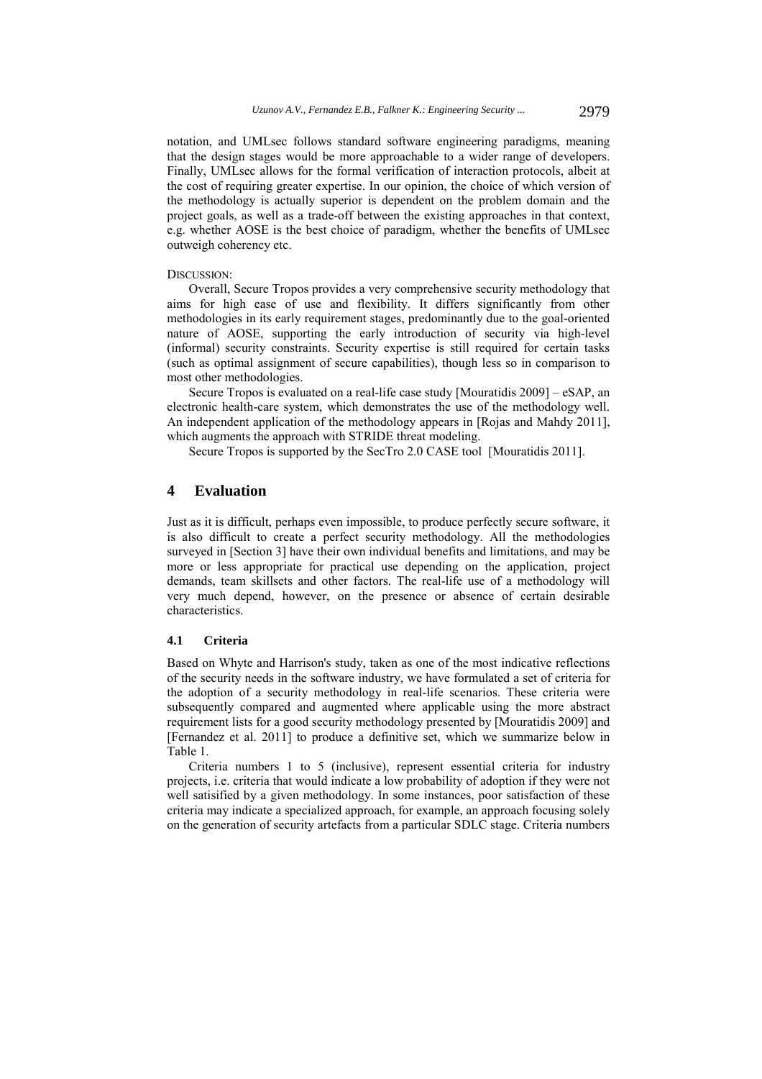notation, and UMLsec follows standard software engineering paradigms, meaning that the design stages would be more approachable to a wider range of developers. Finally, UMLsec allows for the formal verification of interaction protocols, albeit at the cost of requiring greater expertise. In our opinion, the choice of which version of the methodology is actually superior is dependent on the problem domain and the project goals, as well as a trade-off between the existing approaches in that context, e.g. whether AOSE is the best choice of paradigm, whether the benefits of UMLsec outweigh coherency etc.

## DISCUSSION:

Overall, Secure Tropos provides a very comprehensive security methodology that aims for high ease of use and flexibility. It differs significantly from other methodologies in its early requirement stages, predominantly due to the goal-oriented nature of AOSE, supporting the early introduction of security via high-level (informal) security constraints. Security expertise is still required for certain tasks (such as optimal assignment of secure capabilities), though less so in comparison to most other methodologies.

Secure Tropos is evaluated on a real-life case study [Mouratidis 2009] – eSAP, an electronic health-care system, which demonstrates the use of the methodology well. An independent application of the methodology appears in [Rojas and Mahdy 2011], which augments the approach with STRIDE threat modeling.

Secure Tropos is supported by the SecTro 2.0 CASE tool [Mouratidis 2011].

# **4 Evaluation**

Just as it is difficult, perhaps even impossible, to produce perfectly secure software, it is also difficult to create a perfect security methodology. All the methodologies surveyed in [Section 3] have their own individual benefits and limitations, and may be more or less appropriate for practical use depending on the application, project demands, team skillsets and other factors. The real-life use of a methodology will very much depend, however, on the presence or absence of certain desirable characteristics.

## **4.1 Criteria**

Based on Whyte and Harrison's study, taken as one of the most indicative reflections of the security needs in the software industry, we have formulated a set of criteria for the adoption of a security methodology in real-life scenarios. These criteria were subsequently compared and augmented where applicable using the more abstract requirement lists for a good security methodology presented by [Mouratidis 2009] and [Fernandez et al. 2011] to produce a definitive set, which we summarize below in Table 1.

Criteria numbers 1 to 5 (inclusive), represent essential criteria for industry projects, i.e. criteria that would indicate a low probability of adoption if they were not well satisified by a given methodology. In some instances, poor satisfaction of these criteria may indicate a specialized approach, for example, an approach focusing solely on the generation of security artefacts from a particular SDLC stage. Criteria numbers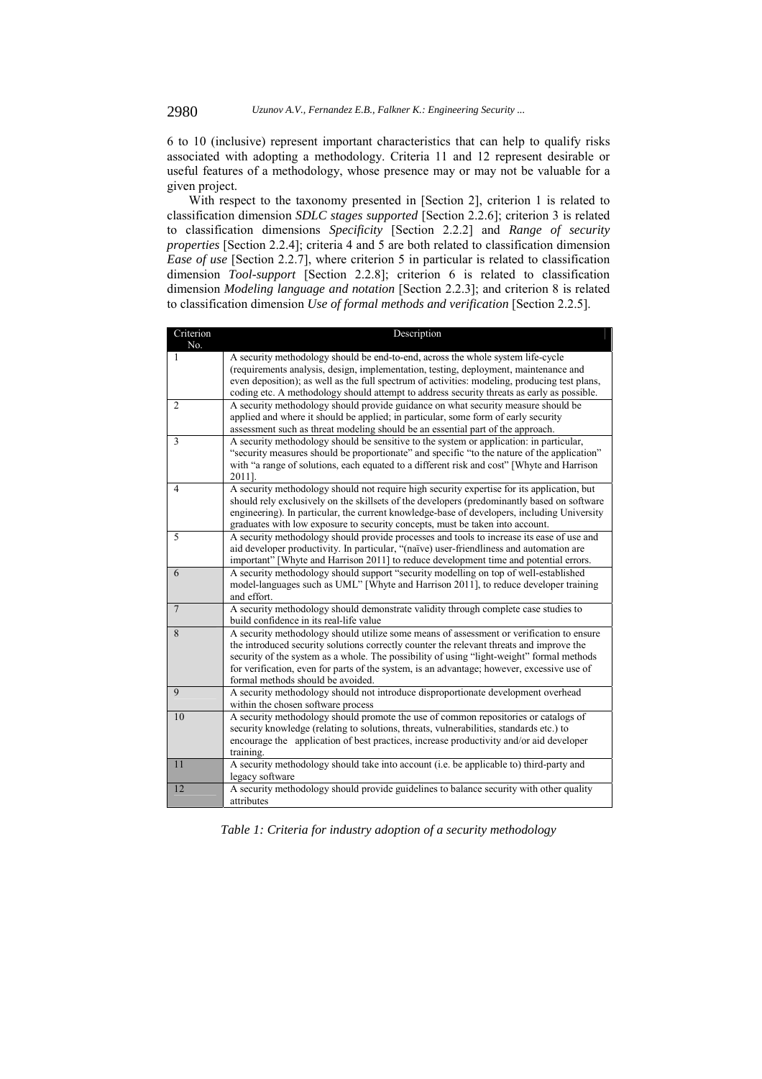6 to 10 (inclusive) represent important characteristics that can help to qualify risks associated with adopting a methodology. Criteria 11 and 12 represent desirable or useful features of a methodology, whose presence may or may not be valuable for a given project.

With respect to the taxonomy presented in [Section 2], criterion 1 is related to classification dimension *SDLC stages supported* [Section 2.2.6]; criterion 3 is related to classification dimensions *Specificity* [Section 2.2.2] and *Range of security properties* [Section 2.2.4]; criteria 4 and 5 are both related to classification dimension *Ease of use* [Section 2.2.7], where criterion 5 in particular is related to classification dimension *Tool-support* [Section 2.2.8]; criterion 6 is related to classification dimension *Modeling language and notation* [Section 2.2.3]; and criterion 8 is related to classification dimension *Use of formal methods and verification* [Section 2.2.5].

| Criterion      | Description                                                                                           |
|----------------|-------------------------------------------------------------------------------------------------------|
| No.            |                                                                                                       |
| 1              | A security methodology should be end-to-end, across the whole system life-cycle                       |
|                | (requirements analysis, design, implementation, testing, deployment, maintenance and                  |
|                | even deposition); as well as the full spectrum of activities: modeling, producing test plans,         |
|                | coding etc. A methodology should attempt to address security threats as early as possible.            |
| $\overline{2}$ | A security methodology should provide guidance on what security measure should be                     |
|                | applied and where it should be applied; in particular, some form of early security                    |
|                | assessment such as threat modeling should be an essential part of the approach.                       |
| 3              | A security methodology should be sensitive to the system or application: in particular,               |
|                | "security measures should be proportionate" and specific "to the nature of the application"           |
|                | with "a range of solutions, each equated to a different risk and cost" [Whyte and Harrison            |
|                | 2011].                                                                                                |
| $\overline{4}$ | A security methodology should not require high security expertise for its application, but            |
|                | should rely exclusively on the skillsets of the developers (predominantly based on software           |
|                | engineering). In particular, the current knowledge-base of developers, including University           |
|                | graduates with low exposure to security concepts, must be taken into account.                         |
| 5              | A security methodology should provide processes and tools to increase its ease of use and             |
|                | aid developer productivity. In particular, "(naïve) user-friendliness and automation are              |
|                | important" [Whyte and Harrison 2011] to reduce development time and potential errors.                 |
| 6              | A security methodology should support "security modelling on top of well-established                  |
|                | model-languages such as UML" [Whyte and Harrison 2011], to reduce developer training                  |
|                | and effort.                                                                                           |
| $\overline{7}$ | A security methodology should demonstrate validity through complete case studies to                   |
|                | build confidence in its real-life value                                                               |
| 8              | A security methodology should utilize some means of assessment or verification to ensure              |
|                | the introduced security solutions correctly counter the relevant threats and improve the              |
|                | security of the system as a whole. The possibility of using "light-weight" formal methods             |
|                | for verification, even for parts of the system, is an advantage; however, excessive use of            |
|                | formal methods should be avoided.                                                                     |
| 9              | A security methodology should not introduce disproportionate development overhead                     |
|                | within the chosen software process                                                                    |
| 10             | A security methodology should promote the use of common repositories or catalogs of                   |
|                | security knowledge (relating to solutions, threats, vulnerabilities, standards etc.) to               |
|                | encourage the application of best practices, increase productivity and/or aid developer               |
|                | training.                                                                                             |
| 11             | A security methodology should take into account (i.e. be applicable to) third-party and               |
|                | legacy software                                                                                       |
| 12             | A security methodology should provide guidelines to balance security with other quality<br>attributes |
|                |                                                                                                       |

*Table 1: Criteria for industry adoption of a security methodology*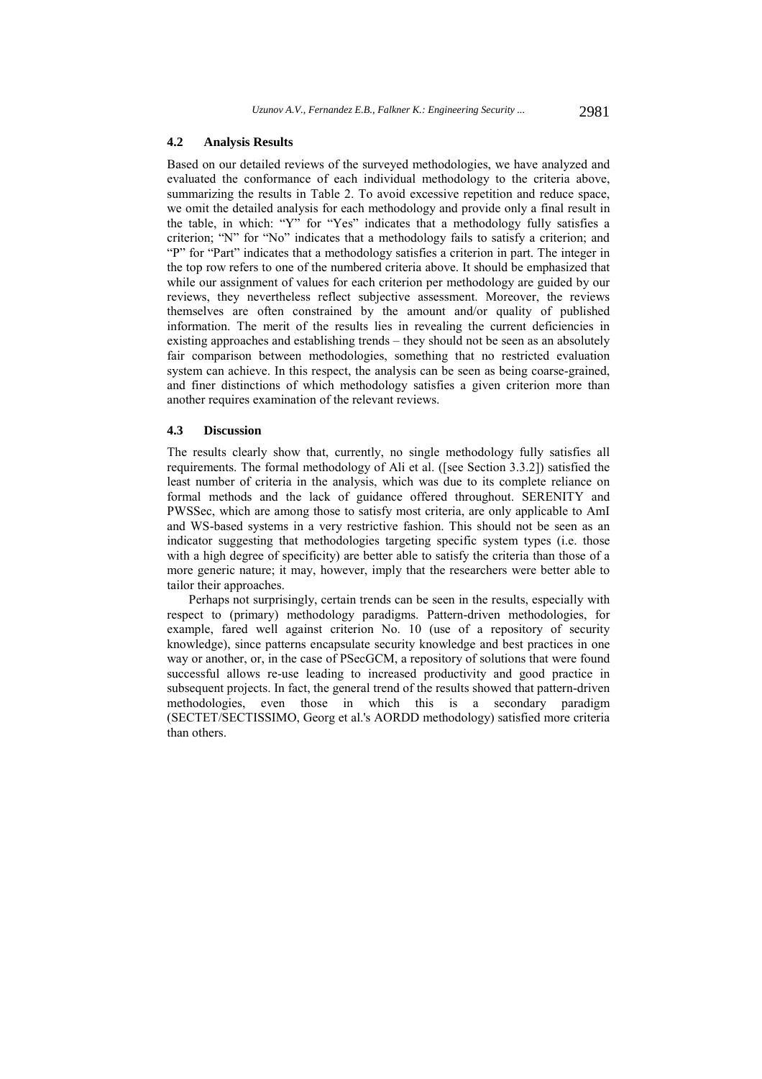### **4.2 Analysis Results**

Based on our detailed reviews of the surveyed methodologies, we have analyzed and evaluated the conformance of each individual methodology to the criteria above, summarizing the results in Table 2. To avoid excessive repetition and reduce space, we omit the detailed analysis for each methodology and provide only a final result in the table, in which: "Y" for "Yes" indicates that a methodology fully satisfies a criterion; "N" for "No" indicates that a methodology fails to satisfy a criterion; and "P" for "Part" indicates that a methodology satisfies a criterion in part. The integer in the top row refers to one of the numbered criteria above. It should be emphasized that while our assignment of values for each criterion per methodology are guided by our reviews, they nevertheless reflect subjective assessment. Moreover, the reviews themselves are often constrained by the amount and/or quality of published information. The merit of the results lies in revealing the current deficiencies in existing approaches and establishing trends – they should not be seen as an absolutely fair comparison between methodologies, something that no restricted evaluation system can achieve. In this respect, the analysis can be seen as being coarse-grained, and finer distinctions of which methodology satisfies a given criterion more than another requires examination of the relevant reviews.

## **4.3 Discussion**

The results clearly show that, currently, no single methodology fully satisfies all requirements. The formal methodology of Ali et al. ([see Section 3.3.2]) satisfied the least number of criteria in the analysis, which was due to its complete reliance on formal methods and the lack of guidance offered throughout. SERENITY and PWSSec, which are among those to satisfy most criteria, are only applicable to AmI and WS-based systems in a very restrictive fashion. This should not be seen as an indicator suggesting that methodologies targeting specific system types (i.e. those with a high degree of specificity) are better able to satisfy the criteria than those of a more generic nature; it may, however, imply that the researchers were better able to tailor their approaches.

Perhaps not surprisingly, certain trends can be seen in the results, especially with respect to (primary) methodology paradigms. Pattern-driven methodologies, for example, fared well against criterion No. 10 (use of a repository of security knowledge), since patterns encapsulate security knowledge and best practices in one way or another, or, in the case of PSecGCM, a repository of solutions that were found successful allows re-use leading to increased productivity and good practice in subsequent projects. In fact, the general trend of the results showed that pattern-driven methodologies, even those in which this is a secondary paradigm (SECTET/SECTISSIMO, Georg et al.'s AORDD methodology) satisfied more criteria than others.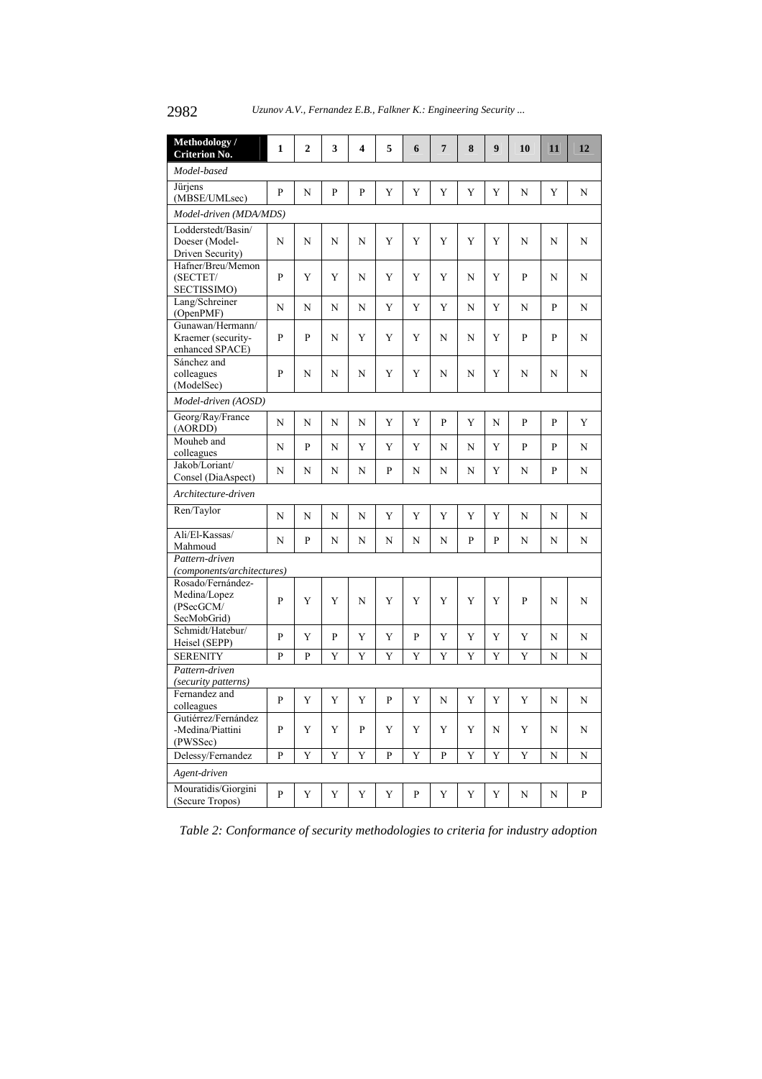2982 *Uzunov A.V., Fernandez E.B., Falkner K.: Engineering Security ...*

| Methodology /<br><b>Criterion No.</b>                     | $\mathbf{1}$ | 2           | 3            | 4 | 5 | 6            | $7\phantom{.0}$ | 8           | 9 | 10 | 11 | 12 |
|-----------------------------------------------------------|--------------|-------------|--------------|---|---|--------------|-----------------|-------------|---|----|----|----|
| Model-based                                               |              |             |              |   |   |              |                 |             |   |    |    |    |
| Jürjens<br>(MBSE/UMLsec)                                  | P            | N           | P            | P | Y | Y            | Y               | Y           | Y | N  | Y  | N  |
| Model-driven (MDA/MDS)                                    |              |             |              |   |   |              |                 |             |   |    |    |    |
| Lodderstedt/Basin/<br>Doeser (Model-<br>Driven Security)  | N            | N           | N            | N | Y | Y            | Y               | Y           | Y | N  | N  | N  |
| Hafner/Breu/Memon<br>(SECTET/<br>SECTISSIMO)              | P            | Y           | Y            | N | Y | Y            | Y               | N           | Y | P  | N  | N  |
| Lang/Schreiner<br>(OpenPMF)                               | N            | N           | N            | N | Y | Y            | Y               | N           | Y | N  | P  | N  |
| Gunawan/Hermann/<br>Kraemer (security-<br>enhanced SPACE) | P            | P           | N            | Y | Y | Y            | N               | N           | Y | P  | P  | N  |
| Sánchez and<br>colleagues<br>(ModelSec)                   | P            | N           | N            | N | Y | Y            | N               | N           | Y | N  | N  | N  |
| Model-driven (AOSD)                                       |              |             |              |   |   |              |                 |             |   |    |    |    |
| Georg/Ray/France<br>(AORDD)                               | N            | N           | N            | N | Y | Y            | P               | Y           | N | P  | P  | Y  |
| Mouheb and<br>colleagues                                  | N            | P           | N            | Y | Y | Y            | N               | N           | Y | P  | P  | N  |
| Jakob/Loriant/<br>Consel (DiaAspect)                      | N            | N           | N            | N | P | N            | N               | N           | Y | N  | P  | N  |
| Architecture-driven                                       |              |             |              |   |   |              |                 |             |   |    |    |    |
| Ren/Taylor                                                | N            | N           | N            | N | Y | Y            | Y               | Y           | Y | N  | N  | N  |
| Ali/El-Kassas/<br>Mahmoud                                 | N            | P           | N            | N | N | N            | N               | P           | P | N  | N  | N  |
| Pattern-driven                                            |              |             |              |   |   |              |                 |             |   |    |    |    |
| (components/architectures)<br>Rosado/Fernández-           |              |             |              |   |   |              |                 |             |   |    |    |    |
| Medina/Lopez<br>(PSecGCM/<br>SecMobGrid)                  | P            | Y           | Y            | N | Y | Y            | Y               | Y           | Y | P  | N  | N  |
| Schmidt/Hatebur/<br>Heisel (SEPP)                         | P            | Y           | $\mathbf{P}$ | Y | Y | $\mathbf{P}$ | Y               | Y           | Y | Y  | N  | N  |
| <b>SERENITY</b>                                           | P            | P           | Y            | Y | Y | Y            | Y               | Y           | Y | Y  | N  | N  |
| Pattern-driven                                            |              |             |              |   |   |              |                 |             |   |    |    |    |
| (security patterns)                                       |              |             |              |   |   |              |                 |             |   |    |    |    |
| Fernandez and<br>colleagues                               | P            | Y           | Y            | Y | P | Y            | N               | Y           | Y | Y  | N  | N  |
| Gutiérrez/Fernández<br>-Medina/Piattini<br>(PWSSec)       | P            | Y           | Y            | P | Y | Y            | Y               | Y           | N | Y  | N  | N  |
| Delessy/Fernandez                                         | P            | $\mathbf Y$ | Y            | Y | P | Y            | $\, {\bf p}$    | $\mathbf Y$ | Y | Y  | N  | N  |
| Agent-driven                                              |              |             |              |   |   |              |                 |             |   |    |    |    |
| Mouratidis/Giorgini<br>(Secure Tropos)                    | $\mathbf{P}$ | Y           | Y            | Y | Y | P            | Y               | Y           | Y | N  | N  | P  |

*Table 2: Conformance of security methodologies to criteria for industry adoption*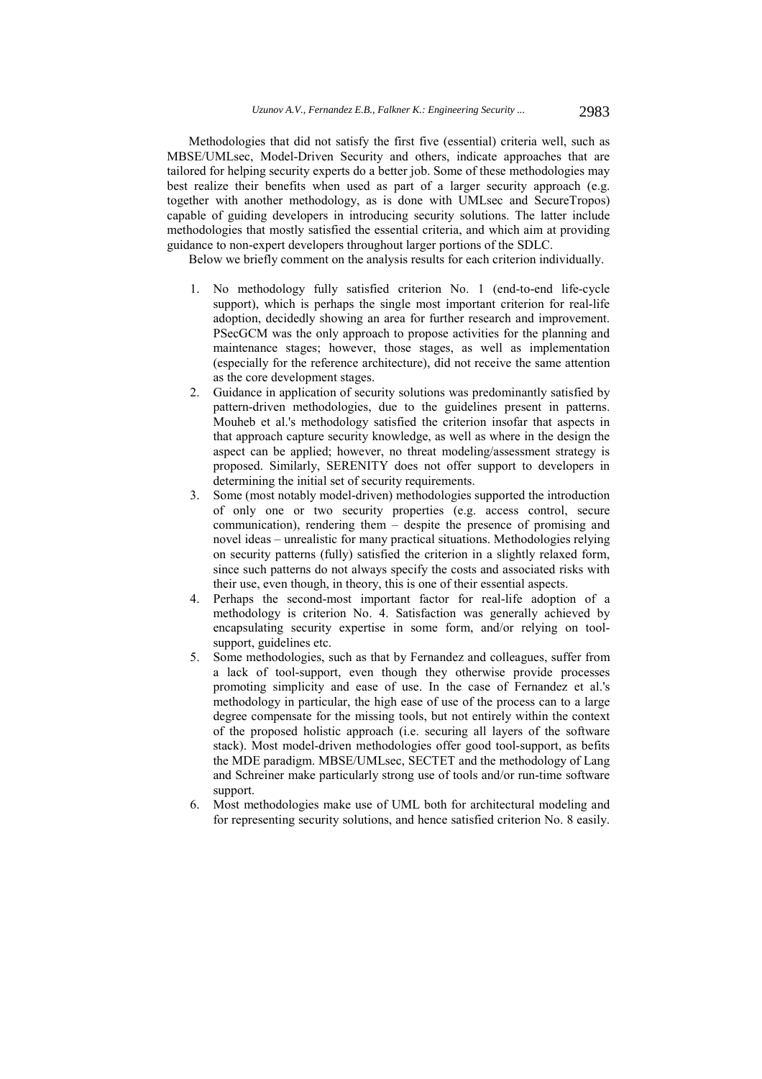Methodologies that did not satisfy the first five (essential) criteria well, such as MBSE/UMLsec, Model-Driven Security and others, indicate approaches that are tailored for helping security experts do a better job. Some of these methodologies may best realize their benefits when used as part of a larger security approach (e.g. together with another methodology, as is done with UMLsec and SecureTropos) capable of guiding developers in introducing security solutions. The latter include methodologies that mostly satisfied the essential criteria, and which aim at providing guidance to non-expert developers throughout larger portions of the SDLC.

Below we briefly comment on the analysis results for each criterion individually.

- 1. No methodology fully satisfied criterion No. 1 (end-to-end life-cycle support), which is perhaps the single most important criterion for real-life adoption, decidedly showing an area for further research and improvement. PSecGCM was the only approach to propose activities for the planning and maintenance stages; however, those stages, as well as implementation (especially for the reference architecture), did not receive the same attention as the core development stages.
- 2. Guidance in application of security solutions was predominantly satisfied by pattern-driven methodologies, due to the guidelines present in patterns. Mouheb et al.'s methodology satisfied the criterion insofar that aspects in that approach capture security knowledge, as well as where in the design the aspect can be applied; however, no threat modeling/assessment strategy is proposed. Similarly, SERENITY does not offer support to developers in determining the initial set of security requirements.
- 3. Some (most notably model-driven) methodologies supported the introduction of only one or two security properties (e.g. access control, secure communication), rendering them – despite the presence of promising and novel ideas – unrealistic for many practical situations. Methodologies relying on security patterns (fully) satisfied the criterion in a slightly relaxed form, since such patterns do not always specify the costs and associated risks with their use, even though, in theory, this is one of their essential aspects.
- 4. Perhaps the second-most important factor for real-life adoption of a methodology is criterion No. 4. Satisfaction was generally achieved by encapsulating security expertise in some form, and/or relying on toolsupport, guidelines etc.
- 5. Some methodologies, such as that by Fernandez and colleagues, suffer from a lack of tool-support, even though they otherwise provide processes promoting simplicity and ease of use. In the case of Fernandez et al.'s methodology in particular, the high ease of use of the process can to a large degree compensate for the missing tools, but not entirely within the context of the proposed holistic approach (i.e. securing all layers of the software stack). Most model-driven methodologies offer good tool-support, as befits the MDE paradigm. MBSE/UMLsec, SECTET and the methodology of Lang and Schreiner make particularly strong use of tools and/or run-time software support.
- 6. Most methodologies make use of UML both for architectural modeling and for representing security solutions, and hence satisfied criterion No. 8 easily.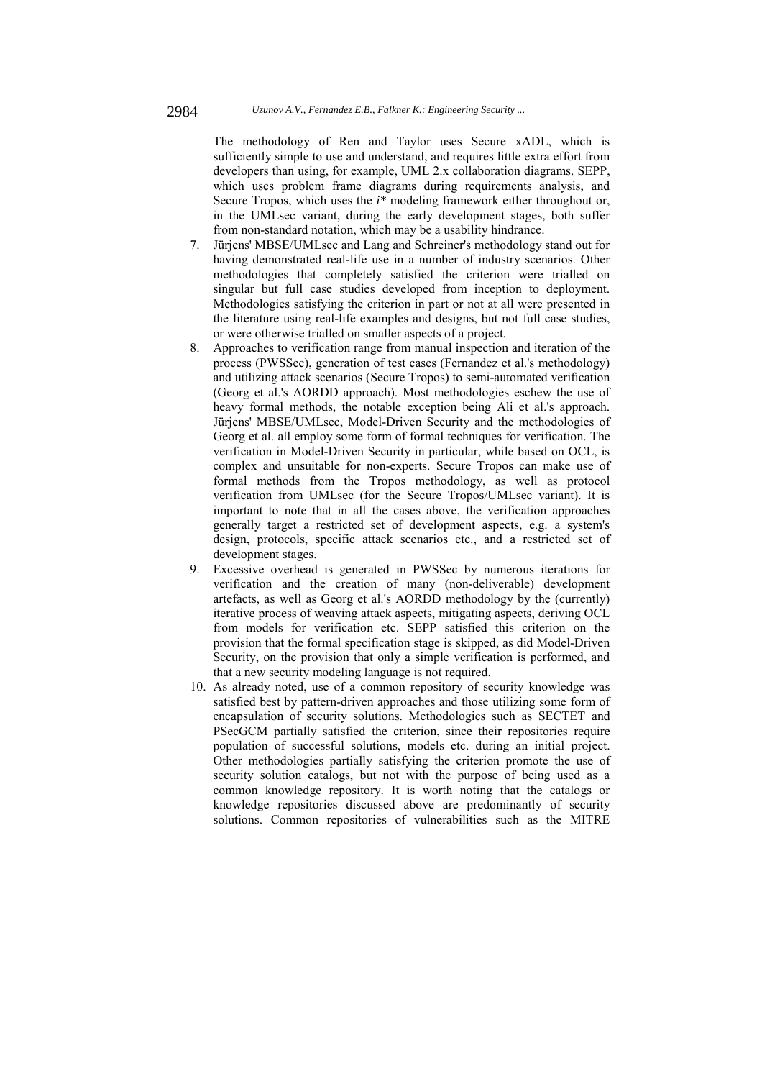The methodology of Ren and Taylor uses Secure xADL, which is sufficiently simple to use and understand, and requires little extra effort from developers than using, for example, UML 2.x collaboration diagrams. SEPP, which uses problem frame diagrams during requirements analysis, and Secure Tropos, which uses the *i\** modeling framework either throughout or, in the UMLsec variant, during the early development stages, both suffer from non-standard notation, which may be a usability hindrance.

- 7. Jürjens' MBSE/UMLsec and Lang and Schreiner's methodology stand out for having demonstrated real-life use in a number of industry scenarios. Other methodologies that completely satisfied the criterion were trialled on singular but full case studies developed from inception to deployment. Methodologies satisfying the criterion in part or not at all were presented in the literature using real-life examples and designs, but not full case studies, or were otherwise trialled on smaller aspects of a project.
- 8. Approaches to verification range from manual inspection and iteration of the process (PWSSec), generation of test cases (Fernandez et al.'s methodology) and utilizing attack scenarios (Secure Tropos) to semi-automated verification (Georg et al.'s AORDD approach). Most methodologies eschew the use of heavy formal methods, the notable exception being Ali et al.'s approach. Jürjens' MBSE/UMLsec, Model-Driven Security and the methodologies of Georg et al. all employ some form of formal techniques for verification. The verification in Model-Driven Security in particular, while based on OCL, is complex and unsuitable for non-experts. Secure Tropos can make use of formal methods from the Tropos methodology, as well as protocol verification from UMLsec (for the Secure Tropos/UMLsec variant). It is important to note that in all the cases above, the verification approaches generally target a restricted set of development aspects, e.g. a system's design, protocols, specific attack scenarios etc., and a restricted set of development stages.
- 9. Excessive overhead is generated in PWSSec by numerous iterations for verification and the creation of many (non-deliverable) development artefacts, as well as Georg et al.'s AORDD methodology by the (currently) iterative process of weaving attack aspects, mitigating aspects, deriving OCL from models for verification etc. SEPP satisfied this criterion on the provision that the formal specification stage is skipped, as did Model-Driven Security, on the provision that only a simple verification is performed, and that a new security modeling language is not required.
- 10. As already noted, use of a common repository of security knowledge was satisfied best by pattern-driven approaches and those utilizing some form of encapsulation of security solutions. Methodologies such as SECTET and PSecGCM partially satisfied the criterion, since their repositories require population of successful solutions, models etc. during an initial project. Other methodologies partially satisfying the criterion promote the use of security solution catalogs, but not with the purpose of being used as a common knowledge repository. It is worth noting that the catalogs or knowledge repositories discussed above are predominantly of security solutions. Common repositories of vulnerabilities such as the MITRE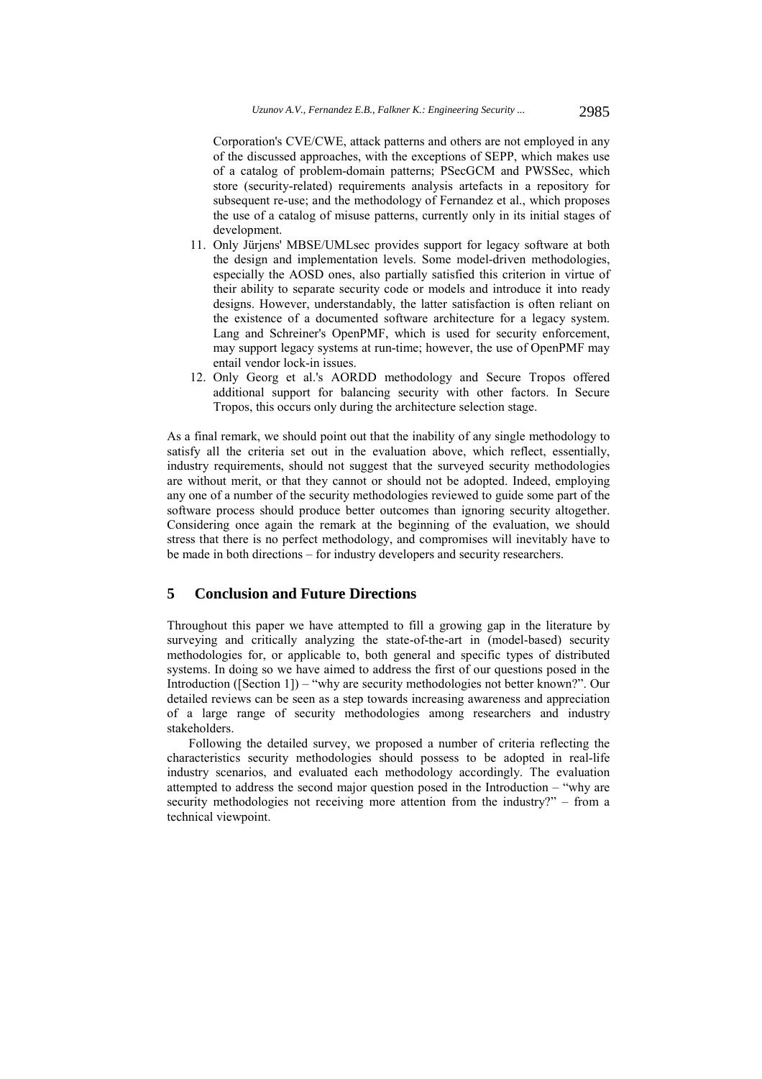Corporation's CVE/CWE, attack patterns and others are not employed in any of the discussed approaches, with the exceptions of SEPP, which makes use of a catalog of problem-domain patterns; PSecGCM and PWSSec, which store (security-related) requirements analysis artefacts in a repository for subsequent re-use; and the methodology of Fernandez et al., which proposes the use of a catalog of misuse patterns, currently only in its initial stages of development.

- 11. Only Jürjens' MBSE/UMLsec provides support for legacy software at both the design and implementation levels. Some model-driven methodologies, especially the AOSD ones, also partially satisfied this criterion in virtue of their ability to separate security code or models and introduce it into ready designs. However, understandably, the latter satisfaction is often reliant on the existence of a documented software architecture for a legacy system. Lang and Schreiner's OpenPMF, which is used for security enforcement, may support legacy systems at run-time; however, the use of OpenPMF may entail vendor lock-in issues.
- 12. Only Georg et al.'s AORDD methodology and Secure Tropos offered additional support for balancing security with other factors. In Secure Tropos, this occurs only during the architecture selection stage.

As a final remark, we should point out that the inability of any single methodology to satisfy all the criteria set out in the evaluation above, which reflect, essentially, industry requirements, should not suggest that the surveyed security methodologies are without merit, or that they cannot or should not be adopted. Indeed, employing any one of a number of the security methodologies reviewed to guide some part of the software process should produce better outcomes than ignoring security altogether. Considering once again the remark at the beginning of the evaluation, we should stress that there is no perfect methodology, and compromises will inevitably have to be made in both directions – for industry developers and security researchers.

# **5 Conclusion and Future Directions**

Throughout this paper we have attempted to fill a growing gap in the literature by surveying and critically analyzing the state-of-the-art in (model-based) security methodologies for, or applicable to, both general and specific types of distributed systems. In doing so we have aimed to address the first of our questions posed in the Introduction ([Section 1]) – "why are security methodologies not better known?". Our detailed reviews can be seen as a step towards increasing awareness and appreciation of a large range of security methodologies among researchers and industry stakeholders.

Following the detailed survey, we proposed a number of criteria reflecting the characteristics security methodologies should possess to be adopted in real-life industry scenarios, and evaluated each methodology accordingly. The evaluation attempted to address the second major question posed in the Introduction – "why are security methodologies not receiving more attention from the industry?" – from a technical viewpoint.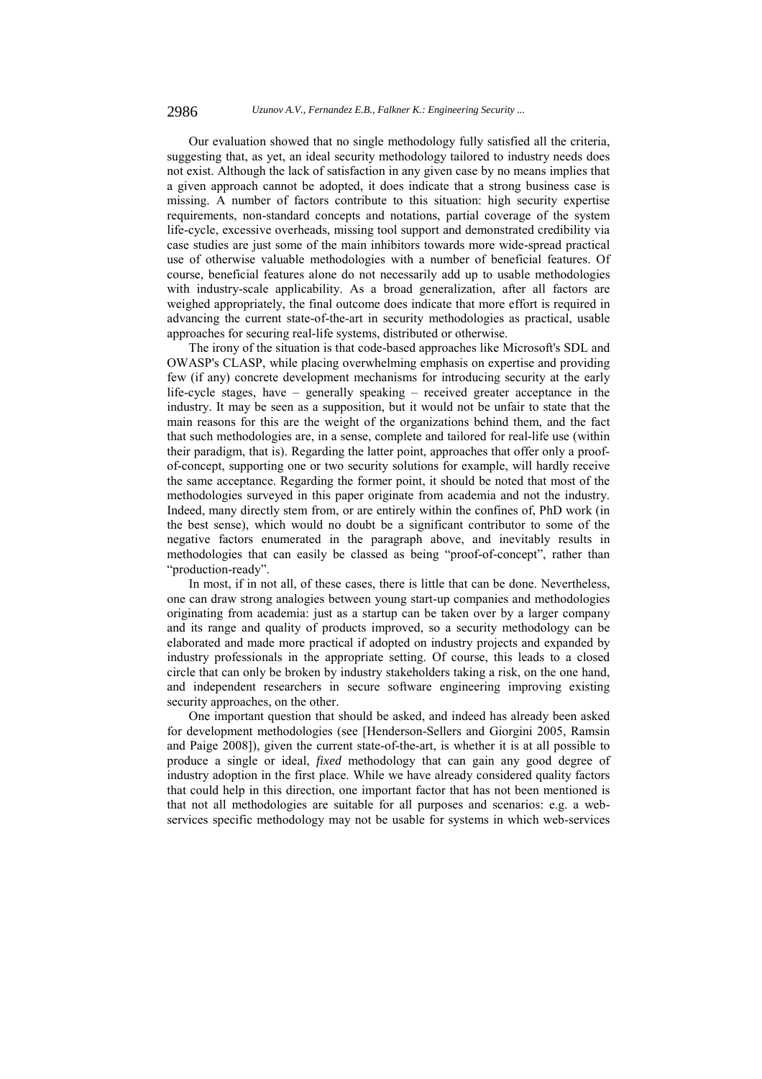Our evaluation showed that no single methodology fully satisfied all the criteria, suggesting that, as yet, an ideal security methodology tailored to industry needs does not exist. Although the lack of satisfaction in any given case by no means implies that a given approach cannot be adopted, it does indicate that a strong business case is missing. A number of factors contribute to this situation: high security expertise requirements, non-standard concepts and notations, partial coverage of the system life-cycle, excessive overheads, missing tool support and demonstrated credibility via case studies are just some of the main inhibitors towards more wide-spread practical use of otherwise valuable methodologies with a number of beneficial features. Of course, beneficial features alone do not necessarily add up to usable methodologies with industry-scale applicability. As a broad generalization, after all factors are weighed appropriately, the final outcome does indicate that more effort is required in advancing the current state-of-the-art in security methodologies as practical, usable approaches for securing real-life systems, distributed or otherwise.

The irony of the situation is that code-based approaches like Microsoft's SDL and OWASP's CLASP, while placing overwhelming emphasis on expertise and providing few (if any) concrete development mechanisms for introducing security at the early life-cycle stages, have – generally speaking – received greater acceptance in the industry. It may be seen as a supposition, but it would not be unfair to state that the main reasons for this are the weight of the organizations behind them, and the fact that such methodologies are, in a sense, complete and tailored for real-life use (within their paradigm, that is). Regarding the latter point, approaches that offer only a proofof-concept, supporting one or two security solutions for example, will hardly receive the same acceptance. Regarding the former point, it should be noted that most of the methodologies surveyed in this paper originate from academia and not the industry. Indeed, many directly stem from, or are entirely within the confines of, PhD work (in the best sense), which would no doubt be a significant contributor to some of the negative factors enumerated in the paragraph above, and inevitably results in methodologies that can easily be classed as being "proof-of-concept", rather than "production-ready".

In most, if in not all, of these cases, there is little that can be done. Nevertheless, one can draw strong analogies between young start-up companies and methodologies originating from academia: just as a startup can be taken over by a larger company and its range and quality of products improved, so a security methodology can be elaborated and made more practical if adopted on industry projects and expanded by industry professionals in the appropriate setting. Of course, this leads to a closed circle that can only be broken by industry stakeholders taking a risk, on the one hand, and independent researchers in secure software engineering improving existing security approaches, on the other.

One important question that should be asked, and indeed has already been asked for development methodologies (see [Henderson-Sellers and Giorgini 2005, Ramsin and Paige 2008]), given the current state-of-the-art, is whether it is at all possible to produce a single or ideal, *fixed* methodology that can gain any good degree of industry adoption in the first place. While we have already considered quality factors that could help in this direction, one important factor that has not been mentioned is that not all methodologies are suitable for all purposes and scenarios: e.g. a webservices specific methodology may not be usable for systems in which web-services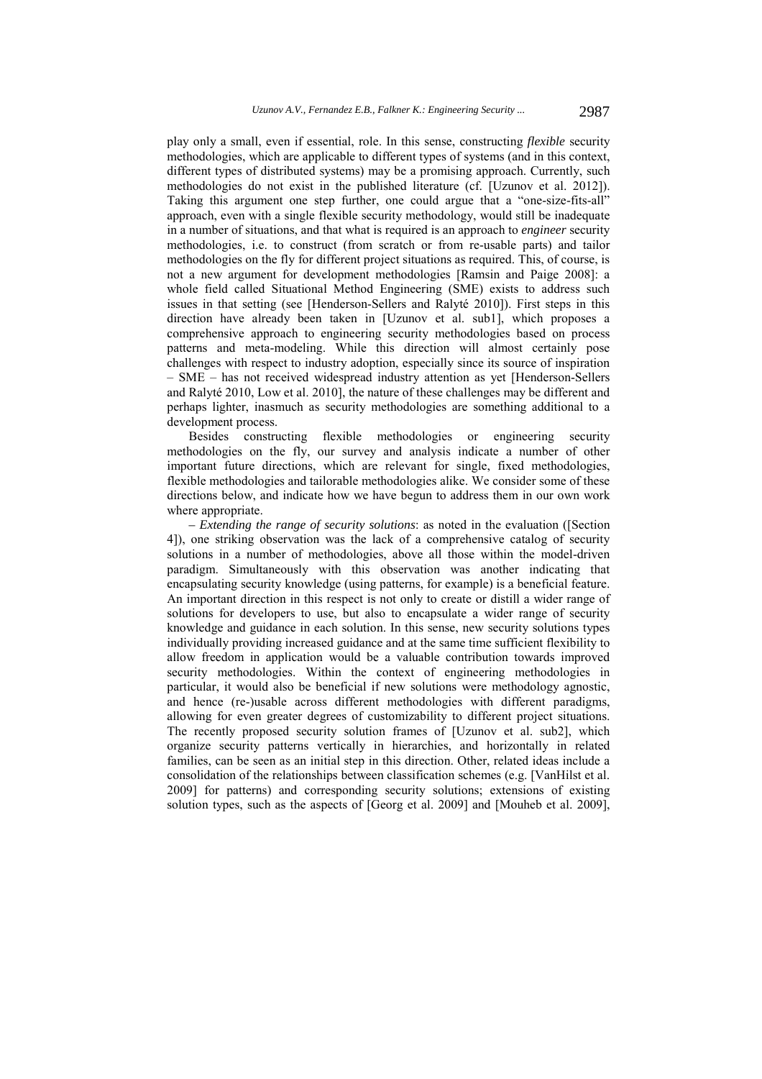play only a small, even if essential, role. In this sense, constructing *flexible* security methodologies, which are applicable to different types of systems (and in this context, different types of distributed systems) may be a promising approach. Currently, such methodologies do not exist in the published literature (cf. [Uzunov et al. 2012]). Taking this argument one step further, one could argue that a "one-size-fits-all" approach, even with a single flexible security methodology, would still be inadequate in a number of situations, and that what is required is an approach to *engineer* security methodologies, i.e. to construct (from scratch or from re-usable parts) and tailor methodologies on the fly for different project situations as required. This, of course, is not a new argument for development methodologies [Ramsin and Paige 2008]: a whole field called Situational Method Engineering (SME) exists to address such issues in that setting (see [Henderson-Sellers and Ralyté 2010]). First steps in this direction have already been taken in [Uzunov et al. sub1], which proposes a comprehensive approach to engineering security methodologies based on process patterns and meta-modeling. While this direction will almost certainly pose challenges with respect to industry adoption, especially since its source of inspiration – SME – has not received widespread industry attention as yet [Henderson-Sellers and Ralyté 2010, Low et al. 2010], the nature of these challenges may be different and perhaps lighter, inasmuch as security methodologies are something additional to a development process.

Besides constructing flexible methodologies or engineering security methodologies on the fly, our survey and analysis indicate a number of other important future directions, which are relevant for single, fixed methodologies, flexible methodologies and tailorable methodologies alike. We consider some of these directions below, and indicate how we have begun to address them in our own work where appropriate.

*– Extending the range of security solutions*: as noted in the evaluation ([Section 4]), one striking observation was the lack of a comprehensive catalog of security solutions in a number of methodologies, above all those within the model-driven paradigm. Simultaneously with this observation was another indicating that encapsulating security knowledge (using patterns, for example) is a beneficial feature. An important direction in this respect is not only to create or distill a wider range of solutions for developers to use, but also to encapsulate a wider range of security knowledge and guidance in each solution. In this sense, new security solutions types individually providing increased guidance and at the same time sufficient flexibility to allow freedom in application would be a valuable contribution towards improved security methodologies. Within the context of engineering methodologies in particular, it would also be beneficial if new solutions were methodology agnostic, and hence (re-)usable across different methodologies with different paradigms, allowing for even greater degrees of customizability to different project situations. The recently proposed security solution frames of [Uzunov et al. sub2], which organize security patterns vertically in hierarchies, and horizontally in related families, can be seen as an initial step in this direction. Other, related ideas include a consolidation of the relationships between classification schemes (e.g. [VanHilst et al. 2009] for patterns) and corresponding security solutions; extensions of existing solution types, such as the aspects of [Georg et al. 2009] and [Mouheb et al. 2009],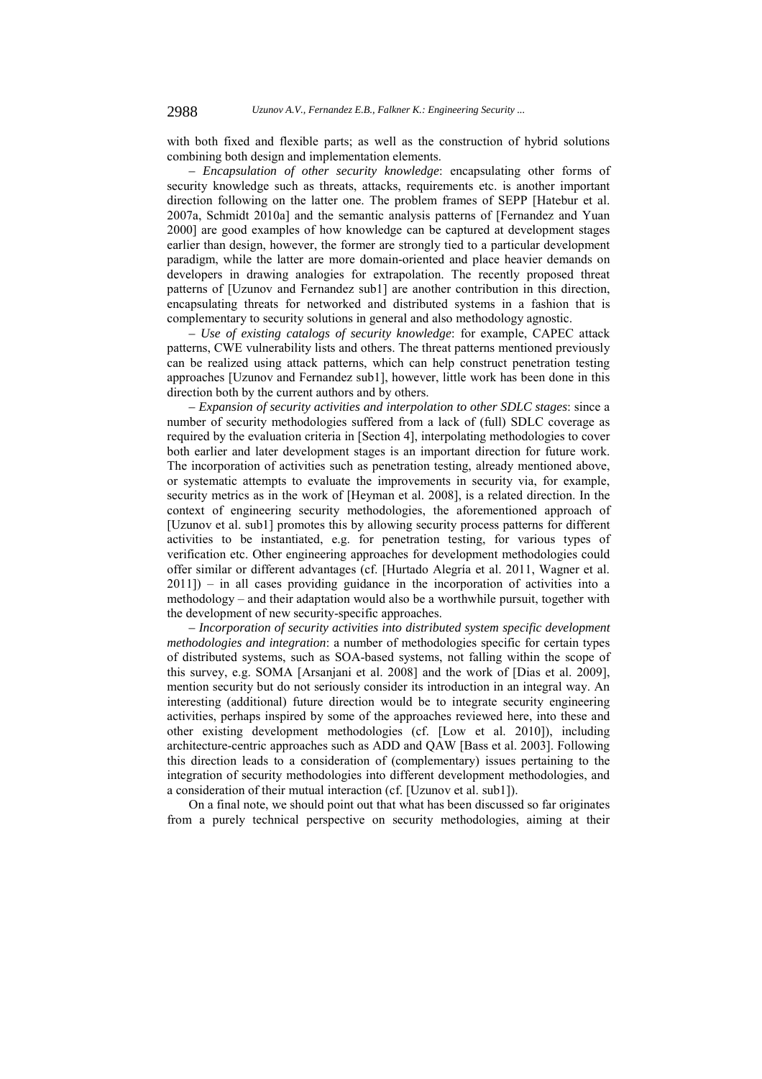with both fixed and flexible parts; as well as the construction of hybrid solutions combining both design and implementation elements.

*– Encapsulation of other security knowledge*: encapsulating other forms of security knowledge such as threats, attacks, requirements etc. is another important direction following on the latter one. The problem frames of SEPP [Hatebur et al. 2007a, Schmidt 2010a] and the semantic analysis patterns of [Fernandez and Yuan 2000] are good examples of how knowledge can be captured at development stages earlier than design, however, the former are strongly tied to a particular development paradigm, while the latter are more domain-oriented and place heavier demands on developers in drawing analogies for extrapolation. The recently proposed threat patterns of [Uzunov and Fernandez sub1] are another contribution in this direction, encapsulating threats for networked and distributed systems in a fashion that is complementary to security solutions in general and also methodology agnostic.

*– Use of existing catalogs of security knowledge*: for example, CAPEC attack patterns, CWE vulnerability lists and others. The threat patterns mentioned previously can be realized using attack patterns, which can help construct penetration testing approaches [Uzunov and Fernandez sub1], however, little work has been done in this direction both by the current authors and by others.

*– Expansion of security activities and interpolation to other SDLC stages*: since a number of security methodologies suffered from a lack of (full) SDLC coverage as required by the evaluation criteria in [Section 4], interpolating methodologies to cover both earlier and later development stages is an important direction for future work. The incorporation of activities such as penetration testing, already mentioned above, or systematic attempts to evaluate the improvements in security via, for example, security metrics as in the work of [Heyman et al. 2008], is a related direction. In the context of engineering security methodologies, the aforementioned approach of [Uzunov et al. sub1] promotes this by allowing security process patterns for different activities to be instantiated, e.g. for penetration testing, for various types of verification etc. Other engineering approaches for development methodologies could offer similar or different advantages (cf. [Hurtado Alegría et al. 2011, Wagner et al. 2011]) – in all cases providing guidance in the incorporation of activities into a methodology – and their adaptation would also be a worthwhile pursuit, together with the development of new security-specific approaches.

*– Incorporation of security activities into distributed system specific development methodologies and integration*: a number of methodologies specific for certain types of distributed systems, such as SOA-based systems, not falling within the scope of this survey, e.g. SOMA [Arsanjani et al. 2008] and the work of [Dias et al. 2009], mention security but do not seriously consider its introduction in an integral way. An interesting (additional) future direction would be to integrate security engineering activities, perhaps inspired by some of the approaches reviewed here, into these and other existing development methodologies (cf. [Low et al. 2010]), including architecture-centric approaches such as ADD and QAW [Bass et al. 2003]. Following this direction leads to a consideration of (complementary) issues pertaining to the integration of security methodologies into different development methodologies, and a consideration of their mutual interaction (cf. [Uzunov et al. sub1]).

On a final note, we should point out that what has been discussed so far originates from a purely technical perspective on security methodologies, aiming at their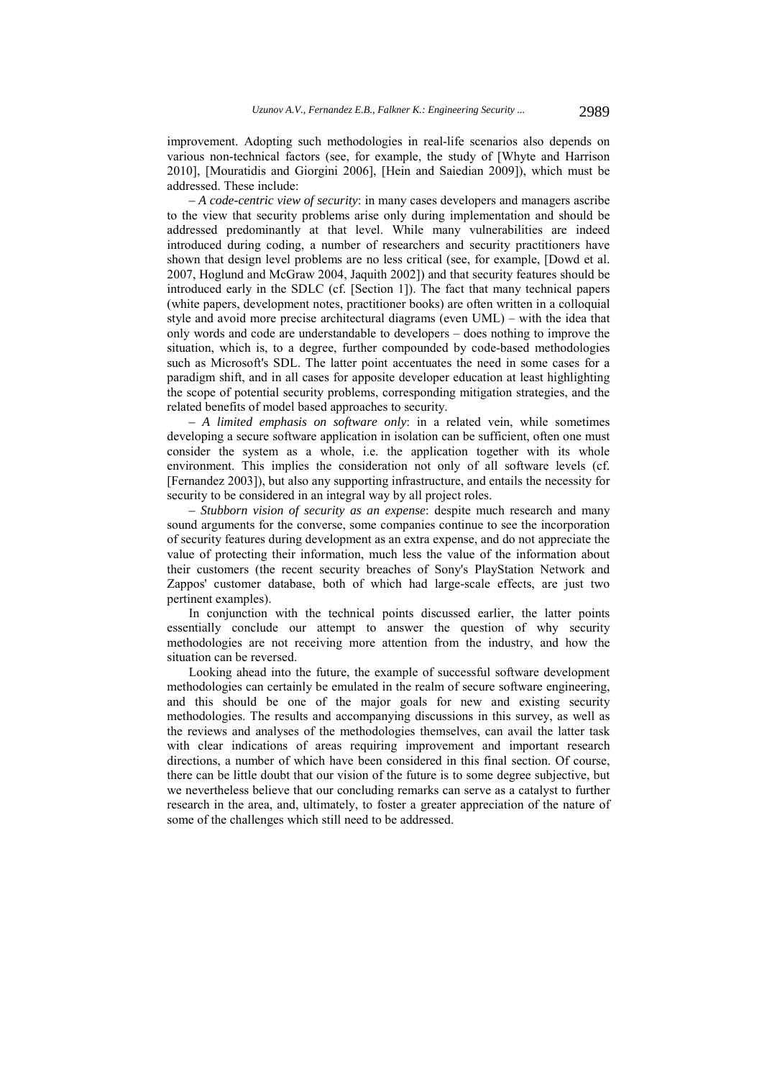improvement. Adopting such methodologies in real-life scenarios also depends on various non-technical factors (see, for example, the study of [Whyte and Harrison 2010], [Mouratidis and Giorgini 2006], [Hein and Saiedian 2009]), which must be addressed. These include:

*– A code-centric view of security*: in many cases developers and managers ascribe to the view that security problems arise only during implementation and should be addressed predominantly at that level. While many vulnerabilities are indeed introduced during coding, a number of researchers and security practitioners have shown that design level problems are no less critical (see, for example, [Dowd et al. 2007, Hoglund and McGraw 2004, Jaquith 2002]) and that security features should be introduced early in the SDLC (cf. [Section 1]). The fact that many technical papers (white papers, development notes, practitioner books) are often written in a colloquial style and avoid more precise architectural diagrams (even UML) – with the idea that only words and code are understandable to developers – does nothing to improve the situation, which is, to a degree, further compounded by code-based methodologies such as Microsoft's SDL. The latter point accentuates the need in some cases for a paradigm shift, and in all cases for apposite developer education at least highlighting the scope of potential security problems, corresponding mitigation strategies, and the related benefits of model based approaches to security.

*– A limited emphasis on software only*: in a related vein, while sometimes developing a secure software application in isolation can be sufficient, often one must consider the system as a whole, i.e. the application together with its whole environment. This implies the consideration not only of all software levels (cf. [Fernandez 2003]), but also any supporting infrastructure, and entails the necessity for security to be considered in an integral way by all project roles.

*– Stubborn vision of security as an expense*: despite much research and many sound arguments for the converse, some companies continue to see the incorporation of security features during development as an extra expense, and do not appreciate the value of protecting their information, much less the value of the information about their customers (the recent security breaches of Sony's PlayStation Network and Zappos' customer database, both of which had large-scale effects, are just two pertinent examples).

In conjunction with the technical points discussed earlier, the latter points essentially conclude our attempt to answer the question of why security methodologies are not receiving more attention from the industry, and how the situation can be reversed.

Looking ahead into the future, the example of successful software development methodologies can certainly be emulated in the realm of secure software engineering, and this should be one of the major goals for new and existing security methodologies. The results and accompanying discussions in this survey, as well as the reviews and analyses of the methodologies themselves, can avail the latter task with clear indications of areas requiring improvement and important research directions, a number of which have been considered in this final section. Of course, there can be little doubt that our vision of the future is to some degree subjective, but we nevertheless believe that our concluding remarks can serve as a catalyst to further research in the area, and, ultimately, to foster a greater appreciation of the nature of some of the challenges which still need to be addressed.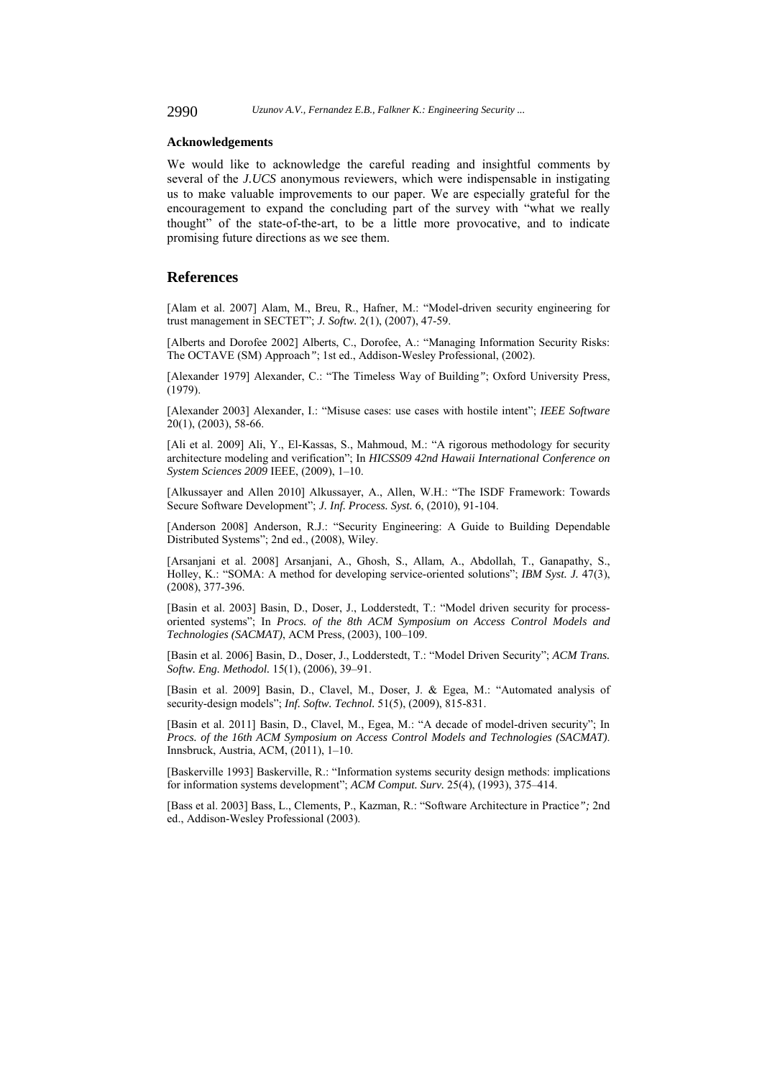2990 *Uzunov A.V., Fernandez E.B., Falkner K.: Engineering Security ...*

#### **Acknowledgements**

We would like to acknowledge the careful reading and insightful comments by several of the *J.UCS* anonymous reviewers, which were indispensable in instigating us to make valuable improvements to our paper. We are especially grateful for the encouragement to expand the concluding part of the survey with "what we really thought" of the state-of-the-art, to be a little more provocative, and to indicate promising future directions as we see them.

# **References**

[Alam et al. 2007] Alam, M., Breu, R., Hafner, M.: "Model-driven security engineering for trust management in SECTET"; *J. Softw.* 2(1), (2007), 47-59.

[Alberts and Dorofee 2002] Alberts, C., Dorofee, A.: "Managing Information Security Risks: The OCTAVE (SM) Approach*"*; 1st ed., Addison-Wesley Professional, (2002).

[Alexander 1979] Alexander, C.: "The Timeless Way of Building*"*; Oxford University Press, (1979).

[Alexander 2003] Alexander, I.: "Misuse cases: use cases with hostile intent"; *IEEE Software* 20(1), (2003), 58-66.

[Ali et al. 2009] Ali, Y., El-Kassas, S., Mahmoud, M.: "A rigorous methodology for security architecture modeling and verification"; In *HICSS09 42nd Hawaii International Conference on System Sciences 2009* IEEE, (2009), 1–10.

[Alkussayer and Allen 2010] Alkussayer, A., Allen, W.H.: "The ISDF Framework: Towards Secure Software Development"; *J. Inf. Process. Syst.* 6, (2010), 91-104.

[Anderson 2008] Anderson, R.J.: "Security Engineering: A Guide to Building Dependable Distributed Systems"; 2nd ed., (2008), Wiley.

[Arsanjani et al. 2008] Arsanjani, A., Ghosh, S., Allam, A., Abdollah, T., Ganapathy, S., Holley, K.: "SOMA: A method for developing service-oriented solutions"; *IBM Syst. J.* 47(3), (2008), 377-396.

[Basin et al. 2003] Basin, D., Doser, J., Lodderstedt, T.: "Model driven security for processoriented systems"; In *Procs. of the 8th ACM Symposium on Access Control Models and Technologies (SACMAT)*, ACM Press, (2003), 100–109.

[Basin et al. 2006] Basin, D., Doser, J., Lodderstedt, T.: "Model Driven Security"; *ACM Trans. Softw. Eng. Methodol.* 15(1), (2006), 39–91.

[Basin et al. 2009] Basin, D., Clavel, M., Doser, J. & Egea, M.: "Automated analysis of security-design models"; *Inf. Softw. Technol.* 51(5), (2009), 815-831.

[Basin et al. 2011] Basin, D., Clavel, M., Egea, M.: "A decade of model-driven security"; In *Procs. of the 16th ACM Symposium on Access Control Models and Technologies (SACMAT)*. Innsbruck, Austria, ACM, (2011), 1–10.

[Baskerville 1993] Baskerville, R.: "Information systems security design methods: implications for information systems development"; *ACM Comput. Surv.* 25(4), (1993), 375–414.

[Bass et al. 2003] Bass, L., Clements, P., Kazman, R.: "Software Architecture in Practice*";* 2nd ed., Addison-Wesley Professional (2003).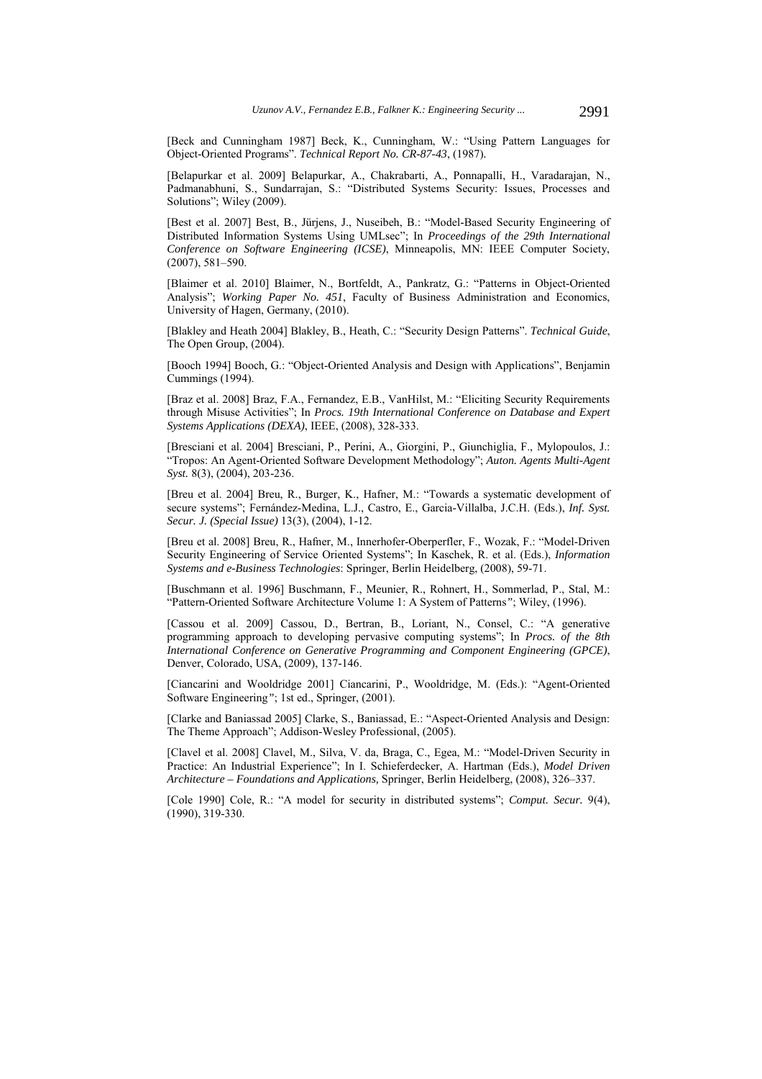[Beck and Cunningham 1987] Beck, K., Cunningham, W.: "Using Pattern Languages for Object-Oriented Programs". *Technical Report No. CR-87-43*, (1987)*.* 

[Belapurkar et al. 2009] Belapurkar, A., Chakrabarti, A., Ponnapalli, H., Varadarajan, N., Padmanabhuni, S., Sundarrajan, S.: "Distributed Systems Security: Issues, Processes and Solutions"; Wiley (2009).

[Best et al. 2007] Best, B., Jürjens, J., Nuseibeh, B.: "Model-Based Security Engineering of Distributed Information Systems Using UMLsec"; In *Proceedings of the 29th International Conference on Software Engineering (ICSE)*, Minneapolis, MN: IEEE Computer Society, (2007), 581–590.

[Blaimer et al. 2010] Blaimer, N., Bortfeldt, A., Pankratz, G.: "Patterns in Object-Oriented Analysis"; *Working Paper No. 451*, Faculty of Business Administration and Economics, University of Hagen, Germany, (2010).

[Blakley and Heath 2004] Blakley, B., Heath, C.: "Security Design Patterns". *Technical Guide*, The Open Group, (2004).

[Booch 1994] Booch, G.: "Object-Oriented Analysis and Design with Applications", Benjamin Cummings (1994).

[Braz et al. 2008] Braz, F.A., Fernandez, E.B., VanHilst, M.: "Eliciting Security Requirements through Misuse Activities"; In *Procs. 19th International Conference on Database and Expert Systems Applications (DEXA)*, IEEE, (2008), 328-333.

[Bresciani et al. 2004] Bresciani, P., Perini, A., Giorgini, P., Giunchiglia, F., Mylopoulos, J.: "Tropos: An Agent-Oriented Software Development Methodology"; *Auton. Agents Multi-Agent Syst.* 8(3), (2004), 203-236.

[Breu et al. 2004] Breu, R., Burger, K., Hafner, M.: "Towards a systematic development of secure systems"; Fernández-Medina, L.J., Castro, E., Garcia-Villalba, J.C.H. (Eds.), *Inf. Syst. Secur. J. (Special Issue)* 13(3), (2004), 1-12.

[Breu et al. 2008] Breu, R., Hafner, M., Innerhofer-Oberperfler, F., Wozak, F.: "Model-Driven Security Engineering of Service Oriented Systems"; In Kaschek, R. et al. (Eds.), *Information Systems and e-Business Technologies*: Springer, Berlin Heidelberg, (2008), 59-71.

[Buschmann et al. 1996] Buschmann, F., Meunier, R., Rohnert, H., Sommerlad, P., Stal, M.: "Pattern-Oriented Software Architecture Volume 1: A System of Patterns*"*; Wiley, (1996).

[Cassou et al. 2009] Cassou, D., Bertran, B., Loriant, N., Consel, C.: "A generative programming approach to developing pervasive computing systems"; In *Procs. of the 8th International Conference on Generative Programming and Component Engineering (GPCE)*, Denver, Colorado, USA, (2009), 137-146.

[Ciancarini and Wooldridge 2001] Ciancarini, P., Wooldridge, M. (Eds.): "Agent-Oriented Software Engineering*"*; 1st ed., Springer, (2001).

[Clarke and Baniassad 2005] Clarke, S., Baniassad, E.: "Aspect-Oriented Analysis and Design: The Theme Approach"; Addison-Wesley Professional, (2005).

[Clavel et al. 2008] Clavel, M., Silva, V. da, Braga, C., Egea, M.: "Model-Driven Security in Practice: An Industrial Experience"; In I. Schieferdecker, A. Hartman (Eds.), *Model Driven Architecture – Foundations and Applications,* Springer, Berlin Heidelberg, (2008), 326–337.

[Cole 1990] Cole, R.: "A model for security in distributed systems"; *Comput. Secur.* 9(4), (1990), 319-330.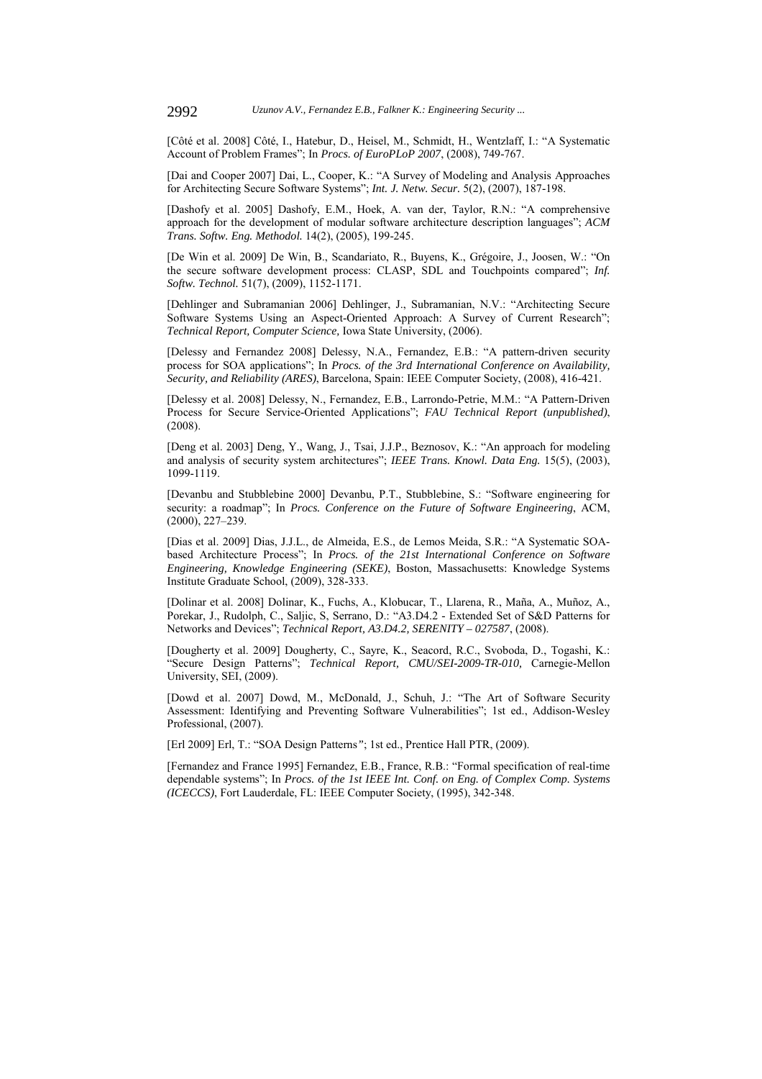[Côté et al. 2008] Côté, I., Hatebur, D., Heisel, M., Schmidt, H., Wentzlaff, I.: "A Systematic Account of Problem Frames"; In *Procs. of EuroPLoP 2007*, (2008), 749-767.

[Dai and Cooper 2007] Dai, L., Cooper, K.: "A Survey of Modeling and Analysis Approaches for Architecting Secure Software Systems"; *Int. J. Netw. Secur.* 5(2), (2007), 187-198.

[Dashofy et al. 2005] Dashofy, E.M., Hoek, A. van der, Taylor, R.N.: "A comprehensive approach for the development of modular software architecture description languages"; *ACM Trans. Softw. Eng. Methodol.* 14(2), (2005), 199-245.

[De Win et al. 2009] De Win, B., Scandariato, R., Buyens, K., Grégoire, J., Joosen, W.: "On the secure software development process: CLASP, SDL and Touchpoints compared"; *Inf. Softw. Technol.* 51(7), (2009), 1152-1171.

[Dehlinger and Subramanian 2006] Dehlinger, J., Subramanian, N.V.: "Architecting Secure Software Systems Using an Aspect-Oriented Approach: A Survey of Current Research"; *Technical Report, Computer Science,* Iowa State University, (2006).

[Delessy and Fernandez 2008] Delessy, N.A., Fernandez, E.B.: "A pattern-driven security process for SOA applications"; In *Procs. of the 3rd International Conference on Availability, Security, and Reliability (ARES)*, Barcelona, Spain: IEEE Computer Society, (2008), 416-421.

[Delessy et al. 2008] Delessy, N., Fernandez, E.B., Larrondo-Petrie, M.M.: "A Pattern-Driven Process for Secure Service-Oriented Applications"; *FAU Technical Report (unpublished)*, (2008).

[Deng et al. 2003] Deng, Y., Wang, J., Tsai, J.J.P., Beznosov, K.: "An approach for modeling and analysis of security system architectures"; *IEEE Trans. Knowl. Data Eng.* 15(5), (2003), 1099-1119.

[Devanbu and Stubblebine 2000] Devanbu, P.T., Stubblebine, S.: "Software engineering for security: a roadmap"; In *Procs. Conference on the Future of Software Engineering*, ACM, (2000), 227–239.

[Dias et al. 2009] Dias, J.J.L., de Almeida, E.S., de Lemos Meida, S.R.: "A Systematic SOAbased Architecture Process"; In Procs. of the 21st International Conference on Software *Engineering, Knowledge Engineering (SEKE)*, Boston, Massachusetts: Knowledge Systems Institute Graduate School, (2009), 328-333.

[Dolinar et al. 2008] Dolinar, K., Fuchs, A., Klobucar, T., Llarena, R., Maña, A., Muñoz, A., Porekar, J., Rudolph, C., Saljic, S, Serrano, D.: "A3.D4.2 - Extended Set of S&D Patterns for Networks and Devices"; *Technical Report, A3.D4.2, SERENITY – 027587*, (2008).

[Dougherty et al. 2009] Dougherty, C., Sayre, K., Seacord, R.C., Svoboda, D., Togashi, K.: "Secure Design Patterns"; *Technical Report, CMU/SEI-2009-TR-010,* Carnegie-Mellon University, SEI, (2009).

[Dowd et al. 2007] Dowd, M., McDonald, J., Schuh, J.: "The Art of Software Security Assessment: Identifying and Preventing Software Vulnerabilities"; 1st ed., Addison-Wesley Professional, (2007).

[Erl 2009] Erl, T.: "SOA Design Patterns*"*; 1st ed., Prentice Hall PTR, (2009).

[Fernandez and France 1995] Fernandez, E.B., France, R.B.: "Formal specification of real-time dependable systems"; In *Procs. of the 1st IEEE Int. Conf. on Eng. of Complex Comp. Systems (ICECCS)*, Fort Lauderdale, FL: IEEE Computer Society, (1995), 342-348.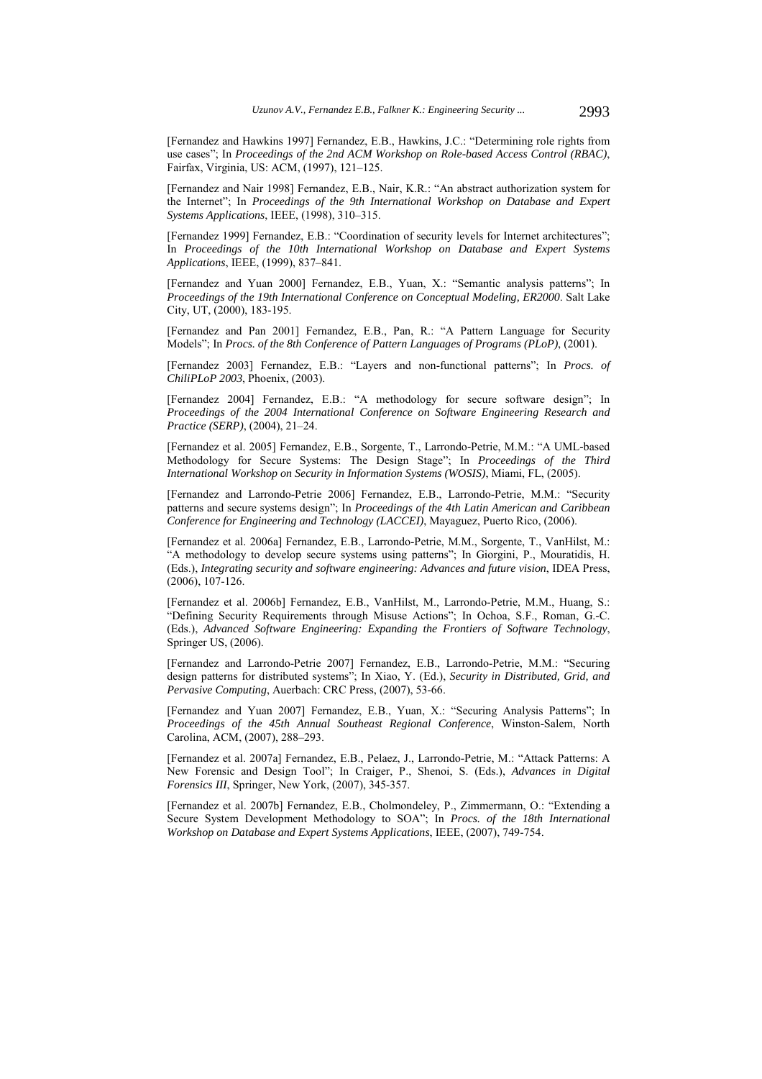[Fernandez and Hawkins 1997] Fernandez, E.B., Hawkins, J.C.: "Determining role rights from use cases"; In *Proceedings of the 2nd ACM Workshop on Role-based Access Control (RBAC)*, Fairfax, Virginia, US: ACM, (1997), 121–125.

[Fernandez and Nair 1998] Fernandez, E.B., Nair, K.R.: "An abstract authorization system for the Internet"; In *Proceedings of the 9th International Workshop on Database and Expert Systems Applications*, IEEE, (1998), 310–315.

[Fernandez 1999] Fernandez, E.B.: "Coordination of security levels for Internet architectures"; In *Proceedings of the 10th International Workshop on Database and Expert Systems Applications*, IEEE, (1999), 837–841.

[Fernandez and Yuan 2000] Fernandez, E.B., Yuan, X.: "Semantic analysis patterns"; In *Proceedings of the 19th International Conference on Conceptual Modeling, ER2000*. Salt Lake City, UT, (2000), 183-195.

[Fernandez and Pan 2001] Fernandez, E.B., Pan, R.: "A Pattern Language for Security Models"; In *Procs. of the 8th Conference of Pattern Languages of Programs (PLoP)*, (2001).

[Fernandez 2003] Fernandez, E.B.: "Layers and non-functional patterns"; In *Procs. of ChiliPLoP 2003*, Phoenix, (2003).

[Fernandez 2004] Fernandez, E.B.: "A methodology for secure software design"; In *Proceedings of the 2004 International Conference on Software Engineering Research and Practice (SERP)*, (2004), 21–24.

[Fernandez et al. 2005] Fernandez, E.B., Sorgente, T., Larrondo-Petrie, M.M.: "A UML-based Methodology for Secure Systems: The Design Stage"; In *Proceedings of the Third International Workshop on Security in Information Systems (WOSIS)*, Miami, FL, (2005).

[Fernandez and Larrondo-Petrie 2006] Fernandez, E.B., Larrondo-Petrie, M.M.: "Security patterns and secure systems design"; In *Proceedings of the 4th Latin American and Caribbean Conference for Engineering and Technology (LACCEI)*, Mayaguez, Puerto Rico, (2006).

[Fernandez et al. 2006a] Fernandez, E.B., Larrondo-Petrie, M.M., Sorgente, T., VanHilst, M.: "A methodology to develop secure systems using patterns"; In Giorgini, P., Mouratidis, H. (Eds.), *Integrating security and software engineering: Advances and future vision*, IDEA Press, (2006), 107-126.

[Fernandez et al. 2006b] Fernandez, E.B., VanHilst, M., Larrondo-Petrie, M.M., Huang, S.: "Defining Security Requirements through Misuse Actions"; In Ochoa, S.F., Roman, G.-C. (Eds.), *Advanced Software Engineering: Expanding the Frontiers of Software Technology*, Springer US, (2006).

[Fernandez and Larrondo-Petrie 2007] Fernandez, E.B., Larrondo-Petrie, M.M.: "Securing design patterns for distributed systems"; In Xiao, Y. (Ed.), *Security in Distributed, Grid, and Pervasive Computing*, Auerbach: CRC Press, (2007), 53-66.

[Fernandez and Yuan 2007] Fernandez, E.B., Yuan, X.: "Securing Analysis Patterns"; In *Proceedings of the 45th Annual Southeast Regional Conference*, Winston-Salem, North Carolina, ACM, (2007), 288–293.

[Fernandez et al. 2007a] Fernandez, E.B., Pelaez, J., Larrondo-Petrie, M.: "Attack Patterns: A New Forensic and Design Tool"; In Craiger, P., Shenoi, S. (Eds.), *Advances in Digital Forensics III*, Springer, New York, (2007), 345-357.

[Fernandez et al. 2007b] Fernandez, E.B., Cholmondeley, P., Zimmermann, O.: "Extending a Secure System Development Methodology to SOA"; In *Procs. of the 18th International Workshop on Database and Expert Systems Applications*, IEEE, (2007), 749-754.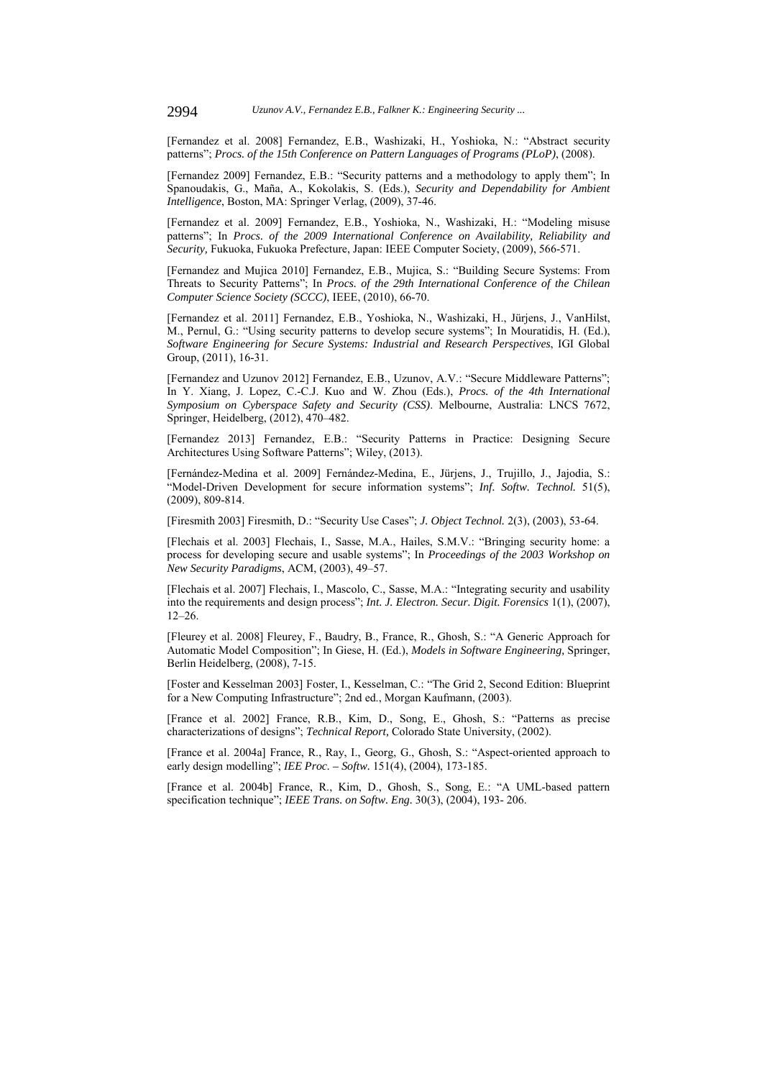[Fernandez et al. 2008] Fernandez, E.B., Washizaki, H., Yoshioka, N.: "Abstract security patterns"; *Procs. of the 15th Conference on Pattern Languages of Programs (PLoP)*, (2008).

[Fernandez 2009] Fernandez, E.B.: "Security patterns and a methodology to apply them"; In Spanoudakis, G., Maña, A., Kokolakis, S. (Eds.), *Security and Dependability for Ambient Intelligence*, Boston, MA: Springer Verlag, (2009), 37-46.

[Fernandez et al. 2009] Fernandez, E.B., Yoshioka, N., Washizaki, H.: "Modeling misuse patterns"; In *Procs. of the 2009 International Conference on Availability, Reliability and Security,* Fukuoka, Fukuoka Prefecture, Japan: IEEE Computer Society, (2009), 566-571.

[Fernandez and Mujica 2010] Fernandez, E.B., Mujica, S.: "Building Secure Systems: From Threats to Security Patterns"; In *Procs. of the 29th International Conference of the Chilean Computer Science Society (SCCC)*, IEEE, (2010), 66-70.

[Fernandez et al. 2011] Fernandez, E.B., Yoshioka, N., Washizaki, H., Jürjens, J., VanHilst, M., Pernul, G.: "Using security patterns to develop secure systems"; In Mouratidis, H. (Ed.), *Software Engineering for Secure Systems: Industrial and Research Perspectives*, IGI Global Group, (2011), 16-31.

[Fernandez and Uzunov 2012] Fernandez, E.B., Uzunov, A.V.: "Secure Middleware Patterns"; In Y. Xiang, J. Lopez, C.-C.J. Kuo and W. Zhou (Eds.), *Procs. of the 4th International Symposium on Cyberspace Safety and Security (CSS)*. Melbourne, Australia: LNCS 7672, Springer, Heidelberg, (2012), 470–482.

[Fernandez 2013] Fernandez, E.B.: "Security Patterns in Practice: Designing Secure Architectures Using Software Patterns"; Wiley, (2013).

[Fernández-Medina et al. 2009] Fernández-Medina, E., Jürjens, J., Trujillo, J., Jajodia, S.: "Model-Driven Development for secure information systems"; *Inf. Softw. Technol.* 51(5), (2009), 809-814.

[Firesmith 2003] Firesmith, D.: "Security Use Cases"; *J. Object Technol.* 2(3), (2003), 53-64.

[Flechais et al. 2003] Flechais, I., Sasse, M.A., Hailes, S.M.V.: "Bringing security home: a process for developing secure and usable systems"; In *Proceedings of the 2003 Workshop on New Security Paradigms*, ACM, (2003), 49–57.

[Flechais et al. 2007] Flechais, I., Mascolo, C., Sasse, M.A.: "Integrating security and usability into the requirements and design process"; *Int. J. Electron. Secur. Digit. Forensics* 1(1), (2007), 12–26.

[Fleurey et al. 2008] Fleurey, F., Baudry, B., France, R., Ghosh, S.: "A Generic Approach for Automatic Model Composition"; In Giese, H. (Ed.), *Models in Software Engineering,* Springer, Berlin Heidelberg, (2008), 7-15.

[Foster and Kesselman 2003] Foster, I., Kesselman, C.: "The Grid 2, Second Edition: Blueprint for a New Computing Infrastructure"; 2nd ed., Morgan Kaufmann, (2003).

[France et al. 2002] France, R.B., Kim, D., Song, E., Ghosh, S.: "Patterns as precise characterizations of designs"; *Technical Report,* Colorado State University, (2002).

[France et al. 2004a] France, R., Ray, I., Georg, G., Ghosh, S.: "Aspect-oriented approach to early design modelling"; *IEE Proc. – Softw.* 151(4), (2004), 173-185.

[France et al. 2004b] France, R., Kim, D., Ghosh, S., Song, E.: "A UML-based pattern specification technique"; *IEEE Trans. on Softw. Eng.* 30(3), (2004), 193- 206.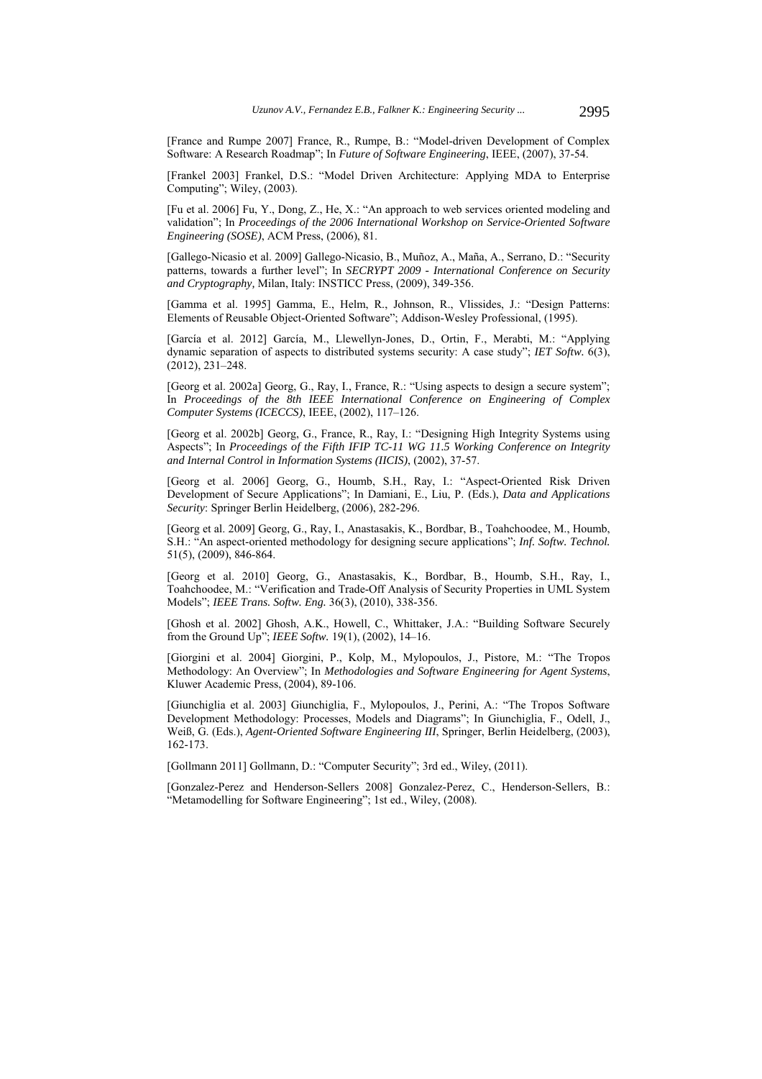[France and Rumpe 2007] France, R., Rumpe, B.: "Model-driven Development of Complex Software: A Research Roadmap"; In *Future of Software Engineering*, IEEE, (2007), 37-54.

[Frankel 2003] Frankel, D.S.: "Model Driven Architecture: Applying MDA to Enterprise Computing"; Wiley, (2003).

[Fu et al. 2006] Fu, Y., Dong, Z., He, X.: "An approach to web services oriented modeling and validation"; In *Proceedings of the 2006 International Workshop on Service-Oriented Software Engineering (SOSE)*, ACM Press, (2006), 81.

[Gallego-Nicasio et al. 2009] Gallego-Nicasio, B., Muñoz, A., Maña, A., Serrano, D.: "Security patterns, towards a further level"; In *SECRYPT 2009 - International Conference on Security and Cryptography,* Milan, Italy: INSTICC Press, (2009), 349-356.

[Gamma et al. 1995] Gamma, E., Helm, R., Johnson, R., Vlissides, J.: "Design Patterns: Elements of Reusable Object-Oriented Software"; Addison-Wesley Professional, (1995).

[García et al. 2012] García, M., Llewellyn-Jones, D., Ortin, F., Merabti, M.: "Applying dynamic separation of aspects to distributed systems security: A case study"; *IET Softw.* 6(3), (2012), 231–248.

[Georg et al. 2002a] Georg, G., Ray, I., France, R.: "Using aspects to design a secure system"; In *Proceedings of the 8th IEEE International Conference on Engineering of Complex Computer Systems (ICECCS)*, IEEE, (2002), 117–126.

[Georg et al. 2002b] Georg, G., France, R., Ray, I.: "Designing High Integrity Systems using Aspects"; In *Proceedings of the Fifth IFIP TC-11 WG 11.5 Working Conference on Integrity and Internal Control in Information Systems (IICIS)*, (2002), 37-57.

[Georg et al. 2006] Georg, G., Houmb, S.H., Ray, I.: "Aspect-Oriented Risk Driven Development of Secure Applications"; In Damiani, E., Liu, P. (Eds.), *Data and Applications Security*: Springer Berlin Heidelberg, (2006), 282-296.

[Georg et al. 2009] Georg, G., Ray, I., Anastasakis, K., Bordbar, B., Toahchoodee, M., Houmb, S.H.: "An aspect-oriented methodology for designing secure applications"; *Inf. Softw. Technol.* 51(5), (2009), 846-864.

[Georg et al. 2010] Georg, G., Anastasakis, K., Bordbar, B., Houmb, S.H., Ray, I., Toahchoodee, M.: "Verification and Trade-Off Analysis of Security Properties in UML System Models"; *IEEE Trans. Softw. Eng.* 36(3), (2010), 338-356.

[Ghosh et al. 2002] Ghosh, A.K., Howell, C., Whittaker, J.A.: "Building Software Securely from the Ground Up"; *IEEE Softw.* 19(1), (2002), 14–16.

[Giorgini et al. 2004] Giorgini, P., Kolp, M., Mylopoulos, J., Pistore, M.: "The Tropos Methodology: An Overview"; In *Methodologies and Software Engineering for Agent Systems*, Kluwer Academic Press, (2004), 89-106.

[Giunchiglia et al. 2003] Giunchiglia, F., Mylopoulos, J., Perini, A.: "The Tropos Software Development Methodology: Processes, Models and Diagrams"; In Giunchiglia, F., Odell, J., Weiß, G. (Eds.), *Agent-Oriented Software Engineering III*, Springer, Berlin Heidelberg, (2003), 162-173.

[Gollmann 2011] Gollmann, D.: "Computer Security"; 3rd ed., Wiley, (2011).

[Gonzalez-Perez and Henderson-Sellers 2008] Gonzalez-Perez, C., Henderson-Sellers, B.: "Metamodelling for Software Engineering"; 1st ed., Wiley, (2008).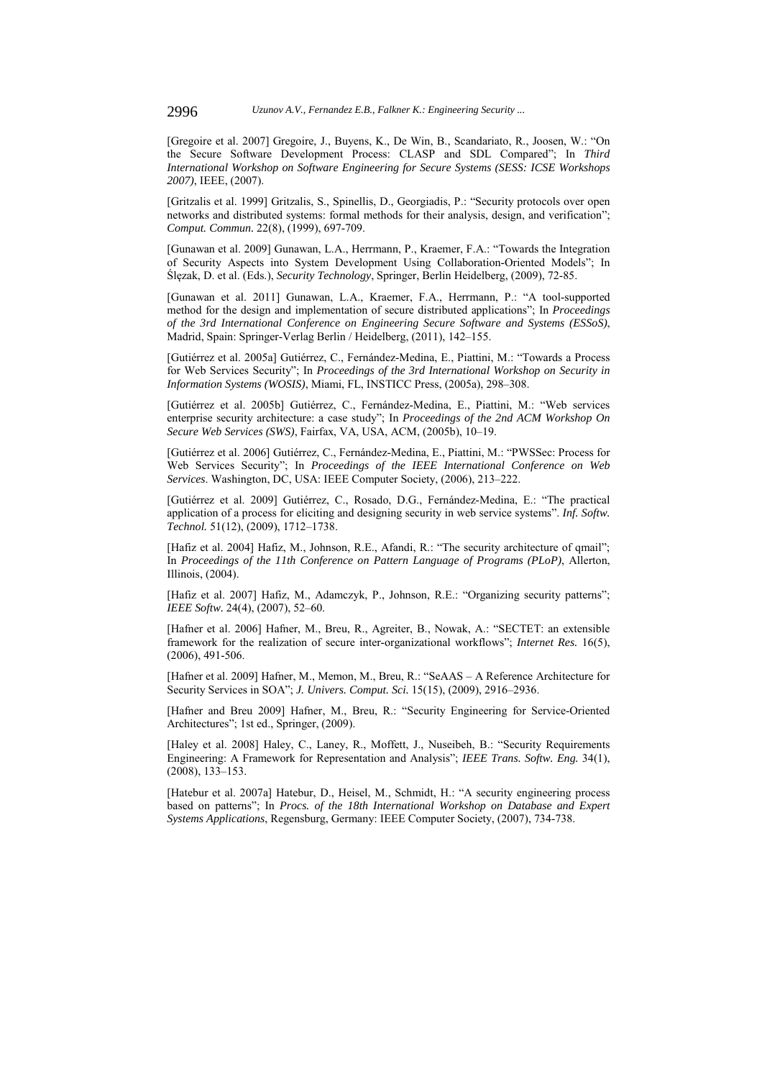[Gregoire et al. 2007] Gregoire, J., Buyens, K., De Win, B., Scandariato, R., Joosen, W.: "On the Secure Software Development Process: CLASP and SDL Compared"; In *Third International Workshop on Software Engineering for Secure Systems (SESS: ICSE Workshops 2007)*, IEEE, (2007).

[Gritzalis et al. 1999] Gritzalis, S., Spinellis, D., Georgiadis, P.: "Security protocols over open networks and distributed systems: formal methods for their analysis, design, and verification"; *Comput. Commun.* 22(8), (1999), 697-709.

[Gunawan et al. 2009] Gunawan, L.A., Herrmann, P., Kraemer, F.A.: "Towards the Integration of Security Aspects into System Development Using Collaboration-Oriented Models"; In Ślęzak, D. et al. (Eds.), *Security Technology*, Springer, Berlin Heidelberg, (2009), 72-85.

[Gunawan et al. 2011] Gunawan, L.A., Kraemer, F.A., Herrmann, P.: "A tool-supported method for the design and implementation of secure distributed applications"; In *Proceedings of the 3rd International Conference on Engineering Secure Software and Systems (ESSoS)*, Madrid, Spain: Springer-Verlag Berlin / Heidelberg, (2011), 142–155.

[Gutiérrez et al. 2005a] Gutiérrez, C., Fernández-Medina, E., Piattini, M.: "Towards a Process for Web Services Security"; In *Proceedings of the 3rd International Workshop on Security in Information Systems (WOSIS)*, Miami, FL, INSTICC Press, (2005a), 298–308.

[Gutiérrez et al. 2005b] Gutiérrez, C., Fernández-Medina, E., Piattini, M.: "Web services enterprise security architecture: a case study"; In *Proceedings of the 2nd ACM Workshop On Secure Web Services (SWS)*, Fairfax, VA, USA, ACM, (2005b), 10–19.

[Gutiérrez et al. 2006] Gutiérrez, C., Fernández-Medina, E., Piattini, M.: "PWSSec: Process for Web Services Security"; In *Proceedings of the IEEE International Conference on Web Services*. Washington, DC, USA: IEEE Computer Society, (2006), 213–222.

[Gutiérrez et al. 2009] Gutiérrez, C., Rosado, D.G., Fernández-Medina, E.: "The practical application of a process for eliciting and designing security in web service systems". *Inf. Softw. Technol.* 51(12), (2009), 1712–1738.

[Hafiz et al. 2004] Hafiz, M., Johnson, R.E., Afandi, R.: "The security architecture of qmail"; In *Proceedings of the 11th Conference on Pattern Language of Programs (PLoP)*, Allerton, Illinois, (2004).

[Hafiz et al. 2007] Hafiz, M., Adamczyk, P., Johnson, R.E.: "Organizing security patterns"; *IEEE Softw.* 24(4), (2007), 52–60.

[Hafner et al. 2006] Hafner, M., Breu, R., Agreiter, B., Nowak, A.: "SECTET: an extensible framework for the realization of secure inter-organizational workflows"; *Internet Res.* 16(5), (2006), 491-506.

[Hafner et al. 2009] Hafner, M., Memon, M., Breu, R.: "SeAAS – A Reference Architecture for Security Services in SOA"; *J. Univers. Comput. Sci.* 15(15), (2009), 2916–2936.

[Hafner and Breu 2009] Hafner, M., Breu, R.: "Security Engineering for Service-Oriented Architectures"; 1st ed., Springer, (2009).

[Haley et al. 2008] Haley, C., Laney, R., Moffett, J., Nuseibeh, B.: "Security Requirements Engineering: A Framework for Representation and Analysis"; *IEEE Trans. Softw. Eng.* 34(1), (2008), 133–153.

[Hatebur et al. 2007a] Hatebur, D., Heisel, M., Schmidt, H.: "A security engineering process based on patterns"; In *Procs. of the 18th International Workshop on Database and Expert Systems Applications*, Regensburg, Germany: IEEE Computer Society, (2007), 734-738.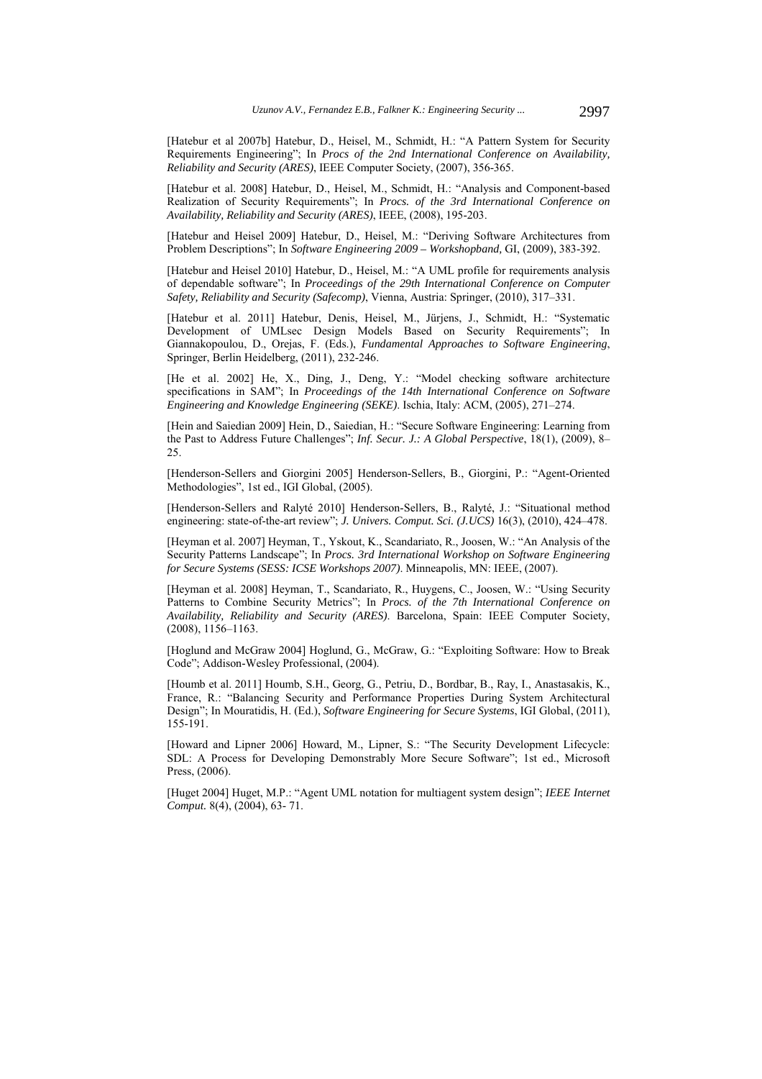[Hatebur et al 2007b] Hatebur, D., Heisel, M., Schmidt, H.: "A Pattern System for Security Requirements Engineering"; In *Procs of the 2nd International Conference on Availability, Reliability and Security (ARES)*, IEEE Computer Society, (2007), 356-365.

[Hatebur et al. 2008] Hatebur, D., Heisel, M., Schmidt, H.: "Analysis and Component-based Realization of Security Requirements"; In *Procs. of the 3rd International Conference on Availability, Reliability and Security (ARES)*, IEEE, (2008), 195-203.

[Hatebur and Heisel 2009] Hatebur, D., Heisel, M.: "Deriving Software Architectures from Problem Descriptions"; In *Software Engineering 2009 – Workshopband,* GI, (2009), 383-392.

[Hatebur and Heisel 2010] Hatebur, D., Heisel, M.: "A UML profile for requirements analysis of dependable software"; In *Proceedings of the 29th International Conference on Computer Safety, Reliability and Security (Safecomp)*, Vienna, Austria: Springer, (2010), 317–331.

[Hatebur et al. 2011] Hatebur, Denis, Heisel, M., Jürjens, J., Schmidt, H.: "Systematic Development of UMLsec Design Models Based on Security Requirements"; In Giannakopoulou, D., Orejas, F. (Eds.), *Fundamental Approaches to Software Engineering*, Springer, Berlin Heidelberg, (2011), 232-246.

[He et al. 2002] He, X., Ding, J., Deng, Y.: "Model checking software architecture specifications in SAM"; In *Proceedings of the 14th International Conference on Software Engineering and Knowledge Engineering (SEKE)*. Ischia, Italy: ACM, (2005), 271–274.

[Hein and Saiedian 2009] Hein, D., Saiedian, H.: "Secure Software Engineering: Learning from the Past to Address Future Challenges"; *Inf. Secur. J.: A Global Perspective*, 18(1), (2009), 8– 25.

[Henderson-Sellers and Giorgini 2005] Henderson-Sellers, B., Giorgini, P.: "Agent-Oriented Methodologies", 1st ed., IGI Global, (2005).

[Henderson-Sellers and Ralyté 2010] Henderson-Sellers, B., Ralyté, J.: "Situational method engineering: state-of-the-art review"; *J. Univers. Comput. Sci. (J.UCS)* 16(3), (2010), 424–478.

[Heyman et al. 2007] Heyman, T., Yskout, K., Scandariato, R., Joosen, W.: "An Analysis of the Security Patterns Landscape"; In *Procs. 3rd International Workshop on Software Engineering for Secure Systems (SESS: ICSE Workshops 2007)*. Minneapolis, MN: IEEE, (2007).

[Heyman et al. 2008] Heyman, T., Scandariato, R., Huygens, C., Joosen, W.: "Using Security Patterns to Combine Security Metrics"; In *Procs. of the 7th International Conference on Availability, Reliability and Security (ARES)*. Barcelona, Spain: IEEE Computer Society, (2008), 1156–1163.

[Hoglund and McGraw 2004] Hoglund, G., McGraw, G.: "Exploiting Software: How to Break Code"; Addison-Wesley Professional, (2004).

[Houmb et al. 2011] Houmb, S.H., Georg, G., Petriu, D., Bordbar, B., Ray, I., Anastasakis, K., France, R.: "Balancing Security and Performance Properties During System Architectural Design"; In Mouratidis, H. (Ed.), *Software Engineering for Secure Systems*, IGI Global, (2011), 155-191.

[Howard and Lipner 2006] Howard, M., Lipner, S.: "The Security Development Lifecycle: SDL: A Process for Developing Demonstrably More Secure Software"; 1st ed., Microsoft Press, (2006).

[Huget 2004] Huget, M.P.: "Agent UML notation for multiagent system design"; *IEEE Internet Comput.* 8(4), (2004), 63- 71.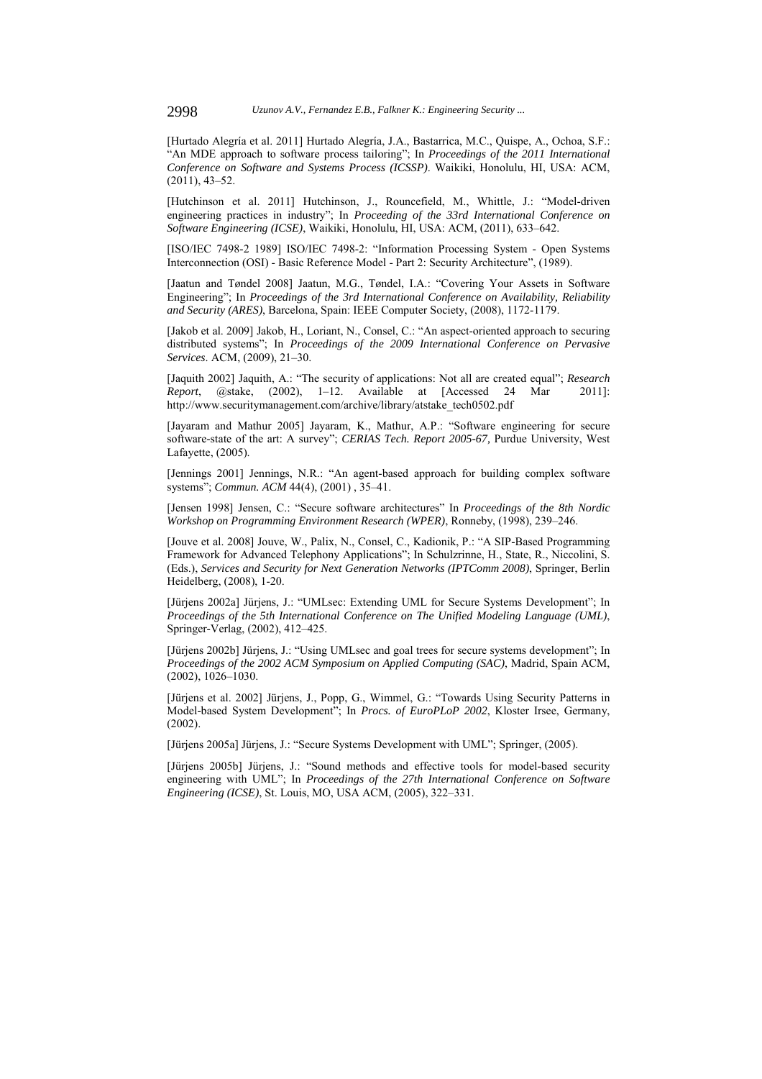[Hurtado Alegría et al. 2011] Hurtado Alegría, J.A., Bastarrica, M.C., Quispe, A., Ochoa, S.F.: "An MDE approach to software process tailoring"; In *Proceedings of the 2011 International Conference on Software and Systems Process (ICSSP)*. Waikiki, Honolulu, HI, USA: ACM, (2011), 43–52.

[Hutchinson et al. 2011] Hutchinson, J., Rouncefield, M., Whittle, J.: "Model-driven engineering practices in industry"; In *Proceeding of the 33rd International Conference on Software Engineering (ICSE)*, Waikiki, Honolulu, HI, USA: ACM, (2011), 633–642.

[ISO/IEC 7498-2 1989] ISO/IEC 7498-2: "Information Processing System - Open Systems Interconnection (OSI) - Basic Reference Model - Part 2: Security Architecture", (1989).

[Jaatun and Tøndel 2008] Jaatun, M.G., Tøndel, I.A.: "Covering Your Assets in Software Engineering"; In *Proceedings of the 3rd International Conference on Availability, Reliability and Security (ARES)*, Barcelona, Spain: IEEE Computer Society, (2008), 1172-1179.

[Jakob et al. 2009] Jakob, H., Loriant, N., Consel, C.: "An aspect-oriented approach to securing distributed systems"; In *Proceedings of the 2009 International Conference on Pervasive Services*. ACM, (2009), 21–30.

[Jaquith 2002] Jaquith, A.: "The security of applications: Not all are created equal"; *Research Report*, @stake, (2002), 1–12. Available at [Accessed 24 Mar 2011]: http://www.securitymanagement.com/archive/library/atstake\_tech0502.pdf

[Jayaram and Mathur 2005] Jayaram, K., Mathur, A.P.: "Software engineering for secure software-state of the art: A survey"; *CERIAS Tech. Report 2005-67,* Purdue University, West Lafayette, (2005).

[Jennings 2001] Jennings, N.R.: "An agent-based approach for building complex software systems"; *Commun. ACM* 44(4), (2001) , 35–41.

[Jensen 1998] Jensen, C.: "Secure software architectures" In *Proceedings of the 8th Nordic Workshop on Programming Environment Research (WPER)*, Ronneby, (1998), 239–246.

[Jouve et al. 2008] Jouve, W., Palix, N., Consel, C., Kadionik, P.: "A SIP-Based Programming Framework for Advanced Telephony Applications"; In Schulzrinne, H., State, R., Niccolini, S. (Eds.), *Services and Security for Next Generation Networks (IPTComm 2008)*, Springer, Berlin Heidelberg, (2008), 1-20.

[Jürjens 2002a] Jürjens, J.: "UMLsec: Extending UML for Secure Systems Development"; In *Proceedings of the 5th International Conference on The Unified Modeling Language (UML)*, Springer-Verlag, (2002), 412–425.

[Jürjens 2002b] Jürjens, J.: "Using UMLsec and goal trees for secure systems development"; In *Proceedings of the 2002 ACM Symposium on Applied Computing (SAC)*, Madrid, Spain ACM, (2002), 1026–1030.

[Jürjens et al. 2002] Jürjens, J., Popp, G., Wimmel, G.: "Towards Using Security Patterns in Model-based System Development"; In *Procs. of EuroPLoP 2002*, Kloster Irsee, Germany, (2002).

[Jürjens 2005a] Jürjens, J.: "Secure Systems Development with UML"; Springer, (2005).

[Jürjens 2005b] Jürjens, J.: "Sound methods and effective tools for model-based security engineering with UML"; In *Proceedings of the 27th International Conference on Software Engineering (ICSE)*, St. Louis, MO, USA ACM, (2005), 322–331.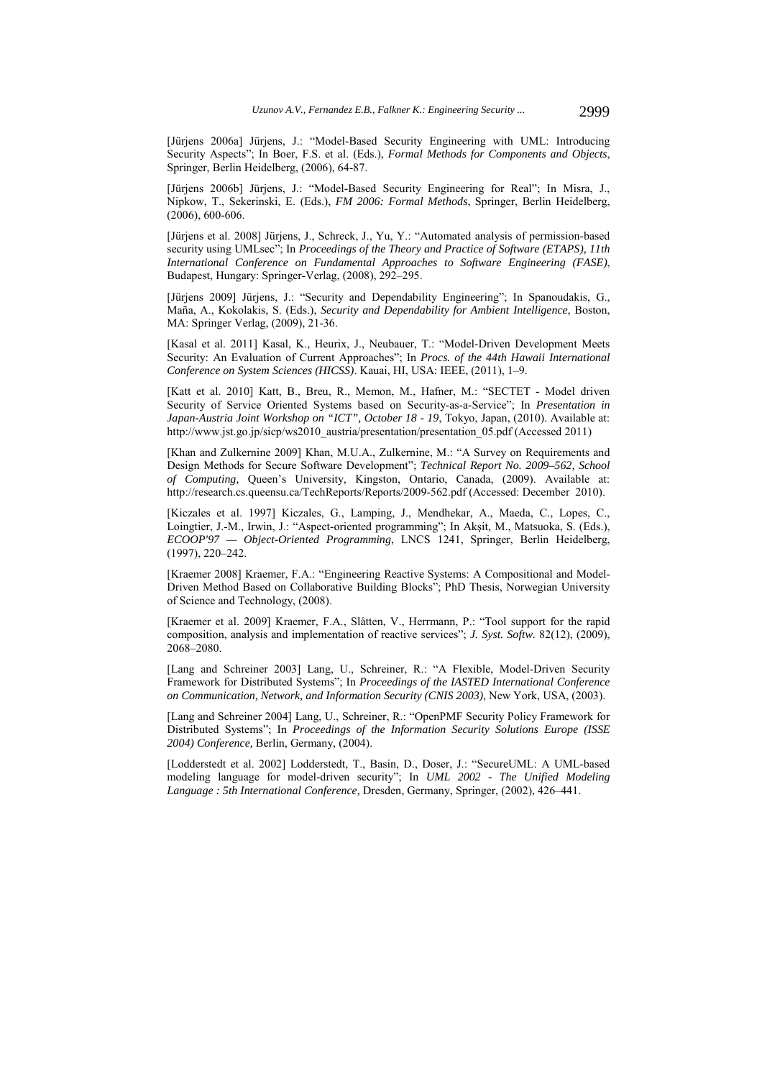[Jürjens 2006a] Jürjens, J.: "Model-Based Security Engineering with UML: Introducing Security Aspects"; In Boer, F.S. et al. (Eds.), *Formal Methods for Components and Objects*, Springer, Berlin Heidelberg, (2006), 64-87.

[Jürjens 2006b] Jürjens, J.: "Model-Based Security Engineering for Real"; In Misra, J., Nipkow, T., Sekerinski, E. (Eds.), *FM 2006: Formal Methods*, Springer, Berlin Heidelberg, (2006), 600-606.

[Jürjens et al. 2008] Jürjens, J., Schreck, J., Yu, Y.: "Automated analysis of permission-based security using UMLsec"; In *Proceedings of the Theory and Practice of Software (ETAPS), 11th International Conference on Fundamental Approaches to Software Engineering (FASE)*, Budapest, Hungary: Springer-Verlag, (2008), 292–295.

[Jürjens 2009] Jürjens, J.: "Security and Dependability Engineering"; In Spanoudakis, G., Maña, A., Kokolakis, S. (Eds.), *Security and Dependability for Ambient Intelligence*, Boston, MA: Springer Verlag, (2009), 21-36.

[Kasal et al. 2011] Kasal, K., Heurix, J., Neubauer, T.: "Model-Driven Development Meets Security: An Evaluation of Current Approaches"; In *Procs. of the 44th Hawaii International Conference on System Sciences (HICSS)*. Kauai, HI, USA: IEEE, (2011), 1–9.

[Katt et al. 2010] Katt, B., Breu, R., Memon, M., Hafner, M.: "SECTET - Model driven Security of Service Oriented Systems based on Security-as-a-Service"; In *Presentation in Japan-Austria Joint Workshop on "ICT", October 18 - 19*, Tokyo, Japan, (2010). Available at: http://www.jst.go.jp/sicp/ws2010\_austria/presentation/presentation\_05.pdf (Accessed 2011)

[Khan and Zulkernine 2009] Khan, M.U.A., Zulkernine, M.: "A Survey on Requirements and Design Methods for Secure Software Development"; *Technical Report No. 2009–562, School of Computing,* Queen's University, Kingston, Ontario, Canada, (2009). Available at: http://research.cs.queensu.ca/TechReports/Reports/2009-562.pdf (Accessed: December 2010).

[Kiczales et al. 1997] Kiczales, G., Lamping, J., Mendhekar, A., Maeda, C., Lopes, C., Loingtier, J.-M., Irwin, J.: "Aspect-oriented programming"; In Akşit, M., Matsuoka, S. (Eds.), *ECOOP'97 — Object-Oriented Programming*, LNCS 1241, Springer, Berlin Heidelberg, (1997), 220–242.

[Kraemer 2008] Kraemer, F.A.: "Engineering Reactive Systems: A Compositional and Model-Driven Method Based on Collaborative Building Blocks"; PhD Thesis, Norwegian University of Science and Technology, (2008).

[Kraemer et al. 2009] Kraemer, F.A., Slåtten, V., Herrmann, P.: "Tool support for the rapid composition, analysis and implementation of reactive services"; *J. Syst. Softw.* 82(12), (2009), 2068–2080.

[Lang and Schreiner 2003] Lang, U., Schreiner, R.: "A Flexible, Model-Driven Security Framework for Distributed Systems"; In *Proceedings of the IASTED International Conference on Communication, Network, and Information Security (CNIS 2003)*, New York, USA, (2003).

[Lang and Schreiner 2004] Lang, U., Schreiner, R.: "OpenPMF Security Policy Framework for Distributed Systems"; In *Proceedings of the Information Security Solutions Europe (ISSE 2004) Conference,* Berlin, Germany, (2004).

[Lodderstedt et al. 2002] Lodderstedt, T., Basin, D., Doser, J.: "SecureUML: A UML-based modeling language for model-driven security"; In *UML 2002 - The Unified Modeling Language : 5th International Conference,* Dresden, Germany, Springer, (2002), 426–441.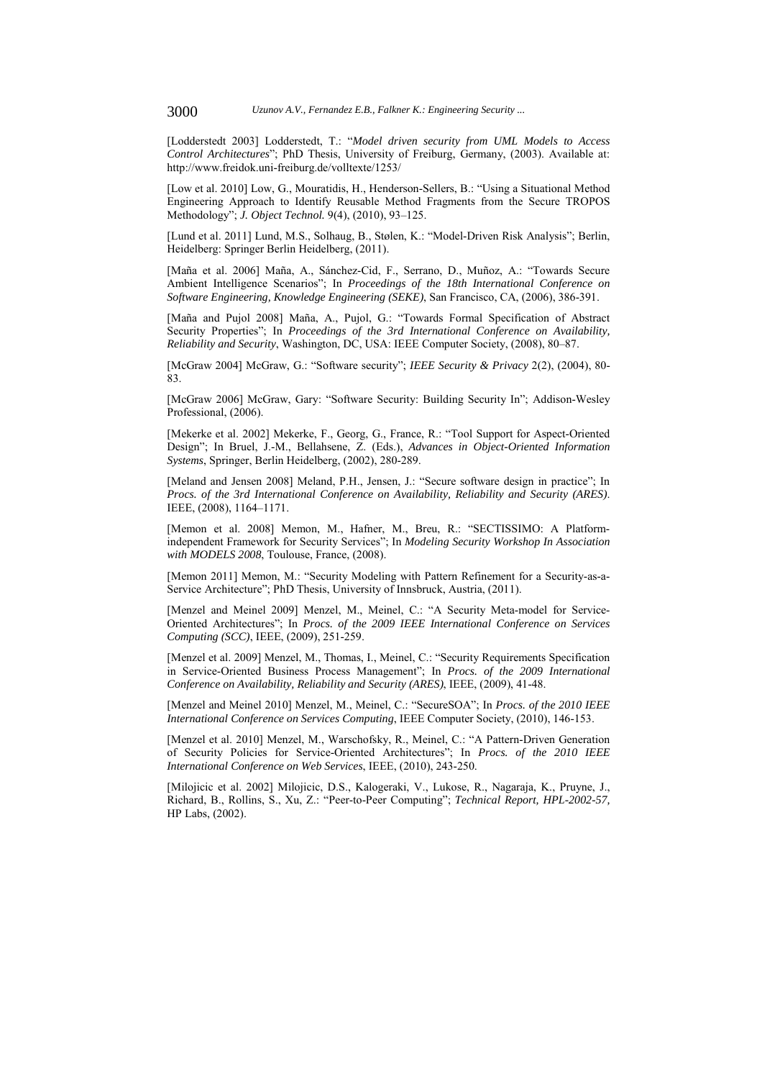[Lodderstedt 2003] Lodderstedt, T.: "*Model driven security from UML Models to Access Control Architectures*"; PhD Thesis, University of Freiburg, Germany, (2003). Available at: http://www.freidok.uni-freiburg.de/volltexte/1253/

[Low et al. 2010] Low, G., Mouratidis, H., Henderson-Sellers, B.: "Using a Situational Method Engineering Approach to Identify Reusable Method Fragments from the Secure TROPOS Methodology"; *J. Object Technol.* 9(4), (2010), 93–125.

[Lund et al. 2011] Lund, M.S., Solhaug, B., Stølen, K.: "Model-Driven Risk Analysis"; Berlin, Heidelberg: Springer Berlin Heidelberg, (2011).

[Maña et al. 2006] Maña, A., Sánchez-Cid, F., Serrano, D., Muñoz, A.: "Towards Secure Ambient Intelligence Scenarios"; In *Proceedings of the 18th International Conference on Software Engineering, Knowledge Engineering (SEKE)*, San Francisco, CA, (2006), 386-391.

[Maña and Pujol 2008] Maña, A., Pujol, G.: "Towards Formal Specification of Abstract Security Properties"; In *Proceedings of the 3rd International Conference on Availability, Reliability and Security*, Washington, DC, USA: IEEE Computer Society, (2008), 80–87.

[McGraw 2004] McGraw, G.: "Software security"; *IEEE Security & Privacy* 2(2), (2004), 80- 83.

[McGraw 2006] McGraw, Gary: "Software Security: Building Security In"; Addison-Wesley Professional, (2006).

[Mekerke et al. 2002] Mekerke, F., Georg, G., France, R.: "Tool Support for Aspect-Oriented Design"; In Bruel, J.-M., Bellahsene, Z. (Eds.), *Advances in Object-Oriented Information Systems*, Springer, Berlin Heidelberg, (2002), 280-289.

[Meland and Jensen 2008] Meland, P.H., Jensen, J.: "Secure software design in practice"; In *Procs. of the 3rd International Conference on Availability, Reliability and Security (ARES)*. IEEE, (2008), 1164–1171.

[Memon et al. 2008] Memon, M., Hafner, M., Breu, R.: "SECTISSIMO: A Platformindependent Framework for Security Services"; In *Modeling Security Workshop In Association with MODELS 2008*, Toulouse, France, (2008).

[Memon 2011] Memon, M.: "Security Modeling with Pattern Refinement for a Security-as-a-Service Architecture"; PhD Thesis, University of Innsbruck, Austria, (2011).

[Menzel and Meinel 2009] Menzel, M., Meinel, C.: "A Security Meta-model for Service-Oriented Architectures"; In *Procs. of the 2009 IEEE International Conference on Services Computing (SCC)*, IEEE, (2009), 251-259.

[Menzel et al. 2009] Menzel, M., Thomas, I., Meinel, C.: "Security Requirements Specification in Service-Oriented Business Process Management"; In *Procs. of the 2009 International Conference on Availability, Reliability and Security (ARES)*, IEEE, (2009), 41-48.

[Menzel and Meinel 2010] Menzel, M., Meinel, C.: "SecureSOA"; In *Procs. of the 2010 IEEE International Conference on Services Computing*, IEEE Computer Society, (2010), 146-153.

[Menzel et al. 2010] Menzel, M., Warschofsky, R., Meinel, C.: "A Pattern-Driven Generation of Security Policies for Service-Oriented Architectures"; In *Procs. of the 2010 IEEE International Conference on Web Services*, IEEE, (2010), 243-250.

[Milojicic et al. 2002] Milojicic, D.S., Kalogeraki, V., Lukose, R., Nagaraja, K., Pruyne, J., Richard, B., Rollins, S., Xu, Z.: "Peer-to-Peer Computing"; *Technical Report, HPL-2002-57,*  HP Labs, (2002).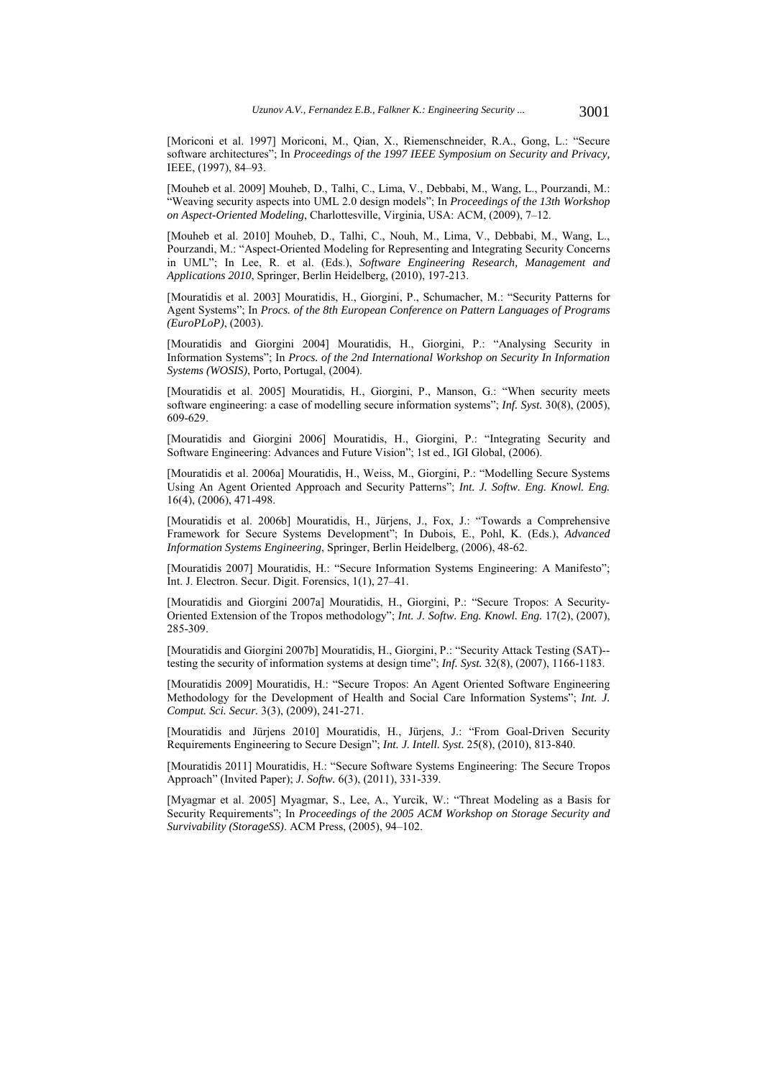[Moriconi et al. 1997] Moriconi, M., Qian, X., Riemenschneider, R.A., Gong, L.: "Secure software architectures"; In *Proceedings of the 1997 IEEE Symposium on Security and Privacy,* IEEE, (1997), 84–93.

[Mouheb et al. 2009] Mouheb, D., Talhi, C., Lima, V., Debbabi, M., Wang, L., Pourzandi, M.: "Weaving security aspects into UML 2.0 design models"; In *Proceedings of the 13th Workshop on Aspect-Oriented Modeling*, Charlottesville, Virginia, USA: ACM, (2009), 7–12.

[Mouheb et al. 2010] Mouheb, D., Talhi, C., Nouh, M., Lima, V., Debbabi, M., Wang, L., Pourzandi, M.: "Aspect-Oriented Modeling for Representing and Integrating Security Concerns in UML"; In Lee, R. et al. (Eds.), *Software Engineering Research, Management and Applications 2010*, Springer, Berlin Heidelberg, (2010), 197-213.

[Mouratidis et al. 2003] Mouratidis, H., Giorgini, P., Schumacher, M.: "Security Patterns for Agent Systems"; In *Procs. of the 8th European Conference on Pattern Languages of Programs (EuroPLoP)*, (2003).

[Mouratidis and Giorgini 2004] Mouratidis, H., Giorgini, P.: "Analysing Security in Information Systems"; In *Procs. of the 2nd International Workshop on Security In Information Systems (WOSIS)*, Porto, Portugal, (2004).

[Mouratidis et al. 2005] Mouratidis, H., Giorgini, P., Manson, G.: "When security meets software engineering: a case of modelling secure information systems"; *Inf. Syst.* 30(8), (2005), 609-629.

[Mouratidis and Giorgini 2006] Mouratidis, H., Giorgini, P.: "Integrating Security and Software Engineering: Advances and Future Vision"; 1st ed., IGI Global, (2006).

[Mouratidis et al. 2006a] Mouratidis, H., Weiss, M., Giorgini, P.: "Modelling Secure Systems Using An Agent Oriented Approach and Security Patterns"; *Int. J. Softw. Eng. Knowl. Eng.* 16(4), (2006), 471-498.

[Mouratidis et al. 2006b] Mouratidis, H., Jürjens, J., Fox, J.: "Towards a Comprehensive Framework for Secure Systems Development"; In Dubois, E., Pohl, K. (Eds.), *Advanced Information Systems Engineering*, Springer, Berlin Heidelberg, (2006), 48-62.

[Mouratidis 2007] Mouratidis, H.: "Secure Information Systems Engineering: A Manifesto"; Int. J. Electron. Secur. Digit. Forensics, 1(1), 27–41.

[Mouratidis and Giorgini 2007a] Mouratidis, H., Giorgini, P.: "Secure Tropos: A Security-Oriented Extension of the Tropos methodology"; *Int. J. Softw. Eng. Knowl. Eng.* 17(2), (2007), 285-309.

[Mouratidis and Giorgini 2007b] Mouratidis, H., Giorgini, P.: "Security Attack Testing (SAT)- testing the security of information systems at design time"; *Inf. Syst.* 32(8), (2007), 1166-1183.

[Mouratidis 2009] Mouratidis, H.: "Secure Tropos: An Agent Oriented Software Engineering Methodology for the Development of Health and Social Care Information Systems"; *Int. J. Comput. Sci. Secur.* 3(3), (2009), 241-271.

[Mouratidis and Jürjens 2010] Mouratidis, H., Jürjens, J.: "From Goal-Driven Security Requirements Engineering to Secure Design"; *Int. J. Intell. Syst.* 25(8), (2010), 813-840.

[Mouratidis 2011] Mouratidis, H.: "Secure Software Systems Engineering: The Secure Tropos Approach" (Invited Paper); *J. Softw.* 6(3), (2011), 331-339.

[Myagmar et al. 2005] Myagmar, S., Lee, A., Yurcik, W.: "Threat Modeling as a Basis for Security Requirements"; In *Proceedings of the 2005 ACM Workshop on Storage Security and Survivability (StorageSS)*. ACM Press, (2005), 94–102.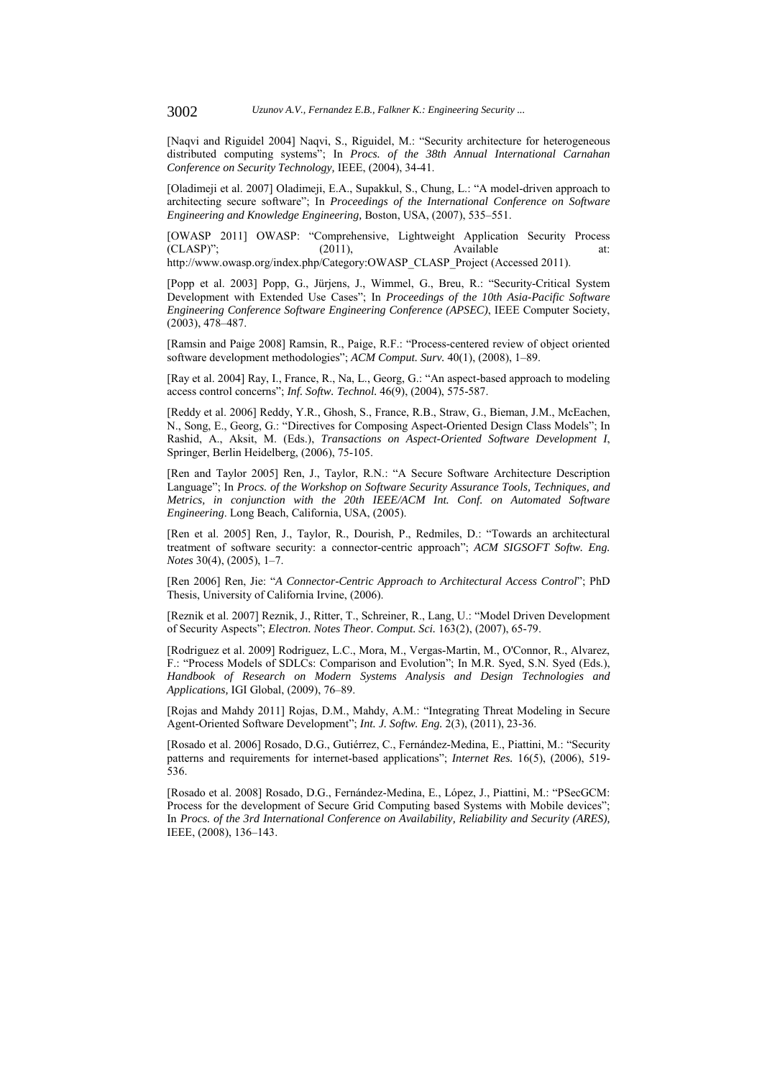[Naqvi and Riguidel 2004] Naqvi, S., Riguidel, M.: "Security architecture for heterogeneous distributed computing systems"; In *Procs. of the 38th Annual International Carnahan Conference on Security Technology,* IEEE, (2004), 34-41.

[Oladimeji et al. 2007] Oladimeji, E.A., Supakkul, S., Chung, L.: "A model-driven approach to architecting secure software"; In *Proceedings of the International Conference on Software Engineering and Knowledge Engineering,* Boston, USA, (2007), 535–551.

[OWASP 2011] OWASP: "Comprehensive, Lightweight Application Security Process  $(CLASP)$ "; (2011), Available at: http://www.owasp.org/index.php/Category:OWASP\_CLASP\_Project (Accessed 2011).

[Popp et al. 2003] Popp, G., Jürjens, J., Wimmel, G., Breu, R.: "Security-Critical System Development with Extended Use Cases"; In *Proceedings of the 10th Asia-Pacific Software Engineering Conference Software Engineering Conference (APSEC)*, IEEE Computer Society, (2003), 478–487.

[Ramsin and Paige 2008] Ramsin, R., Paige, R.F.: "Process-centered review of object oriented software development methodologies"; *ACM Comput. Surv.* 40(1), (2008), 1–89.

[Ray et al. 2004] Ray, I., France, R., Na, L., Georg, G.: "An aspect-based approach to modeling access control concerns"; *Inf. Softw. Technol.* 46(9), (2004), 575-587.

[Reddy et al. 2006] Reddy, Y.R., Ghosh, S., France, R.B., Straw, G., Bieman, J.M., McEachen, N., Song, E., Georg, G.: "Directives for Composing Aspect-Oriented Design Class Models"; In Rashid, A., Aksit, M. (Eds.), *Transactions on Aspect-Oriented Software Development I*, Springer, Berlin Heidelberg, (2006), 75-105.

[Ren and Taylor 2005] Ren, J., Taylor, R.N.: "A Secure Software Architecture Description Language"; In *Procs. of the Workshop on Software Security Assurance Tools, Techniques, and Metrics, in conjunction with the 20th IEEE/ACM Int. Conf. on Automated Software Engineering*. Long Beach, California, USA, (2005).

[Ren et al. 2005] Ren, J., Taylor, R., Dourish, P., Redmiles, D.: "Towards an architectural treatment of software security: a connector-centric approach"; *ACM SIGSOFT Softw. Eng. Notes* 30(4), (2005), 1–7.

[Ren 2006] Ren, Jie: "*A Connector-Centric Approach to Architectural Access Control*"; PhD Thesis, University of California Irvine, (2006).

[Reznik et al. 2007] Reznik, J., Ritter, T., Schreiner, R., Lang, U.: "Model Driven Development of Security Aspects"; *Electron. Notes Theor. Comput. Sci.* 163(2), (2007), 65-79.

[Rodriguez et al. 2009] Rodriguez, L.C., Mora, M., Vergas-Martin, M., O'Connor, R., Alvarez, F.: "Process Models of SDLCs: Comparison and Evolution"; In M.R. Syed, S.N. Syed (Eds.), *Handbook of Research on Modern Systems Analysis and Design Technologies and Applications,* IGI Global, (2009), 76–89.

[Rojas and Mahdy 2011] Rojas, D.M., Mahdy, A.M.: "Integrating Threat Modeling in Secure Agent-Oriented Software Development"; *Int. J. Softw. Eng.* 2(3), (2011), 23-36.

[Rosado et al. 2006] Rosado, D.G., Gutiérrez, C., Fernández-Medina, E., Piattini, M.: "Security patterns and requirements for internet-based applications"; *Internet Res.* 16(5), (2006), 519- 536.

[Rosado et al. 2008] Rosado, D.G., Fernández-Medina, E., López, J., Piattini, M.: "PSecGCM: Process for the development of Secure Grid Computing based Systems with Mobile devices"; In *Procs. of the 3rd International Conference on Availability, Reliability and Security (ARES),*  IEEE, (2008), 136–143.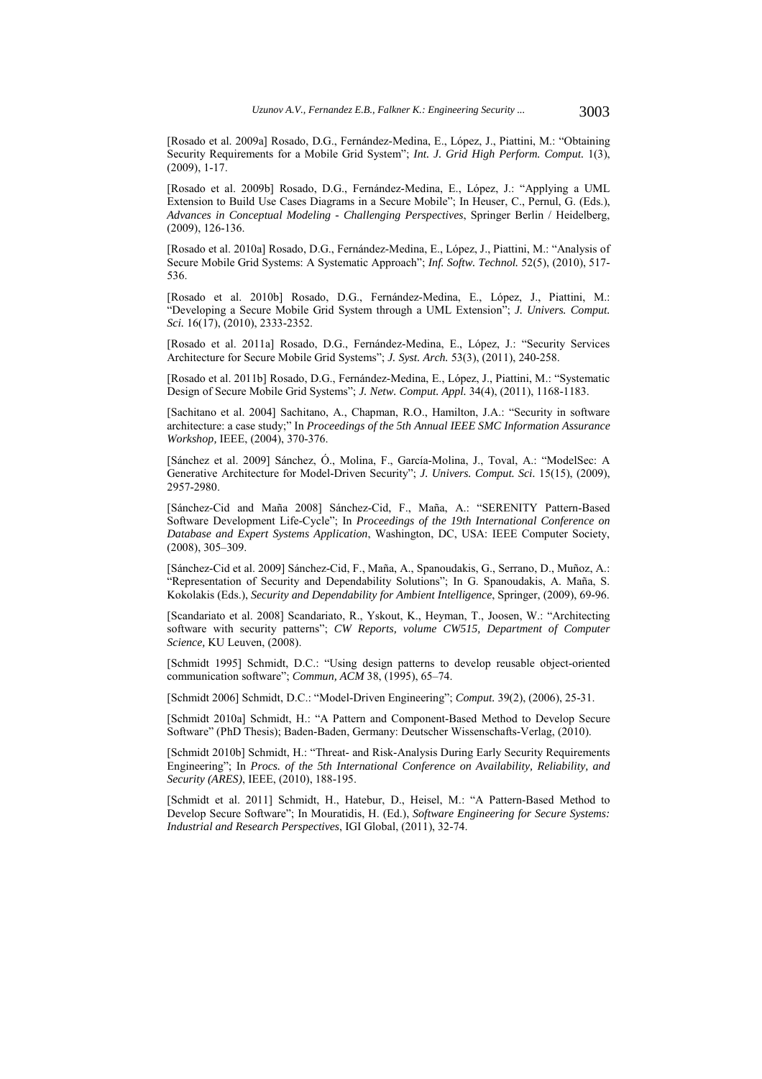[Rosado et al. 2009a] Rosado, D.G., Fernández-Medina, E., López, J., Piattini, M.: "Obtaining Security Requirements for a Mobile Grid System"; *Int. J. Grid High Perform. Comput.* 1(3), (2009), 1-17.

[Rosado et al. 2009b] Rosado, D.G., Fernández-Medina, E., López, J.: "Applying a UML Extension to Build Use Cases Diagrams in a Secure Mobile"; In Heuser, C., Pernul, G. (Eds.), *Advances in Conceptual Modeling - Challenging Perspectives*, Springer Berlin / Heidelberg, (2009), 126-136.

[Rosado et al. 2010a] Rosado, D.G., Fernández-Medina, E., López, J., Piattini, M.: "Analysis of Secure Mobile Grid Systems: A Systematic Approach"; *Inf. Softw. Technol.* 52(5), (2010), 517- 536.

[Rosado et al. 2010b] Rosado, D.G., Fernández-Medina, E., López, J., Piattini, M.: "Developing a Secure Mobile Grid System through a UML Extension"; *J. Univers. Comput. Sci.* 16(17), (2010), 2333-2352.

[Rosado et al. 2011a] Rosado, D.G., Fernández-Medina, E., López, J.: "Security Services Architecture for Secure Mobile Grid Systems"; *J. Syst. Arch.* 53(3), (2011), 240-258.

[Rosado et al. 2011b] Rosado, D.G., Fernández-Medina, E., López, J., Piattini, M.: "Systematic Design of Secure Mobile Grid Systems"; *J. Netw. Comput. Appl.* 34(4), (2011), 1168-1183.

[Sachitano et al. 2004] Sachitano, A., Chapman, R.O., Hamilton, J.A.: "Security in software architecture: a case study;" In *Proceedings of the 5th Annual IEEE SMC Information Assurance Workshop,* IEEE, (2004), 370-376.

[Sánchez et al. 2009] Sánchez, Ó., Molina, F., García-Molina, J., Toval, A.: "ModelSec: A Generative Architecture for Model-Driven Security"; *J. Univers. Comput. Sci.* 15(15), (2009), 2957-2980.

[Sánchez-Cid and Maña 2008] Sánchez-Cid, F., Maña, A.: "SERENITY Pattern-Based Software Development Life-Cycle"; In *Proceedings of the 19th International Conference on Database and Expert Systems Application*, Washington, DC, USA: IEEE Computer Society, (2008), 305–309.

[Sánchez-Cid et al. 2009] Sánchez-Cid, F., Maña, A., Spanoudakis, G., Serrano, D., Muñoz, A.: "Representation of Security and Dependability Solutions"; In G. Spanoudakis, A. Maña, S. Kokolakis (Eds.), *Security and Dependability for Ambient Intelligence*, Springer, (2009), 69-96.

[Scandariato et al. 2008] Scandariato, R., Yskout, K., Heyman, T., Joosen, W.: "Architecting software with security patterns"; *CW Reports, volume CW515, Department of Computer Science,* KU Leuven, (2008).

[Schmidt 1995] Schmidt, D.C.: "Using design patterns to develop reusable object-oriented communication software"; *Commun, ACM* 38, (1995), 65–74.

[Schmidt 2006] Schmidt, D.C.: "Model-Driven Engineering"; *Comput.* 39(2), (2006), 25-31.

[Schmidt 2010a] Schmidt, H.: "A Pattern and Component-Based Method to Develop Secure Software" (PhD Thesis); Baden-Baden, Germany: Deutscher Wissenschafts-Verlag, (2010).

[Schmidt 2010b] Schmidt, H.: "Threat- and Risk-Analysis During Early Security Requirements Engineering"; In *Procs. of the 5th International Conference on Availability, Reliability, and Security (ARES)*, IEEE, (2010), 188-195.

[Schmidt et al. 2011] Schmidt, H., Hatebur, D., Heisel, M.: "A Pattern-Based Method to Develop Secure Software"; In Mouratidis, H. (Ed.), *Software Engineering for Secure Systems: Industrial and Research Perspectives*, IGI Global, (2011), 32-74.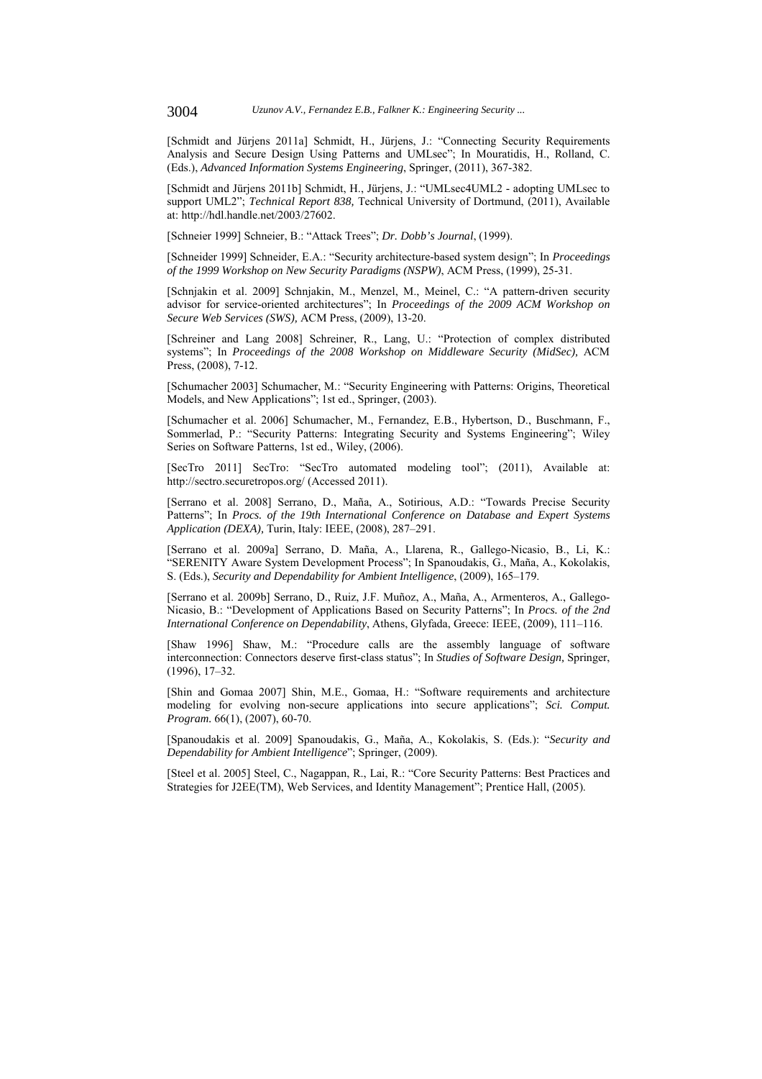[Schmidt and Jürjens 2011a] Schmidt, H., Jürjens, J.: "Connecting Security Requirements Analysis and Secure Design Using Patterns and UMLsec"; In Mouratidis, H., Rolland, C. (Eds.), *Advanced Information Systems Engineering*, Springer, (2011), 367-382.

[Schmidt and Jürjens 2011b] Schmidt, H., Jürjens, J.: "UMLsec4UML2 - adopting UMLsec to support UML2"; *Technical Report 838,* Technical University of Dortmund, (2011), Available at: http://hdl.handle.net/2003/27602.

[Schneier 1999] Schneier, B.: "Attack Trees"; *Dr. Dobb's Journal*, (1999).

[Schneider 1999] Schneider, E.A.: "Security architecture-based system design"; In *Proceedings of the 1999 Workshop on New Security Paradigms (NSPW)*, ACM Press, (1999), 25-31.

[Schnjakin et al. 2009] Schnjakin, M., Menzel, M., Meinel, C.: "A pattern-driven security advisor for service-oriented architectures"; In *Proceedings of the 2009 ACM Workshop on Secure Web Services (SWS),* ACM Press, (2009), 13-20.

[Schreiner and Lang 2008] Schreiner, R., Lang, U.: "Protection of complex distributed systems"; In *Proceedings of the 2008 Workshop on Middleware Security (MidSec), ACM* Press, (2008), 7-12.

[Schumacher 2003] Schumacher, M.: "Security Engineering with Patterns: Origins, Theoretical Models, and New Applications"; 1st ed., Springer, (2003).

[Schumacher et al. 2006] Schumacher, M., Fernandez, E.B., Hybertson, D., Buschmann, F., Sommerlad, P.: "Security Patterns: Integrating Security and Systems Engineering"; Wiley Series on Software Patterns, 1st ed., Wiley, (2006).

[SecTro 2011] SecTro: "SecTro automated modeling tool"; (2011), Available at: http://sectro.securetropos.org/ (Accessed 2011).

[Serrano et al. 2008] Serrano, D., Maña, A., Sotirious, A.D.: "Towards Precise Security Patterns"; In *Procs. of the 19th International Conference on Database and Expert Systems Application (DEXA),* Turin, Italy: IEEE, (2008), 287–291.

[Serrano et al. 2009a] Serrano, D. Maña, A., Llarena, R., Gallego-Nicasio, B., Li, K.: "SERENITY Aware System Development Process"; In Spanoudakis, G., Maña, A., Kokolakis, S. (Eds.), *Security and Dependability for Ambient Intelligence*, (2009), 165–179.

[Serrano et al. 2009b] Serrano, D., Ruiz, J.F. Muñoz, A., Maña, A., Armenteros, A., Gallego-Nicasio, B.: "Development of Applications Based on Security Patterns"; In *Procs. of the 2nd International Conference on Dependability*, Athens, Glyfada, Greece: IEEE, (2009), 111–116.

[Shaw 1996] Shaw, M.: "Procedure calls are the assembly language of software interconnection: Connectors deserve first-class status"; In *Studies of Software Design,* Springer, (1996), 17–32.

[Shin and Gomaa 2007] Shin, M.E., Gomaa, H.: "Software requirements and architecture modeling for evolving non-secure applications into secure applications"; *Sci. Comput. Program.* 66(1), (2007), 60-70.

[Spanoudakis et al. 2009] Spanoudakis, G., Maña, A., Kokolakis, S. (Eds.): "*Security and Dependability for Ambient Intelligence*"; Springer, (2009).

[Steel et al. 2005] Steel, C., Nagappan, R., Lai, R.: "Core Security Patterns: Best Practices and Strategies for J2EE(TM), Web Services, and Identity Management"; Prentice Hall, (2005).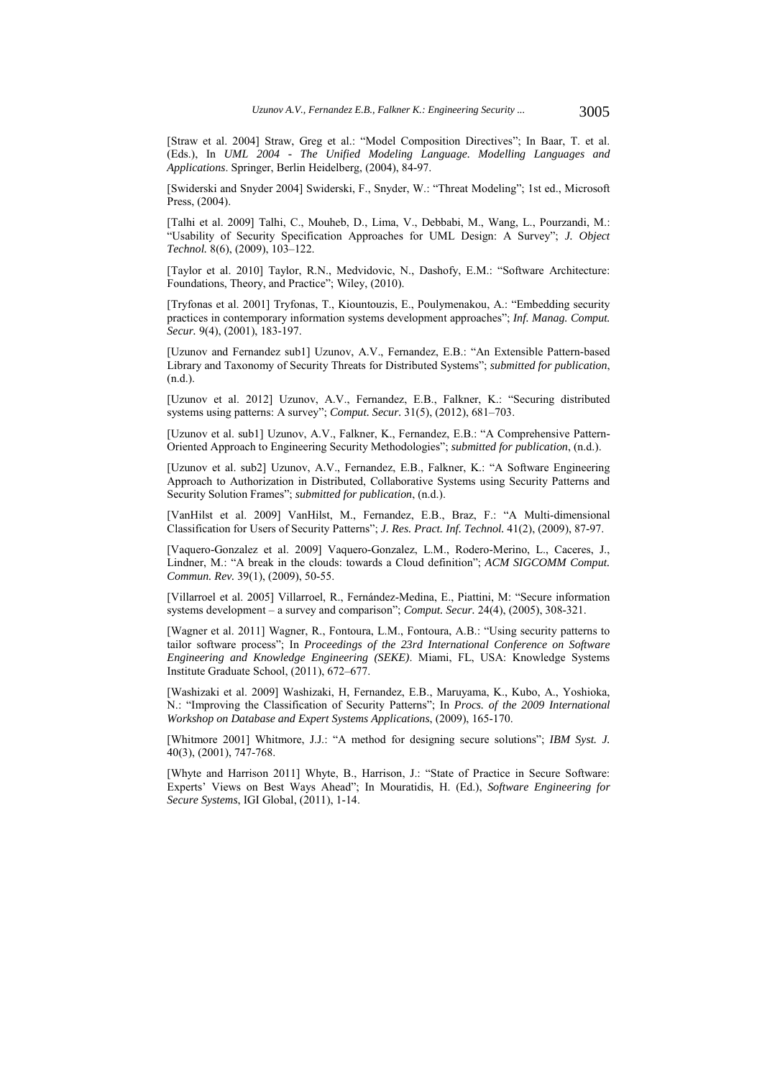[Straw et al. 2004] Straw, Greg et al.: "Model Composition Directives"; In Baar, T. et al. (Eds.), In *UML 2004 - The Unified Modeling Language. Modelling Languages and Applications*. Springer, Berlin Heidelberg, (2004), 84-97.

[Swiderski and Snyder 2004] Swiderski, F., Snyder, W.: "Threat Modeling"; 1st ed., Microsoft Press, (2004).

[Talhi et al. 2009] Talhi, C., Mouheb, D., Lima, V., Debbabi, M., Wang, L., Pourzandi, M.: "Usability of Security Specification Approaches for UML Design: A Survey"; *J. Object Technol.* 8(6), (2009), 103–122.

[Taylor et al. 2010] Taylor, R.N., Medvidovic, N., Dashofy, E.M.: "Software Architecture: Foundations, Theory, and Practice"; Wiley, (2010).

[Tryfonas et al. 2001] Tryfonas, T., Kiountouzis, E., Poulymenakou, A.: "Embedding security practices in contemporary information systems development approaches"; *Inf. Manag. Comput. Secur.* 9(4), (2001), 183-197.

[Uzunov and Fernandez sub1] Uzunov, A.V., Fernandez, E.B.: "An Extensible Pattern-based Library and Taxonomy of Security Threats for Distributed Systems"; *submitted for publication*, (n.d.).

[Uzunov et al. 2012] Uzunov, A.V., Fernandez, E.B., Falkner, K.: "Securing distributed systems using patterns: A survey"; *Comput. Secur.* 31(5), (2012), 681–703.

[Uzunov et al. sub1] Uzunov, A.V., Falkner, K., Fernandez, E.B.: "A Comprehensive Pattern-Oriented Approach to Engineering Security Methodologies"; *submitted for publication*, (n.d.).

[Uzunov et al. sub2] Uzunov, A.V., Fernandez, E.B., Falkner, K.: "A Software Engineering Approach to Authorization in Distributed, Collaborative Systems using Security Patterns and Security Solution Frames"; *submitted for publication*, (n.d.).

[VanHilst et al. 2009] VanHilst, M., Fernandez, E.B., Braz, F.: "A Multi-dimensional Classification for Users of Security Patterns"; *J. Res. Pract. Inf. Technol.* 41(2), (2009), 87-97.

[Vaquero-Gonzalez et al. 2009] Vaquero-Gonzalez, L.M., Rodero-Merino, L., Caceres, J., Lindner, M.: "A break in the clouds: towards a Cloud definition"; *ACM SIGCOMM Comput. Commun. Rev.* 39(1), (2009), 50-55.

[Villarroel et al. 2005] Villarroel, R., Fernández-Medina, E., Piattini, M: "Secure information systems development – a survey and comparison"; *Comput. Secur.* 24(4), (2005), 308-321.

[Wagner et al. 2011] Wagner, R., Fontoura, L.M., Fontoura, A.B.: "Using security patterns to tailor software process"; In *Proceedings of the 23rd International Conference on Software Engineering and Knowledge Engineering (SEKE)*. Miami, FL, USA: Knowledge Systems Institute Graduate School, (2011), 672–677.

[Washizaki et al. 2009] Washizaki, H, Fernandez, E.B., Maruyama, K., Kubo, A., Yoshioka, N.: "Improving the Classification of Security Patterns"; In *Procs. of the 2009 International Workshop on Database and Expert Systems Applications*, (2009), 165-170.

[Whitmore 2001] Whitmore, J.J.: "A method for designing secure solutions"; *IBM Syst. J.* 40(3), (2001), 747-768.

[Whyte and Harrison 2011] Whyte, B., Harrison, J.: "State of Practice in Secure Software: Experts' Views on Best Ways Ahead"; In Mouratidis, H. (Ed.), *Software Engineering for Secure Systems*, IGI Global, (2011), 1-14.